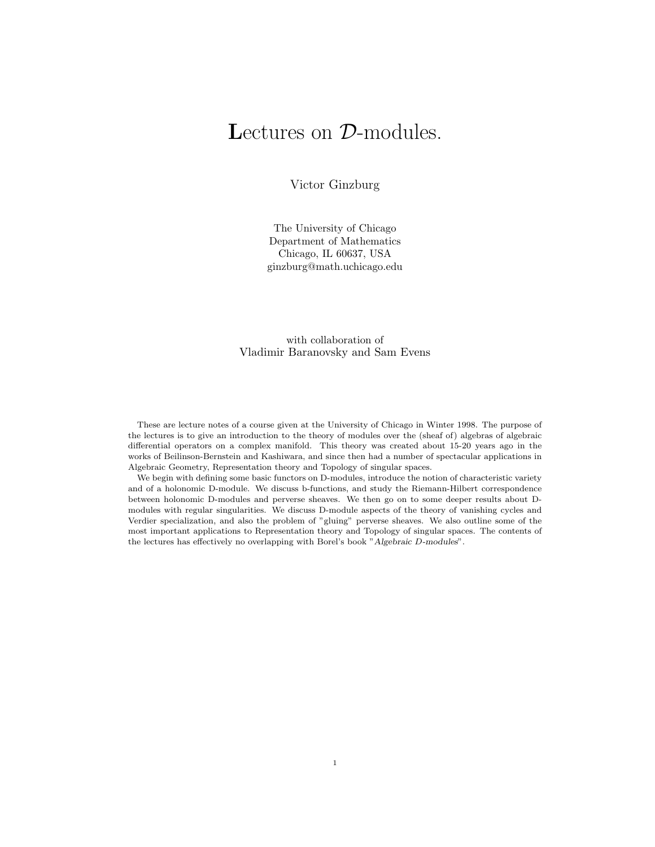# Lectures on  $\mathcal{D}\text{-modules.}$

Victor Ginzburg

The University of Chicago Department of Mathematics Chicago, IL 60637, USA ginzburg@math.uchicago.edu

with collaboration of Vladimir Baranovsky and Sam Evens

These are lecture notes of a course given at the University of Chicago in Winter 1998. The purpose of the lectures is to give an introduction to the theory of modules over the (sheaf of) algebras of algebraic differential operators on a complex manifold. This theory was created about 15-20 years ago in the works of Beilinson-Bernstein and Kashiwara, and since then had a number of spectacular applications in Algebraic Geometry, Representation theory and Topology of singular spaces.

We begin with defining some basic functors on D-modules, introduce the notion of characteristic variety and of a holonomic D-module. We discuss b-functions, and study the Riemann-Hilbert correspondence between holonomic D-modules and perverse sheaves. We then go on to some deeper results about Dmodules with regular singularities. We discuss D-module aspects of the theory of vanishing cycles and Verdier specialization, and also the problem of "gluing" perverse sheaves. We also outline some of the most important applications to Representation theory and Topology of singular spaces. The contents of the lectures has effectively no overlapping with Borel's book "Algebraic D-modules".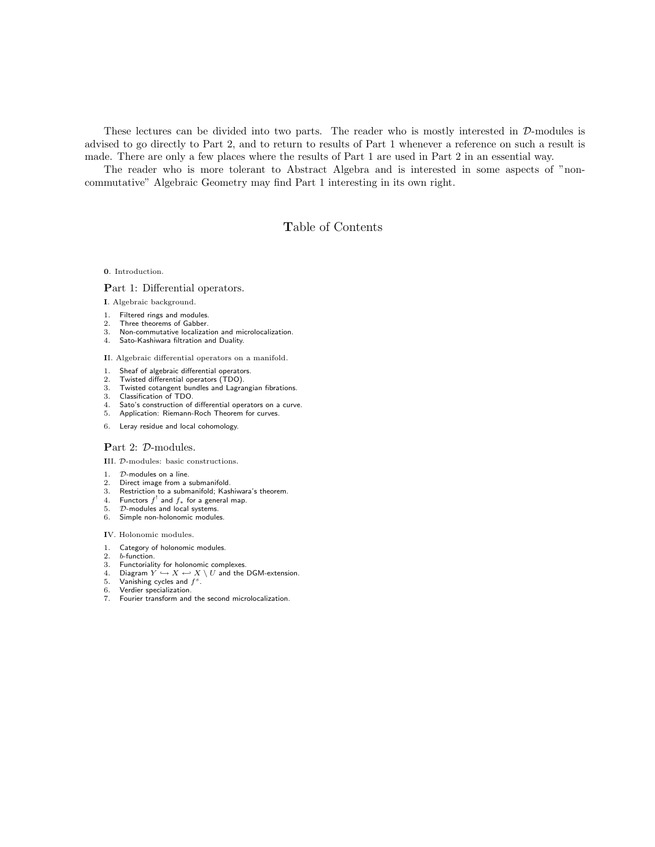These lectures can be divided into two parts. The reader who is mostly interested in D-modules is advised to go directly to Part 2, and to return to results of Part 1 whenever a reference on such a result is made. There are only a few places where the results of Part 1 are used in Part 2 in an essential way.

The reader who is more tolerant to Abstract Algebra and is interested in some aspects of "noncommutative" Algebraic Geometry may find Part 1 interesting in its own right.

# Table of Contents

0. Introduction.

## Part 1: Differential operators.

I. Algebraic background.

- 1. Filtered rings and modules.
- 2. Three theorems of Gabber.
- 3. Non-commutative localization and microlocalization.
- 4. Sato-Kashiwara filtration and Duality.

II. Algebraic differential operators on a manifold.

- 1. Sheaf of algebraic differential operators.
- 2. Twisted differential operators (TDO).
- 3. Twisted cotangent bundles and Lagrangian fibrations.
- 3. Classification of TDO.
- 4. Sato's construction of differential operators on a curve.
- 5. Application: Riemann-Roch Theorem for curves.
- 6. Leray residue and local cohomology.

## Part 2: D-modules.

III. D-modules: basic constructions.

- 1.  $D$ -modules on a line.<br>2. Direct image from a
- Direct image from a submanifold.
- 3. Restriction to a submanifold; Kashiwara's theorem.
- 4. Functors  $f^!$  and  $f_*$  for a general map.
- 5. D-modules and local systems. 6. Simple non-holonomic modules.

# IV. Holonomic modules.

- 1. Category of holonomic modules.
- 
- 2. *b*-function.<br>3. Functoriali Functoriality for holonomic complexes.
- 4. Diagram  $Y \hookrightarrow X \leftarrow X \setminus U$  and the DGM-extension.<br>5. Vanishing cycles and  $f^s$ .
- 5. Vanishing cycles and  $f^s$ .
- 6. Verdier specialization.
- 7. Fourier transform and the second microlocalization.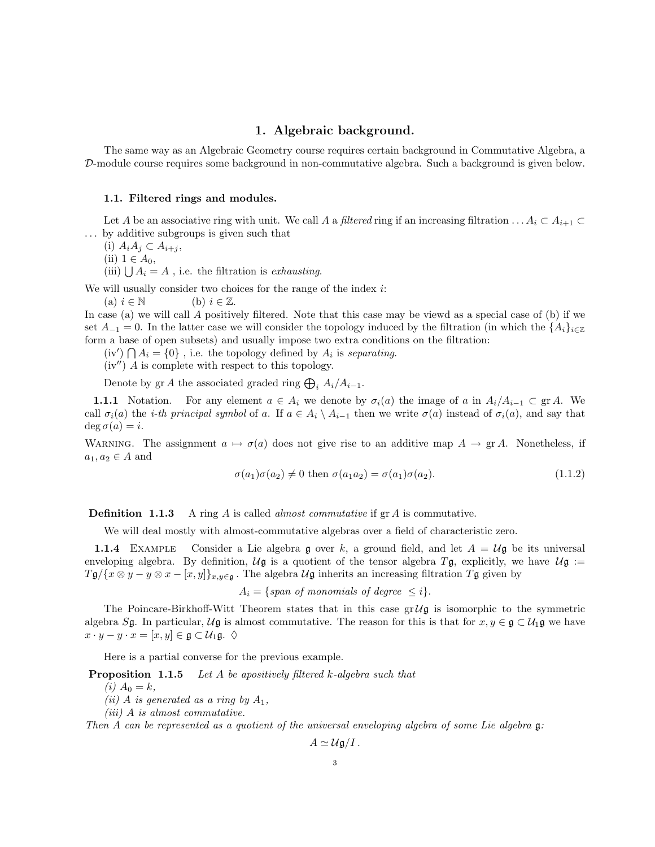# 1. Algebraic background.

The same way as an Algebraic Geometry course requires certain background in Commutative Algebra, a D-module course requires some background in non-commutative algebra. Such a background is given below.

### 1.1. Filtered rings and modules.

Let A be an associative ring with unit. We call A a filtered ring if an increasing filtration  $\dots A_i \subset A_{i+1}$ . . . by additive subgroups is given such that

(i)  $A_iA_j \subset A_{i+j}$ ,

(ii)  $1 \in A_0$ ,

(iii)  $\bigcup A_i = A$ , i.e. the filtration is exhausting.

We will usually consider two choices for the range of the index  $i$ :

(a)  $i \in \mathbb{N}$  (b)  $i \in \mathbb{Z}$ .

In case (a) we will call A positively filtered. Note that this case may be viewd as a special case of (b) if we set  $A_{-1} = 0$ . In the latter case we will consider the topology induced by the filtration (in which the  $\{A_i\}_{i\in\mathbb{Z}}$ form a base of open subsets) and usually impose two extra conditions on the filtration:

 $(iv') \bigcap A_i = \{0\}$ , i.e. the topology defined by  $A_i$  is separating.

 $(iv'')$  A is complete with respect to this topology.

Denote by gr A the associated graded ring  $\bigoplus_i A_i/A_{i-1}$ .

**1.1.1** Notation. For any element  $a \in A_i$  we denote by  $\sigma_i(a)$  the image of a in  $A_i/A_{i-1} \subset \text{gr } A$ . We call  $\sigma_i(a)$  the *i-th principal symbol* of a. If  $a \in A_i \setminus A_{i-1}$  then we write  $\sigma(a)$  instead of  $\sigma_i(a)$ , and say that  $\deg \sigma(a) = i.$ 

WARNING. The assignment  $a \mapsto \sigma(a)$  does not give rise to an additive map  $A \to \text{gr } A$ . Nonetheless, if  $a_1, a_2 \in A$  and

$$
\sigma(a_1)\sigma(a_2) \neq 0 \text{ then } \sigma(a_1a_2) = \sigma(a_1)\sigma(a_2). \tag{1.1.2}
$$

**Definition 1.1.3** A ring A is called *almost commutative* if  $\text{gr } A$  is commutative.

We will deal mostly with almost-commutative algebras over a field of characteristic zero.

**1.1.4** EXAMPLE Consider a Lie algebra g over k, a ground field, and let  $A = U\mathfrak{g}$  be its universal enveloping algebra. By definition,  $U\mathfrak{g}$  is a quotient of the tensor algebra  $T\mathfrak{g}$ , explicitly, we have  $U\mathfrak{g} :=$  $T\mathfrak{g}/\{x\otimes y-y\otimes x-[x,y]\}_{x,y\in\mathfrak{g}}$ . The algebra  $\mathcal{U}\mathfrak{g}$  inherits an increasing filtration  $T\mathfrak{g}$  given by

 $A_i = \{span\ of\ monomials\ of\ degree\ \leq i\}.$ 

The Poincare-Birkhoff-Witt Theorem states that in this case  $gr\mathcal{U}$  is isomorphic to the symmetric algebra Sg. In particular,  $U\mathfrak{g}$  is almost commutative. The reason for this is that for  $x, y \in \mathfrak{g} \subset U_1\mathfrak{g}$  we have  $x \cdot y - y \cdot x = [x, y] \in \mathfrak{g} \subset \mathcal{U}_1 \mathfrak{g}.$ 

Here is a partial converse for the previous example.

**Proposition 1.1.5** Let A be apositively filtered k-algebra such that

(*i*)  $A_0 = k$ ,

(ii) A is generated as a ring by  $A_1$ ,

(iii) A is almost commutative.

Then A can be represented as a quotient of the universal enveloping algebra of some Lie algebra g:

$$
A \simeq U \mathfrak{g}/I.
$$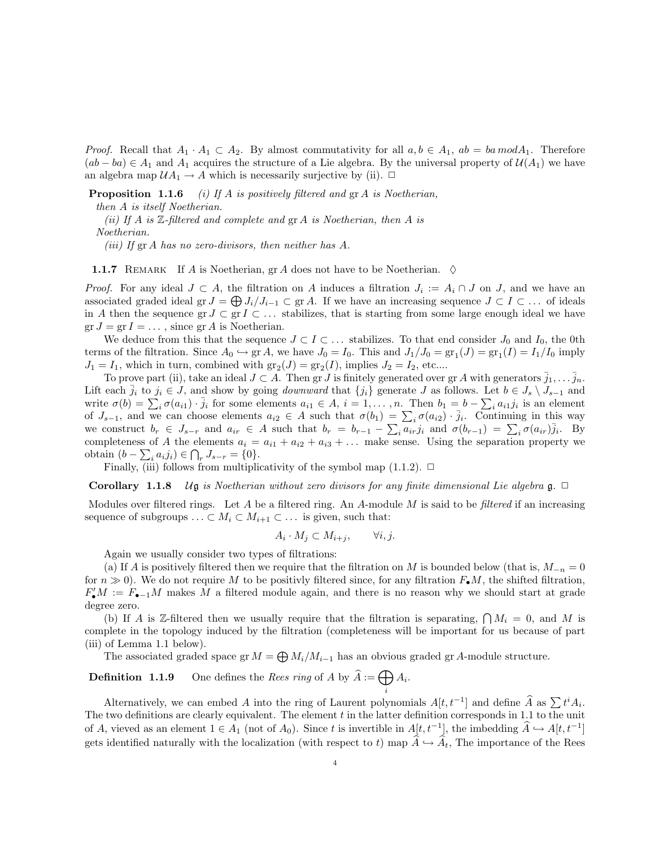*Proof.* Recall that  $A_1 \cdot A_1 \subset A_2$ . By almost commutativity for all  $a, b \in A_1$ ,  $ab = ba \mod A_1$ . Therefore  $(ab - ba) \in A_1$  and  $A_1$  acquires the structure of a Lie algebra. By the universal property of  $\mathcal{U}(A_1)$  we have an algebra map  $\mathcal{U}A_1 \to A$  which is necessarily surjective by (ii).  $\Box$ 

**Proposition 1.1.6** (i) If A is positively filtered and  $\operatorname{gr} A$  is Noetherian,

then A is itself Noetherian.

(ii) If A is  $\mathbb{Z}\text{-filtered}$  and complete and  $gr A$  is Noetherian, then A is Noetherian.

(iii) If  $gr A$  has no zero-divisors, then neither has  $A$ .

**1.1.7** REMARK If A is Noetherian, gr A does not have to be Noetherian.  $\diamond$ 

*Proof.* For any ideal  $J \subset A$ , the filtration on A induces a filtration  $J_i := A_i \cap J$  on  $J$ , and we have an associated graded ideal gr  $J = \bigoplus J_i/J_{i-1} \subset \text{gr } A$ . If we have an increasing sequence  $J \subset I \subset \ldots$  of ideals in A then the sequence gr  $J \subset \text{gr } I \subset \ldots$  stabilizes, that is starting from some large enough ideal we have  $gr J = gr I = \dots$ , since  $gr A$  is Noetherian.

We deduce from this that the sequence  $J \subset I \subset \ldots$  stabilizes. To that end consider  $J_0$  and  $I_0$ , the 0th terms of the filtration. Since  $A_0 \hookrightarrow \text{gr } A$ , we have  $J_0 = I_0$ . This and  $J_1/J_0 = \text{gr}_1(J) = \text{gr}_1(I) = I_1/I_0$  imply  $J_1 = I_1$ , which in turn, combined with  $gr_2(J) = gr_2(I)$ , implies  $J_2 = I_2$ , etc....

To prove part (ii), take an ideal  $J \subset A$ . Then gr J is finitely generated over gr A with generators  $\overline{j}_1, \ldots, \overline{j}_n$ . Lift each  $\bar{j}_i$  to  $j_i \in J$ , and show by going *downward* that  $\{j_i\}$  generate J as follows. Let  $b \in J_s \setminus J_{s-1}$  and write  $\sigma(b) = \sum_i \sigma(a_{i1}) \cdot \bar{j}_i$  for some elements  $a_{i1} \in A$ ,  $i = 1, \ldots, n$ . Then  $b_1 = b - \sum_i a_{i1} j_i$  is an element of  $J_{s-1}$ , and we can choose elements  $a_{i2} \in A$  such that  $\sigma(b_1) = \sum_i \sigma(a_{i2}) \cdot \bar{j}_i$ . Continuing in this way we construct  $b_r \in J_{s-r}$  and  $a_{ir} \in A$  such that  $b_r = b_{r-1} - \sum_i \overline{a_{ir}} j_i$  and  $\sigma(b_{r-1}) = \sum_i \sigma(a_{ir}) \overline{j_i}$ . By completeness of A the elements  $a_i = a_{i1} + a_{i2} + a_{i3} + \ldots$  make sense. Using the separation property we obtain  $(b - \sum_i a_i j_i) \in ∩_r J_{s-r} = \{0\}.$ 

Finally, (iii) follows from multiplicativity of the symbol map  $(1.1.2)$ .  $\Box$ 

**Corollary 1.1.8** Ug is Noetherian without zero divisors for any finite dimensional Lie algebra g.  $\Box$ 

Modules over filtered rings. Let A be a filtered ring. An A-module M is said to be *filtered* if an increasing sequence of subgroups  $\ldots \subset M_i \subset M_{i+1} \subset \ldots$  is given, such that:

$$
A_i \cdot M_j \subset M_{i+j}, \qquad \forall i, j.
$$

Again we usually consider two types of filtrations:

(a) If A is positively filtered then we require that the filtration on M is bounded below (that is,  $M_{-n} = 0$ for  $n \gg 0$ . We do not require M to be positivly filtered since, for any filtration  $F_{\bullet}M$ , the shifted filtration,  $F_{\bullet} M := F_{\bullet-1} M$  makes M a filtered module again, and there is no reason why we should start at grade degree zero.

(b) If A is Z-filtered then we usually require that the filtration is separating,  $\bigcap M_i = 0$ , and M is complete in the topology induced by the filtration (completeness will be important for us because of part (iii) of Lemma 1.1 below).

The associated graded space gr  $M = \bigoplus M_i/M_{i-1}$  has an obvious graded gr A-module structure.

**Definition 1.1.9** One defines the Rees ring of A by  $\widehat{A} := \bigoplus A_i$ . i

Alternatively, we can embed A into the ring of Laurent polynomials  $A[t, t^{-1}]$  and define  $\hat{A}$  as  $\sum t^{i} A_{i}$ . The two definitions are clearly equivalent. The element  $t$  in the latter definition corresponds in 1.1 to the unit of A, vieved as an element  $1 \in A_1$  (not of  $A_0$ ). Since t is invertible in  $A[t, t^{-1}]$ , the imbedding  $\widehat{A} \hookrightarrow A[t, t^{-1}]$ gets identified naturally with the localization (with respect to t) map  $\hat{A} \hookrightarrow \hat{A}_t$ , The importance of the Rees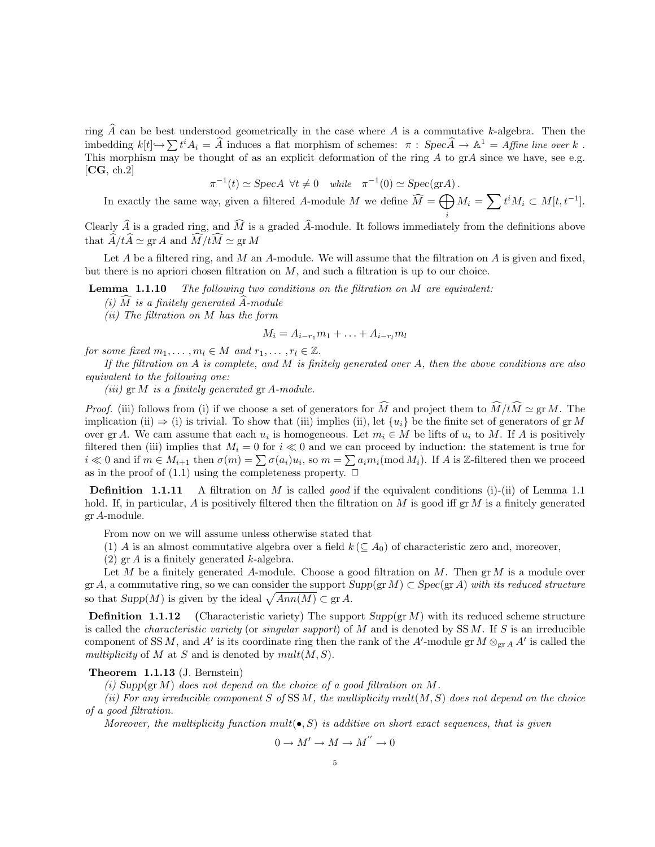ring  $\hat{A}$  can be best understood geometrically in the case where  $\hat{A}$  is a commutative k-algebra. Then the imbedding  $k[t] \rightarrow \sum t^i A_i = \hat{A}$  induces a flat morphism of schemes:  $\pi : Spec \hat{A} \rightarrow A^1 = Affine$  line over k. This morphism may be thought of as an explicit deformation of the ring  $A$  to  $\operatorname{gr} A$  since we have, see e.g.  $[CG, ch.2]$ 

$$
\pi^{-1}(t) \simeq \text{Spec} A \ \forall t \neq 0 \ \text{while} \ \pi^{-1}(0) \simeq \text{Spec}(\text{gr} A).
$$

In exactly the same way, given a filtered A-module M we define  $\widehat{M} = \bigoplus$  $M_i = \sum t^i M_i \subset M[t, t^{-1}].$ 

i

Clearly  $\hat{A}$  is a graded ring, and  $\hat{M}$  is a graded  $\hat{A}$ -module. It follows immediately from the definitions above that  $\widehat{A}/t\widehat{A} \simeq \operatorname{gr} A$  and  $\widehat{M}/t\widehat{M} \simeq \operatorname{gr} M$ 

Let  $A$  be a filtered ring, and  $M$  an  $A$ -module. We will assume that the filtration on  $A$  is given and fixed, but there is no apriori chosen filtration on  $M$ , and such a filtration is up to our choice.

**Lemma 1.1.10** The following two conditions on the filtration on M are equivalent:

(i)  $\overline{M}$  is a finitely generated  $\overline{A}$ -module

(ii) The filtration on M has the form

$$
M_i = A_{i-r_1}m_1 + \ldots + A_{i-r_l}m_l
$$

for some fixed  $m_1, \ldots, m_l \in M$  and  $r_1, \ldots, r_l \in \mathbb{Z}$ .

If the filtration on  $A$  is complete, and  $M$  is finitely generated over  $A$ , then the above conditions are also equivalent to the following one:

(iii)  $\operatorname{gr} M$  is a finitely generated  $\operatorname{gr} A$ -module.

*Proof.* (iii) follows from (i) if we choose a set of generators for  $\widehat{M}$  and project them to  $\widehat{M}/t\widehat{M} \simeq \operatorname{gr} M$ . The implication (ii)  $\Rightarrow$  (i) is trivial. To show that (iii) implies (ii), let  $\{u_i\}$  be the finite set of generators of gr M over gr A. We cam assume that each  $u_i$  is homogeneous. Let  $m_i \in M$  be lifts of  $u_i$  to M. If A is positively filtered then (iii) implies that  $M_i = 0$  for  $i \ll 0$  and we can proceed by induction: the statement is true for  $i \ll 0$  and if  $m \in M_{i+1}$  then  $\sigma(m) = \sum \sigma(a_i)u_i$ , so  $m = \sum a_i m_i \pmod{M_i}$ . If A is Z-filtered then we proceed as in the proof of (1.1) using the completeness property.  $\Box$ 

**Definition** 1.1.11 A filtration on M is called *good* if the equivalent conditions (i)-(ii) of Lemma 1.1 hold. If, in particular, A is positively filtered then the filtration on M is good iff  $gr M$  is a finitely generated gr A-module.

From now on we will assume unless otherwise stated that

(1) A is an almost commutative algebra over a field  $k \ (\subseteq A_0)$  of characteristic zero and, moreover,

(2)  $\operatorname{gr} A$  is a finitely generated k-algebra.

Let M be a finitely generated A-module. Choose a good filtration on M. Then  $\operatorname{gr} M$  is a module over gr A, a commutative ring, so we can consider the support  $Supp(\text{gr }M) \subset Spec(\text{gr }A)$  with its reduced structure so that  $Supp(M)$  is given by the ideal  $\sqrt{Ann(M)} \subset \text{gr } A$ .

**Definition 1.1.12** (Characteristic variety) The support  $Supp(\text{gr }M)$  with its reduced scheme structure is called the *characteristic variety* (or *singular support*) of  $M$  and is denoted by SS  $M$ . If  $S$  is an irreducible component of SS M, and A' is its coordinate ring then the rank of the A'-module gr  $M \otimes_{gr A} A'$  is called the multiplicity of M at S and is denoted by  $mult(M, S)$ .

# Theorem 1.1.13 (J. Bernstein)

(i) Supp(gr M) does not depend on the choice of a good filtration on M.

(ii) For any irreducible component S of SSM, the multiplicity mult $(M, S)$  does not depend on the choice of a good filtration.

Moreover, the multiplicity function mult $(\bullet, S)$  is additive on short exact sequences, that is given

$$
0 \to M' \to M \to M^{''} \to
$$

 $\overline{0}$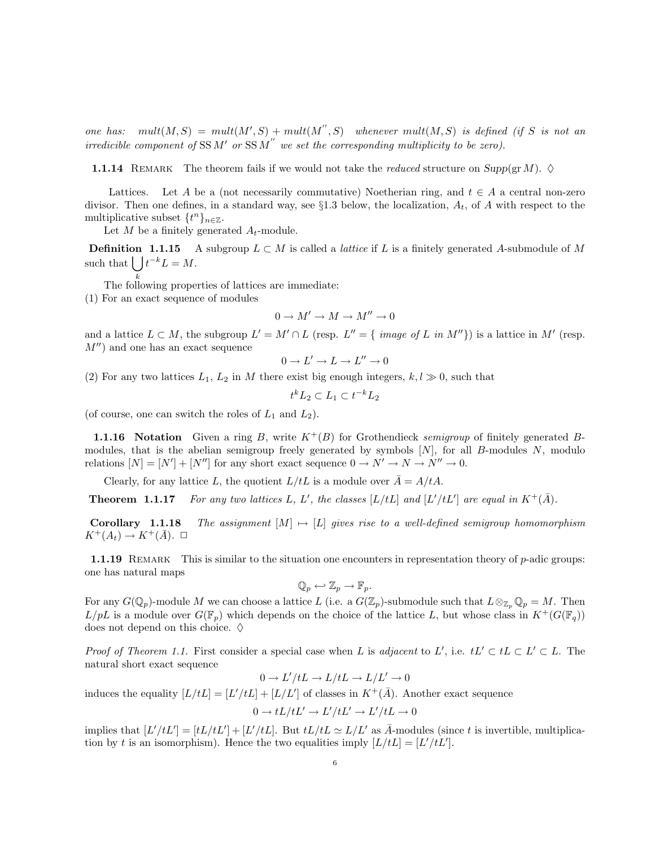one has:  $mult(M, S) = mult(M', S) + mult(M'', S)$  whenever  $mult(M, S)$  is defined (if S is not an irredicible component of SSM' or SSM" we set the corresponding multiplicity to be zero).

**1.1.14** REMARK The theorem fails if we would not take the *reduced* structure on  $Supp(\text{gr }M)$ .  $\diamond$ 

Lattices. Let A be a (not necessarily commutative) Noetherian ring, and  $t \in A$  a central non-zero divisor. Then one defines, in a standard way, see  $\S1.3$  below, the localization,  $A_t$ , of A with respect to the multiplicative subset  $\{t^n\}_{n\in\mathbb{Z}}$ .

Let M be a finitely generated  $A_t$ -module.

**Definition 1.1.15** A subgroup  $L \subset M$  is called a *lattice* if L is a finitely generated A-submodule of M such that  $\int_0^{\infty} t^{-k} L = M$ .

k The following properties of lattices are immediate:

(1) For an exact sequence of modules

$$
0\to M'\to M\to M''\to 0
$$

and a lattice  $L \subset M$ , the subgroup  $L' = M' \cap L$  (resp.  $L'' = \{ \text{ image of } L \text{ in } M'' \}$ ) is a lattice in M' (resp.  $M''$ ) and one has an exact sequence

$$
0 \to L' \to L \to L'' \to 0
$$

(2) For any two lattices  $L_1, L_2$  in M there exist big enough integers,  $k, l \geq 0$ , such that

$$
t^k L_2 \subset L_1 \subset t^{-k} L_2
$$

(of course, one can switch the roles of  $L_1$  and  $L_2$ ).

**1.1.16** Notation Given a ring B, write  $K^+(B)$  for Grothendieck semigroup of finitely generated Bmodules, that is the abelian semigroup freely generated by symbols  $[N]$ , for all B-modules N, modulo relations  $[N] = [N'] + [N'']$  for any short exact sequence  $0 \to N' \to N \to N'' \to 0$ .

Clearly, for any lattice L, the quotient  $L/tL$  is a module over  $\bar{A} = A/tA$ .

**Theorem 1.1.17** For any two lattices L, L', the classes  $[L/tL]$  and  $[L'/tL']$  are equal in  $K^+(\overline{A})$ .

**Corollary 1.1.18** The assignment  $[M] \mapsto [L]$  gives rise to a well-defined semigroup homomorphism  $K^+(A_t) \to K^+(\bar{A})$ .  $\Box$ 

**1.1.19** REMARK This is similar to the situation one encounters in representation theory of  $p$ -adic groups: one has natural maps

$$
\mathbb{Q}_p \hookleftarrow \mathbb{Z}_p \to \mathbb{F}_p.
$$

For any  $G(\mathbb{Q}_p)$ -module M we can choose a lattice L (i.e. a  $G(\mathbb{Z}_p)$ -submodule such that  $L \otimes_{\mathbb{Z}_p} \mathbb{Q}_p = M$ . Then  $L/pL$  is a module over  $G(\mathbb{F}_p)$  which depends on the choice of the lattice L, but whose class in  $K^+(G(\mathbb{F}_q))$ does not depend on this choice.  $\diamond$ 

*Proof of Theorem 1.1.* First consider a special case when L is adjacent to L', i.e.  $tL' \subset tL \subset L' \subset L$ . The natural short exact sequence

$$
0 \to L'/tL \to L/tL \to L/L' \to 0
$$

induces the equality  $[L/tL] = [L'/tL] + [L/L']$  of classes in  $K^+(\bar{A})$ . Another exact sequence

$$
0 \to tL/tL' \to L'/tL' \to L'/tL \to 0
$$

implies that  $[L'/tL'] = [tL/tL'] + [L'/tL]$ . But  $tL/tL \simeq L/L'$  as  $\overline{A}$ -modules (since t is invertible, multiplication by t is an isomorphism). Hence the two equalities imply  $[L/tL] = [L'/tL']$ .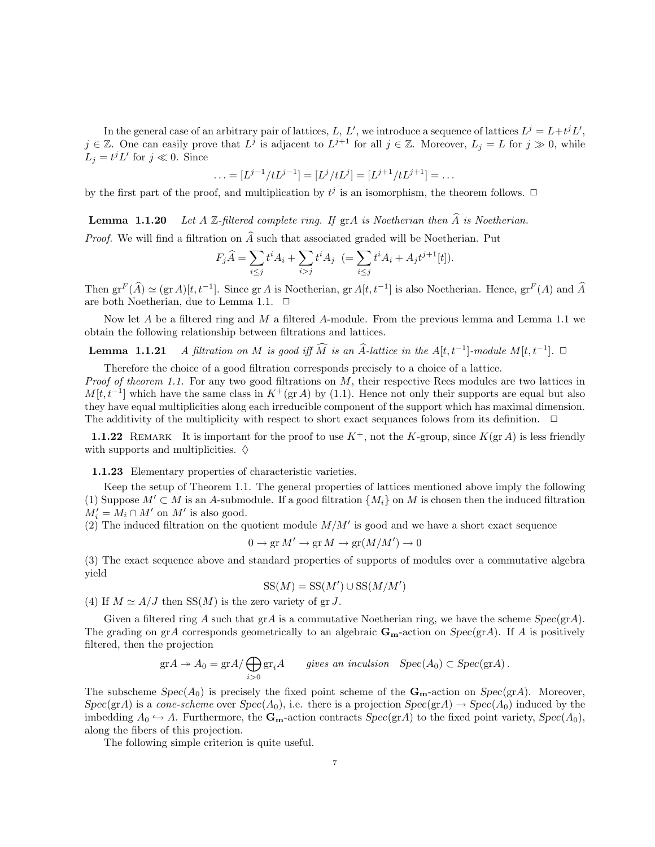In the general case of an arbitrary pair of lattices, L, L', we introduce a sequence of lattices  $L^j = L + t^j L'$ ,  $j \in \mathbb{Z}$ . One can easily prove that  $L^j$  is adjacent to  $L^{j+1}$  for all  $j \in \mathbb{Z}$ . Moreover,  $L_j = L$  for  $j \gg 0$ , while  $L_j = t^j L'$  for  $j \ll 0$ . Since

$$
\ldots = [L^{j-1}/tL^{j-1}] = [L^j/tL^j] = [L^{j+1}/tL^{j+1}] = \ldots
$$

by the first part of the proof, and multiplication by  $t^j$  is an isomorphism, the theorem follows.  $\Box$ 

**Lemma 1.1.20** Let A Z-filtered complete ring. If grA is Noetherian then  $\widehat{A}$  is Noetherian.

*Proof.* We will find a filtration on  $\widehat{A}$  such that associated graded will be Noetherian. Put

$$
F_j \hat{A} = \sum_{i \le j} t^i A_i + \sum_{i > j} t^i A_j \ \ (= \sum_{i \le j} t^i A_i + A_j t^{j+1} [t]).
$$

Then  $gr^F(\widehat{A}) \simeq (gr A)[t, t^{-1}]$ . Since  $gr A$  is Noetherian,  $gr A[t, t^{-1}]$  is also Noetherian. Hence,  $gr^F(A)$  and  $\widehat{A}$ are both Noetherian, due to Lemma 1.1.  $\Box$ 

Now let  $A$  be a filtered ring and  $M$  a filtered  $A$ -module. From the previous lemma and Lemma 1.1 we obtain the following relationship between filtrations and lattices.

**Lemma 1.1.21** A filtration on M is good iff  $\widehat{M}$  is an  $\widehat{A}$ -lattice in the  $A[t, t^{-1}]$ -module  $M[t, t^{-1}]$ .  $\Box$ 

Therefore the choice of a good filtration corresponds precisely to a choice of a lattice.

*Proof of theorem 1.1.* For any two good filtrations on M, their respective Rees modules are two lattices in  $M[t, t^{-1}]$  which have the same class in  $K^+(\text{gr }A)$  by (1.1). Hence not only their supports are equal but also they have equal multiplicities along each irreducible component of the support which has maximal dimension. The additivity of the multiplicity with respect to short exact sequances folows from its definition.  $\Box$ 

1.1.22 REMARK It is important for the proof to use  $K^+$ , not the K-group, since  $K(\text{gr }A)$  is less friendly with supports and multiplicities.  $\diamond$ 

1.1.23 Elementary properties of characteristic varieties.

Keep the setup of Theorem 1.1. The general properties of lattices mentioned above imply the following (1) Suppose  $M' \subset M$  is an A-submodule. If a good filtration  $\{M_i\}$  on M is chosen then the induced filtration  $M'_i = M_i \cap M'$  on  $M'$  is also good.

(2) The induced filtration on the quotient module  $M/M'$  is good and we have a short exact sequence

$$
0 \to \text{gr } M' \to \text{gr } M \to \text{gr}(M/M') \to 0
$$

(3) The exact sequence above and standard properties of supports of modules over a commutative algebra yield

$$
SS(M) = SS(M') \cup SS(M/M')
$$

(4) If  $M \simeq A/J$  then SS(M) is the zero variety of gr J.

Given a filtered ring A such that  $\text{gr}A$  is a commutative Noetherian ring, we have the scheme  $Spec(\text{gr}A)$ . The grading on grA corresponds geometrically to an algebraic  $\mathbf{G}_{\mathbf{m}}$ -action on  $Spec(\text{gr}A)$ . If A is positively filtered, then the projection

$$
\mathrm{gr} A \twoheadrightarrow A_0 = \mathrm{gr} A / \bigoplus_{i>0} \mathrm{gr}_i A \qquad \text{gives an inclusion} \quad \mathrm{Spec}(A_0) \subset \mathrm{Spec}(\mathrm{gr} A) \, .
$$

The subscheme  $Spec(A_0)$  is precisely the fixed point scheme of the  $\mathbf{G}_{\mathbf{m}}$ -action on  $Spec(\text{gr}A)$ . Moreover,  $Spec(\text{gr}A)$  is a *cone-scheme* over  $Spec(A_0)$ , i.e. there is a projection  $Spec(\text{gr}A) \rightarrow Spec(A_0)$  induced by the imbedding  $A_0 \hookrightarrow A$ . Furthermore, the  $\mathbf{G}_{\mathbf{m}}$ -action contracts  $Spec(\text{gr} A)$  to the fixed point variety,  $Spec(A_0)$ , along the fibers of this projection.

The following simple criterion is quite useful.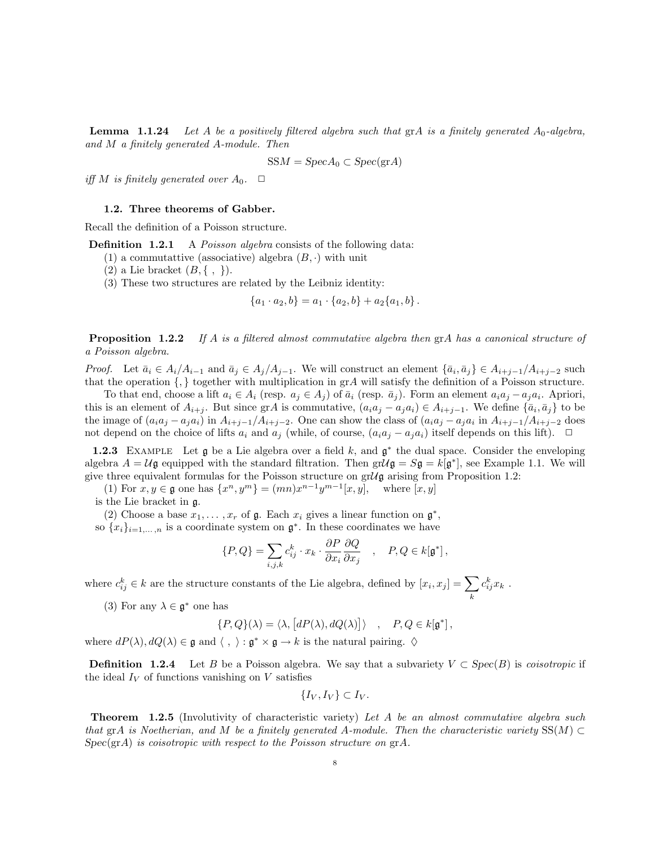**Lemma** 1.1.24 Let A be a positively filtered algebra such that  $\text{gr}A$  is a finitely generated  $A_0$ -algebra, and M a finitely generated A-module. Then

$$
SSM = Spec A_0 \subset Spec(\text{gr} A)
$$

iff M is finitely generated over  $A_0$ .  $\Box$ 

# 1.2. Three theorems of Gabber.

Recall the definition of a Poisson structure.

**Definition 1.2.1** A Poisson algebra consists of the following data:

- (1) a commutattive (associative) algebra  $(B, \cdot)$  with unit
- (2) a Lie bracket  $(B, \{ , \})$ .
- (3) These two structures are related by the Leibniz identity:

$$
\{a_1 \cdot a_2, b\} = a_1 \cdot \{a_2, b\} + a_2 \{a_1, b\}.
$$

**Proposition 1.2.2** If A is a filtered almost commutative algebra then grA has a canonical structure of a Poisson algebra.

*Proof.* Let  $\bar{a}_i \in A_i/A_{i-1}$  and  $\bar{a}_j \in A_j/A_{j-1}$ . We will construct an element  $\{\bar{a}_i, \bar{a}_j\} \in A_{i+j-1}/A_{i+j-2}$  such that the operation  $\{,\}$  together with multiplication in grA will satisfy the definition of a Poisson structure.

To that end, choose a lift  $a_i \in A_i$  (resp.  $a_j \in A_j$ ) of  $\bar{a}_i$  (resp.  $\bar{a}_j$ ). Form an element  $a_i a_j - a_j a_i$ . Apriori, this is an element of  $A_{i+j}$ . But since grA is commutative,  $(a_i a_j - a_j a_i) \in A_{i+j-1}$ . We define  $\{\bar{a}_i, \bar{a}_j\}$  to be the image of  $(a_i a_j - a_j a_i)$  in  $A_{i+j-1}/A_{i+j-2}$ . One can show the class of  $(a_i a_j - a_j a_i)$  in  $A_{i+j-1}/A_{i+j-2}$  does not depend on the choice of lifts  $a_i$  and  $a_j$  (while, of course,  $(a_i a_j - a_j a_i)$  itself depends on this lift).  $\Box$ 

**1.2.3** EXAMPLE Let  $\mathfrak{g}$  be a Lie algebra over a field k, and  $\mathfrak{g}^*$  the dual space. Consider the enveloping algebra  $A = U\mathfrak{g}$  equipped with the standard filtration. Then  $gr\mathcal{U}\mathfrak{g} = S\mathfrak{g} = k[\mathfrak{g}^*]$ , see Example 1.1. We will give three equivalent formulas for the Poisson structure on  $gr\mathcal{U} \mathfrak{g}$  arising from Proposition 1.2:

(1) For  $x, y \in \mathfrak{g}$  one has  $\{x^n, y^m\} = (mn)x^{n-1}y^{m-1}[x, y]$ , where  $[x, y]$ is the Lie bracket in g.

(2) Choose a base  $x_1, \ldots, x_r$  of  $\mathfrak g$ . Each  $x_i$  gives a linear function on  $\mathfrak g^*,$ 

so  ${x_i}_{i=1,...,n}$  is a coordinate system on  $\mathfrak{g}^*$ . In these coordinates we have

$$
\{P,Q\} = \sum_{i,j,k} c_{ij}^k \cdot x_k \cdot \frac{\partial P}{\partial x_i} \frac{\partial Q}{\partial x_j} \quad , \quad P,Q \in k[\mathfrak{g}^*] \,,
$$

where  $c_{ij}^k \in k$  are the structure constants of the Lie algebra, defined by  $[x_i, x_j] = \sum$ k  $c_{ij}^k x_k$ .

(3) For any  $\lambda \in \mathfrak{g}^*$  one has

 $\{P, Q\}(\lambda) = \langle \lambda, [dP(\lambda), dQ(\lambda)] \rangle$ ,  $P, Q \in k[\mathfrak{g}^*],$ 

where  $dP(\lambda), dQ(\lambda) \in \mathfrak{g}$  and  $\langle , \rangle : \mathfrak{g}^* \times \mathfrak{g} \to k$  is the natural pairing.  $\diamond$ 

**Definition 1.2.4** Let B be a Poisson algebra. We say that a subvariety  $V \subset \text{Spec}(B)$  is *coisotropic* if the ideal  $I_V$  of functions vanishing on  $V$  satisfies

$$
\{I_V, I_V\} \subset I_V.
$$

Theorem 1.2.5 (Involutivity of characteristic variety) Let A be an almost commutative algebra such that grA is Noetherian, and M be a finitely generated A-module. Then the characteristic variety  $SS(M) \subset$  $Spec(\text{gr} A)$  is coisotropic with respect to the Poisson structure on  $\text{gr} A$ .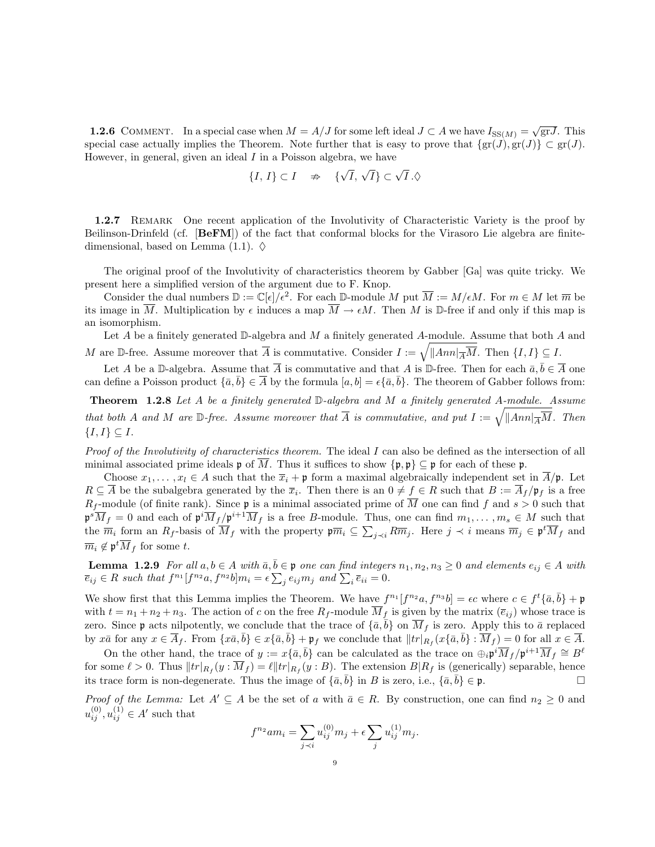**1.2.6** COMMENT. In a special case when  $M = A/J$  for some left ideal  $J \subset A$  we have  $I_{SS(M)} = \sqrt{grJ}$ . This special case actually implies the Theorem. Note further that is easy to prove that  $\{gr(J), gr(J) \} \subset gr(J)$ . However, in general, given an ideal  $I$  in a Poisson algebra, we have

$$
\{I, I\} \subset I \quad \nRightarrow \quad \{\sqrt{I}, \sqrt{I}\} \subset \sqrt{I}.\Diamond
$$

1.2.7 REMARK One recent application of the Involutivity of Characteristic Variety is the proof by Beilinson-Drinfeld (cf. [BeFM]) of the fact that conformal blocks for the Virasoro Lie algebra are finitedimensional, based on Lemma (1.1).  $\diamond$ 

The original proof of the Involutivity of characteristics theorem by Gabber [Ga] was quite tricky. We present here a simplified version of the argument due to F. Knop.

Consider the dual numbers  $\mathbb{D} := \mathbb{C}[\epsilon]/\epsilon^2$ . For each  $\mathbb{D}$ -module M put  $\overline{M} := M/\epsilon M$ . For  $m \in M$  let  $\overline{m}$  be its image in  $\overline{M}$ . Multiplication by  $\epsilon$  induces a map  $\overline{M} \to \epsilon M$ . Then M is D-free if and only if this map is an isomorphism.

Let A be a finitely generated  $\mathbb{D}$ -algebra and M a finitely generated A-module. Assume that both A and M are D-free. Assume moreover that  $\overline{A}$  is commutative. Consider  $I := \sqrt{\|Ann| \frac{1}{A}M}$ . Then  $\{I, I\} \subseteq I$ .

Let A be a D-algebra. Assume that  $\overline{A}$  is commutative and that A is D-free. Then for each  $\overline{a}, \overline{b} \in \overline{A}$  one can define a Poisson product  $\{\bar{a}, \bar{b}\} \in \overline{A}$  by the formula  $[a, b] = \epsilon \{\bar{a}, \bar{b}\}$ . The theorem of Gabber follows from:

Theorem 1.2.8 Let A be a finitely generated D-algebra and M a finitely generated A-module. Assume that both A and M are D-free. Assume moreover that  $\overline{A}$  is commutative, and put  $I := \sqrt{\|Ann|_{\overline{A}}\overline{M}}$ . Then  ${I, I} \subseteq I$ .

Proof of the Involutivity of characteristics theorem. The ideal I can also be defined as the intersection of all minimal associated prime ideals  $\mathfrak{p}$  of  $\overline{M}$ . Thus it suffices to show  $\{\mathfrak{p},\mathfrak{p}\}\subseteq \mathfrak{p}$  for each of these  $\mathfrak{p}$ .

Choose  $x_1, \ldots, x_l \in A$  such that the  $\overline{x}_i + \mathfrak{p}$  form a maximal algebraically independent set in  $\overline{A}/\mathfrak{p}$ . Let  $R \subseteq \overline{A}$  be the subalgebra generated by the  $\overline{x}_i$ . Then there is an  $0 \neq f \in R$  such that  $B := \overline{A}_f / \mathfrak{p}_f$  is a free  $R_f$ -module (of finite rank). Since **p** is a minimal associated prime of  $\overline{M}$  one can find f and  $s > 0$  such that  $\mathfrak{p}^s \overline{M}_f = 0$  and each of  $\mathfrak{p}^i \overline{M}_f / \mathfrak{p}^{i+1} \overline{M}_f$  is a free B-module. Thus, one can find  $m_1, \ldots, m_s \in M$  such that the  $\overline{m}_i$  form an  $R_f$ -basis of  $\overline{M}_f$  with the property  $\mathfrak{p}\overline{m}_i \subseteq \sum_{j\prec i} R\overline{m}_j$ . Here  $j \prec i$  means  $\overline{m}_j \in \mathfrak{p}^t \overline{M}_f$  and  $\overline{m}_i \notin \mathfrak{p}^t \overline{M}_f$  for some t.

**Lemma 1.2.9** For all  $a, b \in A$  with  $\bar{a}, \bar{b} \in \mathfrak{p}$  one can find integers  $n_1, n_2, n_3 \geq 0$  and elements  $e_{ij} \in A$  with  $\overline{e}_{ij} \in R$  such that  $f^{n_1}[f^{n_2}a, f^{n_2}b]m_i = \epsilon \sum_j e_{ij}m_j$  and  $\sum_i \overline{e}_{ii} = 0$ .

We show first that this Lemma implies the Theorem. We have  $f^{n_1}[f^{n_2}a, f^{n_3}b] = \epsilon c$  where  $c \in f^t{\overline{a}, \overline{b}} + \mathfrak{p}$ with  $t = n_1 + n_2 + n_3$ . The action of c on the free  $R_f$ -module  $\overline{M}_f$  is given by the matrix  $(\overline{e}_{ij})$  whose trace is zero. Since p acts nilpotently, we conclude that the trace of  $\{\bar{a}, \bar{b}\}$  on  $\overline{M}_f$  is zero. Apply this to  $\bar{a}$  replaced by  $x\overline{a}$  for any  $x \in \overline{A}_f$ . From  $\{x\overline{a}, \overline{b}\}\in x\{\overline{a}, \overline{b}\} + \mathfrak{p}_f$  we conclude that  $||tr|_{R_f}(x\{\overline{a}, \overline{b}\} : \overline{M}_f) = 0$  for all  $x \in \overline{A}$ .

On the other hand, the trace of  $y := x\{\bar{a}, \bar{b}\}$  can be calculated as the trace on  $\bigoplus_i \mathfrak{p}^i \overline{M}_f / \mathfrak{p}^{i+1} \overline{M}_f \cong B^{\ell}$ for some  $\ell > 0$ . Thus  $||tr|_{R_f}(y : M_f) = \ell ||tr|_{R_f}(y : B)$ . The extension  $B|R_f$  is (generically) separable, hence its trace form is non-degenerate. Thus the image of  $\{\bar{a}, \bar{b}\}$  in B is zero, i.e.,  $\{\bar{a}, \bar{b}\} \in \mathfrak{p}$ .

*Proof of the Lemma:* Let  $A' \subseteq A$  be the set of a with  $\bar{a} \in R$ . By construction, one can find  $n_2 \geq 0$  and  $u_{ij}^{(0)}, u_{ij}^{(1)} \in A'$  such that

$$
f^{n_2} a m_i = \sum_{j \prec i} u_{ij}^{(0)} m_j + \epsilon \sum_j u_{ij}^{(1)} m_j.
$$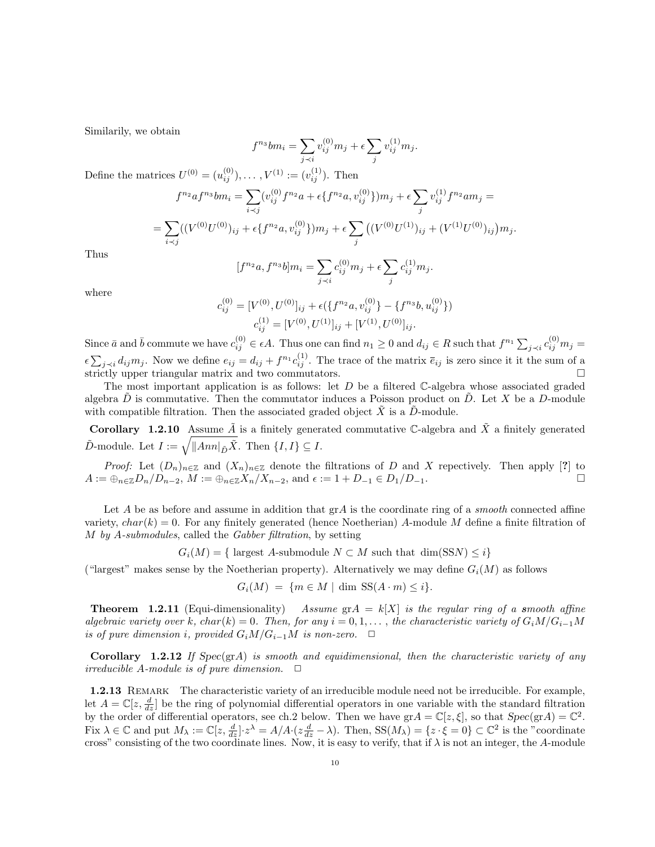Similarily, we obtain

$$
f^{n_3}bm_i = \sum_{j \prec i} v_{ij}^{(0)}m_j + \epsilon \sum_j v_{ij}^{(1)}m_j.
$$

Define the matrices  $U^{(0)} = (u_{ij}^{(0)}), \dots, V^{(1)} := (v_{ij}^{(1)})$ . Then

$$
f^{n_2}af^{n_3}bm_i = \sum_{i \prec j} (v_{ij}^{(0)}f^{n_2}a + \epsilon \{f^{n_2}a, v_{ij}^{(0)}\})m_j + \epsilon \sum_j v_{ij}^{(1)}f^{n_2}am_j =
$$
  
= 
$$
\sum_{i \prec j} ((V^{(0)}U^{(0)})_{ij} + \epsilon \{f^{n_2}a, v_{ij}^{(0)}\})m_j + \epsilon \sum_j ((V^{(0)}U^{(1)})_{ij} + (V^{(1)}U^{(0)})_{ij})m_j.
$$

Thus

$$
[f^{n_2}a, f^{n_3}b]m_i = \sum_{j \prec i} c_{ij}^{(0)}m_j + \epsilon \sum_j c_{ij}^{(1)}m_j.
$$

where

$$
c_{ij}^{(0)} = [V^{(0)}, U^{(0)}]_{ij} + \epsilon (\lbrace f^{n_2}a, v_{ij}^{(0)} \rbrace - \lbrace f^{n_3}b, u_{ij}^{(0)} \rbrace)
$$
  

$$
c_{ij}^{(1)} = [V^{(0)}, U^{(1)}]_{ij} + [V^{(1)}, U^{(0)}]_{ij}.
$$

Since  $\bar{a}$  and  $\bar{b}$  commute we have  $c_{ij}^{(0)} \in \epsilon A$ . Thus one can find  $n_1 \geq 0$  and  $d_{ij} \in R$  such that  $f^{n_1} \sum_{j \prec i} c_{ij}^{(0)} m_j =$  $\epsilon \sum_{j \prec i} d_{ij} m_j$ . Now we define  $e_{ij} = d_{ij} + f^{n_1} c_{ij}^{(1)}$ . The trace of the matrix  $\bar{e}_{ij}$  is zero since it it the sum of a strictly upper triangular matrix and two commutators.

The most important application is as follows: let  $D$  be a filtered C-algebra whose associated graded algebra  $\tilde{D}$  is commutative. Then the commutator induces a Poisson product on  $\tilde{D}$ . Let X be a D-module with compatible filtration. Then the associated graded object  $\tilde{X}$  is a  $\tilde{D}$ -module.

Corollary 1.2.10 Assume  $\tilde{A}$  is a finitely generated commutative C-algebra and  $\tilde{X}$  a finitely generated  $\tilde{D}$ -module. Let  $I := \sqrt{\|Ann\|_{\tilde{D}}\tilde{X}}$ . Then  $\{I, I\} \subseteq I$ .

*Proof:* Let  $(D_n)_{n\in\mathbb{Z}}$  and  $(X_n)_{n\in\mathbb{Z}}$  denote the filtrations of D and X repectively. Then apply [?] to  $A := \bigoplus_{n \in \mathbb{Z}} D_n/D_{n-2}, M := \bigoplus_{n \in \mathbb{Z}} X_n/X_{n-2}, \text{ and } \epsilon := 1 + D_{-1} \in D_1/D_{-1}.$ 

Let A be as before and assume in addition that  $grA$  is the coordinate ring of a *smooth* connected affine variety,  $char(k) = 0$ . For any finitely generated (hence Noetherian) A-module M define a finite filtration of M by A-submodules, called the Gabber filtration, by setting

$$
G_i(M) = \{ \text{ largest } A\text{-submodule } N \subset M \text{ such that } \dim(\text{SSN}) \le i \}
$$

("largest" makes sense by the Noetherian property). Alternatively we may define  $G_i(M)$  as follows

$$
G_i(M) = \{ m \in M \mid \dim \, \text{SS}(A \cdot m) \leq i \}.
$$

**Theorem 1.2.11** (Equi-dimensionality) Assume  $g \uparrow A = k[X]$  is the regular ring of a smooth affine algebraic variety over k, char(k) = 0. Then, for any  $i = 0, 1, \ldots$ , the characteristic variety of  $G_iM/G_{i-1}M$ is of pure dimension i, provided  $G_iM/G_{i-1}M$  is non-zero.  $\Box$ 

**Corollary 1.2.12** If Spec(grA) is smooth and equidimensional, then the characteristic variety of any irreducible A-module is of pure dimension.  $\Box$ 

**1.2.13** REMARK The characteristic variety of an irreducible module need not be irreducible. For example, let  $A = \mathbb{C}[z, \frac{d}{dz}]$  be the ring of polynomial differential operators in one variable with the standard filtration by the order of differential operators, see ch.2 below. Then we have  $\text{gr} A = \mathbb{C}[z, \xi]$ , so that  $Spec(\text{gr} A) = \mathbb{C}^2$ . Fix  $\lambda \in \mathbb{C}$  and put  $M_{\lambda} := \mathbb{C}[z, \frac{d}{dz}] \cdot z^{\lambda} = A/A \cdot (z \frac{d}{dz} - \lambda)$ . Then,  $SS(M_{\lambda}) = \{z \cdot \xi = 0\} \subset \mathbb{C}^2$  is the "coordinate cross" consisting of the two coordinate lines. Now, it is easy to verify, that if  $\lambda$  is not an integer, the A-module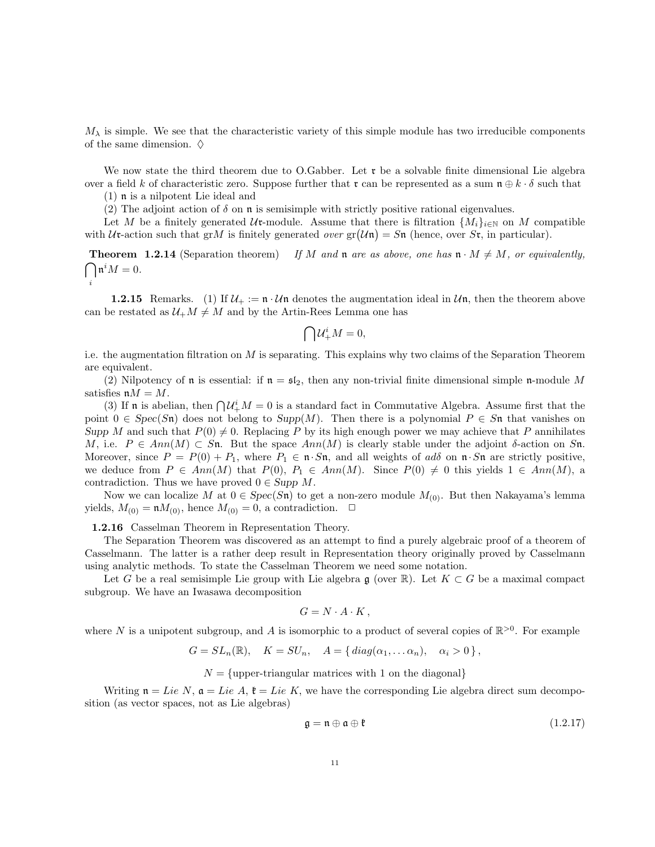$M_{\lambda}$  is simple. We see that the characteristic variety of this simple module has two irreducible components of the same dimension.  $\diamond$ 

We now state the third theorem due to O.Gabber. Let  $\mathfrak{r}$  be a solvable finite dimensional Lie algebra over a field k of characteristic zero. Suppose further that r can be represented as a sum  $\mathfrak{n} \oplus k \cdot \delta$  such that

(1) n is a nilpotent Lie ideal and

i

(2) The adjoint action of  $\delta$  on **n** is semisimple with strictly positive rational eigenvalues.

Let M be a finitely generated Ur-module. Assume that there is filtration  $\{M_i\}_{i\in\mathbb{N}}$  on M compatible with  $U$ **r**-action such that grM is finitely generated over  $gr(Un) = Sn$  (hence, over  $St$ , in particular).

 $\bigcap \mathfrak{n}^i M = 0.$ **Theorem 1.2.14** (Separation theorem) If M and n are as above, one has  $\mathfrak{n} \cdot M \neq M$ , or equivalently,

**1.2.15** Remarks. (1) If  $\mathcal{U}_+ := \mathbf{n} \cdot \mathcal{U} \mathbf{n}$  denotes the augmentation ideal in  $\mathcal{U} \mathbf{n}$ , then the theorem above can be restated as  $\mathcal{U}_+M\neq M$  and by the Artin-Rees Lemma one has

$$
\bigcap \mathcal{U}^i_+M=0,
$$

i.e. the augmentation filtration on M is separating. This explains why two claims of the Separation Theorem are equivalent.

(2) Nilpotency of **n** is essential: if  $\mathbf{n} = \mathfrak{sl}_2$ , then any non-trivial finite dimensional simple **n**-module M satisfies  $\mathfrak{n}M = M$ .

(3) If **n** is abelian, then  $\bigcap \mathcal{U}_{+}^{i}M = 0$  is a standard fact in Commutative Algebra. Assume first that the point  $0 \in Spec(Sn)$  does not belong to  $Supp(M)$ . Then there is a polynomial  $P \in Sn$  that vanishes on Supp M and such that  $P(0) \neq 0$ . Replacing P by its high enough power we may achieve that P annihilates M, i.e.  $P \in Ann(M) \subset Sn$ . But the space  $Ann(M)$  is clearly stable under the adjoint  $\delta$ -action on Sn. Moreover, since  $P = P(0) + P_1$ , where  $P_1 \in \mathfrak{n} \cdot S\mathfrak{n}$ , and all weights of ads on  $\mathfrak{n} \cdot S\mathfrak{n}$  are strictly positive, we deduce from  $P \in Ann(M)$  that  $P(0), P_1 \in Ann(M)$ . Since  $P(0) \neq 0$  this yields  $1 \in Ann(M)$ , a contradiction. Thus we have proved  $0 \in \text{Supp } M$ .

Now we can localize M at  $0 \in Spec(S_n)$  to get a non-zero module  $M_{(0)}$ . But then Nakayama's lemma yields,  $M_{(0)} = \mathfrak{n}M_{(0)}$ , hence  $M_{(0)} = 0$ , a contradiction.  $\Box$ 

1.2.16 Casselman Theorem in Representation Theory.

The Separation Theorem was discovered as an attempt to find a purely algebraic proof of a theorem of Casselmann. The latter is a rather deep result in Representation theory originally proved by Casselmann using analytic methods. To state the Casselman Theorem we need some notation.

Let G be a real semisimple Lie group with Lie algebra  $\mathfrak{g}$  (over  $\mathbb{R}$ ). Let  $K \subset G$  be a maximal compact subgroup. We have an Iwasawa decomposition

$$
G = N \cdot A \cdot K \,,
$$

where N is a unipotent subgroup, and A is isomorphic to a product of several copies of  $\mathbb{R}^{>0}$ . For example

$$
G = SL_n(\mathbb{R}), \quad K = SU_n, \quad A = \{ diag(\alpha_1, \dots \alpha_n), \quad \alpha_i > 0 \},
$$

$$
N =
$$
{upper-triangular matrices with 1 on the diagonal}

Writing  $\mathfrak{n} = Lie N$ ,  $\mathfrak{a} = Lie A$ ,  $\mathfrak{k} = Lie K$ , we have the corresponding Lie algebra direct sum decomposition (as vector spaces, not as Lie algebras)

$$
\mathfrak{g} = \mathfrak{n} \oplus \mathfrak{a} \oplus \mathfrak{k} \tag{1.2.17}
$$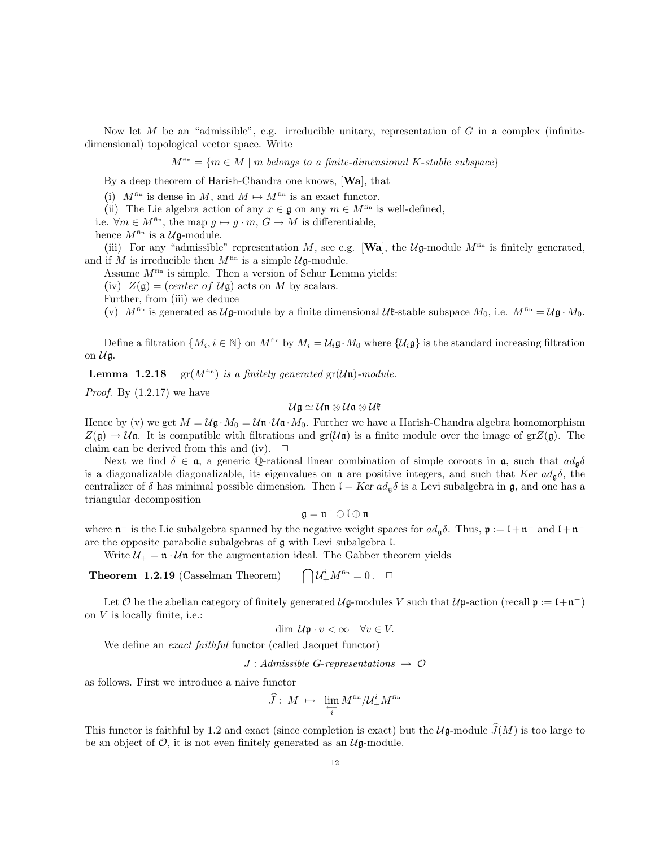Now let M be an "admissible", e.g. irreducible unitary, representation of G in a complex (infinitedimensional) topological vector space. Write

 $M^{\text{fin}} = \{m \in M \mid m \text{ belongs to a finite-dimensional } K\text{-stable subspace}\}\$ 

By a deep theorem of Harish-Chandra one knows, [Wa], that

(i)  $M^{\text{fin}}$  is dense in M, and  $M \mapsto M^{\text{fin}}$  is an exact functor.

(ii) The Lie algebra action of any  $x \in \mathfrak{g}$  on any  $m \in M^{\text{fin}}$  is well-defined,

i.e.  $\forall m \in M^{\text{fin}}$ , the map  $g \mapsto g \cdot m$ ,  $G \to M$  is differentiable,

hence  $M^\mathrm{fin}$  is a  $\mathcal{U} \mathfrak{g}\text{-module}.$ 

(iii) For any "admissible" representation M, see e.g. [Wa], the  $\mathcal{U}$ g-module  $M^{\text{fin}}$  is finitely generated, and if M is irreducible then  $M^{\text{fin}}$  is a simple  $\mathcal{U}$ **g**-module.

Assume  $M^{\text{fin}}$  is simple. Then a version of Schur Lemma yields:

(iv)  $Z(\mathfrak{g}) = (center \ of \ \mathcal{U}\mathfrak{g})$  acts on M by scalars.

Further, from (iii) we deduce

(v)  $M^{\text{fin}}$  is generated as  $\mathcal{U}\mathfrak{g}\text{-module}$  by a finite dimensional  $\mathcal{U}\mathfrak{k}\text{-stable}$  subspace  $M_0$ , i.e.  $M^{\text{fin}} = \mathcal{U}\mathfrak{g}\cdot M_0$ .

Define a filtration  $\{M_i, i \in \mathbb{N}\}$  on  $M^{fin}$  by  $M_i = \mathcal{U}_i \mathfrak{g} \cdot M_0$  where  $\{\mathcal{U}_i \mathfrak{g}\}\$  is the standard increasing filtration on  $\mathcal{U}$ g.

**Lemma 1.2.18** gr( $M^{\text{fin}}$ ) is a finitely generated gr( $U$ **n**)-module.

*Proof.* By  $(1.2.17)$  we have

$$
\mathcal{U}\mathfrak{g}\simeq \mathcal{U}\mathfrak{n}\otimes \mathcal{U}\mathfrak{a}\otimes \mathcal{U}\mathfrak{k}
$$

Hence by (v) we get  $M = U\mathfrak{g} \cdot M_0 = U\mathfrak{n} \cdot U\mathfrak{a} \cdot M_0$ . Further we have a Harish-Chandra algebra homomorphism  $Z(\mathfrak{g}) \to \mathcal{U}\mathfrak{a}$ . It is compatible with filtrations and  $\text{gr}(\mathcal{U}\mathfrak{a})$  is a finite module over the image of  $\text{gr}Z(\mathfrak{g})$ . The claim can be derived from this and (iv).  $\Box$ 

Next we find  $\delta \in \mathfrak{a}$ , a generic Q-rational linear combination of simple coroots in  $\mathfrak{a}$ , such that  $ad_{\mathfrak{a}}\delta$ is a diagonalizable diagonalizable, its eigenvalues on  $\bf{n}$  are positive integers, and such that Ker  $ad_{\bf{q}}\delta$ , the centralizer of  $\delta$  has minimal possible dimension. Then  $I = Ker \, ad_{\mathfrak{g}} \delta$  is a Levi subalgebra in  $\mathfrak{g}$ , and one has a triangular decomposition

$$
\mathfrak{g}=\mathfrak{n}^-\oplus\mathfrak{l}\oplus\mathfrak{n}
$$

where  $\mathfrak{n}^-$  is the Lie subalgebra spanned by the negative weight spaces for  $ad_{\mathfrak{g}}\delta$ . Thus,  $\mathfrak{p} := \mathfrak{l} + \mathfrak{n}^-$  and  $\mathfrak{l} + \mathfrak{n}^$ are the opposite parabolic subalgebras of g with Levi subalgebra l.

Write  $\mathcal{U}_+ = \mathfrak{n} \cdot \mathcal{U} \mathfrak{n}$  for the augmentation ideal. The Gabber theorem yields

Theorem 1.2.19 (Casselman Theorem)  ${\cal U}^i_+ M^{\rm fin} = 0\, . \quad \Box$ 

Let O be the abelian category of finitely generated  $\mathcal{U}$ **g**-modules V such that  $\mathcal{U}$ **p**-action (recall  $\mathfrak{p} := \mathfrak{l} + \mathfrak{n}^{-}$ ) on V is locally finite, i.e.:

$$
\dim \mathcal{U}\mathfrak{p} \cdot v < \infty \quad \forall v \in V.
$$

We define an *exact faithful* functor (called Jacquet functor)

 $J : Admissible G-representations \rightarrow \mathcal{O}$ 

as follows. First we introduce a naive functor

$$
\widehat{J}\colon\thinspace M\;\mapsto\;\; \lim_{\substack{\longleftarrow \\ i}}M^{\mathrm{fin}}/\mathcal{U}^i_+M^{\mathrm{fin}}
$$

This functor is faithful by 1.2 and exact (since completion is exact) but the  $\mathcal{U}(\mathfrak{g}\text{-module } \widehat{J}(M)$  is too large to be an object of  $\mathcal{O}$ , it is not even finitely generated as an  $\mathcal{U}$ g-module.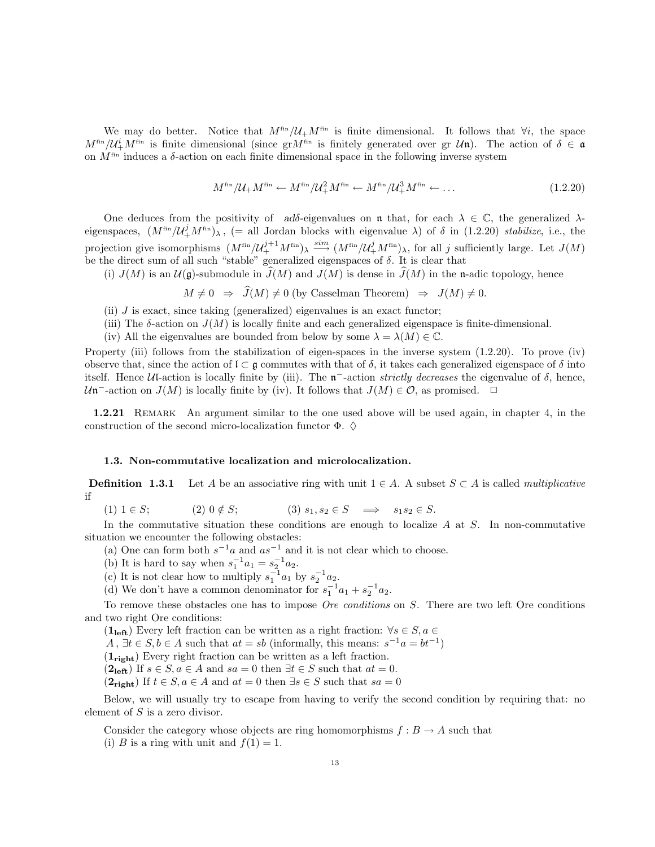We may do better. Notice that  $M^{\text{fin}}/\mathcal{U}_+M^{\text{fin}}$  is finite dimensional. It follows that  $\forall i$ , the space  $M^{\text{fin}}/\mathcal{U}^i_+M^{\text{fin}}$  is finite dimensional (since gr $M^{\text{fin}}$  is finitely generated over gr  $\mathcal{U}\mathfrak{n}$ ). The action of  $\delta \in \mathfrak{a}$ on  $M^{\text{fin}}$  induces a  $\delta$ -action on each finite dimensional space in the following inverse system

$$
M^{\text{fin}}/\mathcal{U}_{+}M^{\text{fin}} \leftarrow M^{\text{fin}}/\mathcal{U}_{+}^{2}M^{\text{fin}} \leftarrow M^{\text{fin}}/\mathcal{U}_{+}^{3}M^{\text{fin}} \leftarrow \dots \tag{1.2.20}
$$

One deduces from the positivity of ad $\delta$ -eigenvalues on n that, for each  $\lambda \in \mathbb{C}$ , the generalized  $\lambda$ eigenspaces,  $(M^{fin}/\mathcal{U}^j_+M^{fin})_\lambda$ , (= all Jordan blocks with eigenvalue  $\lambda$ ) of  $\delta$  in (1.2.20) stabilize, i.e., the projection give isomorphisms  $(M^{\text{fin}}/U_+^{j+1}M^{\text{fin}})_{\lambda} \stackrel{\text{sim}}{\longrightarrow} (M^{\text{fin}}/U_+^{j}M^{\text{fin}})_{\lambda}$ , for all j sufficiently large. Let  $J(M)$ be the direct sum of all such "stable" generalized eigenspaces of  $\delta$ . It is clear that

(i)  $J(M)$  is an  $\mathcal{U}(\mathfrak{g})$ -submodule in  $J(M)$  and  $J(M)$  is dense in  $J(M)$  in the n-adic topology, hence

$$
M \neq 0 \Rightarrow J(M) \neq 0
$$
 (by Casselman Theorem)  $\Rightarrow J(M) \neq 0$ .

- (ii)  $J$  is exact, since taking (generalized) eigenvalues is an exact functor;
- (iii) The  $\delta$ -action on  $J(M)$  is locally finite and each generalized eigenspace is finite-dimensional.
- (iv) All the eigenvalues are bounded from below by some  $\lambda = \lambda(M) \in \mathbb{C}$ .

Property (iii) follows from the stabilization of eigen-spaces in the inverse system (1.2.20). To prove (iv) observe that, since the action of  $\mathfrak{l} \subset \mathfrak{g}$  commutes with that of  $\delta$ , it takes each generalized eigenspace of  $\delta$  into itself. Hence  $U$ -action is locally finite by (iii). The  $n^-$ -action strictly decreases the eigenvalue of  $\delta$ , hence,  $\mathcal{U}$ n<sup>-</sup>-action on  $J(M)$  is locally finite by (iv). It follows that  $J(M) \in \mathcal{O}$ , as promised.  $\Box$ 

1.2.21 Remark An argument similar to the one used above will be used again, in chapter 4, in the construction of the second micro-localization functor  $\Phi$ .  $\diamond$ 

## 1.3. Non-commutative localization and microlocalization.

**Definition 1.3.1** Let A be an associative ring with unit  $1 \in A$ . A subset  $S \subset A$  is called *multiplicative* if

(1)  $1 \in S$ ; (2)  $0 \notin S$ ; (3)  $s_1, s_2 \in S \implies s_1 s_2 \in S$ .

In the commutative situation these conditions are enough to localize  $A$  at  $S$ . In non-commutative situation we encounter the following obstacles:

(a) One can form both  $s^{-1}a$  and  $as^{-1}$  and it is not clear which to choose.

(b) It is hard to say when  $s_1^{-1}a_1 = s_2^{-1}a_2$ .

(c) It is not clear how to multiply  $s_1^{-1}a_1$  by  $s_2^{-1}a_2$ .

(d) We don't have a common denominator for  $s_1^{-1}a_1 + s_2^{-1}a_2$ .

To remove these obstacles one has to impose Ore conditions on S. There are two left Ore conditions and two right Ore conditions:

 $(1_{\text{left}})$  Every left fraction can be written as a right fraction:  $\forall s \in S, a \in$ 

 $A, \exists t \in S, b \in A$  such that  $at = sb$  (informally, this means:  $s^{-1}a = bt^{-1}$ )

 $(1_{\text{right}})$  Every right fraction can be written as a left fraction.

 $(2_{\text{left}})$  If  $s \in S, a \in A$  and  $sa = 0$  then  $\exists t \in S$  such that  $at = 0$ .

 $(2_{\text{right}})$  If  $t \in S$ ,  $a \in A$  and  $at = 0$  then  $\exists s \in S$  such that  $sa = 0$ 

Below, we will usually try to escape from having to verify the second condition by requiring that: no element of S is a zero divisor.

Consider the category whose objects are ring homomorphisms  $f : B \to A$  such that (i) B is a ring with unit and  $f(1) = 1$ .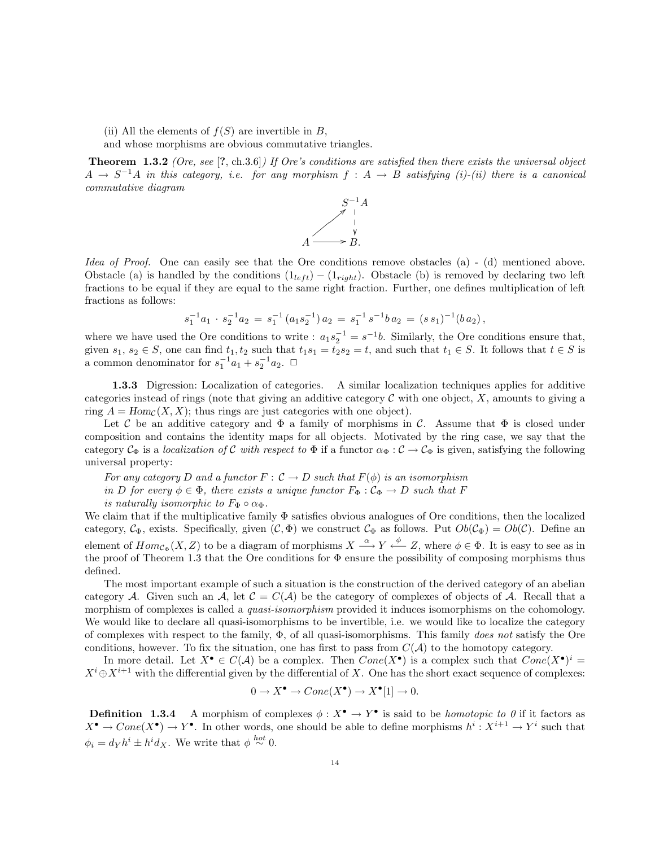(ii) All the elements of  $f(S)$  are invertible in B,

and whose morphisms are obvious commutative triangles.

Theorem 1.3.2 (Ore, see [?, ch.3.6]) If Ore's conditions are satisfied then there exists the universal object  $A \to S^{-1}A$  in this category, i.e. for any morphism  $f : A \to B$  satisfying (i)-(ii) there is a canonical commutative diagram



Idea of Proof. One can easily see that the Ore conditions remove obstacles (a) - (d) mentioned above. Obstacle (a) is handled by the conditions  $(1_{left}) - (1_{right})$ . Obstacle (b) is removed by declaring two left fractions to be equal if they are equal to the same right fraction. Further, one defines multiplication of left fractions as follows:

$$
s_1^{-1}a_1 \cdot s_2^{-1}a_2 = s_1^{-1}(a_1s_2^{-1})a_2 = s_1^{-1} s^{-1}b a_2 = (s s_1)^{-1}(b a_2),
$$

where we have used the Ore conditions to write :  $a_1 s_2^{-1} = s^{-1} b$ . Similarly, the Ore conditions ensure that, given  $s_1, s_2 \in S$ , one can find  $t_1, t_2$  such that  $t_1s_1 = t_2s_2 = t$ , and such that  $t_1 \in S$ . It follows that  $t \in S$  is a common denominator for  $s_1^{-1}a_1 + s_2^{-1}a_2$ .  $\Box$ 

1.3.3 Digression: Localization of categories. A similar localization techniques applies for additive categories instead of rings (note that giving an additive category  $\mathcal C$  with one object,  $X$ , amounts to giving a ring  $A = Hom_{\mathcal{C}}(X, X)$ ; thus rings are just categories with one object).

Let C be an additive category and  $\Phi$  a family of morphisms in C. Assume that  $\Phi$  is closed under composition and contains the identity maps for all objects. Motivated by the ring case, we say that the category  $C_{\Phi}$  is a localization of C with respect to  $\Phi$  if a functor  $\alpha_{\Phi}: C \to C_{\Phi}$  is given, satisfying the following universal property:

For any category D and a functor  $F: \mathcal{C} \to D$  such that  $F(\phi)$  is an isomorphism in D for every  $\phi \in \Phi$ , there exists a unique functor  $F_{\Phi}: \mathcal{C}_{\Phi} \to D$  such that F

is naturally isomorphic to  $F_{\Phi} \circ \alpha_{\Phi}$ .

We claim that if the multiplicative family Φ satisfies obvious analogues of Ore conditions, then the localized category,  $C_{\Phi}$ , exists. Specifically, given  $(C, \Phi)$  we construct  $C_{\Phi}$  as follows. Put  $Ob(C_{\Phi}) = Ob(C)$ . Define an element of  $Hom_{\mathcal{C}_{\Phi}}(X, Z)$  to be a diagram of morphisms  $X \stackrel{\alpha}{\longrightarrow} Y \stackrel{\phi}{\longleftarrow} Z$ , where  $\phi \in \Phi$ . It is easy to see as in the proof of Theorem 1.3 that the Ore conditions for  $\Phi$  ensure the possibility of composing morphisms thus defined.

The most important example of such a situation is the construction of the derived category of an abelian category A. Given such an A, let  $\mathcal{C} = C(\mathcal{A})$  be the category of complexes of objects of A. Recall that a morphism of complexes is called a *quasi-isomorphism* provided it induces isomorphisms on the cohomology. We would like to declare all quasi-isomorphisms to be invertible, i.e. we would like to localize the category of complexes with respect to the family,  $\Phi$ , of all quasi-isomorphisms. This family *does not* satisfy the Ore conditions, however. To fix the situation, one has first to pass from  $C(\mathcal{A})$  to the homotopy category.

In more detail. Let  $X^{\bullet} \in C(\mathcal{A})$  be a complex. Then  $Cone(X^{\bullet})$  is a complex such that  $Cone(X^{\bullet})^i$  $X^i \oplus X^{i+1}$  with the differential given by the differential of X. One has the short exact sequence of complexes:

$$
0 \to X^{\bullet} \to Cone(X^{\bullet}) \to X^{\bullet}[1] \to 0.
$$

**Definition** 1.3.4 A morphism of complexes  $\phi: X^{\bullet} \to Y^{\bullet}$  is said to be *homotopic to 0* if it factors as  $X^{\bullet} \to Cone(X^{\bullet}) \to Y^{\bullet}$ . In other words, one should be able to define morphisms  $h^{i}: X^{i+1} \to Y^{i}$  such that  $\phi_i = d_Y h^i \pm h^i d_X$ . We write that  $\phi \stackrel{hot}{\sim} 0$ .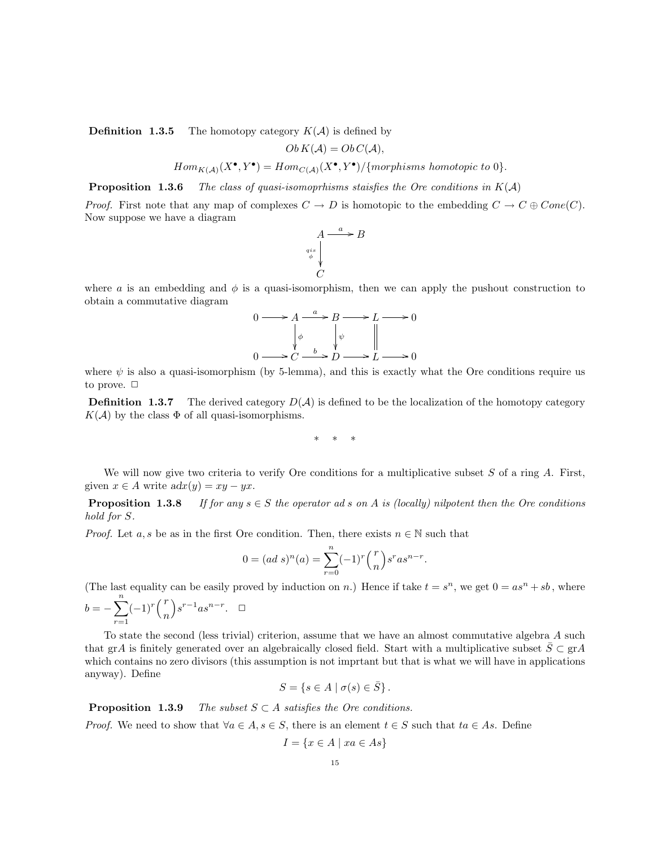**Definition 1.3.5** The homotopy category  $K(A)$  is defined by

$$
Ob K(\mathcal{A}) = Ob C(\mathcal{A}),
$$

 $Hom_{K(\mathcal{A})}(X^{\bullet}, Y^{\bullet}) = Hom_{C(\mathcal{A})}(X^{\bullet}, Y^{\bullet}) / \{morphisms \ homotopic \ to \ 0\}.$ 

**Proposition 1.3.6** The class of quasi-isomopthisms staisfies the Ore conditions in  $K(A)$ 

*Proof.* First note that any map of complexes  $C \to D$  is homotopic to the embedding  $C \to C \oplus Cone(C)$ . Now suppose we have a diagram



where a is an embedding and  $\phi$  is a quasi-isomorphism, then we can apply the pushout construction to obtain a commutative diagram

$$
0 \longrightarrow A \xrightarrow{a} B \longrightarrow L \longrightarrow 0
$$
  
\n
$$
\downarrow \phi \qquad \downarrow \psi \qquad \parallel
$$
  
\n
$$
0 \longrightarrow C \xrightarrow{b} D \longrightarrow L \longrightarrow 0
$$

where  $\psi$  is also a quasi-isomorphism (by 5-lemma), and this is exactly what the Ore conditions require us to prove.  $\Box$ 

**Definition 1.3.7** The derived category  $D(A)$  is defined to be the localization of the homotopy category  $K(\mathcal{A})$  by the class  $\Phi$  of all quasi-isomorphisms.

∗ ∗ ∗

We will now give two criteria to verify Ore conditions for a multiplicative subset  $S$  of a ring  $A$ . First, given  $x \in A$  write  $adx(y) = xy - yx$ .

**Proposition 1.3.8** If for any  $s \in S$  the operator ad s on A is (locally) nilpotent then the Ore conditions hold for S.

*Proof.* Let a, s be as in the first Ore condition. Then, there exists  $n \in \mathbb{N}$  such that

$$
0 = (ad\ s)^n(a) = \sum_{r=0}^n (-1)^r \binom{r}{n} s^r a s^{n-r}.
$$

(The last equality can be easily proved by induction on n.) Hence if take  $t = s^n$ , we get  $0 = as^n + sb$ , where

$$
b = -\sum_{r=1}^{n} (-1)^r \binom{r}{n} s^{r-1} a s^{n-r}.
$$

To state the second (less trivial) criterion, assume that we have an almost commutative algebra A such that grA is finitely generated over an algebraically closed field. Start with a multiplicative subset  $\overline{S} \subset \text{gr}A$ which contains no zero divisors (this assumption is not imprtant but that is what we will have in applications anyway). Define

$$
S = \{ s \in A \mid \sigma(s) \in \overline{S} \}.
$$

**Proposition 1.3.9** The subset  $S \subset A$  satisfies the Ore conditions.

*Proof.* We need to show that  $\forall a \in A, s \in S$ , there is an element  $t \in S$  such that  $ta \in As$ . Define

$$
I = \{ x \in A \mid xa \in As \}
$$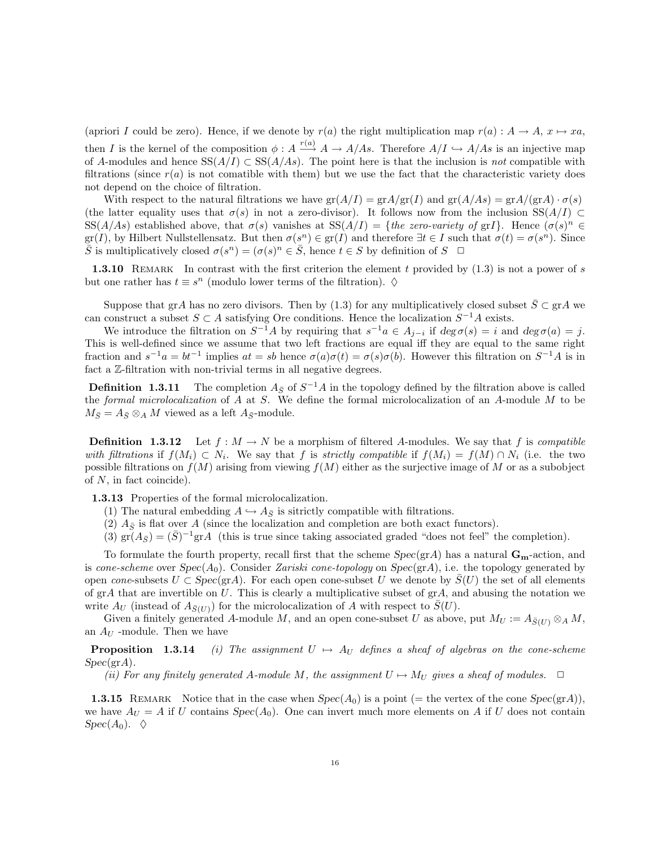(apriori I could be zero). Hence, if we denote by  $r(a)$  the right multiplication map  $r(a) : A \to A$ ,  $x \mapsto xa$ , then I is the kernel of the composition  $\phi: A \stackrel{r(a)}{\longrightarrow} A \to A/As$ . Therefore  $A/I \hookrightarrow A/As$  is an injective map of A-modules and hence  $SS(A/I) \subset SS(A/As)$ . The point here is that the inclusion is not compatible with filtrations (since  $r(a)$  is not comatible with them) but we use the fact that the characteristic variety does not depend on the choice of filtration.

With respect to the natural filtrations we have  $\text{gr}(A/I) = \text{gr}A/\text{gr}(I)$  and  $\text{gr}(A/As) = \text{gr}A/(\text{gr}A) \cdot \sigma(s)$ (the latter equality uses that  $\sigma(s)$  in not a zero-divisor). It follows now from the inclusion SS( $A/I$ ) ⊂ SS(A/As) established above, that  $\sigma(s)$  vanishes at SS(A/I) = {the zero-variety of grI}. Hence  $(\sigma(s))^n \in$  $gr(I)$ , by Hilbert Nullstellensatz. But then  $\sigma(s^n) \in gr(I)$  and therefore  $\exists t \in I$  such that  $\sigma(t) = \sigma(s^n)$ . Since  $\overline{S}$  is multiplicatively closed  $\sigma(s^n) = (\sigma(s)^n \in \overline{S})$ , hence  $t \in S$  by definition of  $S \square$ 

**1.3.10** REMARK In contrast with the first criterion the element t provided by  $(1.3)$  is not a power of s but one rather has  $t \equiv s^n$  (modulo lower terms of the filtration).  $\diamond$ 

Suppose that grA has no zero divisors. Then by (1.3) for any multiplicatively closed subset  $\bar{S} \subset \text{gr}A$  we can construct a subset  $S \subset A$  satisfying Ore conditions. Hence the localization  $S^{-1}A$  exists.

We introduce the filtration on  $S^{-1}A$  by requiring that  $s^{-1}a \in A_{j-i}$  if  $\deg \sigma(s) = i$  and  $\deg \sigma(a) = j$ . This is well-defined since we assume that two left fractions are equal iff they are equal to the same right fraction and  $s^{-1}a = bt^{-1}$  implies  $at = sb$  hence  $\sigma(a)\sigma(t) = \sigma(s)\sigma(b)$ . However this filtration on  $S^{-1}A$  is in fact a Z-filtration with non-trivial terms in all negative degrees.

**Definition 1.3.11** The completion  $A_{\bar{S}}$  of  $S^{-1}A$  in the topology defined by the filtration above is called the formal microlocalization of A at S. We define the formal microlocalization of an A-module M to be  $M_{\bar{S}} = A_{\bar{S}} \otimes_A M$  viewed as a left  $A_{\bar{S}}$ -module.

**Definition 1.3.12** Let  $f : M \to N$  be a morphism of filtered A-modules. We say that f is compatible with filtrations if  $f(M_i) \subset N_i$ . We say that f is strictly compatible if  $f(M_i) = f(M) \cap N_i$  (i.e. the two possible filtrations on  $f(M)$  arising from viewing  $f(M)$  either as the surjective image of M or as a subobject of N, in fact coincide).

1.3.13 Properties of the formal microlocalization.

- (1) The natural embedding  $A \hookrightarrow A_{\bar{S}}$  is sitrictly compatible with filtrations.
- (2)  $A_{\overline{S}}$  is flat over A (since the localization and completion are both exact functors).
- (3)  $\tilde{gr}(A_{\bar{S}}) = (\bar{S})^{-1}\tilde{gr}A$  (this is true since taking associated graded "does not feel" the completion).

To formulate the fourth property, recall first that the scheme  $Spec(\text{gr}A)$  has a natural  $\mathbf{G}_{\mathbf{m}}$ -action, and is cone-scheme over  $Spec(A_0)$ . Consider Zariski cone-topology on  $Spec(\text{gr}A)$ , i.e. the topology generated by open cone-subsets  $U \subset Spec(\text{gr}A)$ . For each open cone-subset U we denote by  $S(U)$  the set of all elements of  $\operatorname{gr} A$  that are invertible on U. This is clearly a multiplicative subset of  $\operatorname{gr} A$ , and abusing the notation we write  $A_U$  (instead of  $A_{\bar{S}(U)}$ ) for the microlocalization of A with respect to  $\bar{S}(U)$ .

Given a finitely generated A-module M, and an open cone-subset U as above, put  $M_U := A_{\overline{S}(U)} \otimes_A M$ , an  $A_U$  -module. Then we have

**Proposition** 1.3.14 (i) The assignment  $U \rightarrow A_U$  defines a sheaf of algebras on the cone-scheme  $Spec(\text{gr} A).$ 

(ii) For any finitely generated A-module M, the assignment  $U \mapsto M_U$  gives a sheaf of modules.  $\Box$ 

**1.3.15** REMARK Notice that in the case when  $Spec(A_0)$  is a point (= the vertex of the cone  $Spec(grA)$ ), we have  $A_U = A$  if U contains  $Spec(A_0)$ . One can invert much more elements on A if U does not contain  $Spec(A_0). \quad \Diamond$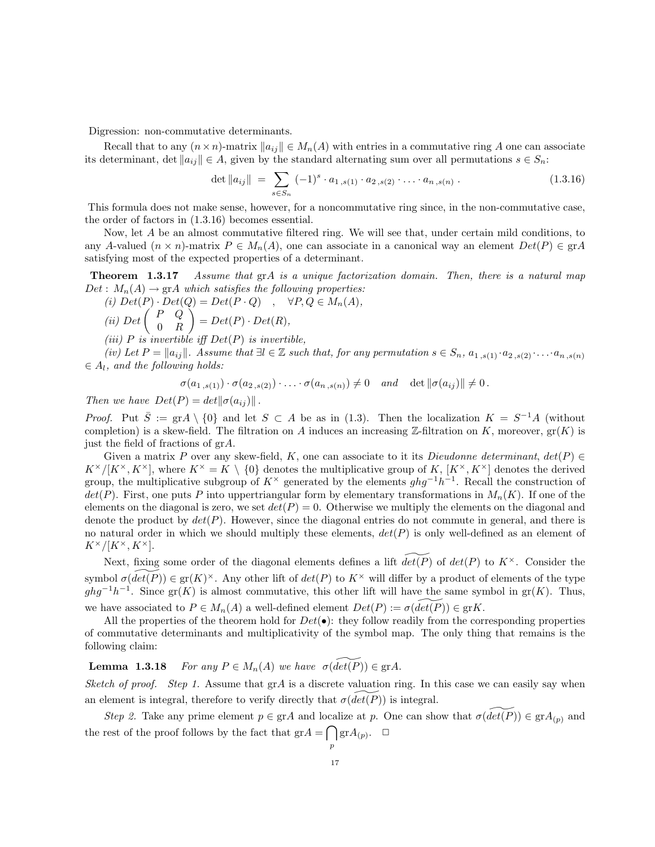Digression: non-commutative determinants.

Recall that to any  $(n \times n)$ -matrix  $||a_{ij}|| \in M_n(A)$  with entries in a commutative ring A one can associate its determinant, det  $||a_{ij}|| \in A$ , given by the standard alternating sum over all permutations  $s \in S_n$ :

$$
\det \|a_{ij}\| = \sum_{s \in S_n} (-1)^s \cdot a_{1,s(1)} \cdot a_{2,s(2)} \cdot \ldots \cdot a_{n,s(n)} \,. \tag{1.3.16}
$$

This formula does not make sense, however, for a noncommutative ring since, in the non-commutative case, the order of factors in (1.3.16) becomes essential.

Now, let A be an almost commutative filtered ring. We will see that, under certain mild conditions, to any A-valued  $(n \times n)$ -matrix  $P \in M_n(A)$ , one can associate in a canonical way an element  $Det(P) \in \text{gr}A$ satisfying most of the expected properties of a determinant.

Theorem 1.3.17 Assume that grA is a unique factorization domain. Then, there is a natural map  $Det: M_n(A) \to \text{gr } A$  which satisfies the following properties:

(i)  $Det(P) \cdot Det(Q) = Det(P \cdot Q)$ ,  $\forall P, Q \in M_n(A)$ , (ii) Det  $\begin{pmatrix} P & Q \\ 0 & P \end{pmatrix}$ 0 R  $\Big) = Det(P) \cdot Det(R),$ 

(iii)  $P$  is invertible iff  $Det(P)$  is invertible,

(iv) Let  $P = ||a_{ij}||$ . Assume that  $\exists l \in \mathbb{Z}$  such that, for any permutation  $s \in S_n$ ,  $a_{1,s(1)} \cdot a_{2,s(2)} \cdot \ldots \cdot a_{n,s(n)}$  $\in A_l$ , and the following holds:

$$
\sigma(a_{1,s(1)}) \cdot \sigma(a_{2,s(2)}) \cdot \ldots \cdot \sigma(a_{n,s(n)}) \neq 0 \quad and \quad \det \|\sigma(a_{ij})\| \neq 0.
$$

Then we have  $Det(P) = det ||\sigma(a_{ij})||$ .

*Proof.* Put  $\overline{S} := \text{gr} A \setminus \{0\}$  and let  $S \subset A$  be as in (1.3). Then the localization  $K = S^{-1}A$  (without completion) is a skew-field. The filtration on A induces an increasing Z-filtration on K, moreover,  $gr(K)$  is just the field of fractions of grA.

Given a matrix P over any skew-field, K, one can associate to it its Dieudonne determinant,  $det(P) \in$  $K^{\times}/[K^{\times}, K^{\times}]$ , where  $K^{\times} = K \setminus \{0\}$  denotes the multiplicative group of K,  $[K^{\times}, K^{\times}]$  denotes the derived group, the multiplicative subgroup of  $K^{\times}$  generated by the elements  $ghg^{-1}h^{-1}$ . Recall the construction of  $det(P)$ . First, one puts P into uppertriangular form by elementary transformations in  $M_n(K)$ . If one of the elements on the diagonal is zero, we set  $det(P) = 0$ . Otherwise we multiply the elements on the diagonal and denote the product by  $det(P)$ . However, since the diagonal entries do not commute in general, and there is no natural order in which we should multiply these elements,  $det(P)$  is only well-defined as an element of  $K^{\times}/[K^{\times}, K^{\times}].$ 

Next, fixing some order of the diagonal elements defines a lift  $\widetilde{det(P)}$  of  $det(P)$  to  $K^{\times}$ . Consider the symbol  $\sigma(\widetilde{det(P)}) \in \mathrm{gr}(K)^{\times}$ . Any other lift of  $det(P)$  to  $K^{\times}$  will differ by a product of elements of the type  $ghg^{-1}h^{-1}$ . Since gr(K) is almost commutative, this other lift will have the same symbol in gr(K). Thus, we have associated to  $P \in M_n(A)$  a well-defined element  $Det(P) := \sigma(det(P)) \in \text{gr}K$ .

All the properties of the theorem hold for  $Det(\bullet)$ : they follow readily from the corresponding properties of commutative determinants and multiplicativity of the symbol map. The only thing that remains is the following claim:

**Lemma 1.3.18** For any  $P \in M_n(A)$  we have  $\sigma(\widetilde{det(P)}) \in \text{gr}A$ .

Sketch of proof. Step 1. Assume that  $grA$  is a discrete valuation ring. In this case we can easily say when an element is integral, therefore to verify directly that  $\sigma(det(P))$  is integral.

Step 2. Take any prime element  $p \in \text{gr}A$  and localize at p. One can show that  $\sigma(\widetilde{det(P)}) \in \text{gr}A_{(p)}$  and the rest of the proof follows by the fact that  $\mathrm{gr} A = \bigcap \mathrm{gr} A_{(p)}$ .  $\Box$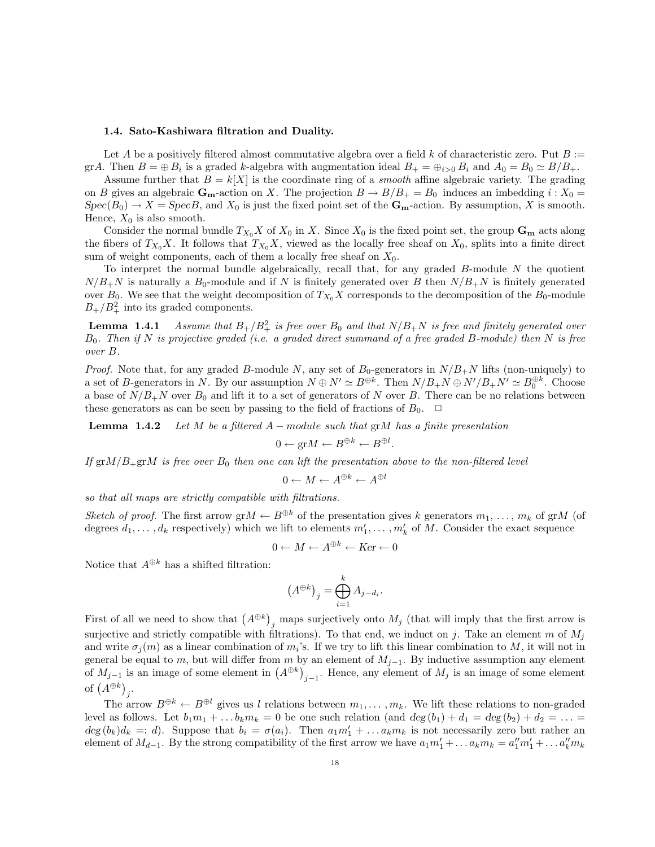#### 1.4. Sato-Kashiwara filtration and Duality.

Let A be a positively filtered almost commutative algebra over a field k of characteristic zero. Put  $B :=$ grA. Then  $B = \bigoplus B_i$  is a graded k-algebra with augmentation ideal  $B_+ = \bigoplus_{i>0} B_i$  and  $A_0 = B_0 \simeq B/B_+$ .

Assume further that  $B = k[X]$  is the coordinate ring of a *smooth* affine algebraic variety. The grading on B gives an algebraic  $\mathbf{G}_{\mathbf{m}}$ -action on X. The projection  $B \to B/B_+ = B_0$  induces an imbedding  $i : X_0 =$  $Spec(B_0) \to X = SpecB$ , and  $X_0$  is just the fixed point set of the  $\mathbf{G}_{\mathbf{m}}$ -action. By assumption, X is smooth. Hence,  $X_0$  is also smooth.

Consider the normal bundle  $T_{X_0}X$  of  $X_0$  in X. Since  $X_0$  is the fixed point set, the group  $\mathbf{G}_{\mathbf{m}}$  acts along the fibers of  $T_{X_0}X$ . It follows that  $T_{X_0}X$ , viewed as the locally free sheaf on  $X_0$ , splits into a finite direct sum of weight components, each of them a locally free sheaf on  $X_0$ .

To interpret the normal bundle algebraically, recall that, for any graded  $B$ -module  $N$  the quotient  $N/B_{+}N$  is naturally a  $B_0$ -module and if N is finitely generated over B then  $N/B_{+}N$  is finitely generated over  $B_0$ . We see that the weight decomposition of  $T_{X_0}X$  corresponds to the decomposition of the  $B_0$ -module  $B_+/B_+^2$  into its graded components.

**Lemma 1.4.1** Assume that  $B_+/B_+^2$  is free over  $B_0$  and that  $N/B_+N$  is free and finitely generated over  $B_0$ . Then if N is projective graded (i.e. a graded direct summand of a free graded B-module) then N is free over B.

*Proof.* Note that, for any graded B-module N, any set of  $B_0$ -generators in  $N/B_+N$  lifts (non-uniquely) to a set of B-generators in N. By our assumption  $N \oplus N' \simeq B^{\oplus k}$ . Then  $N/B_+N \oplus N'/B_+N' \simeq B_0^{\oplus k}$ . Choose a base of  $N/B_+N$  over  $B_0$  and lift it to a set of generators of N over B. There can be no relations between these generators as can be seen by passing to the field of fractions of  $B_0$ .  $\Box$ 

**Lemma 1.4.2** Let M be a filtered  $A$  – module such that grM has a finite presentation

$$
0 \leftarrow \text{gr} M \leftarrow B^{\oplus k} \leftarrow B^{\oplus l}.
$$

If  $\text{gr}M/B_+\text{gr}M$  is free over  $B_0$  then one can lift the presentation above to the non-filtered level

$$
0 \leftarrow M \leftarrow A^{\oplus k} \leftarrow A^{\oplus l}
$$

so that all maps are strictly compatible with filtrations.

Sketch of proof. The first arrow  $\mathrm{gr}M \leftarrow B^{\oplus k}$  of the presentation gives k generators  $m_1, \ldots, m_k$  of  $\mathrm{gr}M$  (of degrees  $d_1, \ldots, d_k$  respectively) which we lift to elements  $m'_1, \ldots, m'_k$  of M. Consider the exact sequence

$$
0 \leftarrow M \leftarrow A^{\oplus k} \leftarrow \text{Ker} \leftarrow 0
$$

Notice that  $A^{\oplus k}$  has a shifted filtration:

$$
\left(A^{\oplus k}\right)_j = \bigoplus_{i=1}^k A_{j-d_i}.
$$

First of all we need to show that  $(A^{\oplus k})_j$  maps surjectively onto  $M_j$  (that will imply that the first arrow is surjective and strictly compatible with filtrations). To that end, we induct on j. Take an element m of  $M_i$ and write  $\sigma_j(m)$  as a linear combination of  $m_i$ 's. If we try to lift this linear combination to M, it will not in general be equal to m, but will differ from m by an element of  $M_{j-1}$ . By inductive assumption any element of  $M_{j-1}$  is an image of some element in  $(A^{\oplus k})_{j-1}$ . Hence, any element of  $M_j$  is an image of some element of  $(A^{\oplus k})_j$ .

The arrow  $B^{\oplus k} \leftarrow B^{\oplus l}$  gives us l relations between  $m_1, \ldots, m_k$ . We lift these relations to non-graded level as follows. Let  $b_1m_1 + \ldots b_k m_k = 0$  be one such relation (and  $deg(b_1) + d_1 = deg(b_2) + d_2 = \ldots$  $deg(b_k)d_k =: d$ ). Suppose that  $b_i = \sigma(a_i)$ . Then  $a_1m'_1 + \ldots a_k m_k$  is not necessarily zero but rather an element of  $M_{d-1}$ . By the strong compatibility of the first arrow we have  $a_1m'_1 + ... a_k m_k = a''_1m'_1 + ... a''_km_k$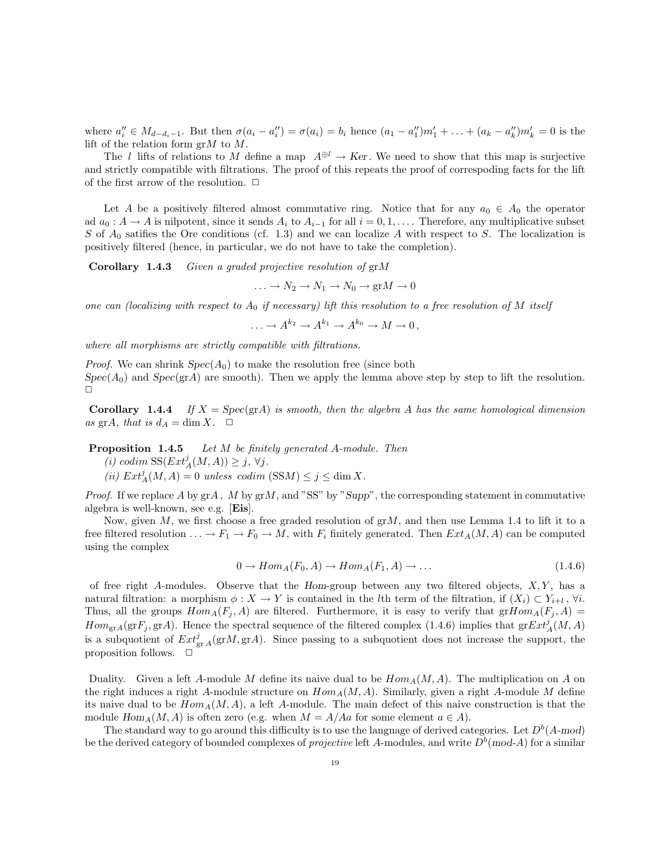where  $a''_i \in M_{d-d_i-1}$ . But then  $\sigma(a_i - a''_i) = \sigma(a_i) = b_i$  hence  $(a_1 - a''_1)m'_1 + ... + (a_k - a''_k)m'_k = 0$  is the lift of the relation form  $grM$  to  $M$ .

The l lifts of relations to M define a map  $A^{\oplus l} \to Ker$ . We need to show that this map is surjective and strictly compatible with filtrations. The proof of this repeats the proof of correspoding facts for the lift of the first arrow of the resolution.  $\Box$ 

Let A be a positively filtered almost commutative ring. Notice that for any  $a_0 \in A_0$  the operator ad  $a_0 : A \to A$  is nilpotent, since it sends  $A_i$  to  $A_{i-1}$  for all  $i = 0, 1, \ldots$ . Therefore, any multiplicative subset S of  $A_0$  satifies the Ore conditions (cf. 1.3) and we can localize A with respect to S. The localization is positively filtered (hence, in particular, we do not have to take the completion).

Corollary 1.4.3 Given a graded projective resolution of grM

$$
\dots \to N_2 \to N_1 \to N_0 \to \text{gr} M \to 0
$$

one can (localizing with respect to  $A_0$  if necessary) lift this resolution to a free resolution of M itself

 $\ldots \to A^{k_2} \to A^{k_1} \to A^{k_0} \to M \to 0$ ,

where all morphisms are strictly compatible with filtrations.

*Proof.* We can shrink  $Spec(A_0)$  to make the resolution free (since both  $Spec(A_0)$  and  $Spec(\text{gr}A)$  are smooth). Then we apply the lemma above step by step to lift the resolution.  $\Box$ 

**Corollary 1.4.4** If  $X = \text{Spec}(\text{gr}A)$  is smooth, then the algebra A has the same homological dimension as grA, that is  $d_A = \dim X$ .  $\Box$ 

Proposition 1.4.5 Let M be finitely generated A-module. Then

- (i) codim  $SS(Ext_A^j(M, A)) \geq j, \forall j.$
- (ii)  $Ext_A^j(M, A) = 0$  unless codim  $(SSM) \leq j \leq \dim X$ .

*Proof.* If we replace A by  $grA$ , M by  $grM$ , and "SS" by "Supp", the corresponding statement in commutative algebra is well-known, see e.g. [Eis].

Now, given M, we first choose a free graded resolution of  $grM$ , and then use Lemma 1.4 to lift it to a free filtered resolution  $\ldots \to F_1 \to F_0 \to M$ , with  $F_i$  finitely generated. Then  $Ext_A(M, A)$  can be computed using the complex

$$
0 \to Hom_A(F_0, A) \to Hom_A(F_1, A) \to \dots \tag{1.4.6}
$$

of free right A-modules. Observe that the Hom-group between any two filtered objects,  $X, Y$ , has a natural filtration: a morphism  $\phi: X \to Y$  is contained in the *l*th term of the filtration, if  $(X_i) \subset Y_{i+l}$ ,  $\forall i$ . Thus, all the groups  $Hom_A(F_i, A)$  are filtered. Furthermore, it is easy to verify that  $grHom_A(F_i, A)$  $Hom_{\text{gr}A}(\text{gr}F_j, \text{gr}A)$ . Hence the spectral sequence of the filtered complex (1.4.6) implies that  $\text{gr}Ext_A^j(M, A)$ is a subquotient of  $Ext^j_{grA}(grM, grA)$ . Since passing to a subquotient does not increase the support, the proposition follows.  $\Box$ 

Duality. Given a left A-module M define its naive dual to be  $Hom_A(M, A)$ . The multiplication on A on the right induces a right A-module structure on  $Hom_A(M, A)$ . Similarly, given a right A-module M define its naive dual to be  $Hom_A(M, A)$ , a left A-module. The main defect of this naive construction is that the module  $Hom_A(M, A)$  is often zero (e.g. when  $M = A/Aa$  for some element  $a \in A$ ).

The standard way to go around this difficulty is to use the language of derived categories. Let  $D^b(A\text{-mod})$ be the derived category of bounded complexes of *projective* left A-modules, and write  $D^b$ (mod-A) for a similar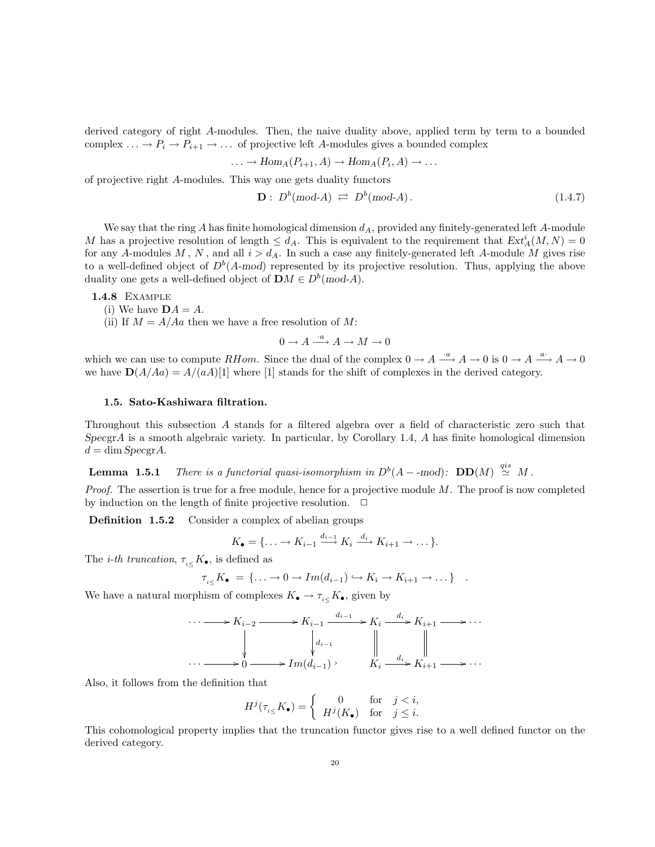derived category of right A-modules. Then, the naive duality above, applied term by term to a bounded complex  $\ldots \to P_i \to P_{i+1} \to \ldots$  of projective left A-modules gives a bounded complex

$$
\ldots \to Hom_A(P_{i+1}, A) \to Hom_A(P_i, A) \to \ldots
$$

of projective right A-modules. This way one gets duality functors

$$
\mathbf{D}: D^b \text{(mod-}A) \rightleftarrows D^b \text{(mod-}A\text{)}.
$$
\n
$$
(1.4.7)
$$

We say that the ring A has finite homological dimension  $d_A$ , provided any finitely-generated left A-module M has a projective resolution of length  $\leq d_A$ . This is equivalent to the requirement that  $Ext_A^i(M, N) = 0$ for any A-modules M, N, and all  $i > d<sub>A</sub>$ . In such a case any finitely-generated left A-module M gives rise to a well-defined object of  $D^b(A \text{-mod})$  represented by its projective resolution. Thus, applying the above duality one gets a well-defined object of  $\mathbf{D}M \in D^b(\text{mod-}A)$ .

1.4.8 Example

(i) We have  $\mathbf{D}A = A$ .

(ii) If  $M = A/4a$  then we have a free resolution of M:

 $0 \to A \xrightarrow{\cdot a} A \to M \to 0$ 

which we can use to compute RHom. Since the dual of the complex  $0 \to A \stackrel{a}{\longrightarrow} A \to 0$  is  $0 \to A \stackrel{a}{\longrightarrow} A \to 0$ we have  $\mathbf{D}(A/Aa) = A/(aA)[1]$  where [1] stands for the shift of complexes in the derived category.

# 1.5. Sato-Kashiwara filtration.

Throughout this subsection A stands for a filtered algebra over a field of characteristic zero such that  $SpecgrA$  is a smooth algebraic variety. In particular, by Corollary 1.4, A has finite homological dimension  $d = \dim Specgr A$ .

**Lemma 1.5.1** There is a functorial quasi-isomorphism in  $D^b(A - \text{mod})$ :  $DD(M) \stackrel{qis}{\simeq} M$ .

*Proof.* The assertion is true for a free module, hence for a projective module  $M$ . The proof is now completed by induction on the length of finite projective resolution.  $\Box$ 

Definition 1.5.2 Consider a complex of abelian groups

$$
K_{\bullet} = \{\ldots \to K_{i-1} \xrightarrow{d_{i-1}} K_i \xrightarrow{d_i} K_{i+1} \to \ldots \}.
$$

The *i*-th truncation,  $\tau_{i\leq K_{\bullet}}$ , is defined as

$$
\tau_{i\leq} K_{\bullet} = \{\ldots \to 0 \to Im(d_{i-1}) \hookrightarrow K_i \to K_{i+1} \to \ldots \} .
$$

We have a natural morphism of complexes  $K_{\bullet} \to \tau_{i \leq K_{\bullet}}$ , given by

$$
\cdots \longrightarrow K_{i-2} \longrightarrow K_{i-1} \xrightarrow{d_{i-1}} K_i \xrightarrow{d_i} K_{i+1} \longrightarrow \cdots
$$
  
\n
$$
\downarrow d_{i-1} \qquad \qquad \downarrow d_{i-1}
$$
  
\n
$$
\cdots \longrightarrow 0 \longrightarrow Im(d_{i-1}) \qquad K_i \xrightarrow{d_i} K_{i+1} \longrightarrow \cdots
$$

Also, it follows from the definition that

$$
H^j(\tau_{i\leq} K_{\bullet}) = \begin{cases} 0 & \text{for} \quad j < i, \\ H^j(K_{\bullet}) & \text{for} \quad j \leq i. \end{cases}
$$

This cohomological property implies that the truncation functor gives rise to a well defined functor on the derived category.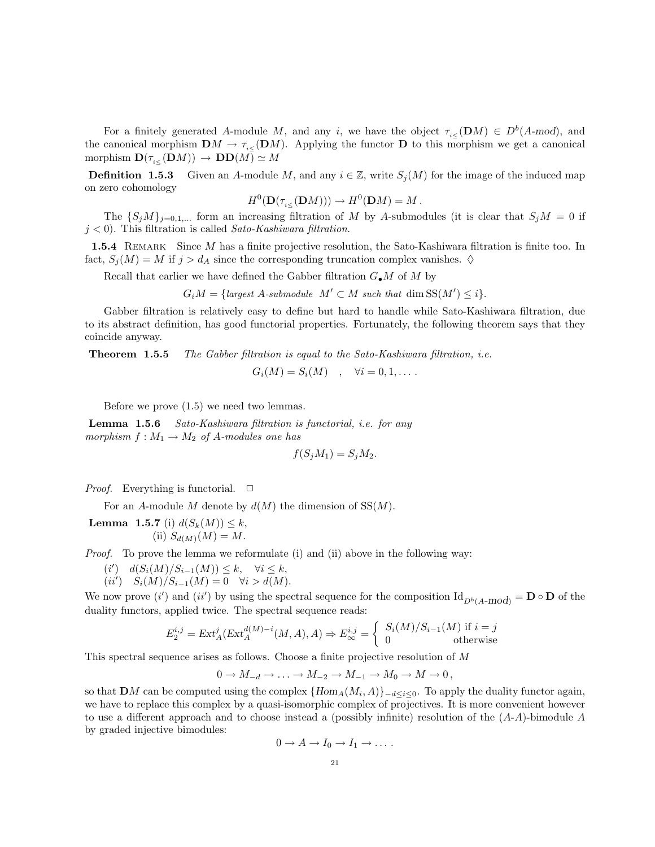For a finitely generated A-module M, and any i, we have the object  $\tau_{i\leq}(\mathbf{D}M) \in D^b(A\text{-mod})$ , and the canonical morphism  $\mathbf{D}M \to \tau_{i\leq}(\mathbf{D}M)$ . Applying the functor **D** to this morphism we get a canonical morphism  $\mathbf{D}(\tau_{i\leqslant}(\mathbf{D}M)) \to \mathbf{D}\mathbf{D}(M) \simeq M$ 

**Definition 1.5.3** Given an A-module M, and any  $i \in \mathbb{Z}$ , write  $S_j(M)$  for the image of the induced map on zero cohomology

$$
H^0(\mathbf{D}(\tau_{i\lt}( \mathbf{D}M))) \to H^0(\mathbf{D}M) = M.
$$

The  $\{S_jM\}_{j=0,1,\dots}$  form an increasing filtration of M by A-submodules (it is clear that  $S_jM = 0$  if  $j < 0$ ). This filtration is called Sato-Kashiwara filtration.

1.5.4 REMARK Since M has a finite projective resolution, the Sato-Kashiwara filtration is finite too. In fact,  $S_i(M) = M$  if  $j > d_A$  since the corresponding truncation complex vanishes.  $\diamond$ 

Recall that earlier we have defined the Gabber filtration  $G_{\bullet}M$  of M by

 $G_iM = \{largest A\text{-submodule } M' \subset M \text{ such that } \dim \text{SS}(M') \leq i \}.$ 

Gabber filtration is relatively easy to define but hard to handle while Sato-Kashiwara filtration, due to its abstract definition, has good functorial properties. Fortunately, the following theorem says that they coincide anyway.

**Theorem 1.5.5** The Gabber filtration is equal to the Sato-Kashiwara filtration, i.e.

$$
G_i(M) = S_i(M) \quad , \quad \forall i = 0, 1, \ldots .
$$

Before we prove (1.5) we need two lemmas.

Lemma 1.5.6 Sato-Kashiwara filtration is functorial, i.e. for any morphism  $f : M_1 \to M_2$  of A-modules one has

$$
f(S_j M_1) = S_j M_2.
$$

*Proof.* Everything is functorial.  $\Box$ 

For an A-module M denote by  $d(M)$  the dimension of  $SS(M)$ .

**Lemma 1.5.7** (i)  $d(S_k(M)) \leq k$ , (ii)  $S_{d(M)}(M) = M$ .

*Proof.* To prove the lemma we reformulate (i) and (ii) above in the following way:

- $(i')$   $d(S_i(M)/S_{i-1}(M)) \leq k, \quad \forall i \leq k,$
- $(ii') \quad S_i(M)/S_{i-1}(M) = 0 \quad \forall i > d(M).$

We now prove  $(i')$  and  $(ii')$  by using the spectral sequence for the composition  $\mathrm{Id}_{D^b(A\text{-mod})} = \mathbf{D} \circ \mathbf{D}$  of the duality functors, applied twice. The spectral sequence reads:

$$
E_2^{i,j} = \text{Ext}^j_A(\text{Ext}^{d(M)-i}_A(M, A), A) \Rightarrow E_{\infty}^{i,j} = \begin{cases} S_i(M)/S_{i-1}(M) & \text{if } i = j \\ 0 & \text{otherwise} \end{cases}
$$

This spectral sequence arises as follows. Choose a finite projective resolution of M

$$
0 \to M_{-d} \to \ldots \to M_{-2} \to M_{-1} \to M_0 \to M \to 0,
$$

so that **D**M can be computed using the complex  $\{Hom_A(M_i, A)\}_{-d \leq i \leq 0}$ . To apply the duality functor again, we have to replace this complex by a quasi-isomorphic complex of projectives. It is more convenient however to use a different approach and to choose instead a (possibly infinite) resolution of the  $(A-A)$ -bimodule A by graded injective bimodules:

$$
0 \to A \to I_0 \to I_1 \to \ldots
$$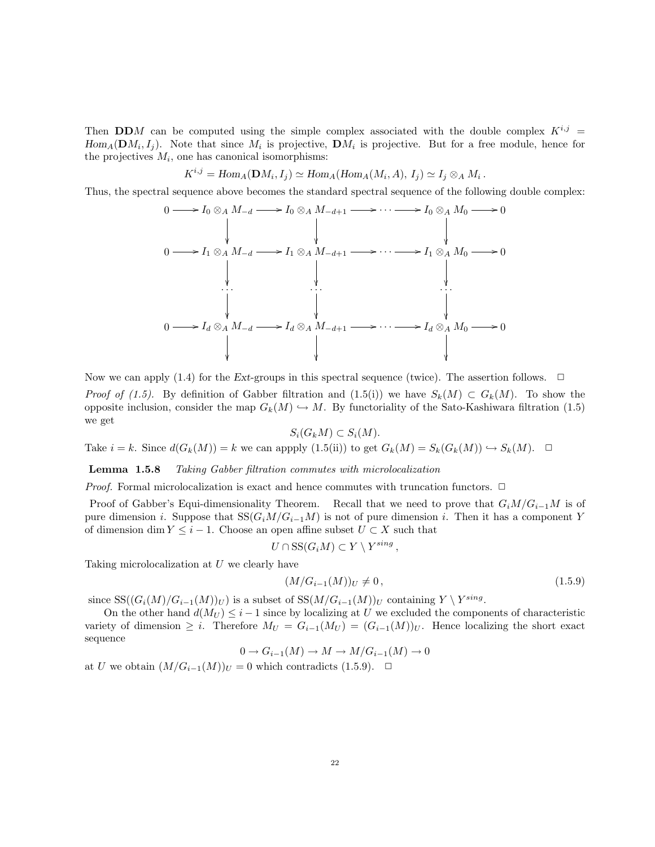Then DDM can be computed using the simple complex associated with the double complex  $K^{i,j}$  =  $Hom_A(\mathbf{D}M_i, I_j)$ . Note that since  $M_i$  is projective,  $\mathbf{D}M_i$  is projective. But for a free module, hence for the projectives  $M_i$ , one has canonical isomorphisms:

$$
K^{i,j} = \text{Hom}_A(\mathbf{D}M_i, I_j) \simeq \text{Hom}_A(\text{Hom}_A(M_i, A), I_j) \simeq I_j \otimes_A M_i.
$$

Thus, the spectral sequence above becomes the standard spectral sequence of the following double complex:



Now we can apply (1.4) for the Ext-groups in this spectral sequence (twice). The assertion follows.  $\Box$ *Proof of (1.5).* By definition of Gabber filtration and (1.5(i)) we have  $S_k(M) \subset G_k(M)$ . To show the opposite inclusion, consider the map  $G_k(M) \hookrightarrow M$ . By functoriality of the Sato-Kashiwara filtration (1.5) we get

# $S_i(G_kM) \subset S_i(M).$

Take  $i = k$ . Since  $d(G_k(M)) = k$  we can appply  $(1.5(ii))$  to get  $G_k(M) = S_k(G_k(M)) \hookrightarrow S_k(M)$ .  $\Box$ 

Lemma 1.5.8 Taking Gabber filtration commutes with microlocalization

*Proof.* Formal microlocalization is exact and hence commutes with truncation functors.  $\Box$ 

Proof of Gabber's Equi-dimensionality Theorem. Recall that we need to prove that  $G_iM/G_{i-1}M$  is of pure dimension *i*. Suppose that  $SS(G_iM/G_{i-1}M)$  is not of pure dimension *i*. Then it has a component Y of dimension dim  $Y \leq i - 1$ . Choose an open affine subset  $U \subset X$  such that

$$
U \cap \mathrm{SS}(G_i M) \subset Y \setminus Y^{sing} ,
$$

Taking microlocalization at U we clearly have

$$
(M/G_{i-1}(M))_U \neq 0, \tag{1.5.9}
$$

since  $SS((G_i(M)/G_{i-1}(M))_U)$  is a subset of  $SS(M/G_{i-1}(M))_U$  containing  $Y \setminus Y^{sing}$ .

On the other hand  $d(M_U) \leq i-1$  since by localizing at U we excluded the components of characteristic variety of dimension  $\geq i$ . Therefore  $M_U = G_{i-1}(M_U) = (G_{i-1}(M))_U$ . Hence localizing the short exact sequence

$$
0 \to G_{i-1}(M) \to M \to M/G_{i-1}(M) \to 0
$$

at U we obtain  $(M/G_{i-1}(M))_U = 0$  which contradicts (1.5.9). <del>□</del>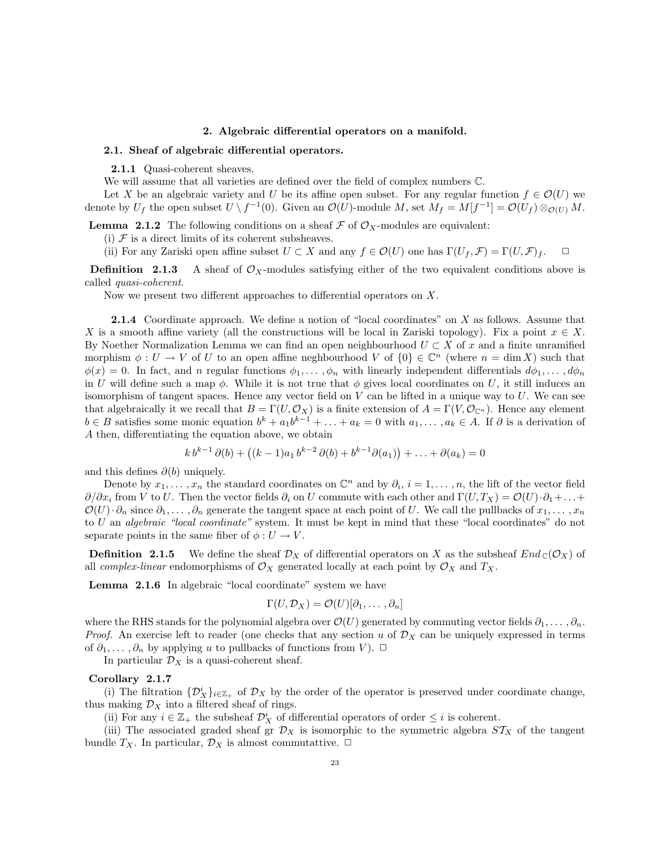## 2. Algebraic differential operators on a manifold.

#### 2.1. Sheaf of algebraic differential operators.

2.1.1 Quasi-coherent sheaves.

We will assume that all varieties are defined over the field of complex numbers C.

Let X be an algebraic variety and U be its affine open subset. For any regular function  $f \in \mathcal{O}(U)$  we denote by  $U_f$  the open subset  $U \setminus f^{-1}(0)$ . Given an  $\mathcal{O}(U)$ -module M, set  $M_f = M[f^{-1}] = \mathcal{O}(U_f) \otimes_{\mathcal{O}(U)} M$ .

**Lemma 2.1.2** The following conditions on a sheaf  $\mathcal F$  of  $\mathcal O_X$ -modules are equivalent:

(i)  $\mathcal F$  is a direct limits of its coherent subsheaves.

(ii) For any Zariski open affine subset  $U \subset X$  and any  $f \in \mathcal{O}(U)$  one has  $\Gamma(U_f, \mathcal{F}) = \Gamma(U, \mathcal{F})_f$ .  $\Box$ 

**Definition** 2.1.3 A sheaf of  $\mathcal{O}_X$ -modules satisfying either of the two equivalent conditions above is called quasi-coherent.

Now we present two different approaches to differential operators on X.

2.1.4 Coordinate approach. We define a notion of "local coordinates" on X as follows. Assume that X is a smooth affine variety (all the constructions will be local in Zariski topology). Fix a point  $x \in X$ . By Noether Normalization Lemma we can find an open neighbourhood  $U \subset X$  of x and a finite unramified morphism  $\phi: U \to V$  of U to an open affine neghbourhood V of  $\{0\} \in \mathbb{C}^n$  (where  $n = \dim X$ ) such that  $\phi(x) = 0$ . In fact, and n regular functions  $\phi_1, \ldots, \phi_n$  with linearly independent differentials  $d\phi_1, \ldots, d\phi_n$ in U will define such a map  $\phi$ . While it is not true that  $\phi$  gives local coordinates on U, it still induces an isomorphism of tangent spaces. Hence any vector field on  $V$  can be lifted in a unique way to  $U$ . We can see that algebraically it we recall that  $B = \Gamma(U, \mathcal{O}_X)$  is a finite extension of  $A = \Gamma(V, \mathcal{O}_{\mathbb{C}^n})$ . Hence any element  $b \in B$  satisfies some monic equation  $b^k + a_1 b^{k-1} + \ldots + a_k = 0$  with  $a_1, \ldots, a_k \in A$ . If  $\partial$  is a derivation of A then, differentiating the equation above, we obtain

$$
k b^{k-1} \partial(b) + ((k-1)a_1 b^{k-2} \partial(b) + b^{k-1} \partial(a_1)) + \ldots + \partial(a_k) = 0
$$

and this defines  $\partial(b)$  uniquely.

Denote by  $x_1, \ldots, x_n$  the standard coordinates on  $\mathbb{C}^n$  and by  $\partial_i$ ,  $i = 1, \ldots, n$ , the lift of the vector field  $\partial/\partial x_i$  from V to U. Then the vector fields  $\partial_i$  on U commute with each other and  $\Gamma(U, T_X) = \mathcal{O}(U) \cdot \partial_1 + ...$  $\mathcal{O}(U) \cdot \partial_n$  since  $\partial_1, \ldots, \partial_n$  generate the tangent space at each point of U. We call the pullbacks of  $x_1, \ldots, x_n$ to U an algebraic "local coordinate" system. It must be kept in mind that these "local coordinates" do not separate points in the same fiber of  $\phi: U \to V$ .

**Definition** 2.1.5 We define the sheaf  $\mathcal{D}_X$  of differential operators on X as the subsheaf  $End_{\mathbb{C}}(\mathcal{O}_X)$  of all *complex-linear* endomorphisms of  $\mathcal{O}_X$  generated locally at each point by  $\mathcal{O}_X$  and  $T_X$ .

Lemma 2.1.6 In algebraic "local coordinate" system we have

$$
\Gamma(U, \mathcal{D}_X) = \mathcal{O}(U)[\partial_1, \dots, \partial_n]
$$

where the RHS stands for the polynomial algebra over  $\mathcal{O}(U)$  generated by commuting vector fields  $\partial_1, \ldots, \partial_n$ . *Proof.* An exercise left to reader (one checks that any section u of  $\mathcal{D}_X$  can be uniquely expressed in terms of  $\partial_1, \ldots, \partial_n$  by applying u to pullbacks of functions from V).  $\Box$ 

In particular  $\mathcal{D}_X$  is a quasi-coherent sheaf.

### Corollary 2.1.7

(i) The filtration  $\{\mathcal{D}_X^i\}_{i\in\mathbb{Z}_+}$  of  $\mathcal{D}_X$  by the order of the operator is preserved under coordinate change, thus making  $\mathcal{D}_X$  into a filtered sheaf of rings.

(ii) For any  $i \in \mathbb{Z}_+$  the subsheaf  $\mathcal{D}_X^i$  of differential operators of order  $\leq i$  is coherent.

(iii) The associated graded sheaf gr  $\mathcal{D}_X$  is isomorphic to the symmetric algebra  $ST_X$  of the tangent bundle  $T_X$ . In particular,  $\mathcal{D}_X$  is almost commutattive.  $\Box$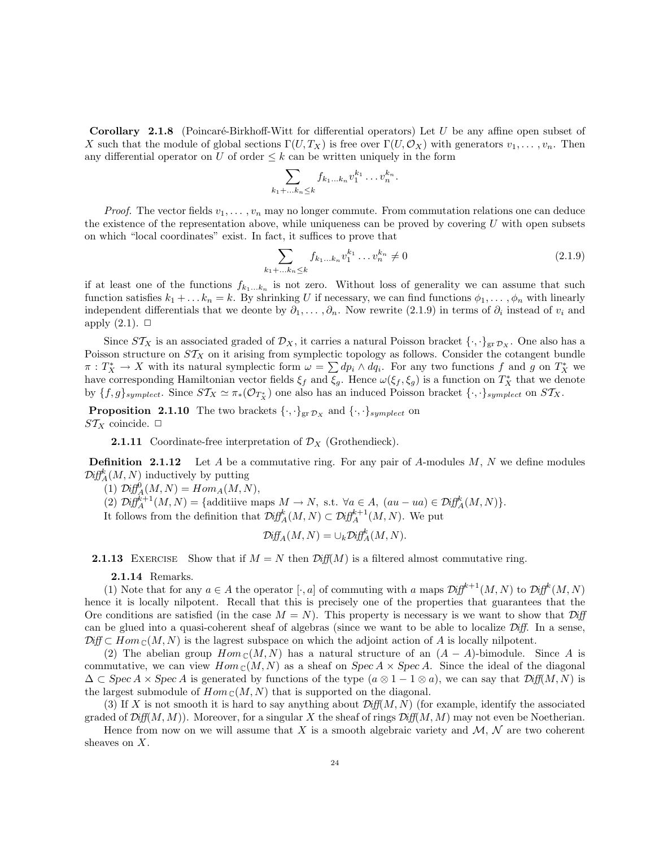**Corollary 2.1.8** (Poincaré-Birkhoff-Witt for differential operators) Let U be any affine open subset of X such that the module of global sections  $\Gamma(U, T_X)$  is free over  $\Gamma(U, \mathcal{O}_X)$  with generators  $v_1, \ldots, v_n$ . Then any differential operator on U of order  $\leq k$  can be written uniquely in the form

$$
\sum_{k_1+\ldots k_n\leq k} f_{k_1\ldots k_n} v_1^{k_1}\ldots v_n^{k_n}.
$$

*Proof.* The vector fields  $v_1, \ldots, v_n$  may no longer commute. From commutation relations one can deduce the existence of the representation above, while uniqueness can be proved by covering  $U$  with open subsets on which "local coordinates" exist. In fact, it suffices to prove that

$$
\sum_{k_1 + \dots k_n \le k} f_{k_1 \dots k_n} v_1^{k_1} \dots v_n^{k_n} \neq 0
$$
\n(2.1.9)

if at least one of the functions  $f_{k_1...k_n}$  is not zero. Without loss of generality we can assume that such function satisfies  $k_1 + \ldots k_n = k$ . By shrinking U if necessary, we can find functions  $\phi_1, \ldots, \phi_n$  with linearly independent differentials that we deonte by  $\partial_1, \ldots, \partial_n$ . Now rewrite (2.1.9) in terms of  $\partial_i$  instead of  $v_i$  and apply  $(2.1)$ .  $\Box$ 

Since  $ST_X$  is an associated graded of  $\mathcal{D}_X$ , it carries a natural Poisson bracket  $\{\cdot,\cdot\}_{\text{gr}\mathcal{D}_X}$ . One also has a Poisson structure on  $ST_X$  on it arising from symplectic topology as follows. Consider the cotangent bundle  $\pi: T^*_X \to X$  with its natural symplectic form  $\omega = \sum dp_i \wedge dq_i$ . For any two functions f and g on  $T^*_X$  we have corresponding Hamiltonian vector fields  $\xi_f$  and  $\xi_g$ . Hence  $\omega(\xi_f, \xi_g)$  is a function on  $T_X^*$  that we denote by  $\{f,g\}_{symplect}$ . Since  $ST_X \simeq \pi_*(\mathcal{O}_{T_X^*})$  one also has an induced Poisson bracket  $\{\cdot,\cdot\}_{symplect}$  on  $ST_X$ .

**Proposition 2.1.10** The two brackets  $\{\cdot,\cdot\}_{\text{gr}\mathcal{D}_X}$  and  $\{\cdot,\cdot\}_{symplect}$  on  $ST_X$  coincide.  $\Box$ 

**2.1.11** Coordinate-free interpretation of  $\mathcal{D}_X$  (Grothendieck).

**Definition 2.1.12** Let A be a commutative ring. For any pair of A-modules  $M$ , N we define modules  $\mathcal{D} \text{iff}^k_A(M, N)$  inductively by putting

(1)  $\mathcal{D} \text{iff}_{A}^{0}(M, N) = Hom_{A}(M, N),$ 

(2)  $\mathcal{D}iff_A^{k+1}(M, N) = {\text{additive maps } M \to N, \text{ s.t. } \forall a \in A, (au - ua) \in \mathcal{D}iff_A^k(M, N)}$ .

It follows from the definition that  $\mathcal{D} \text{iff}^k_A(M, N) \subset \mathcal{D} \text{iff}^{k+1}_A(M, N)$ . We put

$$
\mathcal{D} \text{iff}_{A}(M, N) = \cup_{k} \mathcal{D} \text{iff}_{A}^{k}(M, N).
$$

**2.1.13** EXERCISE Show that if  $M = N$  then  $Diff(M)$  is a filtered almost commutative ring.

2.1.14 Remarks.

(1) Note that for any  $a \in A$  the operator [ $\cdot$ , a] of commuting with a maps  $\mathcal{Diff}^{k+1}(M, N)$  to  $\mathcal{Diff}^{k}(M, N)$ hence it is locally nilpotent. Recall that this is precisely one of the properties that guarantees that the Ore conditions are satisfied (in the case  $M = N$ ). This property is necessary is we want to show that  $\mathcal{D}iff$ can be glued into a quasi-coherent sheaf of algebras (since we want to be able to localize  $\mathcal{D}iff$ . In a sense,  $\mathcal{D}$ iff  $\subset Hom_{\mathbb{C}}(M, N)$  is the lagrest subspace on which the adjoint action of A is locally nilpotent.

(2) The abelian group  $Hom_{\mathbb{C}}(M, N)$  has a natural structure of an  $(A - A)$ -bimodule. Since A is commutative, we can view  $Hom_{\mathbb{C}}(M, N)$  as a sheaf on  $Spec A \times Spec A$ . Since the ideal of the diagonal  $\Delta \subset \operatorname{Spec} A \times \operatorname{Spec} A$  is generated by functions of the type  $(a \otimes 1 - 1 \otimes a)$ , we can say that  $\operatorname{Diff}(M, N)$  is the largest submodule of  $Hom_{\mathbb{C}}(M, N)$  that is supported on the diagonal.

(3) If X is not smooth it is hard to say anything about  $\mathcal{Diff}(M, N)$  (for example, identify the associated graded of  $\mathcal{Diff}(M, M)$ . Moreover, for a singular X the sheaf of rings  $\mathcal{Diff}(M, M)$  may not even be Noetherian.

Hence from now on we will assume that X is a smooth algebraic variety and  $M, N$  are two coherent sheaves on X.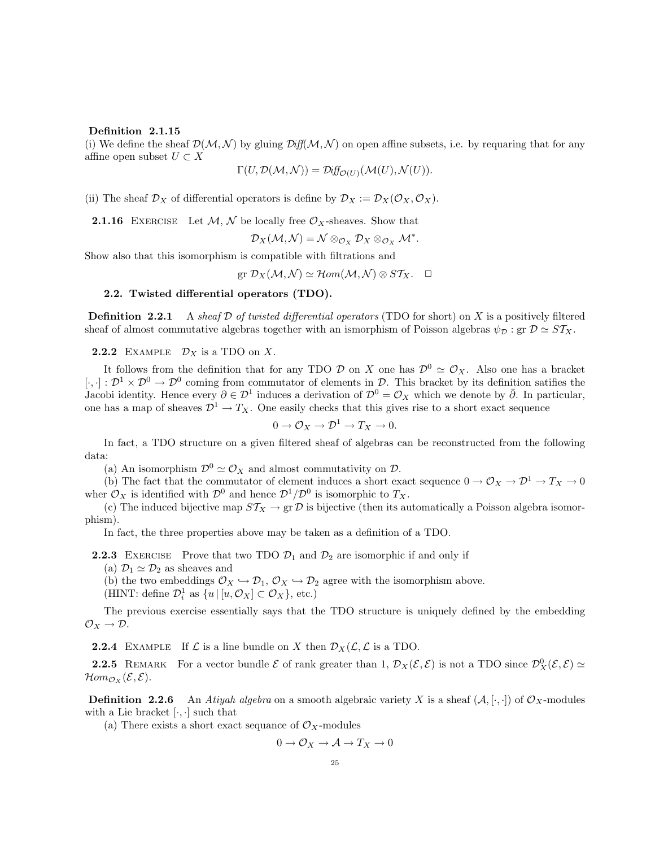### Definition 2.1.15

(i) We define the sheaf  $\mathcal{D}(\mathcal{M}, \mathcal{N})$  by gluing  $\mathcal{D}iff(\mathcal{M}, \mathcal{N})$  on open affine subsets, i.e. by requaring that for any affine open subset  $U \subset X$ 

$$
\Gamma(U, \mathcal{D}(\mathcal{M}, \mathcal{N})) = \mathcal{D} \text{iff}_{\mathcal{O}(U)}(\mathcal{M}(U), \mathcal{N}(U)).
$$

(ii) The sheaf  $\mathcal{D}_X$  of differential operators is define by  $\mathcal{D}_X := \mathcal{D}_X(\mathcal{O}_X, \mathcal{O}_X)$ .

**2.1.16** EXERCISE Let  $M$ ,  $\mathcal{N}$  be locally free  $\mathcal{O}_X$ -sheaves. Show that

$$
\mathcal{D}_X(\mathcal{M},\mathcal{N})=\mathcal{N}\otimes_{\mathcal{O}_X}\mathcal{D}_X\otimes_{\mathcal{O}_X}\mathcal{M}^*.
$$

Show also that this isomorphism is compatible with filtrations and

 $gr \mathcal{D}_X(\mathcal{M}, \mathcal{N}) \simeq Hom(\mathcal{M}, \mathcal{N}) \otimes ST_X. \quad \Box$ 

# 2.2. Twisted differential operators (TDO).

**Definition 2.2.1** A sheaf D of twisted differential operators (TDO for short) on X is a positively filtered sheaf of almost commutative algebras together with an ismorphism of Poisson algebras  $\psi_{\mathcal{D}}$ : gr  $\mathcal{D} \simeq ST_X$ .

**2.2.2** EXAMPLE  $\mathcal{D}_X$  is a TDO on X.

It follows from the definition that for any TDO  $\mathcal D$  on X one has  $\mathcal D^0 \simeq \mathcal O_X$ . Also one has a bracket  $[\cdot,\cdot]: \mathcal{D}^1 \times \mathcal{D}^0 \to \mathcal{D}^0$  coming from commutator of elements in  $\mathcal{D}$ . This bracket by its definition satifies the Jacobi identity. Hence every  $\partial \in \mathcal{D}^1$  induces a derivation of  $\mathcal{D}^0 = \mathcal{O}_X$  which we denote by  $\bar{\partial}$ . In particular, one has a map of sheaves  $\mathcal{D}^1 \to T_X$ . One easily checks that this gives rise to a short exact sequence

$$
0 \to \mathcal{O}_X \to \mathcal{D}^1 \to T_X \to 0.
$$

In fact, a TDO structure on a given filtered sheaf of algebras can be reconstructed from the following data:

(a) An isomorphism  $\mathcal{D}^0 \simeq \mathcal{O}_X$  and almost commutativity on  $\mathcal{D}$ .

(b) The fact that the commutator of element induces a short exact sequence  $0 \to \mathcal{O}_X \to \mathcal{D}^1 \to T_X \to 0$ wher  $\mathcal{O}_X$  is identified with  $\mathcal{D}^0$  and hence  $\mathcal{D}^1/\mathcal{D}^0$  is isomorphic to  $T_X$ .

(c) The induced bijective map  $ST_X \to \text{gr } \mathcal{D}$  is bijective (then its automatically a Poisson algebra isomorphism).

In fact, the three properties above may be taken as a definition of a TDO.

**2.2.3** EXERCISE Prove that two TDO  $\mathcal{D}_1$  and  $\mathcal{D}_2$  are isomorphic if and only if

(a)  $\mathcal{D}_1 \simeq \mathcal{D}_2$  as sheaves and

(b) the two embeddings  $\mathcal{O}_X \hookrightarrow \mathcal{D}_1$ ,  $\mathcal{O}_X \hookrightarrow \mathcal{D}_2$  agree with the isomorphism above.

(HINT: define  $\mathcal{D}_i^1$  as  $\{u \mid [u, \mathcal{O}_X] \subset \mathcal{O}_X\}$ , etc.)

The previous exercise essentially says that the TDO structure is uniquely defined by the embedding  $\mathcal{O}_X \rightarrow \mathcal{D}.$ 

**2.2.4** EXAMPLE If  $\mathcal{L}$  is a line bundle on X then  $\mathcal{D}_X(\mathcal{L}, \mathcal{L})$  is a TDO.

**2.2.5** REMARK For a vector bundle  $\mathcal{E}$  of rank greater than 1,  $\mathcal{D}_X(\mathcal{E}, \mathcal{E})$  is not a TDO since  $\mathcal{D}_X^0(\mathcal{E}, \mathcal{E}) \simeq$  $\mathcal{H}om_{\mathcal{O}_X}(\mathcal{E}, \mathcal{E}).$ 

**Definition 2.2.6** An *Atiyah algebra* on a smooth algebraic variety X is a sheaf  $(A, [\cdot, \cdot])$  of  $\mathcal{O}_X$ -modules with a Lie bracket  $[\cdot, \cdot]$  such that

(a) There exists a short exact sequance of  $\mathcal{O}_X$ -modules

$$
0 \to \mathcal{O}_X \to \mathcal{A} \to T_X \to 0
$$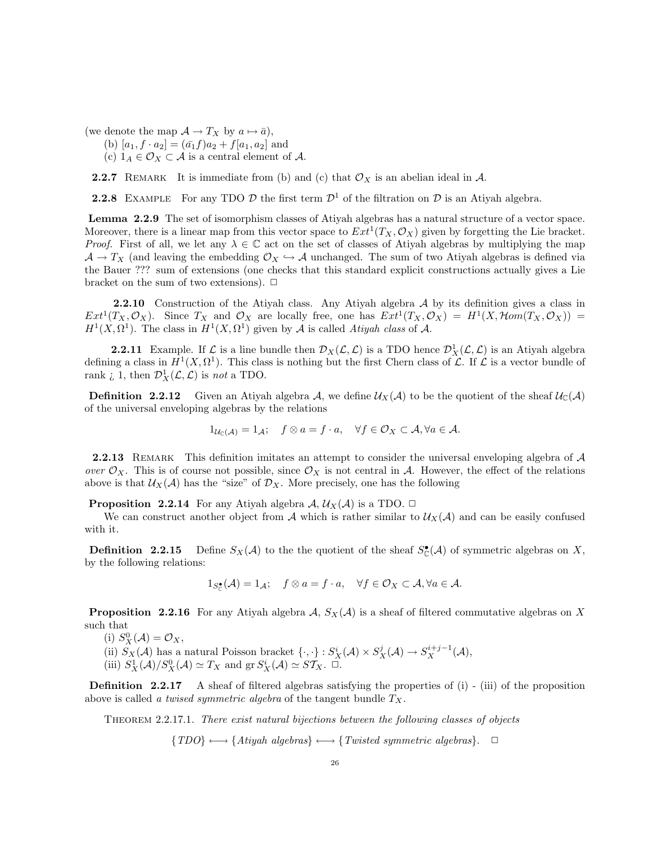(we denote the map  $\mathcal{A} \to T_X$  by  $a \mapsto \bar{a}$ ),

- (b)  $[a_1, f \cdot a_2] = (\bar{a_1}f)a_2 + f[a_1, a_2]$  and
- (c)  $1_A \in \mathcal{O}_X \subset \mathcal{A}$  is a central element of  $\mathcal{A}$ .

**2.2.7** REMARK It is immediate from (b) and (c) that  $\mathcal{O}_X$  is an abelian ideal in  $\mathcal{A}$ .

**2.2.8** EXAMPLE For any TDO D the first term  $\mathcal{D}^1$  of the filtration on D is an Atiyah algebra.

Lemma 2.2.9 The set of isomorphism classes of Atiyah algebras has a natural structure of a vector space. Moreover, there is a linear map from this vector space to  $Ext^1(T_X, \mathcal{O}_X)$  given by forgetting the Lie bracket. *Proof.* First of all, we let any  $\lambda \in \mathbb{C}$  act on the set of classes of Atiyah algebras by multiplying the map  $\mathcal{A} \to T_X$  (and leaving the embedding  $\mathcal{O}_X \hookrightarrow \mathcal{A}$  unchanged. The sum of two Atiyah algebras is defined via the Bauer ??? sum of extensions (one checks that this standard explicit constructions actually gives a Lie bracket on the sum of two extensions).  $\Box$ 

2.2.10 Construction of the Atiyah class. Any Atiyah algebra A by its definition gives a class in  $Ext^1(T_X, \mathcal{O}_X)$ . Since  $T_X$  and  $\mathcal{O}_X$  are locally free, one has  $Ext^1(T_X, \mathcal{O}_X) = H^1(X, \mathcal{H}om(T_X, \mathcal{O}_X))$  $H^1(X, \Omega^1)$ . The class in  $H^1(X, \Omega^1)$  given by A is called Atiyah class of A.

**2.2.11** Example. If  $\mathcal{L}$  is a line bundle then  $\mathcal{D}_X(\mathcal{L}, \mathcal{L})$  is a TDO hence  $\mathcal{D}_X^1(\mathcal{L}, \mathcal{L})$  is an Atiyah algebra defining a class in  $H^1(X, \Omega^1)$ . This class is nothing but the first Chern class of  $\mathcal L$ . If  $\mathcal L$  is a vector bundle of rank  $\iota$  1, then  $\mathcal{D}^1_X(\mathcal{L}, \mathcal{L})$  is not a TDO.

**Definition 2.2.12** Given an Atiyah algebra A, we define  $\mathcal{U}_X(\mathcal{A})$  to be the quotient of the sheaf  $\mathcal{U}_C(\mathcal{A})$ of the universal enveloping algebras by the relations

$$
1_{\mathcal{U}_{\mathbb{C}}(\mathcal{A})} = 1_{\mathcal{A}}; \quad f \otimes a = f \cdot a, \quad \forall f \in \mathcal{O}_X \subset \mathcal{A}, \forall a \in \mathcal{A}.
$$

**2.2.13** REMARK This definition imitates an attempt to consider the universal enveloping algebra of  $A$ over  $\mathcal{O}_X$ . This is of course not possible, since  $\mathcal{O}_X$  is not central in A. However, the effect of the relations above is that  $\mathcal{U}_X(\mathcal{A})$  has the "size" of  $\mathcal{D}_X$ . More precisely, one has the following

**Proposition 2.2.14** For any Atiyah algebra  $\mathcal{A}, \mathcal{U}_X(\mathcal{A})$  is a TDO.  $\Box$ 

We can construct another object from A which is rather similar to  $\mathcal{U}_X(\mathcal{A})$  and can be easily confused with it.

**Definition** 2.2.15 Define  $S_X(\mathcal{A})$  to the the quotient of the sheaf  $S_{\mathbb{C}}(\mathcal{A})$  of symmetric algebras on X, by the following relations:

$$
1_{S_{\mathbb{C}}^{\bullet}}(\mathcal{A}) = 1_{\mathcal{A}}; \quad f \otimes a = f \cdot a, \quad \forall f \in \mathcal{O}_X \subset \mathcal{A}, \forall a \in \mathcal{A}.
$$

**Proposition 2.2.16** For any Atiyah algebra  $A$ ,  $S_X(\mathcal{A})$  is a sheaf of filtered commutative algebras on X such that

(i)  $S_X^0(\mathcal{A}) = \mathcal{O}_X$ ,

(ii)  $S_X(\mathcal{A})$  has a natural Poisson bracket  $\{\cdot,\cdot\}: S^i_X(\mathcal{A}) \times S^j_X(\mathcal{A}) \to S^{i+j-1}_X(\mathcal{A}),$ 

(iii)  $S_X^1(\mathcal{A})/S_X^0(\mathcal{A}) \simeq T_X$  and  $gr S_X^i(\mathcal{A}) \simeq S\mathcal{T}_X$ .  $\Box$ .

**Definition 2.2.17** A sheaf of filtered algebras satisfying the properties of (i) - (iii) of the proposition above is called a twised symmetric algebra of the tangent bundle  $T_X$ .

Theorem 2.2.17.1. There exist natural bijections between the following classes of objects

 ${TDO} \longleftrightarrow {Atiyah\ algebras} \longleftrightarrow {Twisted\ symmetric\ algebras}. \quad \Box$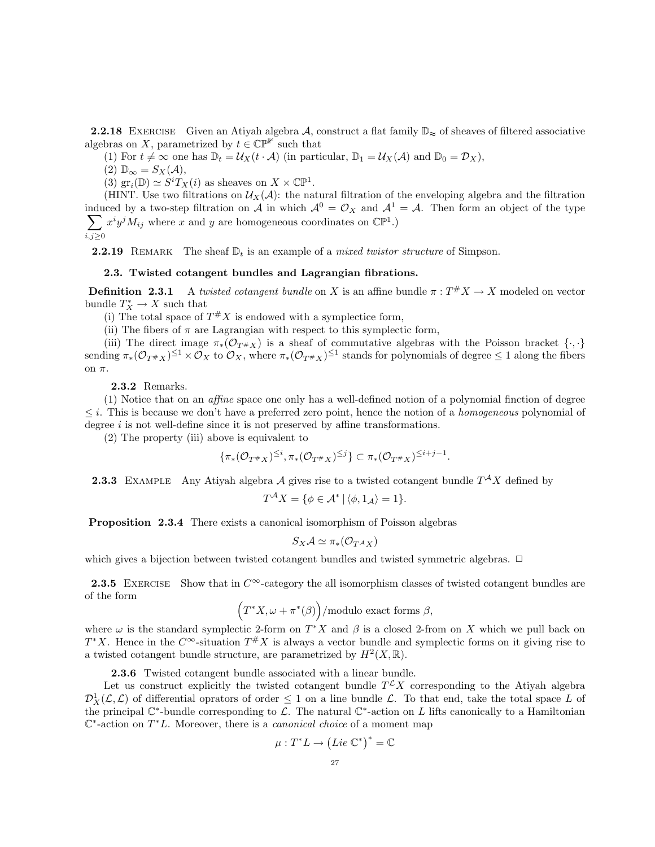**2.2.18** EXERCISE Given an Atiyah algebra A, construct a flat family  $\mathbb{D}_{\approx}$  of sheaves of filtered associative algebras on X, parametrized by  $t \in \mathbb{CP}^{\mathbb{H}}$  such that

(1) For  $t \neq \infty$  one has  $\mathbb{D}_t = \mathcal{U}_X(t \cdot \mathcal{A})$  (in particular,  $\mathbb{D}_1 = \mathcal{U}_X(\mathcal{A})$  and  $\mathbb{D}_0 = \mathcal{D}_X$ ),

 $(2)$   $\mathbb{D}_{\infty} = S_X(\mathcal{A}),$ 

(3)  $gr_i(\mathbb{D}) \simeq S^i T_X(i)$  as sheaves on  $X \times \mathbb{CP}^1$ .

(HINT. Use two filtrations on  $\mathcal{U}_X(\mathcal{A})$ : the natural filtration of the enveloping algebra and the filtration induced by a two-step filtration on A in which  $A^0 = \mathcal{O}_X$  and  $A^1 = \mathcal{A}$ . Then form an object of the type  $\sum$ i,j≥0  $x^i y^j M_{ij}$  where x and y are homogeneous coordinates on  $\mathbb{CP}^1$ .)

**2.2.19** REMARK The sheaf  $\mathbb{D}_t$  is an example of a *mixed twistor structure* of Simpson.

### 2.3. Twisted cotangent bundles and Lagrangian fibrations.

**Definition 2.3.1** A twisted cotangent bundle on X is an affine bundle  $\pi : T^*X \to X$  modeled on vector bundle  $T_X^* \to X$  such that

(i) The total space of  $T^*X$  is endowed with a symplectice form,

(ii) The fibers of  $\pi$  are Lagrangian with respect to this symplectic form,

(iii) The direct image  $\pi_*(\mathcal{O}_{T^*X})$  is a sheaf of commutative algebras with the Poisson bracket  $\{\cdot,\cdot\}$ sending  $\pi_*(\mathcal{O}_{T^*X})^{\leq 1} \times \mathcal{O}_X$  to  $\mathcal{O}_X$ , where  $\pi_*(\mathcal{O}_{T^*X})^{\leq 1}$  stands for polynomials of degree  $\leq 1$  along the fibers on π.

## 2.3.2 Remarks.

(1) Notice that on an affine space one only has a well-defined notion of a polynomial finction of degree  $\leq i$ . This is because we don't have a preferred zero point, hence the notion of a *homogeneous* polynomial of degree  $i$  is not well-define since it is not preserved by affine transformations.

(2) The property (iii) above is equivalent to

$$
\{\pi_*(\mathcal{O}_{T^{\#}X})^{\leq i}, \pi_*(\mathcal{O}_{T^{\#}X})^{\leq j}\} \subset \pi_*(\mathcal{O}_{T^{\#}X})^{\leq i+j-1}
$$

.

**2.3.3** EXAMPLE Any Atiyah algebra A gives rise to a twisted cotangent bundle  $T^{\mathcal{A}}X$  defined by

$$
T^{\mathcal{A}}X = \{ \phi \in \mathcal{A}^* \mid \langle \phi, 1_{\mathcal{A}} \rangle = 1 \}.
$$

Proposition 2.3.4 There exists a canonical isomorphism of Poisson algebras

$$
S_X\mathcal{A} \simeq \pi_* (\mathcal{O}_{T^{\mathcal{A}} X})
$$

which gives a bijection between twisted cotangent bundles and twisted symmetric algebras.  $\Box$ 

2.3.5 EXERCISE Show that in  $C^{\infty}$ -category the all isomorphism classes of twisted cotangent bundles are of the form

$$
(T^*X, \omega + \pi^*(\beta)) / \text{modulo exact forms } \beta,
$$

where  $\omega$  is the standard symplectic 2-form on  $T^*X$  and  $\beta$  is a closed 2-from on X which we pull back on  $T^*X$ . Hence in the  $C^{\infty}$ -situation  $T^*X$  is always a vector bundle and symplectic forms on it giving rise to a twisted cotangent bundle structure, are parametrized by  $H^2(X,\mathbb{R})$ .

2.3.6 Twisted cotangent bundle associated with a linear bundle.

Let us construct explicitly the twisted cotangent bundle  $T^{\mathcal{L}}X$  corresponding to the Atiyah algebra  $\mathcal{D}^1_X(\mathcal{L}, \mathcal{L})$  of differential oprators of order  $\leq 1$  on a line bundle  $\mathcal{L}$ . To that end, take the total space L of the principal  $\mathbb{C}^*$ -bundle corresponding to  $\mathcal{L}$ . The natural  $\mathbb{C}^*$ -action on L lifts canonically to a Hamiltonian  $\mathbb{C}^*$ -action on  $T^*L$ . Moreover, there is a *canonical choice* of a moment map

$$
\mu: T^*L \to \left( \text{Lie } \mathbb{C}^* \right)^* = \mathbb{C}
$$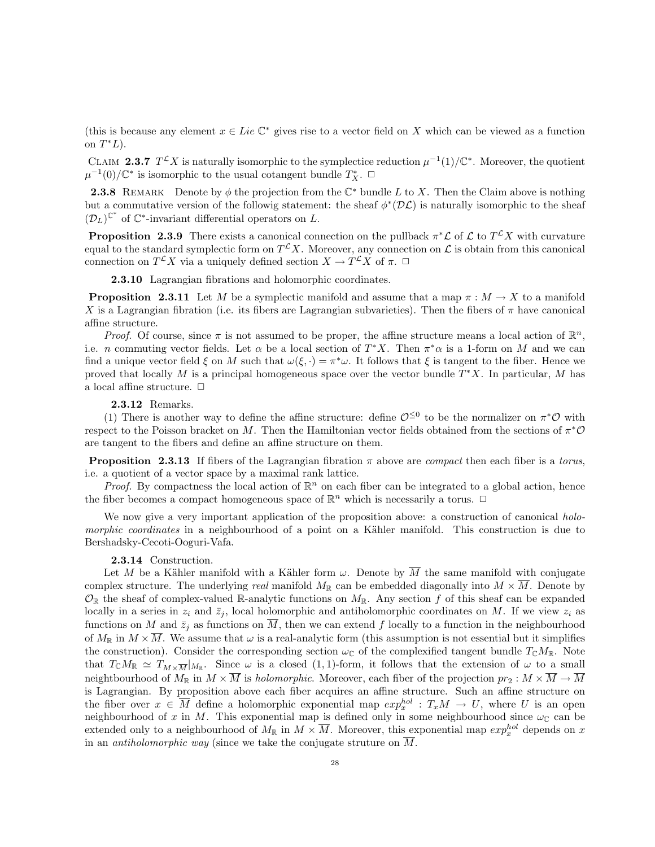(this is because any element  $x \in Lie \mathbb{C}^*$  gives rise to a vector field on X which can be viewed as a function on  $T^*L$ ).

CLAIM 2.3.7  $T^{\mathcal{L}}X$  is naturally isomorphic to the symplectice reduction  $\mu^{-1}(1)/\mathbb{C}^*$ . Moreover, the quotient  $\mu^{-1}(0)/\mathbb{C}^*$  is isomorphic to the usual cotangent bundle  $T^*_X$ . □

**2.3.8** REMARK Denote by  $\phi$  the projection from the  $\mathbb{C}^*$  bundle L to X. Then the Claim above is nothing but a commutative version of the followig statement: the sheaf  $\phi^*(\mathcal{DL})$  is naturally isomorphic to the sheaf  $(\mathcal{D}_L)^{\mathbb{C}^*}$  of  $\mathbb{C}^*$ -invariant differential operators on L.

**Proposition 2.3.9** There exists a canonical connection on the pullback  $\pi^*\mathcal{L}$  of  $\mathcal{L}$  to  $T^{\mathcal{L}}X$  with curvature equal to the standard symplectic form on  $T^{\mathcal{L}}X$ . Moreover, any connection on  $\mathcal L$  is obtain from this canonical connection on  $T^{\mathcal{L}}X$  via a uniquely defined section  $X \to T^{\mathcal{L}}X$  of  $\pi$ .  $\Box$ 

2.3.10 Lagrangian fibrations and holomorphic coordinates.

**Proposition 2.3.11** Let M be a symplectic manifold and assume that a map  $\pi : M \to X$  to a manifold X is a Lagrangian fibration (i.e. its fibers are Lagrangian subvarieties). Then the fibers of  $\pi$  have canonical affine structure.

*Proof.* Of course, since  $\pi$  is not assumed to be proper, the affine structure means a local action of  $\mathbb{R}^n$ , i.e. *n* commuting vector fields. Let  $\alpha$  be a local section of  $T^*X$ . Then  $\pi^*\alpha$  is a 1-form on M and we can find a unique vector field  $\xi$  on M such that  $\omega(\xi, \cdot) = \pi^* \omega$ . It follows that  $\xi$  is tangent to the fiber. Hence we proved that locally M is a principal homogeneous space over the vector bundle  $T^*X$ . In particular, M has a local affine structure.  $\Box$ 

# 2.3.12 Remarks.

(1) There is another way to define the affine structure: define  $\mathcal{O}^{\leq 0}$  to be the normalizer on  $\pi^*\mathcal{O}$  with respect to the Poisson bracket on M. Then the Hamiltonian vector fields obtained from the sections of  $\pi^*\mathcal{O}$ are tangent to the fibers and define an affine structure on them.

**Proposition 2.3.13** If fibers of the Lagrangian fibration  $\pi$  above are *compact* then each fiber is a *torus*, i.e. a quotient of a vector space by a maximal rank lattice.

*Proof.* By compactness the local action of  $\mathbb{R}^n$  on each fiber can be integrated to a global action, hence the fiber becomes a compact homogeneous space of  $\mathbb{R}^n$  which is necessarily a torus.  $\Box$ 

We now give a very important application of the proposition above: a construction of canonical holo*morphic coordinates* in a neighbourhood of a point on a Kähler manifold. This construction is due to Bershadsky-Cecoti-Ooguri-Vafa.

## 2.3.14 Construction.

Let M be a Kähler manifold with a Kähler form  $\omega$ . Denote by  $\overline{M}$  the same manifold with conjugate complex structure. The underlying real manifold  $M_{\mathbb{R}}$  can be embedded diagonally into  $M \times \overline{M}$ . Denote by  $\mathcal{O}_{\mathbb{R}}$  the sheaf of complex-valued R-analytic functions on  $M_{\mathbb{R}}$ . Any section f of this sheaf can be expanded locally in a series in  $z_i$  and  $\bar{z}_j$ , local holomorphic and antiholomorphic coordinates on M. If we view  $z_i$  as functions on M and  $\bar{z}_i$  as functions on  $\overline{M}$ , then we can extend f locally to a function in the neighbourhood of  $M_{\mathbb{R}}$  in  $M \times \overline{M}$ . We assume that  $\omega$  is a real-analytic form (this assumption is not essential but it simplifies the construction). Consider the corresponding section  $\omega_{\mathbb{C}}$  of the complexified tangent bundle  $T_{\mathbb{C}}M_{\mathbb{R}}$ . Note that  $T_{\mathbb{C}}M_{\mathbb{R}} \simeq T_{M\times\overline{M}}|_{M_{\mathbb{R}}}$ . Since  $\omega$  is a closed  $(1,1)$ -form, it follows that the extension of  $\omega$  to a small neightbourhood of  $M_{\mathbb{R}}$  in  $M \times \overline{M}$  is *holomorphic*. Moreover, each fiber of the projection  $pr_2 : M \times \overline{M} \to \overline{M}$ is Lagrangian. By proposition above each fiber acquires an affine structure. Such an affine structure on the fiber over  $x \in \overline{M}$  define a holomorphic exponential map  $exp^{hol}_{x}$ :  $T_xM \to U$ , where U is an open neighbourhood of x in M. This exponential map is defined only in some neighbourhood since  $\omega_{\mathbb{C}}$  can be extended only to a neighbourhood of  $M_{\mathbb{R}}$  in  $M \times \overline{M}$ . Moreover, this exponential map  $exp^{hol}_{x}$  depends on x in an *antiholomorphic way* (since we take the conjugate struture on  $\overline{M}$ .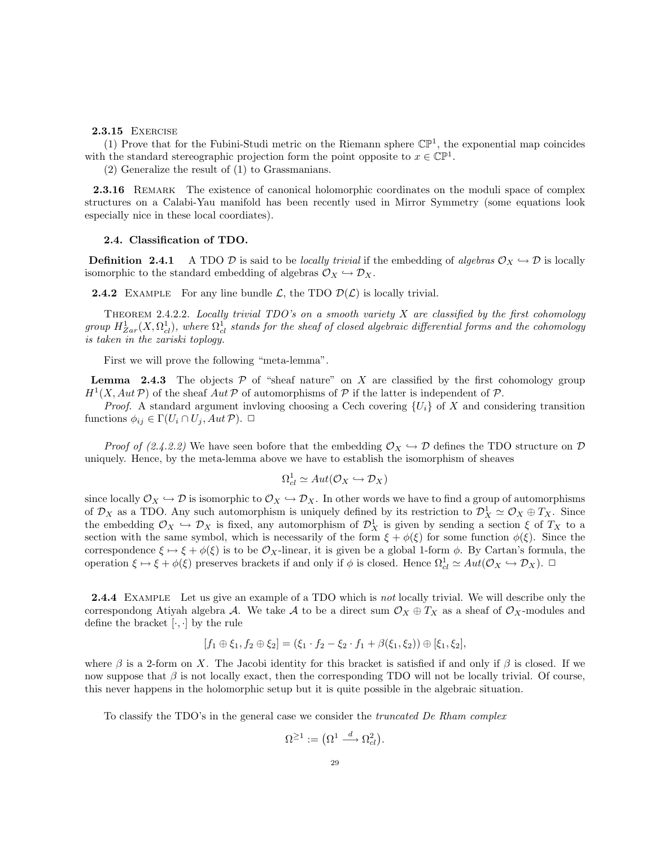### 2.3.15 Exercise

(1) Prove that for the Fubini-Studi metric on the Riemann sphere  $\mathbb{CP}^1$ , the exponential map coincides with the standard stereographic projection form the point opposite to  $x \in \mathbb{CP}^1$ .

(2) Generalize the result of (1) to Grassmanians.

2.3.16 REMARK The existence of canonical holomorphic coordinates on the moduli space of complex structures on a Calabi-Yau manifold has been recently used in Mirror Symmetry (some equations look especially nice in these local coordiates).

## 2.4. Classification of TDO.

**Definition 2.4.1** A TDO D is said to be locally trivial if the embedding of algebras  $\mathcal{O}_X \hookrightarrow \mathcal{D}$  is locally isomorphic to the standard embedding of algebras  $\mathcal{O}_X \hookrightarrow \mathcal{D}_X$ .

**2.4.2** EXAMPLE For any line bundle  $\mathcal{L}$ , the TDO  $\mathcal{D}(\mathcal{L})$  is locally trivial.

THEOREM 2.4.2.2. Locally trivial TDO's on a smooth variety  $X$  are classified by the first cohomology group  $H^1_{Zar}(X,\Omega^1_{cl}),$  where  $\Omega^1_{cl}$  stands for the sheaf of closed algebraic differential forms and the cohomology is taken in the zariski toplogy.

First we will prove the following "meta-lemma".

**Lemma** 2.4.3 The objects  $P$  of "sheaf nature" on X are classified by the first cohomology group  $H^1(X, Aut\, \mathcal{P})$  of the sheaf  $Aut \mathcal{P}$  of automorphisms of  $\mathcal P$  if the latter is independent of  $\mathcal P$ .

*Proof.* A standard argument invloving choosing a Cech covering  $\{U_i\}$  of X and considering transition functions  $\phi_{ij} \in \Gamma(U_i \cap U_j, Aut \, \mathcal{P})$ .  $\Box$ 

*Proof of (2.4.2.2)* We have seen bofore that the embedding  $\mathcal{O}_X \hookrightarrow \mathcal{D}$  defines the TDO structure on  $\mathcal D$ uniquely. Hence, by the meta-lemma above we have to establish the isomorphism of sheaves

$$
\Omega^1_{cl} \simeq Aut(\mathcal{O}_X \hookrightarrow \mathcal{D}_X)
$$

since locally  $\mathcal{O}_X \hookrightarrow \mathcal{D}$  is isomorphic to  $\mathcal{O}_X \hookrightarrow \mathcal{D}_X$ . In other words we have to find a group of automorphisms of  $\mathcal{D}_X$  as a TDO. Any such automorphism is uniquely defined by its restriction to  $\mathcal{D}_X^1 \simeq \mathcal{O}_X \oplus T_X$ . Since the embedding  $\mathcal{O}_X \hookrightarrow \mathcal{D}_X$  is fixed, any automorphism of  $\mathcal{D}_X^1$  is given by sending a section  $\xi$  of  $T_X$  to a section with the same symbol, which is necessarily of the form  $\xi + \phi(\xi)$  for some function  $\phi(\xi)$ . Since the correspondence  $\xi \mapsto \xi + \phi(\xi)$  is to be  $\mathcal{O}_X$ -linear, it is given be a global 1-form  $\phi$ . By Cartan's formula, the operation  $\xi \mapsto \xi + \phi(\xi)$  preserves brackets if and only if  $\phi$  is closed. Hence  $\Omega_{cl}^1 \simeq Aut(\mathcal{O}_X \hookrightarrow \mathcal{D}_X)$ .  $\Box$ 

2.4.4 EXAMPLE Let us give an example of a TDO which is not locally trivial. We will describe only the correspondong Atiyah algebra A. We take A to be a direct sum  $\mathcal{O}_X \oplus T_X$  as a sheaf of  $\mathcal{O}_X$ -modules and define the bracket  $[\cdot, \cdot]$  by the rule

$$
[f_1 \oplus \xi_1, f_2 \oplus \xi_2] = (\xi_1 \cdot f_2 - \xi_2 \cdot f_1 + \beta(\xi_1, \xi_2)) \oplus [\xi_1, \xi_2],
$$

where  $\beta$  is a 2-form on X. The Jacobi identity for this bracket is satisfied if and only if  $\beta$  is closed. If we now suppose that  $\beta$  is not locally exact, then the corresponding TDO will not be locally trivial. Of course, this never happens in the holomorphic setup but it is quite possible in the algebraic situation.

To classify the TDO's in the general case we consider the truncated De Rham complex

$$
\Omega^{\geq 1}:=\left(\Omega^1\stackrel{d}{\longrightarrow}\Omega^2_{cl}\right)
$$

.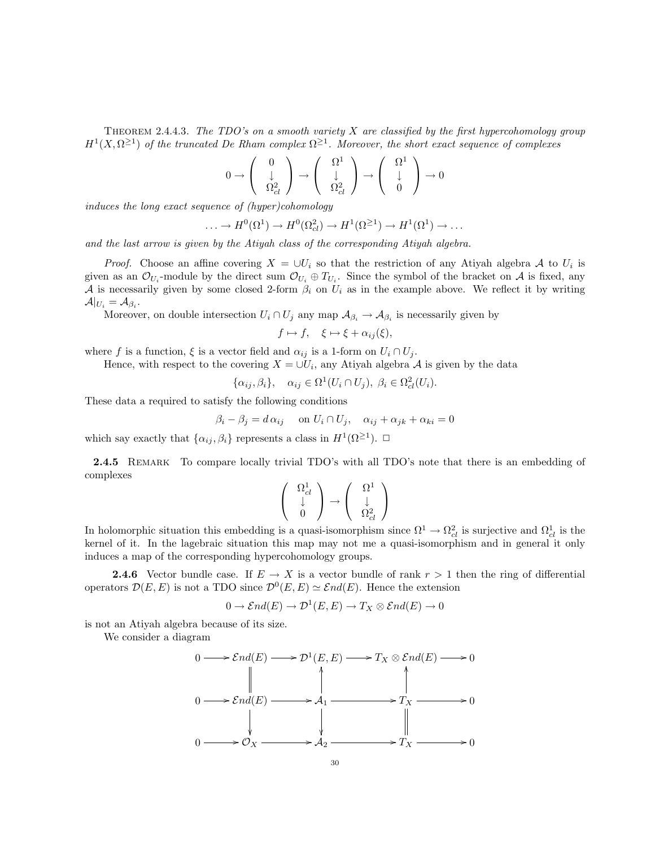THEOREM 2.4.4.3. The TDO's on a smooth variety  $X$  are classified by the first hypercohomology group  $H^1(X, \Omega^{\geq 1})$  of the truncated De Rham complex  $\Omega^{\geq 1}$ . Moreover, the short exact sequence of complexes

$$
0 \to \left(\begin{array}{c} 0\\ \downarrow\\ \Omega_{cl}^2 \end{array}\right) \to \left(\begin{array}{c} \Omega^1\\ \downarrow\\ \Omega_{cl}^2 \end{array}\right) \to \left(\begin{array}{c} \Omega^1\\ \downarrow\\ 0 \end{array}\right) \to 0
$$

induces the long exact sequence of (hyper)cohomology

$$
\ldots \to H^0(\Omega^1) \to H^0(\Omega^2_{cl}) \to H^1(\Omega^{\geq 1}) \to H^1(\Omega^1) \to \ldots
$$

and the last arrow is given by the Atiyah class of the corresponding Atiyah algebra.

*Proof.* Choose an affine covering  $X = \bigcup U_i$  so that the restriction of any Atiyah algebra A to  $U_i$  is given as an  $\mathcal{O}_{U_i}$ -module by the direct sum  $\mathcal{O}_{U_i} \oplus T_{U_i}$ . Since the symbol of the bracket on A is fixed, any A is necessarily given by some closed 2-form  $\beta_i$  on  $U_i$  as in the example above. We reflect it by writing  $\mathcal{A}|_{U_i}=\mathcal{A}_{\beta_i}.$ 

Moreover, on double intersection  $U_i \cap U_j$  any map  $\mathcal{A}_{\beta_i} \to \mathcal{A}_{\beta_i}$  is necessarily given by

$$
f \mapsto f, \quad \xi \mapsto \xi + \alpha_{ij}(\xi),
$$

where f is a function,  $\xi$  is a vector field and  $\alpha_{ij}$  is a 1-form on  $U_i \cap U_j$ .

Hence, with respect to the covering  $X = \cup U_i$ , any Atiyah algebra A is given by the data

$$
\{\alpha_{ij}, \beta_i\}, \quad \alpha_{ij} \in \Omega^1(U_i \cap U_j), \ \beta_i \in \Omega^2_{cl}(U_i).
$$

These data a required to satisfy the following conditions

$$
\beta_i - \beta_j = d \alpha_{ij} \quad \text{on } U_i \cap U_j, \quad \alpha_{ij} + \alpha_{jk} + \alpha_{ki} = 0
$$

which say exactly that  $\{\alpha_{ij}, \beta_i\}$  represents a class in  $H^1(\Omega^{\geq 1})$ .  $\Box$ 

2.4.5 REMARK To compare locally trivial TDO's with all TDO's note that there is an embedding of complexes

$$
\left(\begin{array}{c} \Omega^1_{cl} \\ \downarrow\\ 0\end{array}\right)\rightarrow \left(\begin{array}{c} \Omega^1 \\ \downarrow\\ \Omega^2_{cl}\end{array}\right)
$$

In holomorphic situation this embedding is a quasi-isomorphism since  $\Omega^1 \to \Omega_{cl}^2$  is surjective and  $\Omega_{cl}^1$  is the kernel of it. In the lagebraic situation this map may not me a quasi-isomorphism and in general it only induces a map of the corresponding hypercohomology groups.

**2.4.6** Vector bundle case. If  $E \to X$  is a vector bundle of rank  $r > 1$  then the ring of differential operators  $\mathcal{D}(E, E)$  is not a TDO since  $\mathcal{D}^0(E, E) \simeq \mathcal{E}nd(E)$ . Hence the extension

$$
0 \to \mathcal{E}nd(E) \to \mathcal{D}^1(E,E) \to T_X \otimes \mathcal{E}nd(E) \to 0
$$

is not an Atiyah algebra because of its size.

We consider a diagram

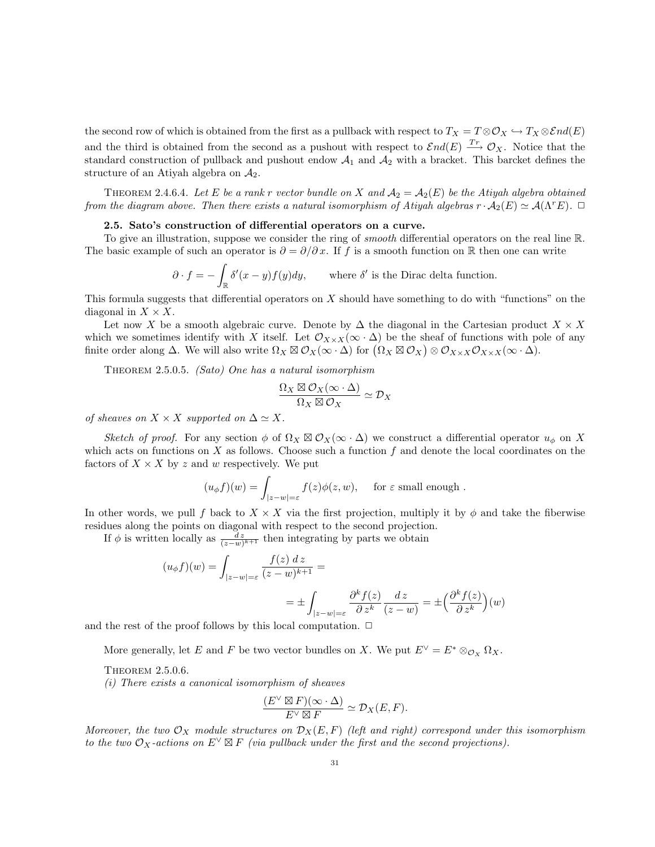the second row of which is obtained from the first as a pullback with respect to  $T_X = T \otimes \mathcal{O}_X \hookrightarrow T_X \otimes \mathcal{E}nd(E)$ and the third is obtained from the second as a pushout with respect to  $\mathcal{E}nd(E) \stackrel{T_r}{\longrightarrow} \mathcal{O}_X$ . Notice that the standard construction of pullback and pushout endow  $A_1$  and  $A_2$  with a bracket. This barcket defines the structure of an Atiyah algebra on  $A_2$ .

THEOREM 2.4.6.4. Let E be a rank r vector bundle on X and  $A_2 = A_2(E)$  be the Atiyah algebra obtained from the diagram above. Then there exists a natural isomorphism of Atiyah algebras  $r \cdot A_2(E) \simeq A(\Lambda^r E)$ .  $\Box$ 

# 2.5. Sato's construction of differential operators on a curve.

To give an illustration, suppose we consider the ring of *smooth* differential operators on the real line R. The basic example of such an operator is  $\partial = \partial/\partial x$ . If f is a smooth function on R then one can write

$$
\partial \cdot f = -\int_{\mathbb{R}} \delta'(x - y) f(y) dy, \quad \text{where } \delta' \text{ is the Dirac delta function.}
$$

This formula suggests that differential operators on  $X$  should have something to do with "functions" on the diagonal in  $X \times X$ .

Let now X be a smooth algebraic curve. Denote by  $\Delta$  the diagonal in the Cartesian product  $X \times X$ which we sometimes identify with X itself. Let  $\mathcal{O}_{X\times X}(\infty\cdot\Delta)$  be the sheaf of functions with pole of any finite order along  $\Delta$ . We will also write  $\Omega_X \boxtimes \mathcal{O}_X(\infty \cdot \Delta)$  for  $(\Omega_X \boxtimes \mathcal{O}_X) \otimes \mathcal{O}_{X \times X} \mathcal{O}_{X \times X}(\infty \cdot \Delta)$ .

THEOREM 2.5.0.5. (Sato) One has a natural isomorphism

$$
\frac{\Omega_X \boxtimes \mathcal{O}_X(\infty \cdot \Delta)}{\Omega_X \boxtimes \mathcal{O}_X} \simeq \mathcal{D}_X
$$

of sheaves on  $X \times X$  supported on  $\Delta \simeq X$ .

Sketch of proof. For any section  $\phi$  of  $\Omega_X \boxtimes \mathcal{O}_X(\infty \cdot \Delta)$  we construct a differential operator  $u_{\phi}$  on X which acts on functions on  $X$  as follows. Choose such a function  $f$  and denote the local coordinates on the factors of  $X \times X$  by z and w respectively. We put

$$
(u_{\phi}f)(w) = \int_{|z-w|=\varepsilon} f(z)\phi(z,w), \quad \text{ for } \varepsilon \text{ small enough }.
$$

In other words, we pull f back to  $X \times X$  via the first projection, multiply it by  $\phi$  and take the fiberwise residues along the points on diagonal with respect to the second projection.

If  $\phi$  is written locally as  $\frac{dz}{(z-w)^{k+1}}$  then integrating by parts we obtain

$$
(u_{\phi}f)(w) = \int_{|z-w|=\varepsilon} \frac{f(z) dz}{(z-w)^{k+1}} =
$$
  
= 
$$
\pm \int_{|z-w|=\varepsilon} \frac{\partial^k f(z)}{\partial z^k} \frac{dz}{(z-w)} = \pm \left(\frac{\partial^k f(z)}{\partial z^k}\right)(w)
$$

and the rest of the proof follows by this local computation.  $\Box$ 

More generally, let E and F be two vector bundles on X. We put  $E^{\vee} = E^* \otimes_{\mathcal{O}_X} \Omega_X$ .

# Theorem 2.5.0.6.

(i) There exists a canonical isomorphism of sheaves

$$
\frac{(E^{\vee} \boxtimes F)(\infty \cdot \Delta)}{E^{\vee} \boxtimes F} \simeq \mathcal{D}_X(E, F).
$$

Moreover, the two  $\mathcal{O}_X$  module structures on  $\mathcal{D}_X(E, F)$  (left and right) correspond under this isomorphism to the two  $\mathcal{O}_X$ -actions on  $E^{\vee} \boxtimes F$  (via pullback under the first and the second projections).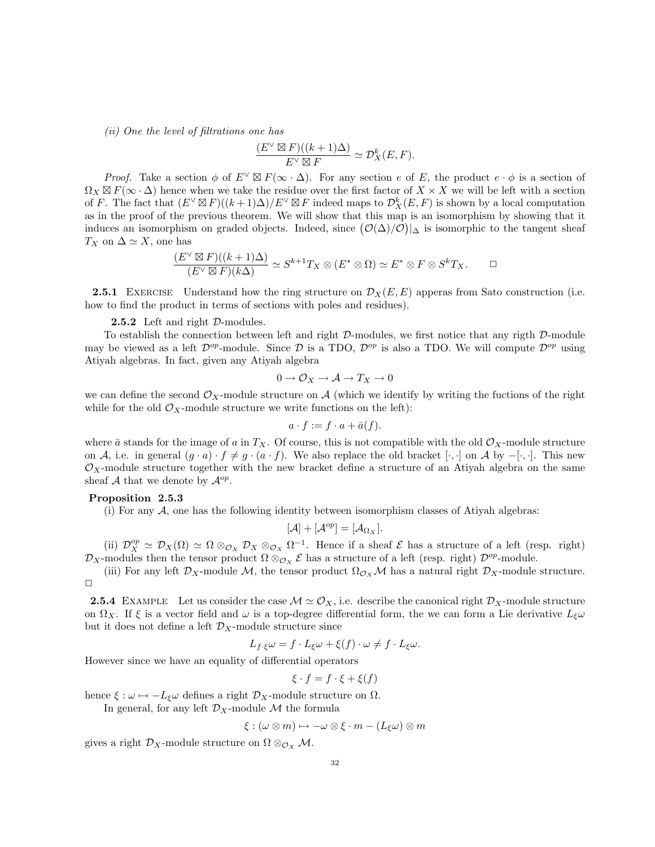(ii) One the level of filtrations one has

$$
\frac{(E^\vee \boxtimes F)((k+1)\Delta)}{E^\vee \boxtimes F} \simeq \mathcal{D}_X^k(E,F).
$$

*Proof.* Take a section  $\phi$  of  $E^{\vee} \boxtimes F(\infty \cdot \Delta)$ . For any section e of E, the product  $e \cdot \phi$  is a section of  $\Omega_X \boxtimes F(\infty \cdot \Delta)$  hence when we take the residue over the first factor of  $X \times X$  we will be left with a section of F. The fact that  $(E^{\vee} \boxtimes F)((k+1)\Delta)/E^{\vee} \boxtimes F$  indeed maps to  $\mathcal{D}_{X}^{k}(E,F)$  is shown by a local computation as in the proof of the previous theorem. We will show that this map is an isomorphism by showing that it induces an isomorphism on graded objects. Indeed, since  $(\mathcal{O}(\Delta)/\mathcal{O})|_{\Delta}$  is isomorphic to the tangent sheaf  $T_X$  on  $\Delta \simeq X$ , one has

$$
\frac{(E^{\vee}\boxtimes F)((k+1)\Delta)}{(E^{\vee}\boxtimes F)(k\Delta)} \simeq S^{k+1}T_X \otimes (E^*\otimes \Omega) \simeq E^*\otimes F \otimes S^kT_X. \square
$$

**2.5.1** EXERCISE Understand how the ring structure on  $\mathcal{D}_X(E, E)$  apperas from Sato construction (i.e. how to find the product in terms of sections with poles and residues).

**2.5.2** Left and right  $D$ -modules.

To establish the connection between left and right D-modules, we first notice that any rigth D-module may be viewed as a left  $\mathcal{D}^{op}$ -module. Since  $\mathcal{D}$  is a TDO,  $\mathcal{D}^{op}$  is also a TDO. We will compute  $\mathcal{D}^{op}$  using Atiyah algebras. In fact, given any Atiyah algebra

$$
0 \to \mathcal{O}_X \to \mathcal{A} \to T_X \to 0
$$

we can define the second  $\mathcal{O}_X$ -module structure on A (which we identify by writing the fuctions of the right while for the old  $\mathcal{O}_X$ -module structure we write functions on the left):

$$
a \cdot f := f \cdot a + \bar{a}(f).
$$

where  $\bar{a}$  stands for the image of a in  $T_X$ . Of course, this is not compatible with the old  $\mathcal{O}_X$ -module structure on A, i.e. in general  $(g \cdot a) \cdot f \neq g \cdot (a \cdot f)$ . We also replace the old bracket  $[\cdot, \cdot]$  on A by  $-[\cdot, \cdot]$ . This new  $\mathcal{O}_X$ -module structure together with the new bracket define a structure of an Atiyah algebra on the same sheaf A that we denote by  $\mathcal{A}^{op}$ .

# Proposition 2.5.3

(i) For any  $A$ , one has the following identity between isomorphism classes of Atiyah algebras:

$$
[\mathcal{A}] + [\mathcal{A}^{op}] = [\mathcal{A}_{\Omega_X}].
$$

(ii)  $\mathcal{D}_X^{op} \simeq \mathcal{D}_X(\Omega) \simeq \Omega \otimes_{\mathcal{O}_X} \mathcal{D}_X \otimes_{\mathcal{O}_X} \Omega^{-1}$ . Hence if a sheaf  $\mathcal E$  has a structure of a left (resp. right)  $\mathcal{D}_X$ -modules then the tensor product  $\Omega \otimes_{\mathcal{O}_X} \mathcal{E}$  has a structure of a left (resp. right)  $\mathcal{D}^{op}$ -module.

(iii) For any left  $\mathcal{D}_X$ -module M, the tensor product  $\Omega_{\mathcal{O}_X}\mathcal{M}$  has a natural right  $\mathcal{D}_X$ -module structure.  $\Box$ 

**2.5.4** EXAMPLE Let us consider the case  $\mathcal{M} \simeq \mathcal{O}_X$ , i.e. describe the canonical right  $\mathcal{D}_X$ -module structure on  $\Omega_X$ . If  $\xi$  is a vector field and  $\omega$  is a top-degree differential form, the we can form a Lie derivative  $L_{\xi}\omega$ but it does not define a left  $\mathcal{D}_X$ -module structure since

$$
L_{f\cdot\xi}\omega = f \cdot L_{\xi}\omega + \xi(f) \cdot \omega \neq f \cdot L_{\xi}\omega.
$$

However since we have an equality of differential operators

$$
\xi \cdot f = f \cdot \xi + \xi(f)
$$

hence  $\xi : \omega \mapsto -L_{\xi}\omega$  defines a right  $\mathcal{D}_X$ -module structure on  $\Omega$ .

In general, for any left  $\mathcal{D}_X$ -module M the formula

$$
\xi : (\omega \otimes m) \mapsto -\omega \otimes \xi \cdot m - (L_{\xi}\omega) \otimes m
$$

gives a right  $\mathcal{D}_X$ -module structure on  $\Omega \otimes_{\mathcal{O}_X} \mathcal{M}$ .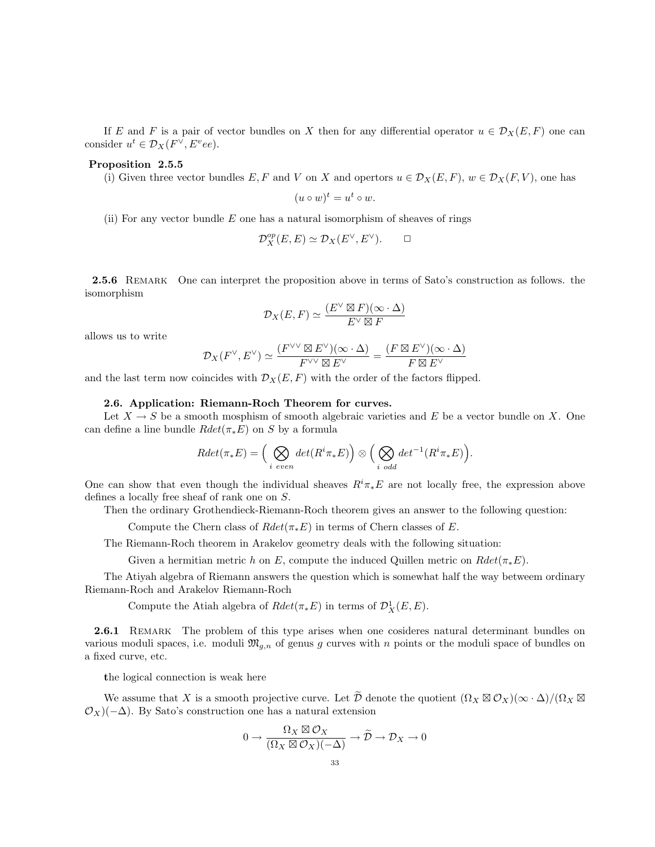If E and F is a pair of vector bundles on X then for any differential operator  $u \in \mathcal{D}_X(E, F)$  one can consider  $u^t \in \mathcal{D}_X(F^\vee, E^vee)$ .

## Proposition 2.5.5

(i) Given three vector bundles E, F and V on X and opertors  $u \in \mathcal{D}_X(E, F)$ ,  $w \in \mathcal{D}_X(F, V)$ , one has

 $(u \circ w)^t = u^t \circ w.$ 

(ii) For any vector bundle  $E$  one has a natural isomorphism of sheaves of rings

$$
\mathcal{D}_X^{op}(E, E) \simeq \mathcal{D}_X(E^\vee, E^\vee). \qquad \Box
$$

2.5.6 REMARK One can interpret the proposition above in terms of Sato's construction as follows. the isomorphism

$$
\mathcal{D}_X(E,F) \simeq \frac{(E^\vee \boxtimes F)(\infty \cdot \Delta)}{E^\vee \boxtimes F}
$$

allows us to write

$$
\mathcal{D}_X(F^\vee, E^\vee) \simeq \frac{(F^{\vee \vee} \boxtimes E^\vee)(\infty \cdot \Delta)}{F^{\vee \vee} \boxtimes E^\vee} = \frac{(F \boxtimes E^\vee)(\infty \cdot \Delta)}{F \boxtimes E^\vee}
$$

and the last term now coincides with  $\mathcal{D}_X(E, F)$  with the order of the factors flipped.

## 2.6. Application: Riemann-Roch Theorem for curves.

Let  $X \to S$  be a smooth mosphism of smooth algebraic varieties and E be a vector bundle on X. One can define a line bundle  $Rdet(\pi_*E)$  on S by a formula

$$
Rdet(\pi_*E) = \Big(\bigotimes_{i\ even} det(R^i\pi_*E)\Big) \otimes \Big(\bigotimes_{i\ odd} det^{-1}(R^i\pi_*E)\Big).
$$

One can show that even though the individual sheaves  $R^i\pi_*E$  are not locally free, the expression above defines a locally free sheaf of rank one on S.

Then the ordinary Grothendieck-Riemann-Roch theorem gives an answer to the following question:

Compute the Chern class of  $Rdet(\pi_*E)$  in terms of Chern classes of E.

The Riemann-Roch theorem in Arakelov geometry deals with the following situation:

Given a hermitian metric h on E, compute the induced Quillen metric on  $Rdet(\pi_*E)$ .

The Atiyah algebra of Riemann answers the question which is somewhat half the way betweem ordinary Riemann-Roch and Arakelov Riemann-Roch

Compute the Atiah algebra of  $Rdet(\pi_*E)$  in terms of  $\mathcal{D}^1_X(E,E)$ .

2.6.1 REMARK The problem of this type arises when one cosideres natural determinant bundles on various moduli spaces, i.e. moduli  $\mathfrak{M}_{q,n}$  of genus g curves with n points or the moduli space of bundles on a fixed curve, etc.

the logical connection is weak here

We assume that X is a smooth projective curve. Let  $\widetilde{\mathcal{D}}$  denote the quotient  $(\Omega_X \boxtimes \mathcal{O}_X)(\infty \cdot \Delta)/(\Omega_X \boxtimes$  $\mathcal{O}_X$ )(−∆). By Sato's construction one has a natural extension

$$
0 \to \frac{\Omega_X \boxtimes \mathcal{O}_X}{(\Omega_X \boxtimes \mathcal{O}_X)(-\Delta)} \to \widetilde{\mathcal{D}} \to \mathcal{D}_X \to 0
$$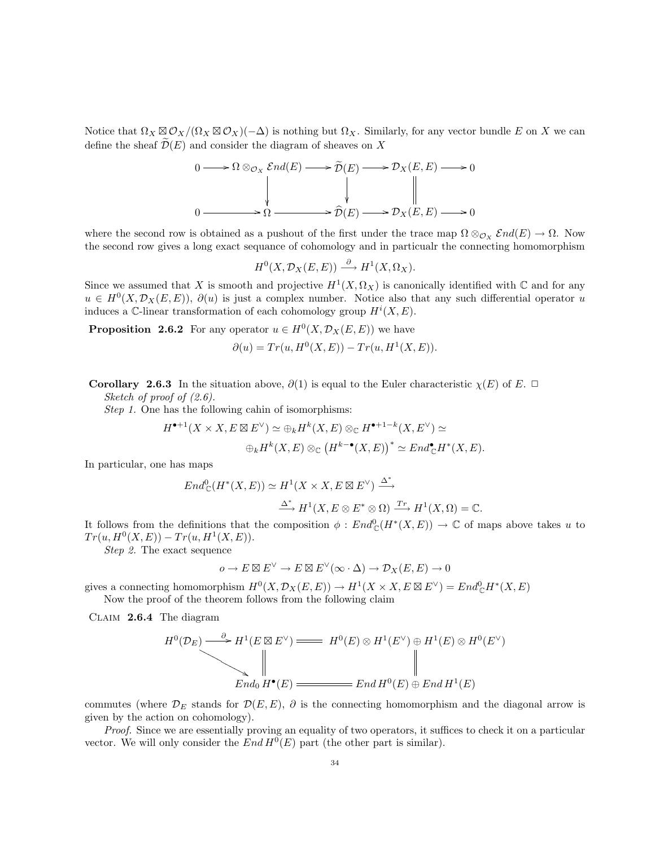Notice that  $\Omega_X \boxtimes \mathcal{O}_X/(\Omega_X \boxtimes \mathcal{O}_X)(-\Delta)$  is nothing but  $\Omega_X$ . Similarly, for any vector bundle E on X we can define the sheaf  $\mathcal{D}(E)$  and consider the diagram of sheaves on X

$$
0 \longrightarrow \Omega \otimes_{\mathcal{O}_X} \mathcal{E}nd(E) \longrightarrow \widetilde{\mathcal{D}}(E) \longrightarrow \mathcal{D}_X(E, E) \longrightarrow 0
$$
  

$$
0 \longrightarrow \Omega \longrightarrow \widehat{\mathcal{D}}(E) \longrightarrow \mathcal{D}_X(E, E) \longrightarrow 0
$$

where the second row is obtained as a pushout of the first under the trace map  $\Omega \otimes_{\mathcal{O}_X} \mathcal{E}nd(E) \to \Omega$ . Now the second row gives a long exact sequance of cohomology and in particualr the connecting homomorphism

$$
H^0(X, \mathcal{D}_X(E, E)) \xrightarrow{\partial} H^1(X, \Omega_X).
$$

Since we assumed that X is smooth and projective  $H^1(X, \Omega_X)$  is canonically identified with  $\mathbb C$  and for any  $u \in H^0(X, \mathcal{D}_X(E, E)), \partial(u)$  is just a complex number. Notice also that any such differential operator u induces a C-linear transformation of each cohomology group  $H^i(X, E)$ .

**Proposition 2.6.2** For any operator  $u \in H^0(X, \mathcal{D}_X(E, E))$  we have

$$
\partial(u) = Tr(u, H^0(X, E)) - Tr(u, H^1(X, E)).
$$

**Corollary 2.6.3** In the situation above,  $\partial(1)$  is equal to the Euler characteristic  $\chi(E)$  of E.  $\Box$ Sketch of proof of  $(2.6)$ .

Step 1. One has the following cahin of isomorphisms:

$$
H^{\bullet+1}(X \times X, E \boxtimes E^{\vee}) \simeq \bigoplus_k H^k(X, E) \otimes_{\mathbb{C}} H^{\bullet+1-k}(X, E^{\vee}) \simeq
$$
  

$$
\bigoplus_k H^k(X, E) \otimes_{\mathbb{C}} \left( H^{k-\bullet}(X, E) \right)^* \simeq End_{\mathbb{C}}^{\bullet} H^*(X, E).
$$

In particular, one has maps

$$
End_{\mathbb{C}}^{0}(H^{*}(X,E)) \simeq H^{1}(X \times X, E \boxtimes E^{\vee}) \xrightarrow{\Delta^{*}}
$$

$$
\xrightarrow{\Delta^{*}} H^{1}(X, E \otimes E^{*} \otimes \Omega) \xrightarrow{Tr} H^{1}(X, \Omega) = \mathbb{C}.
$$

It follows from the definitions that the composition  $\phi:End_{\mathbb{C}}^{0}(H^{*}(X,E)) \to \mathbb{C}$  of maps above takes u to  $Tr(u, H^{0}(X, E)) - Tr(u, H^{1}(X, E)).$ 

Step 2. The exact sequence

$$
o \to E \boxtimes E^{\vee} \to E \boxtimes E^{\vee}(\infty \cdot \Delta) \to \mathcal{D}_X(E, E) \to 0
$$

gives a connecting homomorphism  $H^0(X, \mathcal{D}_X(E, E)) \to H^1(X \times X, E \boxtimes E^{\vee}) = End_{\mathbb{C}}^0 H^*(X, E)$ 

Now the proof of the theorem follows from the following claim

Claim 2.6.4 The diagram

$$
H^{0}(\mathcal{D}_{E}) \longrightarrow H^{1}(E \boxtimes E^{\vee}) \longrightarrow H^{0}(E) \otimes H^{1}(E^{\vee}) \oplus H^{1}(E) \otimes H^{0}(E^{\vee})
$$
  
End<sub>0</sub>  $H^{\bullet}(E)$   $\longrightarrow$  End<sub>0</sub>  $H^{0}(E) \oplus H^{0}(E) \oplus End H^{1}(E)$ 

commutes (where  $\mathcal{D}_E$  stands for  $\mathcal{D}(E, E)$ ,  $\partial$  is the connecting homomorphism and the diagonal arrow is given by the action on cohomology).

Proof. Since we are essentially proving an equality of two operators, it suffices to check it on a particular vector. We will only consider the  $End H^0(E)$  part (the other part is similar).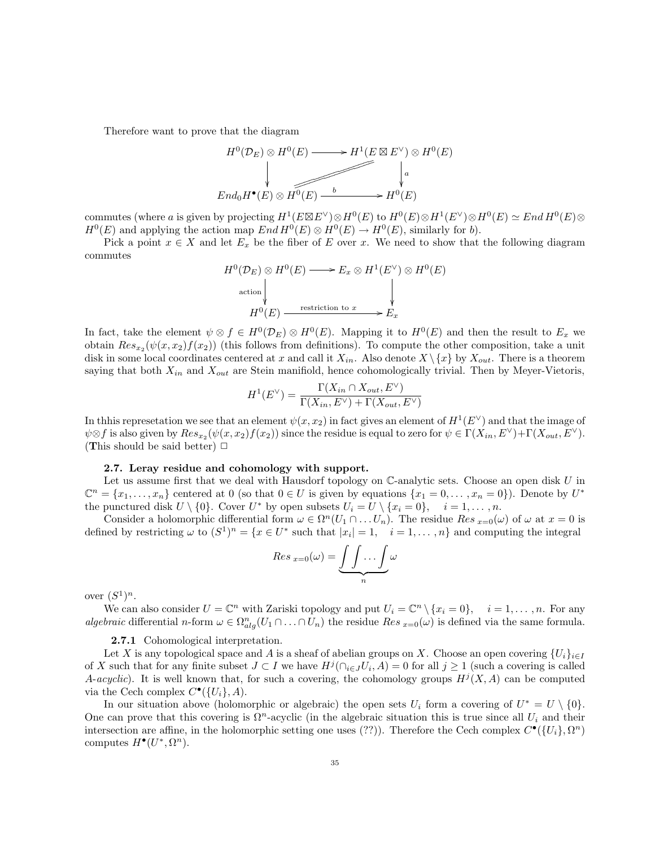Therefore want to prove that the diagram

$$
H^{0}(\mathcal{D}_{E}) \otimes H^{0}(E) \longrightarrow H^{1}(E \boxtimes E^{\vee}) \otimes H^{0}(E)
$$
\n
$$
\downarrow \qquad \qquad \downarrow a
$$
\n
$$
End_{0}H^{\bullet}(E) \otimes H^{0}(E) \xrightarrow{b} H^{0}(E)
$$

commutes (where a is given by projecting  $H^1(E \boxtimes E^{\vee}) \otimes H^0(E)$  to  $H^0(E) \otimes H^1(E^{\vee}) \otimes H^0(E) \simeq End H^0(E) \otimes H^1(E)$  $H^0(E)$  and applying the action map  $End H^0(E) \otimes H^0(E) \to H^0(E)$ , similarly for b).

Pick a point  $x \in X$  and let  $E_x$  be the fiber of E over x. We need to show that the following diagram commutes

$$
H^{0}(\mathcal{D}_{E}) \otimes H^{0}(E) \longrightarrow E_{x} \otimes H^{1}(E^{\vee}) \otimes H^{0}(E)
$$
  
action  

$$
H^{0}(E) \xrightarrow{\text{restriction to } x} E_{x}
$$

In fact, take the element  $\psi \otimes f \in H^0(\mathcal{D}_E) \otimes H^0(E)$ . Mapping it to  $H^0(E)$  and then the result to  $E_x$  we obtain  $Res_{x_2}(\psi(x, x_2)f(x_2))$  (this follows from definitions). To compute the other composition, take a unit disk in some local coordinates centered at x and call it  $X_{in}$ . Also denote  $X \setminus \{x\}$  by  $X_{out}$ . There is a theorem saying that both  $X_{in}$  and  $X_{out}$  are Stein manifiold, hence cohomologically trivial. Then by Meyer-Vietoris,

$$
H^{1}(E^{\vee}) = \frac{\Gamma(X_{in} \cap X_{out}, E^{\vee})}{\Gamma(X_{in}, E^{\vee}) + \Gamma(X_{out}, E^{\vee})}
$$

In thhis represetation we see that an element  $\psi(x,x_2)$  in fact gives an element of  $H^1(E^{\vee})$  and that the image of  $\psi \otimes f$  is also given by  $Res_{x_2}(\psi(x, x_2)f(x_2))$  since the residue is equal to zero for  $\psi \in \Gamma(X_{in}, E^{\vee}) + \Gamma(X_{out}, E^{\vee})$ . (This should be said better)  $\Box$ 

# 2.7. Leray residue and cohomology with support.

Let us assume first that we deal with Hausdorf topology on  $\mathbb C$ -analytic sets. Choose an open disk U in  $\mathbb{C}^n = \{x_1, \ldots, x_n\}$  centered at 0 (so that  $0 \in U$  is given by equations  $\{x_1 = 0, \ldots, x_n = 0\}$ ). Denote by  $U^*$ the punctured disk  $U \setminus \{0\}$ . Cover  $U^*$  by open subsets  $U_i = U \setminus \{x_i = 0\}, \quad i = 1, \ldots, n$ .

Consider a holomorphic differential form  $\omega \in \Omega^n(U_1 \cap \ldots U_n)$ . The residue  $Res_{x=0}(\omega)$  of  $\omega$  at  $x=0$  is defined by restricting  $\omega$  to  $(S^1)^n = \{x \in U^* \text{ such that } |x_i| = 1, i = 1, \ldots, n\}$  and computing the integral

$$
Res_{x=0}(\omega)=\underbrace{\int\int\ldots\int}_{n}\omega
$$

over  $(S^1)^n$ .

We can also consider  $U = \mathbb{C}^n$  with Zariski topology and put  $U_i = \mathbb{C}^n \setminus \{x_i = 0\}, \quad i = 1, \ldots, n$ . For any algebraic differential n-form  $\omega \in \Omega_{alg}^n(U_1 \cap \ldots \cap U_n)$  the residue  $Res_{x=0}(\omega)$  is defined via the same formula.

# 2.7.1 Cohomological interpretation.

Let X is any topological space and A is a sheaf of abelian groups on X. Choose an open covering  $\{U_i\}_{i\in I}$ of X such that for any finite subset  $J \subset I$  we have  $H^j(\bigcap_{i \in J} U_i, A) = 0$  for all  $j \ge 1$  (such a covering is called A-acyclic). It is well known that, for such a covering, the cohomology groups  $H^j(X, A)$  can be computed via the Cech complex  $C^{\bullet}(\{U_i\}, A)$ .

In our situation above (holomorphic or algebraic) the open sets  $U_i$  form a covering of  $U^* = U \setminus \{0\}.$ One can prove that this covering is  $\Omega^n$ -acyclic (in the algebraic situation this is true since all  $U_i$  and their intersection are affine, in the holomorphic setting one uses (??)). Therefore the Cech complex  $C^{\bullet}(\{U_i\}, \Omega^n)$ computes  $H^{\bullet}(U^*, \Omega^n)$ .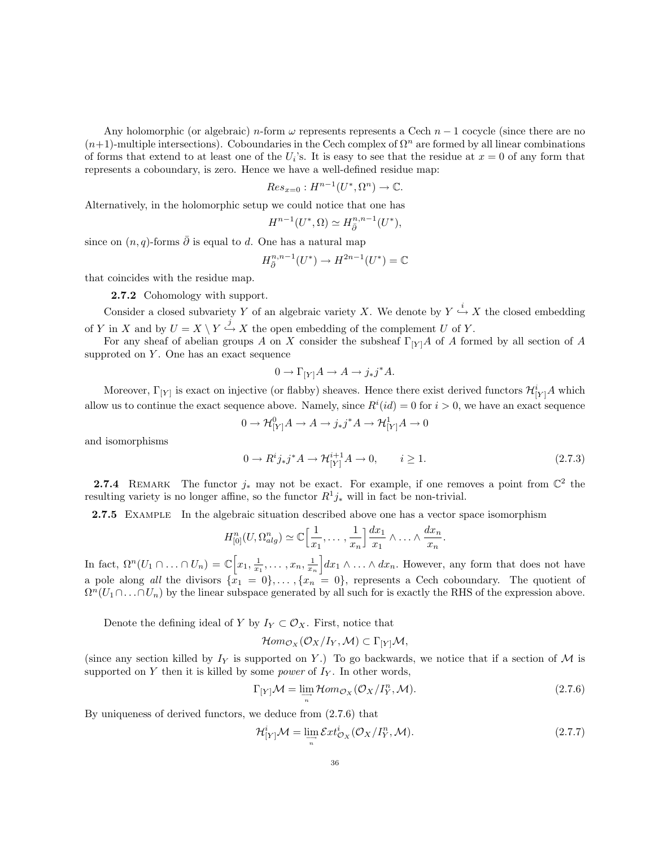Any holomorphic (or algebraic) n-form  $\omega$  represents represents a Cech  $n-1$  cocycle (since there are no  $(n+1)$ -multiple intersections). Coboundaries in the Cech complex of  $\Omega^n$  are formed by all linear combinations of forms that extend to at least one of the  $U_i$ 's. It is easy to see that the residue at  $x = 0$  of any form that represents a coboundary, is zero. Hence we have a well-defined residue map:

$$
Res_{x=0}: H^{n-1}(U^*, \Omega^n) \to \mathbb{C}.
$$

Alternatively, in the holomorphic setup we could notice that one has

$$
H^{n-1}(U^*,\Omega) \simeq H^{n,n-1}_{\bar{\partial}}(U^*),
$$

since on  $(n, q)$ -forms  $\overline{\partial}$  is equal to d. One has a natural map

$$
H^{n,n-1}_{\bar\partial}(U^*)\to H^{2n-1}(U^*)=\mathbb{C}
$$

that coincides with the residue map.

2.7.2 Cohomology with support.

Consider a closed subvariety Y of an algebraic variety X. We denote by  $Y \stackrel{i}{\hookrightarrow} X$  the closed embedding of Y in X and by  $U = X \setminus Y \stackrel{j}{\hookrightarrow} X$  the open embedding of the complement U of Y.

For any sheaf of abelian groups A on X consider the subsheaf  $\Gamma_{[Y]}A$  of A formed by all section of A supproted on  $Y$ . One has an exact sequence

$$
0 \to \Gamma_{[Y]} A \to A \to j_*j^*A.
$$

Moreover,  $\Gamma_{[Y]}$  is exact on injective (or flabby) sheaves. Hence there exist derived functors  $\mathcal{H}_{[Y]}^i A$  which allow us to continue the exact sequence above. Namely, since  $R^i(id) = 0$  for  $i > 0$ , we have an exact sequence

$$
0 \to \mathcal{H}^0_{[Y]}A \to A \to j_*j^*A \to \mathcal{H}^1_{[Y]}A \to 0
$$

and isomorphisms

$$
0 \to R^i j_* j^* A \to \mathcal{H}_{[Y]}^{i+1} A \to 0, \qquad i \ge 1. \tag{2.7.3}
$$

**2.7.4** REMARK The functor  $j_*$  may not be exact. For example, if one removes a point from  $\mathbb{C}^2$  the resulting variety is no longer affine, so the functor  $R^1j_*$  will in fact be non-trivial.

2.7.5 EXAMPLE In the algebraic situation described above one has a vector space isomorphism

$$
H_{[0]}^n(U,\Omega_{alg}^n) \simeq \mathbb{C}\Big[\frac{1}{x_1},\ldots,\frac{1}{x_n}\Big]\frac{dx_1}{x_1}\wedge\ldots\wedge\frac{dx_n}{x_n}.
$$

In fact,  $\Omega^n(U_1 \cap ... \cap U_n) = \mathbb{C}\Big[x_1, \frac{1}{x_1}, ..., x_n, \frac{1}{x_n}\Big]dx_1 \wedge ... \wedge dx_n$ . However, any form that does not have a pole along all the divisors  $\{x_1 = 0\}, \ldots, \{x_n = 0\}$ , represents a Cech coboundary. The quotient of  $\Omega^n(U_1 \cap \ldots \cap U_n)$  by the linear subspace generated by all such for is exactly the RHS of the expression above.

Denote the defining ideal of Y by  $I_Y \subset \mathcal{O}_X$ . First, notice that

$$
\mathcal{H}om_{\mathcal{O}_X}(\mathcal{O}_X/I_Y,\mathcal{M}) \subset \Gamma_{[Y]} \mathcal{M},
$$

(since any section killed by  $I_Y$  is supported on Y.) To go backwards, we notice that if a section of M is supported on Y then it is killed by some *power* of  $I_Y$ . In other words,

$$
\Gamma_{[Y]} \mathcal{M} = \lim_{\substack{\longrightarrow \\ n}} \mathcal{H}om_{\mathcal{O}_X}(\mathcal{O}_X / I_Y^n, \mathcal{M}).
$$
\n(2.7.6)

By uniqueness of derived functors, we deduce from (2.7.6) that

$$
\mathcal{H}_{[Y]}^i \mathcal{M} = \lim_{\substack{\longrightarrow \\ n}} \mathcal{E}xt_{\mathcal{O}_X}^i(\mathcal{O}_X/I_Y^n, \mathcal{M}).
$$
\n(2.7.7)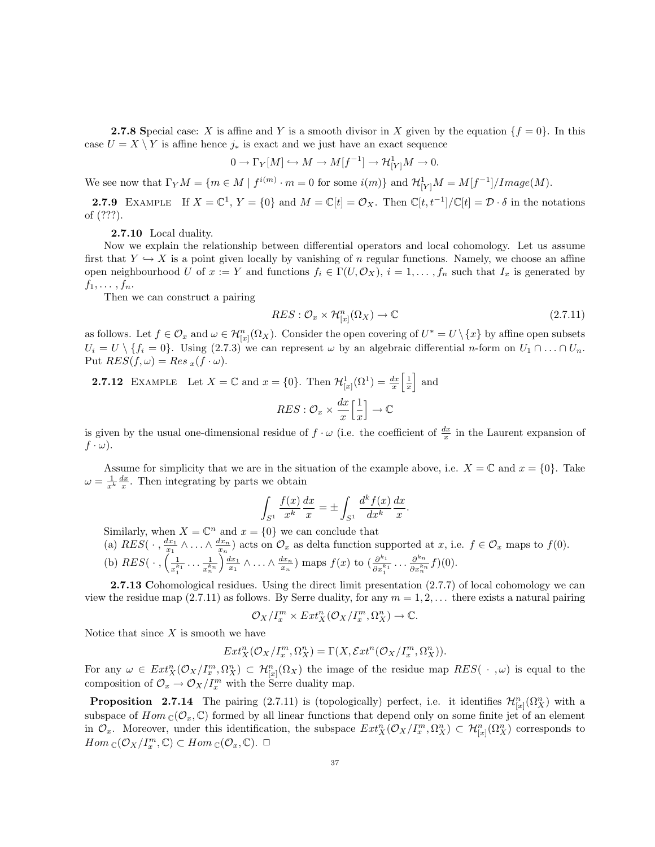**2.7.8** Special case: X is affine and Y is a smooth divisor in X given by the equation  $\{f = 0\}$ . In this case  $U = X \setminus Y$  is affine hence  $j_*$  is exact and we just have an exact sequence

$$
0 \to \Gamma_Y[M] \hookrightarrow M \to M[f^{-1}] \to \mathcal{H}^1_{[Y]}M \to 0.
$$

We see now that  $\Gamma_Y M = \{m \in M \mid f^{i(m)} \cdot m = 0 \text{ for some } i(m)\}\$  and  $\mathcal{H}^1_{[Y]}M = M[f^{-1}]/Image(M)$ .

**2.7.9** EXAMPLE If  $X = \mathbb{C}^1$ ,  $Y = \{0\}$  and  $M = \mathbb{C}[t] = \mathcal{O}_X$ . Then  $\mathbb{C}[t, t^{-1}]/\mathbb{C}[t] = \mathcal{D} \cdot \delta$  in the notations of (???).

2.7.10 Local duality.

Now we explain the relationship between differential operators and local cohomology. Let us assume first that  $Y \hookrightarrow X$  is a point given locally by vanishing of n regular functions. Namely, we choose an affine open neighbourhood U of  $x := Y$  and functions  $f_i \in \Gamma(U, \mathcal{O}_X)$ ,  $i = 1, \ldots, f_n$  such that  $I_x$  is generated by  $f_1, \ldots, f_n$ .

Then we can construct a pairing

$$
RES: \mathcal{O}_x \times \mathcal{H}^n_{[x]}(\Omega_X) \to \mathbb{C}
$$
\n
$$
(2.7.11)
$$

as follows. Let  $f \in \mathcal{O}_x$  and  $\omega \in \mathcal{H}^n_{[x]}(\Omega_X)$ . Consider the open covering of  $U^* = U \setminus \{x\}$  by affine open subsets  $U_i = U \setminus \{f_i = 0\}.$  Using (2.7.3) we can represent  $\omega$  by an algebraic differential *n*-form on  $U_1 \cap ... \cap U_n$ . Put  $RES(f, \omega) = Res_x(f \cdot \omega)$ .

**2.7.12** EXAMPLE Let  $X = \mathbb{C}$  and  $x = \{0\}$ . Then  $\mathcal{H}^1_{[x]}(\Omega^1) = \frac{dx}{x} \left[\frac{1}{x}\right]$  and  $RES: \mathcal{O}_x \times \frac{dx}{x}$  $\boldsymbol{x}$  $\lceil \frac{1}{2} \rceil$  $\boldsymbol{x}$  $\big] \rightarrow \mathbb{C}$ 

is given by the usual one-dimensional residue of  $f \cdot \omega$  (i.e. the coefficient of  $\frac{dx}{x}$  in the Laurent expansion of  $f \cdot \omega$ ).

Assume for simplicity that we are in the situation of the example above, i.e.  $X = \mathbb{C}$  and  $x = \{0\}$ . Take  $\omega = \frac{1}{x^k} \frac{dx}{x}$ . Then integrating by parts we obtain

$$
\int_{S^1} \frac{f(x)}{x^k} \frac{dx}{x} = \pm \int_{S^1} \frac{d^k f(x)}{dx^k} \frac{dx}{x}.
$$

Similarly, when  $X = \mathbb{C}^n$  and  $x = \{0\}$  we can conclude that

(a)  $RES(\cdot, \frac{dx_1}{x_1} \wedge \ldots \wedge \frac{dx_n}{x_n})$  acts on  $\mathcal{O}_x$  as delta function supported at  $x$ , i.e.  $f \in \mathcal{O}_x$  maps to  $f(0)$ .

(b) 
$$
RES(\cdots, \left(\frac{1}{x_1^{k_1}} \cdots \frac{1}{x_n^{k_n}}\right) \frac{dx_1}{x_1} \wedge \ldots \wedge \frac{dx_n}{x_n})
$$
 maps  $f(x)$  to  $\left(\frac{\partial^{k_1}}{\partial x_1^{k_1}} \cdots \frac{\partial^{k_n}}{\partial x_n^{k_n}} f\right)(0)$ .

2.7.13 Cohomological residues. Using the direct limit presentation  $(2.7.7)$  of local cohomology we can view the residue map (2.7.11) as follows. By Serre duality, for any  $m = 1, 2, \ldots$  there exists a natural pairing

$$
\mathcal{O}_X/I_x^m \times Ext_X^n(\mathcal{O}_X/I_x^m,\Omega_X^n) \to \mathbb{C}.
$$

Notice that since  $X$  is smooth we have

$$
Ext_X^n(\mathcal{O}_X/I_x^m,\Omega_X^n) = \Gamma(X,\mathcal{E}xt^n(\mathcal{O}_X/I_x^m,\Omega_X^n)).
$$

For any  $\omega \in Ext_X^n(\mathcal{O}_X/I_x^m,\Omega_X^n) \subset \mathcal{H}_{[x]}^n(\Omega_X)$  the image of the residue map  $RES(\cdot, \omega)$  is equal to the composition of  $\mathcal{O}_x \to \mathcal{O}_X/I_x^m$  with the Serre duality map.

**Proposition** 2.7.14 The pairing (2.7.11) is (topologically) perfect, i.e. it identifies  $\mathcal{H}_{[x]}^n(\Omega_X^n)$  with a subspace of  $Hom_{\mathbb{C}}(\mathcal{O}_x, \mathbb{C})$  formed by all linear functions that depend only on some finite jet of an element in  $\mathcal{O}_x$ . Moreover, under this identification, the subspace  $Ext_X^n(\mathcal{O}_X/I_x^m,\Omega_X^n) \subset \mathcal{H}_{[x]}^n(\Omega_X^n)$  corresponds to  $Hom_{\mathbb{C}}(\mathcal{O}_X/I_x^m,\mathbb{C}) \subset Hom_{\mathbb{C}}(\mathcal{O}_x,\mathbb{C}). \square$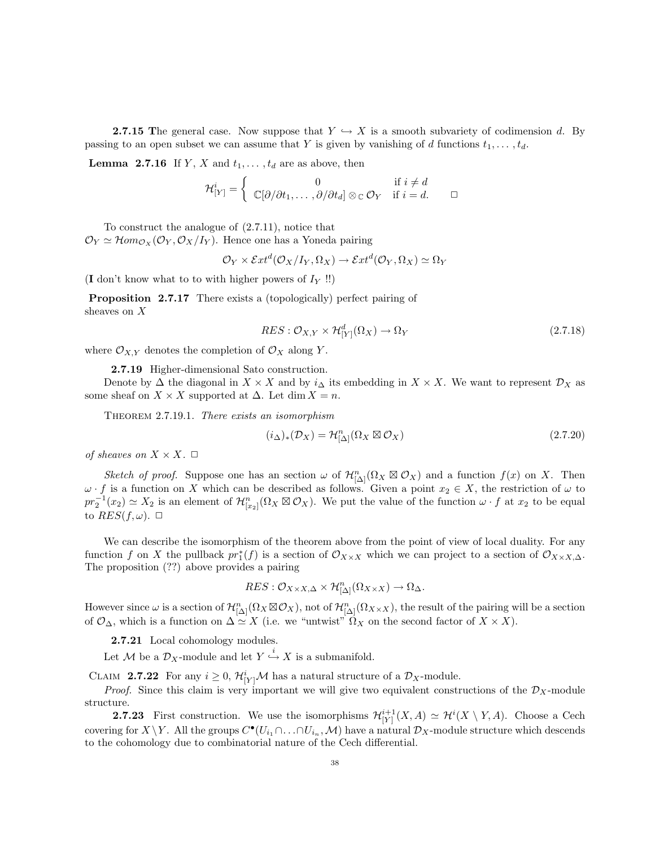**2.7.15** The general case. Now suppose that  $Y \hookrightarrow X$  is a smooth subvariety of codimension d. By passing to an open subset we can assume that Y is given by vanishing of d functions  $t_1, \ldots, t_d$ .

**Lemma 2.7.16** If Y, X and  $t_1, \ldots, t_d$  are as above, then

$$
\mathcal{H}_{[Y]}^i = \begin{cases} 0 & \text{if } i \neq d \\ \mathbb{C}[\partial/\partial t_1, \dots, \partial/\partial t_d] \otimes_{\mathbb{C}} \mathcal{O}_Y & \text{if } i = d. \end{cases} \square
$$

To construct the analogue of (2.7.11), notice that  $\mathcal{O}_Y \simeq \mathcal{H}om_{\mathcal{O}_X}(\mathcal{O}_Y, \mathcal{O}_X/I_Y)$ . Hence one has a Yoneda pairing

$$
\mathcal{O}_Y \times \mathcal{E}xt^d(\mathcal{O}_X/I_Y,\Omega_X) \to \mathcal{E}xt^d(\mathcal{O}_Y,\Omega_X) \simeq \Omega_Y
$$

(I don't know what to to with higher powers of  $I_Y$ !!)

Proposition 2.7.17 There exists a (topologically) perfect pairing of sheaves on X

$$
RES: \mathcal{O}_{X,Y} \times \mathcal{H}_{[Y]}^d(\Omega_X) \to \Omega_Y \tag{2.7.18}
$$

where  $\mathcal{O}_{X,Y}$  denotes the completion of  $\mathcal{O}_X$  along Y.

2.7.19 Higher-dimensional Sato construction.

Denote by  $\Delta$  the diagonal in  $X \times X$  and by  $i_{\Delta}$  its embedding in  $X \times X$ . We want to represent  $\mathcal{D}_X$  as some sheaf on  $X \times X$  supported at  $\Delta$ . Let dim  $X = n$ .

Theorem 2.7.19.1. There exists an isomorphism

$$
(i_{\Delta})_{*}(\mathcal{D}_X) = \mathcal{H}^{n}_{[\Delta]}(\Omega_X \boxtimes \mathcal{O}_X)
$$
\n(2.7.20)

of sheaves on  $X \times X$ .  $\Box$ 

Sketch of proof. Suppose one has an section  $\omega$  of  $\mathcal{H}_{\lbrack\Delta\lbrack}^{n}(\Omega_{X}\boxtimes\mathcal{O}_{X})$  and a function  $f(x)$  on X. Then  $\omega \cdot f$  is a function on X which can be described as follows. Given a point  $x_2 \in X$ , the restriction of  $\omega$  to  $pr_2^{-1}(x_2) \simeq X_2$  is an element of  $\mathcal{H}_{[x_2]}^n(\Omega_X \boxtimes \mathcal{O}_X)$ . We put the value of the function  $\omega \cdot f$  at  $x_2$  to be equal to  $RES(f,\omega)$ .  $\Box$ 

We can describe the isomorphism of the theorem above from the point of view of local duality. For any function f on X the pullback  $pr_1^*(f)$  is a section of  $\mathcal{O}_{X\times X}$  which we can project to a section of  $\mathcal{O}_{X\times X,\Delta}$ . The proposition (??) above provides a pairing

$$
RES: \mathcal{O}_{X \times X, \Delta} \times \mathcal{H}^n_{\lbrack \Delta \rbrack}(\Omega_{X \times X}) \to \Omega_{\Delta}.
$$

However since  $\omega$  is a section of  $\mathcal{H}_{\left[\Delta\right]}^n(\Omega_X \boxtimes \mathcal{O}_X)$ , not of  $\mathcal{H}_{\left[\Delta\right]}^n(\Omega_{X\times X})$ , the result of the pairing will be a section of  $\mathcal{O}_{\Delta}$ , which is a function on  $\Delta \simeq X$  (i.e. we "untwist"  $\Omega_X$  on the second factor of  $X \times X$ ).

2.7.21 Local cohomology modules.

Let M be a  $\mathcal{D}_X$ -module and let  $Y \stackrel{i}{\hookrightarrow} X$  is a submanifold.

CLAIM 2.7.22 For any  $i \geq 0$ ,  $\mathcal{H}_{[Y]}^i \mathcal{M}$  has a natural structure of a  $\mathcal{D}_X$ -module.

*Proof.* Since this claim is very important we will give two equivalent constructions of the  $\mathcal{D}_X$ -module structure.

**2.7.23** First construction. We use the isomorphisms  $\mathcal{H}^{i+1}_{[Y]}(X, A) \simeq \mathcal{H}^{i}(X \setminus Y, A)$ . Choose a Cech covering for  $X \setminus Y$ . All the groups  $C^{\bullet}(U_{i_1} \cap \ldots \cap U_{i_n}, M)$  have a natural  $\mathcal{D}_X$ -module structure which descends to the cohomology due to combinatorial nature of the Cech differential.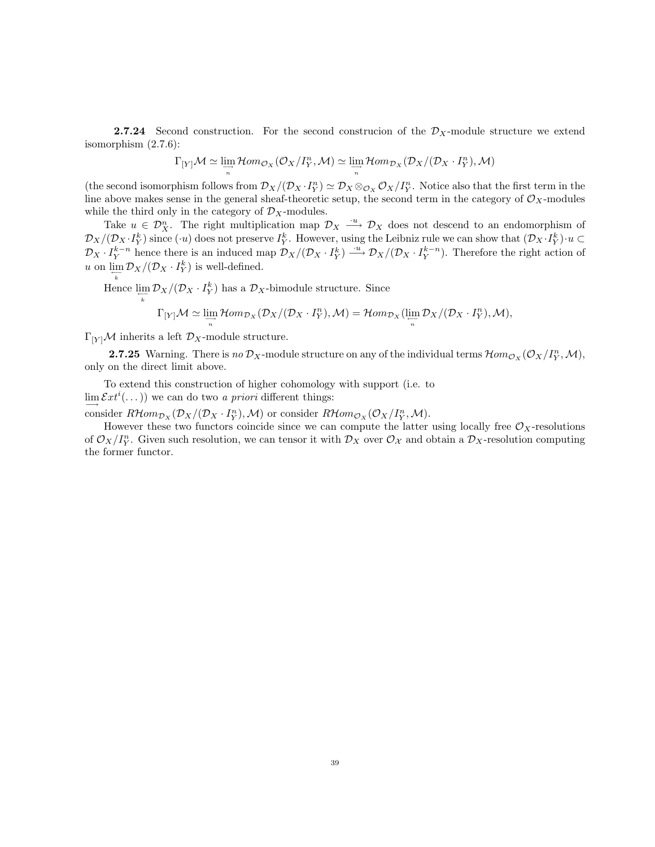**2.7.24** Second construction. For the second construction of the  $\mathcal{D}_X$ -module structure we extend isomorphism (2.7.6):

$$
\Gamma_{[Y]} \mathcal{M} \simeq \lim_{\substack{\longrightarrow \\ n}} \mathcal{H}om_{\mathcal{O}_X}(\mathcal{O}_X/I_Y^n, \mathcal{M}) \simeq \lim_{\substack{\longrightarrow \\ n}} \mathcal{H}om_{\mathcal{D}_X}(\mathcal{D}_X/(\mathcal{D}_X \cdot I_Y^n), \mathcal{M})
$$

(the second isomorphism follows from  $\mathcal{D}_X/(\mathcal{D}_X \cdot I_Y^n) \simeq \mathcal{D}_X \otimes_{\mathcal{O}_X} \mathcal{O}_X/I_Y^n$ . Notice also that the first term in the line above makes sense in the general sheaf-theoretic setup, the second term in the category of  $\mathcal{O}_X$ -modules while the third only in the category of  $\mathcal{D}_X$ -modules.

Take  $u \in \mathcal{D}_X^n$ . The right multiplication map  $\mathcal{D}_X \stackrel{u}{\longrightarrow} \mathcal{D}_X$  does not descend to an endomorphism of  $\mathcal{D}_X/(\mathcal{D}_X \cdot I_Y^k)$  since  $(\cdot u)$  does not preserve  $I_Y^k$ . However, using the Leibniz rule we can show that  $(\mathcal{D}_X \cdot I_Y^k) \cdot u \subset$  $\mathcal{D}_X \cdot I_Y^{k-n}$  hence there is an induced map  $\mathcal{D}_X/(\mathcal{D}_X \cdot I_Y^k) \stackrel{\cdot u}{\longrightarrow} \mathcal{D}_X/(\mathcal{D}_X \cdot I_Y^{k-n})$ . Therefore the right action of u on  $\lim_{\leftarrow} \mathcal{D}_X/(\mathcal{D}_X \cdot I_Y^k)$  is well-defined.

Hence  $\lim_{k} \mathcal{D}_X/(\mathcal{D}_X \cdot I_Y^k)$  has a  $\mathcal{D}_X$ -bimodule structure. Since

$$
\Gamma_{[Y]} \mathcal{M} \simeq \lim_{\substack{\longrightarrow \\ n}} \mathcal{H}om_{\mathcal{D}_X}(\mathcal{D}_X/(\mathcal{D}_X \cdot I_Y^n), \mathcal{M}) = \mathcal{H}om_{\mathcal{D}_X}(\lim_{\substack{\longleftarrow \\ n}} \mathcal{D}_X/(\mathcal{D}_X \cdot I_Y^n), \mathcal{M}),
$$

 $\Gamma_{[Y]}{\mathcal M}$  inherits a left  ${\mathcal D}_X\text{-module structure}.$ 

**2.7.25** Warning. There is no  $\mathcal{D}_X$ -module structure on any of the individual terms  $\mathcal{H}om_{\mathcal{O}_X}(\mathcal{O}_X/I_Y^n, \mathcal{M})$ , only on the direct limit above.

To extend this construction of higher cohomology with support (i.e. to  $\lim_{n \to \infty} \mathcal{E}xt^{i}(\dots)$  we can do two a priori different things:

consider  $R\mathcal{H}om_{\mathcal{D}_X}(\mathcal{D}_X/(\mathcal{D}_X \cdot I_Y^n),\mathcal{M})$  or consider  $R\mathcal{H}om_{\mathcal{O}_X}(\mathcal{O}_X/I_Y^n,\mathcal{M})$ .

However these two functors coincide since we can compute the latter using locally free  $\mathcal{O}_X$ -resolutions of  $\mathcal{O}_X/I_Y^n$ . Given such resolution, we can tensor it with  $\mathcal{D}_X$  over  $\mathcal{O}_X$  and obtain a  $\mathcal{D}_X$ -resolution computing the former functor.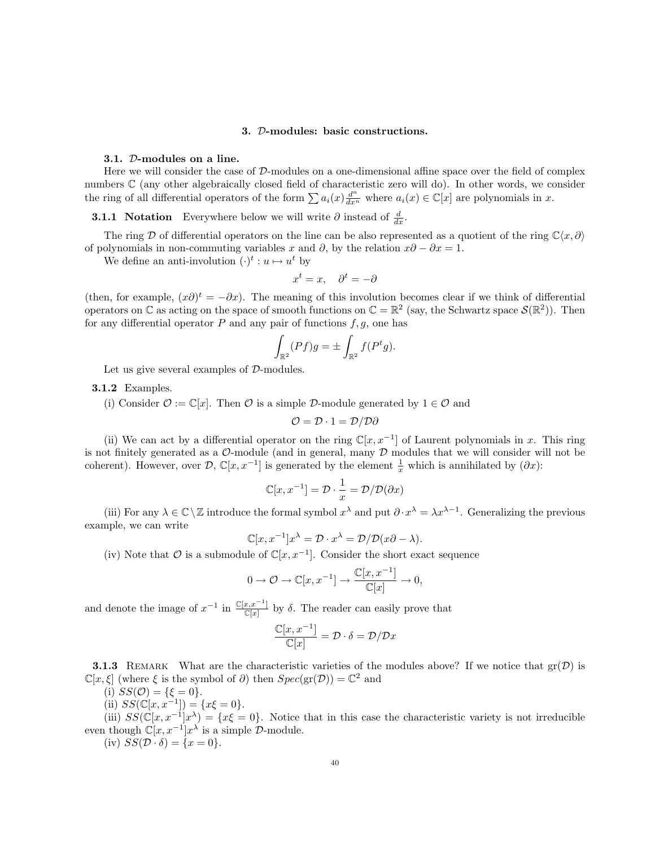### 3. D-modules: basic constructions.

### 3.1. D-modules on a line.

Here we will consider the case of  $D$ -modules on a one-dimensional affine space over the field of complex numbers C (any other algebraically closed field of characteristic zero will do). In other words, we consider the ring of all differential operators of the form  $\sum a_i(x) \frac{d^n}{dx^n}$  where  $a_i(x) \in \mathbb{C}[x]$  are polynomials in x.

**3.1.1** Notation Everywhere below we will write  $\partial$  instead of  $\frac{d}{dx}$ .

The ring D of differential operators on the line can be also represented as a quotient of the ring  $\mathbb{C}\langle x,\partial \rangle$ of polynomials in non-commuting variables x and  $\partial$ , by the relation  $x\partial - \partial x = 1$ .

We define an anti-involution  $(\cdot)^t : u \mapsto u^t$  by

$$
x^t = x, \quad \partial^t = -\partial
$$

(then, for example,  $(x\partial)^t = -\partial x$ ). The meaning of this involution becomes clear if we think of differential operators on  $\mathbb C$  as acting on the space of smooth functions on  $\mathbb C = \mathbb R^2$  (say, the Schwartz space  $\mathcal S(\mathbb R^2)$ ). Then for any differential operator  $P$  and any pair of functions  $f, g$ , one has

$$
\int_{\mathbb{R}^2} (Pf)g = \pm \int_{\mathbb{R}^2} f(P^t g).
$$

Let us give several examples of  $\mathcal{D}\text{-modules.}$ 

3.1.2 Examples.

(i) Consider  $\mathcal{O} := \mathbb{C}[x]$ . Then  $\mathcal{O}$  is a simple D-module generated by  $1 \in \mathcal{O}$  and

$$
\mathcal{O} = \mathcal{D} \cdot 1 = \mathcal{D}/\mathcal{D}\partial
$$

(ii) We can act by a differential operator on the ring  $\mathbb{C}[x, x^{-1}]$  of Laurent polynomials in x. This ring is not finitely generated as a  $\mathcal{O}\text{-module}$  (and in general, many  $\mathcal D$  modules that we will consider will not be coherent). However, over  $\mathcal{D}, \mathbb{C}[x, x^{-1}]$  is generated by the element  $\frac{1}{x}$  which is annihilated by  $(\partial x)$ :

$$
\mathbb{C}[x, x^{-1}] = \mathcal{D} \cdot \frac{1}{x} = \mathcal{D}/\mathcal{D}(\partial x)
$$

(iii) For any  $\lambda \in \mathbb{C}\setminus\mathbb{Z}$  introduce the formal symbol  $x^{\lambda}$  and put  $\partial \cdot x^{\lambda} = \lambda x^{\lambda-1}$ . Generalizing the previous example, we can write

$$
\mathbb{C}[x, x^{-1}]x^{\lambda} = \mathcal{D} \cdot x^{\lambda} = \mathcal{D}/\mathcal{D}(x\partial - \lambda).
$$

(iv) Note that  $\mathcal O$  is a submodule of  $\mathbb C[x, x^{-1}]$ . Consider the short exact sequence

$$
0\to \mathcal{O}\to \mathbb{C}[x,x^{-1}]\to \frac{\mathbb{C}[x,x^{-1}]}{\mathbb{C}[x]}\to 0,
$$

and denote the image of  $x^{-1}$  in  $\frac{\mathbb{C}[x,x^{-1}]}{\mathbb{C}[x]}$  by  $\delta$ . The reader can easily prove that

$$
\frac{\mathbb{C}[x, x^{-1}]}{\mathbb{C}[x]} = \mathcal{D} \cdot \delta = \mathcal{D}/\mathcal{D}x
$$

**3.1.3** REMARK What are the characteristic varieties of the modules above? If we notice that  $gr(\mathcal{D})$  is  $\mathbb{C}[x,\xi]$  (where  $\xi$  is the symbol of  $\partial$ ) then  $Spec(\text{gr}(\mathcal{D})) = \mathbb{C}^2$  and

(i) 
$$
SS(\mathcal{O}) = {\xi = 0}.
$$

(ii)  $SS(\mathbb{C}[x, x^{-1}]) = \{x\xi = 0\}.$ 

(iii)  $SS(\mathbb{C}[x,x^{-1}]x^{\lambda}) = \{x\xi = 0\}$ . Notice that in this case the characteristic variety is not irreducible even though  $\mathbb{C}[x, x^{-1}]x^{\lambda}$  is a simple  $\mathcal{D}$ -module.

(iv)  $SS(\mathcal{D} \cdot \delta) = \{x = 0\}.$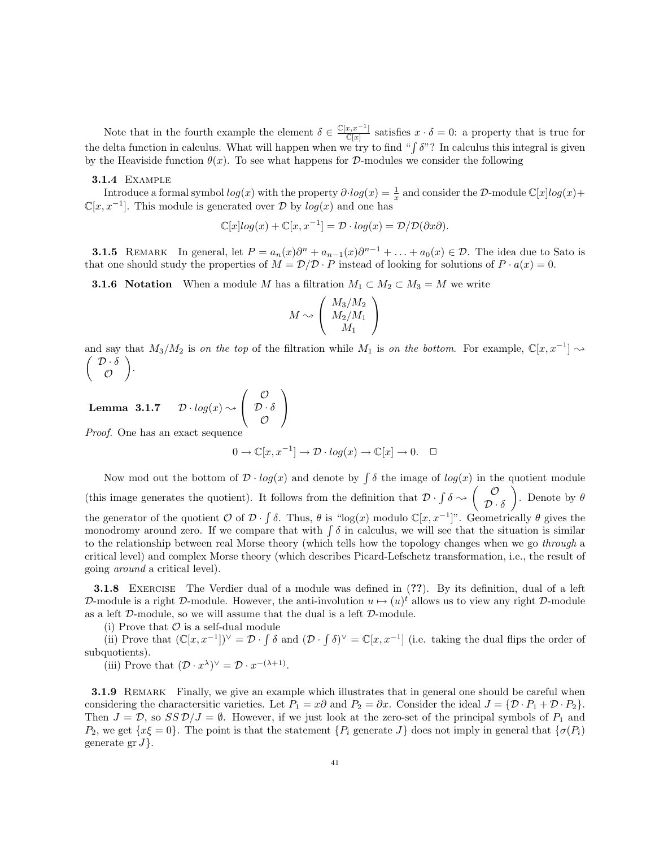Note that in the fourth example the element  $\delta \in \frac{\mathbb{C}[x,x^{-1}]}{\mathbb{C}[x]}$  satisfies  $x \cdot \delta = 0$ : a property that is true for the delta function in calculus. What will happen when we try to find " $\int \delta$ "? In calculus this integral is given by the Heaviside function  $\theta(x)$ . To see what happens for D-modules we consider the following

#### 3.1.4 Example

Introduce a formal symbol  $log(x)$  with the property  $\partial log(x) = \frac{1}{x}$  and consider the D-module  $\mathbb{C}[x]log(x)$ +  $\mathbb{C}[x, x^{-1}]$ . This module is generated over D by  $log(x)$  and one has

$$
\mathbb{C}[x]log(x) + \mathbb{C}[x, x^{-1}] = \mathcal{D} \cdot log(x) = \mathcal{D}/\mathcal{D}(\partial x \partial).
$$

**3.1.5** REMARK In general, let  $P = a_n(x)\partial^n + a_{n-1}(x)\partial^{n-1} + \ldots + a_0(x) \in \mathcal{D}$ . The idea due to Sato is that one should study the properties of  $M = \mathcal{D}/\mathcal{D} \cdot P$  instead of looking for solutions of  $P \cdot a(x) = 0$ .

**3.1.6 Notation** When a module M has a filtration  $M_1 \subset M_2 \subset M_3 = M$  we write

$$
M \sim \left(\begin{array}{c} M_3/M_2 \\ M_2/M_1 \\ M_1 \end{array}\right)
$$

and say that  $M_3/M_2$  is on the top of the filtration while  $M_1$  is on the bottom. For example,  $\mathbb{C}[x,x^{-1}] \rightsquigarrow$  $\left( \mathcal{D} \cdot \delta \right)$  $\mathcal{O}$ .

Lemma  $3.1.7$  $\sqrt{ }$  $\mathcal{L}$  $\mathcal{O}$  $\mathcal{D}\cdot \delta$  $\mathcal{O}$  $\setminus$  $\overline{1}$ 

Proof. One has an exact sequence

$$
0\to {\mathbb{C}}[x,x^{-1}]\to {\mathcal D}\cdot log(x)\to {\mathbb{C}}[x]\to 0. \quad \ \Box
$$

Now mod out the bottom of  $\mathcal{D} \cdot log(x)$  and denote by  $\int \delta$  the image of  $log(x)$  in the quotient module (this image generates the quotient). It follows from the definition that  $\mathcal{D} \cdot \int \delta \sim \left( \begin{array}{c} \mathcal{O} \\ \mathcal{D} \end{array} \right)$  $\mathcal{D}\cdot \delta$ ). Denote by  $\theta$ the generator of the quotient  $\mathcal O$  of  $\mathcal D \cdot \int \delta$ . Thus,  $\theta$  is "log(x) modulo  $\mathbb C[x, x^{-1}]$ ". Geometrically  $\theta$  gives the monodromy around zero. If we compare that with  $\int \delta$  in calculus, we will see that the situation is similar to the relationship between real Morse theory (which tells how the topology changes when we go through a critical level) and complex Morse theory (which describes Picard-Lefschetz transformation, i.e., the result of going around a critical level).

**3.1.8** EXERCISE The Verdier dual of a module was defined in (??). By its definition, dual of a left D-module is a right D-module. However, the anti-involution  $u \mapsto (u)^t$  allows us to view any right D-module as a left D-module, so we will assume that the dual is a left D-module.

(i) Prove that  $\mathcal O$  is a self-dual module

(ii) Prove that  $(\mathbb{C}[x,x^{-1}])^{\vee} = \mathcal{D} \cdot \int \delta$  and  $(\mathcal{D} \cdot \int \delta)^{\vee} = \mathbb{C}[x,x^{-1}]$  (i.e. taking the dual flips the order of subquotients).

(iii) Prove that  $(\mathcal{D} \cdot x^{\lambda})^{\vee} = \mathcal{D} \cdot x^{-(\lambda+1)}$ .

**3.1.9** REMARK Finally, we give an example which illustrates that in general one should be careful when considering the charactersitic varieties. Let  $P_1 = x\partial$  and  $P_2 = \partial x$ . Consider the ideal  $J = {\mathcal{D} \cdot P_1 + \mathcal{D} \cdot P_2}$ . Then  $J = \mathcal{D}$ , so  $SS\mathcal{D}/J = \emptyset$ . However, if we just look at the zero-set of the principal symbols of  $P_1$  and  $P_2$ , we get  $\{x\xi = 0\}$ . The point is that the statement  $\{P_i$  generate  $J\}$  does not imply in general that  $\{\sigma(P_i)\}$ generate gr $J$ .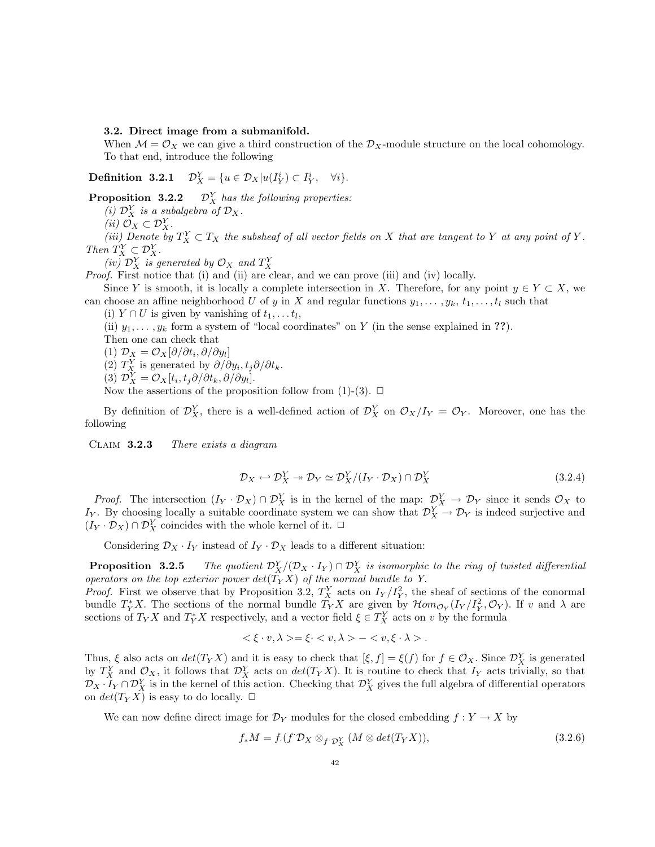3.2. Direct image from a submanifold.

When  $\mathcal{M} = \mathcal{O}_X$  we can give a third construction of the  $\mathcal{D}_X$ -module structure on the local cohomology. To that end, introduce the following

**Definition 3.2.1**  $\mathcal{D}_X^Y = \{u \in \mathcal{D}_X | u(I_Y^i) \subset I_Y^i, \quad \forall i\}.$ 

**Proposition 3.2.2**  $\mathcal{D}_X^Y$  has the following properties:

(i)  $\mathcal{D}_X^Y$  is a subalgebra of  $\mathcal{D}_X$ .

(*ii*)  $\mathcal{O}_X \subset \mathcal{D}_X^Y$ .

(iii) Denote by  $T_X^Y \subset T_X$  the subsheaf of all vector fields on X that are tangent to Y at any point of Y. Then  $T_X^Y \subset \mathcal{D}_X^Y$ .

(iv)  $\mathcal{D}_X^Y$  is generated by  $\mathcal{O}_X$  and  $T_X^Y$ 

Proof. First notice that (i) and (ii) are clear, and we can prove (iii) and (iv) locally.

Since Y is smooth, it is locally a complete intersection in X. Therefore, for any point  $y \in Y \subset X$ , we can choose an affine neighborhood U of y in X and regular functions  $y_1, \ldots, y_k, t_1, \ldots, t_l$  such that

(i)  $Y \cap U$  is given by vanishing of  $t_1, \ldots t_l$ ,

(ii)  $y_1, \ldots, y_k$  form a system of "local coordinates" on Y (in the sense explained in ??).

Then one can check that

(1)  $\mathcal{D}_X = \mathcal{O}_X[\partial/\partial t_i, \partial/\partial y_i]$ 

(2)  $T_X^Y$  is generated by  $\partial/\partial y_i, t_j \partial/\partial t_k$ .

(3)  $\mathcal{D}_X^Y = \mathcal{O}_X[t_i, t_j \partial/\partial t_k, \partial/\partial y_l].$ 

Now the assertions of the proposition follow from (1)-(3).  $\Box$ 

By definition of  $\mathcal{D}_X^Y$ , there is a well-defined action of  $\mathcal{D}_X^Y$  on  $\mathcal{O}_X/I_Y = \mathcal{O}_Y$ . Moreover, one has the following

Claim 3.2.3 There exists a diagram

$$
\mathcal{D}_X \leftarrow \mathcal{D}_X^Y \twoheadrightarrow \mathcal{D}_Y \simeq \mathcal{D}_X^Y / (I_Y \cdot \mathcal{D}_X) \cap \mathcal{D}_X^Y \tag{3.2.4}
$$

*Proof.* The intersection  $(I_Y \cdot \mathcal{D}_X) \cap \mathcal{D}_X^Y$  is in the kernel of the map:  $\mathcal{D}_X^Y \to \mathcal{D}_Y$  since it sends  $\mathcal{O}_X$  to I<sub>Y</sub>. By choosing locally a suitable coordinate system we can show that  $\mathcal{D}_X^Y \to \mathcal{D}_Y$  is indeed surjective and  $(I_Y \cdot \mathcal{D}_X) \cap \mathcal{D}_X^Y$  coincides with the whole kernel of it.  $\Box$ 

Considering  $\mathcal{D}_X \cdot I_Y$  instead of  $I_Y \cdot \mathcal{D}_X$  leads to a different situation:

Proposition 3.2.5  $X^Y_X/(\mathcal D_X \cdot I_Y) \cap \mathcal D_X^Y$  is isomorphic to the ring of twisted differential operators on the top exterior power  $det(T_Y X)$  of the normal bundle to Y.

*Proof.* First we observe that by Proposition 3.2,  $T_X^Y$  acts on  $I_Y/I_Y^2$ , the sheaf of sections of the conormal bundle  $T_Y^*X$ . The sections of the normal bundle  $T_YX$  are given by  $\mathcal{H}om_{\mathcal{O}_Y}(I_Y/I_Y^2,\mathcal{O}_Y)$ . If v and  $\lambda$  are sections of  $T_Y X$  and  $T_Y^* X$  respectively, and a vector field  $\xi \in T_X^Y$  acts on v by the formula

$$
\langle \xi \cdot v, \lambda \rangle = \xi \cdot \langle v, \lambda \rangle - \langle v, \xi \cdot \lambda \rangle.
$$

Thus,  $\xi$  also acts on  $det(T_Y X)$  and it is easy to check that  $[\xi, f] = \xi(f)$  for  $f \in \mathcal{O}_X$ . Since  $\mathcal{D}_X^Y$  is generated by  $T_X^Y$  and  $\mathcal{O}_X$ , it follows that  $\mathcal{D}_X^Y$  acts on  $det(T_Y X)$ . It is routine to check that  $I_Y$  acts trivially, so that  $\mathcal{D}_X \cdot I_Y \cap \mathcal{D}_X^Y$  is in the kernel of this action. Checking that  $\mathcal{D}_X^Y$  gives the full algebra of differential operators on  $det(T_Y X)$  is easy to do locally.  $\Box$ 

We can now define direct image for  $\mathcal{D}_Y$  modules for the closed embedding  $f: Y \to X$  by

$$
f_*M = f.(f^{\cdot}\mathcal{D}_X \otimes_{f^{\cdot}\mathcal{D}_X^Y} (M \otimes \det(T_Y X)), \qquad (3.2.6)
$$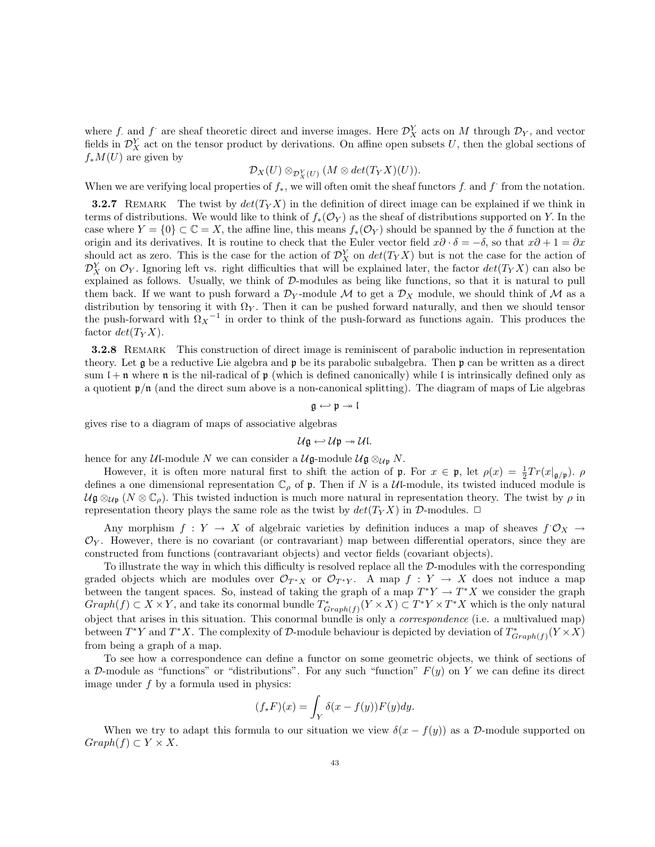where f. and f are sheaf theoretic direct and inverse images. Here  $\mathcal{D}_X^Y$  acts on M through  $\mathcal{D}_Y$ , and vector fields in  $\mathcal{D}_X^Y$  act on the tensor product by derivations. On affine open subsets U, then the global sections of  $f_*M(U)$  are given by

# $\mathcal{D}_X(U) \otimes_{\mathcal{D}_X^Y(U)} (M \otimes det(T_YX)(U)).$

When we are verifying local properties of  $f_*$ , we will often omit the sheaf functors f. and f from the notation.

**3.2.7** REMARK The twist by  $det(T_Y X)$  in the definition of direct image can be explained if we think in terms of distributions. We would like to think of  $f_*(\mathcal{O}_Y)$  as the sheaf of distributions supported on Y. In the case where  $Y = \{0\} \subset \mathbb{C} = X$ , the affine line, this means  $f_*(\mathcal{O}_Y)$  should be spanned by the  $\delta$  function at the origin and its derivatives. It is routine to check that the Euler vector field  $x\partial \cdot \delta = -\delta$ , so that  $x\partial + 1 = \partial x$ should act as zero. This is the case for the action of  $\mathcal{D}_X^Y$  on  $det(T_Y X)$  but is not the case for the action of  $\mathcal{D}_X^Y$  on  $\mathcal{O}_Y$ . Ignoring left vs. right difficulties that will be explained later, the factor  $det(T_Y X)$  can also be explained as follows. Usually, we think of  $D$ -modules as being like functions, so that it is natural to pull them back. If we want to push forward a  $\mathcal{D}_Y$ -module M to get a  $\mathcal{D}_X$  module, we should think of M as a distribution by tensoring it with  $\Omega_Y$ . Then it can be pushed forward naturally, and then we should tensor the push-forward with  $\Omega_X$ <sup>-1</sup> in order to think of the push-forward as functions again. This produces the factor  $det(T_Y X)$ .

3.2.8 Remark This construction of direct image is reminiscent of parabolic induction in representation theory. Let g be a reductive Lie algebra and p be its parabolic subalgebra. Then p can be written as a direct sum  $l + n$  where n is the nil-radical of p (which is defined canonically) while l is intrinsically defined only as a quotient  $\mathfrak{p}/\mathfrak{n}$  (and the direct sum above is a non-canonical splitting). The diagram of maps of Lie algebras

$$
\mathfrak{g}\hookleftarrow\mathfrak{p}\twoheadrightarrow\mathfrak{l}
$$

gives rise to a diagram of maps of associative algebras

 $U\mathfrak{g} \hookleftarrow U\mathfrak{p} \twoheadrightarrow U\mathfrak{l}.$ 

hence for any Ul-module N we can consider a  $\mathcal{U}\mathfrak{g}\text{-module } \mathcal{U}\mathfrak{g} \otimes_{\mathcal{U}\mathfrak{p}} N$ .

However, it is often more natural first to shift the action of **p**. For  $x \in \mathfrak{p}$ , let  $\rho(x) = \frac{1}{2} Tr(x|_{\mathfrak{g}/\mathfrak{p}})$ .  $\rho$ defines a one dimensional representation  $\mathbb{C}_{\rho}$  of  $\mathfrak{p}$ . Then if N is a Ul-module, its twisted induced module is  $U\mathfrak{g}\otimes_{U\mathfrak{p}}(N\otimes\mathbb{C}_{\rho}).$  This twisted induction is much more natural in representation theory. The twist by  $\rho$  in representation theory plays the same role as the twist by  $det(T_Y X)$  in D-modules.  $\Box$ 

Any morphism  $f: Y \to X$  of algebraic varieties by definition induces a map of sheaves  $f \mathcal{O}_X \to$  $\mathcal{O}_Y$ . However, there is no covariant (or contravariant) map between differential operators, since they are constructed from functions (contravariant objects) and vector fields (covariant objects).

To illustrate the way in which this difficulty is resolved replace all the D-modules with the corresponding graded objects which are modules over  $\mathcal{O}_{T^*X}$  or  $\mathcal{O}_{T^*Y}$ . A map  $f: Y \to X$  does not induce a map between the tangent spaces. So, instead of taking the graph of a map  $T^*Y \to T^*X$  we consider the graph  $Graph(f) \subset X \times Y$ , and take its conormal bundle  $T^*_{Graph(f)}(Y \times X) \subset T^*Y \times T^*X$  which is the only natural object that arises in this situation. This conormal bundle is only a correspondence (i.e. a multivalued map) between  $T^*Y$  and  $T^*X$ . The complexity of D-module behaviour is depicted by deviation of  $T^*_{Graph(f)}(Y \times X)$ from being a graph of a map.

To see how a correspondence can define a functor on some geometric objects, we think of sections of a D-module as "functions" or "distributions". For any such "function"  $F(y)$  on Y we can define its direct image under f by a formula used in physics:

$$
(f_*F)(x) = \int_Y \delta(x - f(y))F(y)dy.
$$

When we try to adapt this formula to our situation we view  $\delta(x - f(y))$  as a D-module supported on  $Graph(f) \subset Y \times X$ .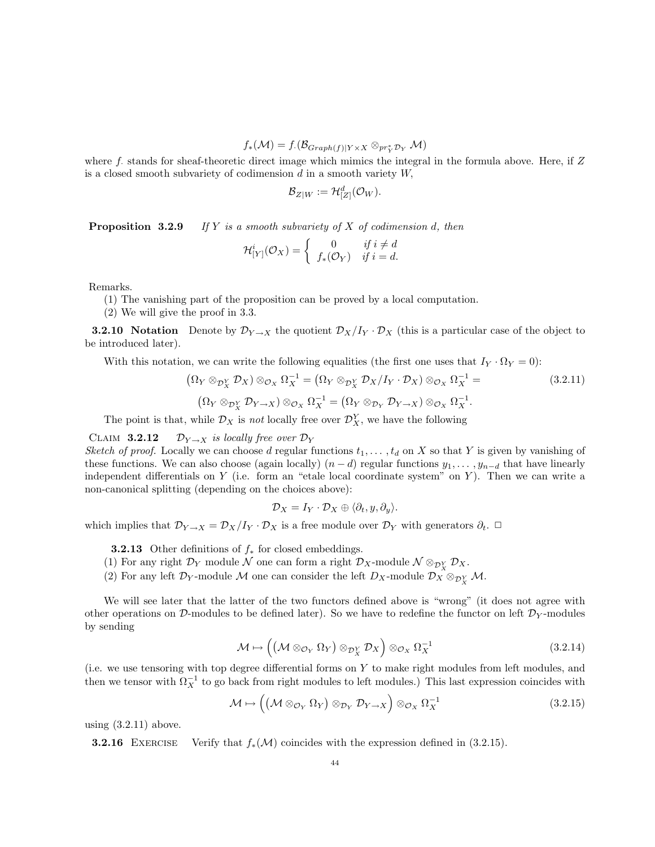$f_*(\mathcal{M})=f_{\cdot}(\mathcal{B}_{Graph(f)|Y\times X}\otimes_{pr_Y^*\mathcal{D}_Y}\mathcal{M})$ 

where f. stands for sheaf-theoretic direct image which mimics the integral in the formula above. Here, if  $Z$ is a closed smooth subvariety of codimension  $d$  in a smooth variety  $W$ ,

$$
\mathcal{B}_{Z|W} := \mathcal{H}_{[Z]}^d(\mathcal{O}_W).
$$

**Proposition 3.2.9** If Y is a smooth subvariety of X of codimension d, then

$$
\mathcal{H}^i_{[Y]}(\mathcal{O}_X) = \begin{cases} 0 & \text{if } i \neq d \\ f_*(\mathcal{O}_Y) & \text{if } i = d. \end{cases}
$$

Remarks.

(1) The vanishing part of the proposition can be proved by a local computation.

(2) We will give the proof in 3.3.

**3.2.10** Notation Denote by  $\mathcal{D}_{Y\to X}$  the quotient  $\mathcal{D}_X/I_Y \cdot \mathcal{D}_X$  (this is a particular case of the object to be introduced later).

With this notation, we can write the following equalities (the first one uses that  $I_Y \cdot \Omega_Y = 0$ ):

$$
(\Omega_Y \otimes_{\mathcal{D}_X^Y} \mathcal{D}_X) \otimes_{\mathcal{O}_X} \Omega_X^{-1} = (\Omega_Y \otimes_{\mathcal{D}_X^Y} \mathcal{D}_X / I_Y \cdot \mathcal{D}_X) \otimes_{\mathcal{O}_X} \Omega_X^{-1} =
$$
\n
$$
(\Omega_Y \otimes_{\mathcal{D}_X^Y} \mathcal{D}_{Y \to X}) \otimes_{\mathcal{O}_X} \Omega_X^{-1} = (\Omega_Y \otimes_{\mathcal{D}_Y} \mathcal{D}_{Y \to X}) \otimes_{\mathcal{O}_X} \Omega_X^{-1}.
$$
\n(3.2.11)

The point is that, while  $\mathcal{D}_X$  is not locally free over  $\mathcal{D}_X^Y$ , we have the following

## CLAIM 3.2.12  $\mathcal{D}_{Y\rightarrow X}$  is locally free over  $\mathcal{D}_Y$

Sketch of proof. Locally we can choose d regular functions  $t_1, \ldots, t_d$  on X so that Y is given by vanishing of these functions. We can also choose (again locally)  $(n-d)$  regular functions  $y_1, \ldots, y_{n-d}$  that have linearly independent differentials on  $Y$  (i.e. form an "etale local coordinate system" on  $Y$ ). Then we can write a non-canonical splitting (depending on the choices above):

$$
\mathcal{D}_X = I_Y \cdot \mathcal{D}_X \oplus \langle \partial_t, y, \partial_y \rangle.
$$

which implies that  $\mathcal{D}_{Y\to X} = \mathcal{D}_X/I_Y \cdot \mathcal{D}_X$  is a free module over  $\mathcal{D}_Y$  with generators  $\partial_t$ .  $\Box$ 

- **3.2.13** Other definitions of  $f_*$  for closed embeddings.
- (1) For any right  $\mathcal{D}_Y$  module  $\mathcal N$  one can form a right  $\mathcal{D}_X$ -module  $\mathcal N \otimes_{\mathcal D_X^Y} \mathcal D_X$ .
- (2) For any left  $\mathcal{D}_Y$ -module M one can consider the left  $D_X$ -module  $\mathcal{D}_X \otimes_{\mathcal{D}_X^Y} \mathcal{M}$ .

We will see later that the latter of the two functors defined above is "wrong" (it does not agree with other operations on D-modules to be defined later). So we have to redefine the functor on left  $\mathcal{D}_Y$ -modules by sending

$$
\mathcal{M} \mapsto \left( \left( \mathcal{M} \otimes_{\mathcal{O}_Y} \Omega_Y \right) \otimes_{\mathcal{D}_X^Y} \mathcal{D}_X \right) \otimes_{\mathcal{O}_X} \Omega_X^{-1} \tag{3.2.14}
$$

(i.e. we use tensoring with top degree differential forms on Y to make right modules from left modules, and then we tensor with  $\Omega_X^{-1}$  to go back from right modules to left modules.) This last expression coincides with

$$
\mathcal{M} \mapsto \left( \left( \mathcal{M} \otimes_{\mathcal{O}_Y} \Omega_Y \right) \otimes_{\mathcal{D}_Y} \mathcal{D}_{Y \to X} \right) \otimes_{\mathcal{O}_X} \Omega_X^{-1} \tag{3.2.15}
$$

using  $(3.2.11)$  above.

**3.2.16** EXERCISE Verify that  $f_*(\mathcal{M})$  coincides with the expression defined in (3.2.15).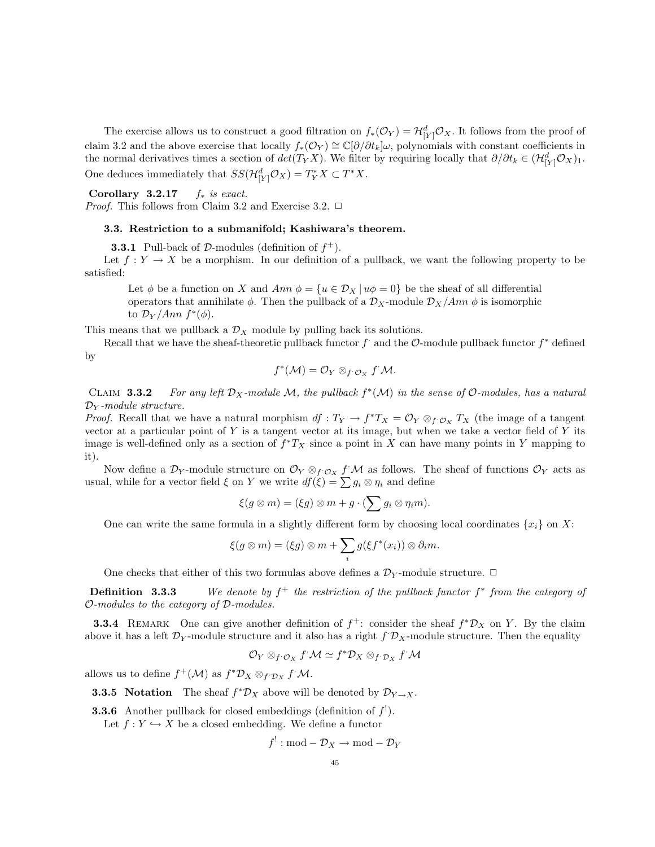The exercise allows us to construct a good filtration on  $f_*(\mathcal{O}_Y) = \mathcal{H}_{[Y]}^d \mathcal{O}_X$ . It follows from the proof of claim 3.2 and the above exercise that locally  $f_*(\mathcal{O}_Y) \cong \mathbb{C}[\partial/\partial t_k]\omega$ , polynomials with constant coefficients in the normal derivatives times a section of  $det(T_Y X)$ . We filter by requiring locally that  $\partial/\partial t_k \in (\mathcal{H}_{[Y]}^d \mathcal{O}_X)_1$ . One deduces immediately that  $SS(\mathcal{H}_{[Y]}^d \mathcal{O}_X) = T_Y^* X \subset T^* X$ .

Corollary  $3.2.17$  f<sub>\*</sub> is exact.

*Proof.* This follows from Claim 3.2 and Exercise 3.2.  $\Box$ 

### 3.3. Restriction to a submanifold; Kashiwara's theorem.

**3.3.1** Pull-back of D-modules (definition of  $f^+$ ).

Let  $f: Y \to X$  be a morphism. In our definition of a pullback, we want the following property to be satisfied:

Let  $\phi$  be a function on X and Ann  $\phi = \{u \in \mathcal{D}_X | u\phi = 0\}$  be the sheaf of all differential operators that annihilate  $\phi$ . Then the pullback of a  $\mathcal{D}_X$ -module  $\mathcal{D}_X/Ann \phi$  is isomorphic to  $\mathcal{D}_Y/Ann\ f^*(\phi)$ .

This means that we pullback a  $\mathcal{D}_X$  module by pulling back its solutions.

Recall that we have the sheaf-theoretic pullback functor  $f^*$  and the  $\mathcal{O}\text{-module}$  pullback functor  $f^*$  defined by

$$
f^{\ast}(\mathcal{M})=\mathcal{O}_Y\otimes_{f^{\cdot}\mathcal{O}_X}f^{\cdot}\mathcal{M}.
$$

CLAIM 3.3.2 For any left  $\mathcal{D}_X$ -module M, the pullback  $f^*(\mathcal{M})$  in the sense of O-modules, has a natural  $\mathcal{D}_Y$ -module structure.

*Proof.* Recall that we have a natural morphism  $df: T_Y \to f^*T_X = \mathcal{O}_Y \otimes_{f^*\mathcal{O}_X} T_X$  (the image of a tangent vector at a particular point of Y is a tangent vector at its image, but when we take a vector field of Y its image is well-defined only as a section of  $f^*T_X$  since a point in X can have many points in Y mapping to it).

Now define a  $\mathcal{D}_Y$ -module structure on  $\mathcal{O}_Y \otimes_f \mathcal{O}_X f \mathcal{M}$  as follows. The sheaf of functions  $\mathcal{O}_Y$  acts as usual, while for a vector field  $\xi$  on Y we write  $df(\xi) = \sum g_i \otimes \eta_i$  and define

$$
\xi(g\otimes m)=(\xi g)\otimes m+g\cdot(\sum g_i\otimes \eta_i m).
$$

One can write the same formula in a slightly different form by choosing local coordinates  $\{x_i\}$  on X:

$$
\xi(g\otimes m)=(\xi g)\otimes m+\sum_i g(\xi f^*(x_i))\otimes \partial_i m.
$$

One checks that either of this two formulas above defines a  $\mathcal{D}_Y$ -module structure.  $\Box$ 

Definition 3.3.3 <sup>+</sup> the restriction of the pullback functor f ∗ from the category of O-modules to the category of D-modules.

**3.3.4** REMARK One can give another definition of  $f^+$ : consider the sheaf  $f^*D_X$  on Y. By the claim above it has a left  $\mathcal{D}_Y$ -module structure and it also has a right  $f \mathcal{D}_X$ -module structure. Then the equality

$$
\mathcal{O}_Y\otimes_{f^*\mathcal{O}_X}f^*\mathcal{M}\simeq f^*\mathcal{D}_X\otimes_{f^*\mathcal{D}_X}f^*\mathcal{M}
$$

allows us to define  $f^+(\mathcal{M})$  as  $f^*\mathcal{D}_X \otimes_{f^*\mathcal{D}_X} f^*\mathcal{M}$ .

**3.3.5** Notation The sheaf  $f^* \mathcal{D}_X$  above will be denoted by  $\mathcal{D}_{Y \to X}$ .

**3.3.6** Another pullback for closed embeddings (definition of  $f'$ ).

Let  $f: Y \hookrightarrow X$  be a closed embedding. We define a functor

 $f^!: \text{mod} - \mathcal{D}_X \to \text{mod} - \mathcal{D}_Y$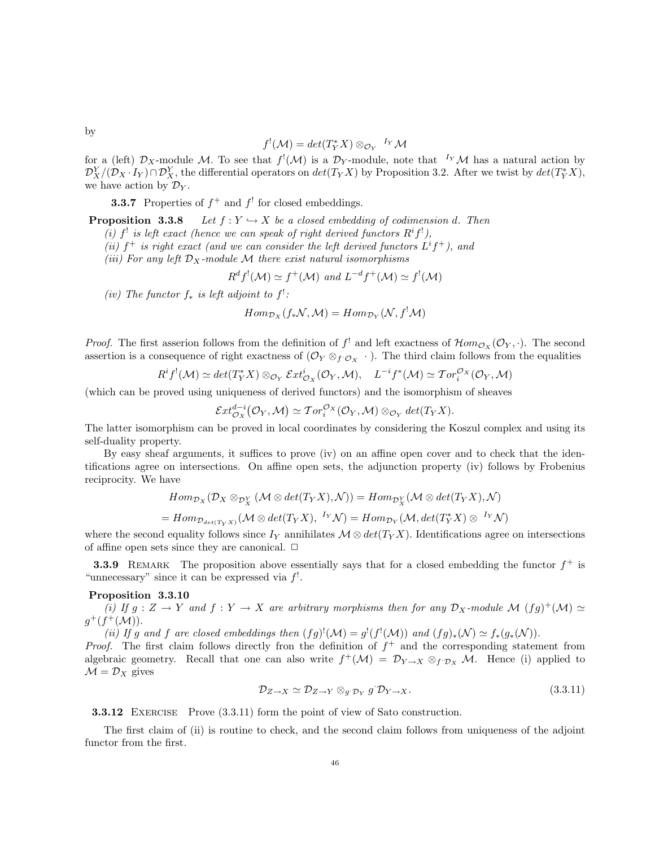$$
f^{!}(\mathcal{M}) = det(T_{Y}^{*}X) \otimes_{\mathcal{O}_{Y}} {}^{I_{Y}}\mathcal{M}
$$

for a (left)  $\mathcal{D}_X$ -module M. To see that  $f'(\mathcal{M})$  is a  $\mathcal{D}_Y$ -module, note that  $I_Y\mathcal{M}$  has a natural action by  $\mathcal{D}_X^Y/(\mathcal{D}_X \cdot I_Y) \cap \mathcal{D}_X^Y$ , the differential operators on  $det(T_Y X)$  by Proposition 3.2. After we twist by  $det(T_Y^* X)$ , we have action by  $\mathcal{D}_Y$ .

**3.3.7** Properties of  $f^+$  and  $f'$  for closed embeddings.

**Proposition 3.3.8** Let  $f: Y \hookrightarrow X$  be a closed embedding of codimension d. Then

(i) f' is left exact (hence we can speak of right derived functors  $R^if'$ ),

(ii)  $f^+$  is right exact (and we can consider the left derived functors  $L^if^+$ ), and

(iii) For any left  $\mathcal{D}_X$ -module M there exist natural isomorphisms

$$
R^d f^{!}(\mathcal{M}) \simeq f^{+}(\mathcal{M})
$$
 and  $L^{-d} f^{+}(\mathcal{M}) \simeq f^{!}(\mathcal{M})$ 

(iv) The functor  $f_*$  is left adjoint to  $f^!$ :

 $Hom_{\mathcal{D}_X}(f_*\mathcal{N},\mathcal{M}) = Hom_{\mathcal{D}_Y}(\mathcal{N}, f^!\mathcal{M})$ 

*Proof.* The first asserion follows from the definition of  $f^!$  and left exactness of  $\mathcal{H}om_{\mathcal{O}_X}(\mathcal{O}_Y, \cdot)$ . The second assertion is a consequence of right exactness of  $(\mathcal{O}_Y \otimes_f \mathcal{O}_X \cdot)$ . The third claim follows from the equalities

$$
R^i f^{!}(\mathcal{M}) \simeq det(T^*_Y X) \otimes_{\mathcal{O}_Y} \mathcal{E}xt^i_{\mathcal{O}_X}(\mathcal{O}_Y, \mathcal{M}), \quad L^{-i} f^{*}(\mathcal{M}) \simeq \mathcal{T}or_i^{\mathcal{O}_X}(\mathcal{O}_Y, \mathcal{M})
$$

(which can be proved using uniqueness of derived functors) and the isomorphism of sheaves

$$
\mathcal{E}xt_{\mathcal{O}_X}^{d-i}(\mathcal{O}_Y,\mathcal{M})\simeq \mathcal{T}or_i^{\mathcal{O}_X}(\mathcal{O}_Y,\mathcal{M})\otimes_{\mathcal{O}_Y} \det(T_YX).
$$

The latter isomorphism can be proved in local coordinates by considering the Koszul complex and using its self-duality property.

By easy sheaf arguments, it suffices to prove (iv) on an affine open cover and to check that the identifications agree on intersections. On affine open sets, the adjunction property (iv) follows by Frobenius reciprocity. We have

$$
Hom_{\mathcal{D}_X}(\mathcal{D}_X \otimes_{\mathcal{D}_X^Y} (\mathcal{M} \otimes \det(T_Y X), \mathcal{N})) = Hom_{\mathcal{D}_X^Y}(\mathcal{M} \otimes \det(T_Y X), \mathcal{N})
$$
  
=  $Hom_{\mathcal{D}_{\det(T_Y X)}}(\mathcal{M} \otimes \det(T_Y X), \ {}^{I_Y}\mathcal{N}) = Hom_{\mathcal{D}_Y}(\mathcal{M}, \det(T_Y^* X) \otimes {}^{I_Y}\mathcal{N})$ 

where the second equality follows since  $I_Y$  annihilates  $\mathcal{M} \otimes \det(T_Y X)$ . Identifications agree on intersections of affine open sets since they are canonical.  $\Box$ 

**3.3.9** REMARK The proposition above essentially says that for a closed embedding the functor  $f^+$  is "unnecessary" since it can be expressed via  $f'$ .

## Proposition 3.3.10

(i) If  $g: Z \to Y$  and  $f: Y \to X$  are arbitrary morphisms then for any  $\mathcal{D}_X$ -module M  $(fg)^+(\mathcal{M}) \simeq$  $g^+(f^+(\mathcal{M}))$ .

(ii) If g and f are closed embeddings then  $(fg)^{!}(\mathcal{M}) = g^{!}(f^{!}(\mathcal{M}))$  and  $(fg)_{*}(\mathcal{N}) \simeq f_{*}(g_{*}(\mathcal{N}))$ .

*Proof.* The first claim follows directly fron the definition of  $f^+$  and the corresponding statement from algebraic geometry. Recall that one can also write  $f^+(\mathcal{M}) = \mathcal{D}_{Y \to X} \otimes_{f^*\mathcal{D}_X} \mathcal{M}$ . Hence (i) applied to  $\mathcal{M} = \mathcal{D}_X$  gives

$$
\mathcal{D}_{Z \to X} \simeq \mathcal{D}_{Z \to Y} \otimes_{g^{\prime} \mathcal{D}_Y} g^{\prime} \mathcal{D}_{Y \to X}.
$$
\n(3.3.11)

**3.3.12** EXERCISE Prove  $(3.3.11)$  form the point of view of Sato construction.

The first claim of (ii) is routine to check, and the second claim follows from uniqueness of the adjoint functor from the first.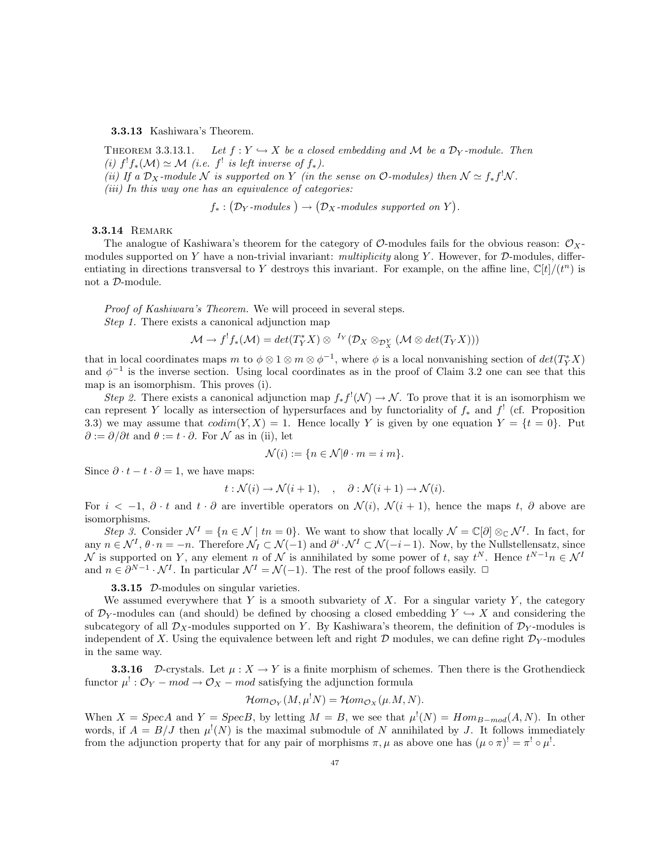#### 3.3.13 Kashiwara's Theorem.

THEOREM 3.3.13.1. Let  $f: Y \hookrightarrow X$  be a closed embedding and M be a  $\mathcal{D}_Y$ -module. Then (i)  $f^! f_*(\mathcal{M}) \simeq \mathcal{M}$  (i.e.  $f^!$  is left inverse of  $f_*.$ ). (ii) If a  $\mathcal{D}_X$ -module N is supported on Y (in the sense on O-modules) then  $\mathcal{N} \simeq f_* f^! \mathcal{N}$ . (iii) In this way one has an equivalence of categories:

$$
f_*: (\mathcal{D}_Y\text{-modules}) \to (\mathcal{D}_X\text{-modules supported on } Y).
$$

#### **3.3.14 REMARK**

The analogue of Kashiwara's theorem for the category of  $\mathcal{O}$ -modules fails for the obvious reason:  $\mathcal{O}_X$ modules supported on Y have a non-trivial invariant: multiplicity along Y. However, for  $\mathcal D$ -modules, differentiating in directions transversal to Y destroys this invariant. For example, on the affine line,  $\mathbb{C}[t]/(t^n)$  is not a D-module.

Proof of Kashiwara's Theorem. We will proceed in several steps. Step 1. There exists a canonical adjunction map

$$
\mathcal{M} \to f^! f_*(\mathcal{M}) = det(T_Y^* X) \otimes {}^{I_Y} (\mathcal{D}_X \otimes_{\mathcal{D}_X^Y} (\mathcal{M} \otimes det(T_Y X)))
$$

that in local coordinates maps m to  $\phi \otimes 1 \otimes m \otimes \phi^{-1}$ , where  $\phi$  is a local nonvanishing section of  $det(T_Y^*X)$ and  $\phi^{-1}$  is the inverse section. Using local coordinates as in the proof of Claim 3.2 one can see that this map is an isomorphism. This proves (i).

Step 2. There exists a canonical adjunction map  $f_* f^!(\mathcal{N}) \to \mathcal{N}$ . To prove that it is an isomorphism we can represent Y locally as intersection of hypersurfaces and by functoriality of  $f_*$  and  $f'$  (cf. Proposition 3.3) we may assume that  $codim(Y, X) = 1$ . Hence locally Y is given by one equation  $Y = \{t = 0\}$ . Put  $\partial := \partial/\partial t$  and  $\theta := t \cdot \partial$ . For N as in (ii), let

$$
\mathcal{N}(i) := \{ n \in \mathcal{N} | \theta \cdot m = i \, m \}.
$$

Since  $\partial \cdot t - t \cdot \partial = 1$ , we have maps:

$$
t: \mathcal{N}(i) \to \mathcal{N}(i+1), \quad , \quad \partial: \mathcal{N}(i+1) \to \mathcal{N}(i).
$$

For  $i < -1$ ,  $\partial \cdot t$  and  $t \cdot \partial$  are invertible operators on  $\mathcal{N}(i)$ ,  $\mathcal{N}(i + 1)$ , hence the maps t,  $\partial$  above are isomorphisms.

Step 3. Consider  $\mathcal{N}^I = \{n \in \mathcal{N} \mid tn = 0\}$ . We want to show that locally  $\mathcal{N} = \mathbb{C}[\partial] \otimes_{\mathbb{C}} \mathcal{N}^I$ . In fact, for any  $n \in \mathcal{N}^I$ ,  $\theta \cdot n = -n$ . Therefore  $\mathcal{N}_I \subset \mathcal{N}(-1)$  and  $\partial^i \cdot \mathcal{N}^I \subset \mathcal{N}(-i-1)$ . Now, by the Nullstellensatz, since N is supported on Y, any element n of N is annihilated by some power of t, say  $t^N$ . Hence  $t^{N-1}n \in \mathcal{N}^I$ and  $n \in \partial^{N-1} \cdot \mathcal{N}^I$ . In particular  $\mathcal{N}^I = \mathcal{N}(-1)$ . The rest of the proof follows easily.  $\Box$ 

### **3.3.15** D-modules on singular varieties.

We assumed everywhere that Y is a smooth subvariety of X. For a singular variety Y, the category of  $\mathcal{D}_Y$ -modules can (and should) be defined by choosing a closed embedding  $Y \hookrightarrow X$  and considering the subcategory of all  $\mathcal{D}_X$ -modules supported on Y. By Kashiwara's theorem, the definition of  $\mathcal{D}_Y$ -modules is independent of X. Using the equivalence between left and right  $D$  modules, we can define right  $D<sub>Y</sub>$ -modules in the same way.

**3.3.16** D-crystals. Let  $\mu : X \to Y$  is a finite morphism of schemes. Then there is the Grothendieck functor  $\mu^!: \mathcal{O}_Y - mod \to \mathcal{O}_X - mod$  satisfying the adjunction formula

$$
\mathcal{H}om_{\mathcal{O}_Y}(M,\mu^!N)=\mathcal{H}om_{\mathcal{O}_X}(\mu.M,N).
$$

When  $X = \text{Spec} A$  and  $Y = \text{Spec} B$ , by letting  $M = B$ , we see that  $\mu^!(N) = \text{Hom}_{B-mod}(A, N)$ . In other words, if  $A = B/J$  then  $\mu^{!}(N)$  is the maximal submodule of N annihilated by J. It follows immediately from the adjunction property that for any pair of morphisms  $\pi, \mu$  as above one has  $(\mu \circ \pi)^! = \pi^! \circ \mu^!$ .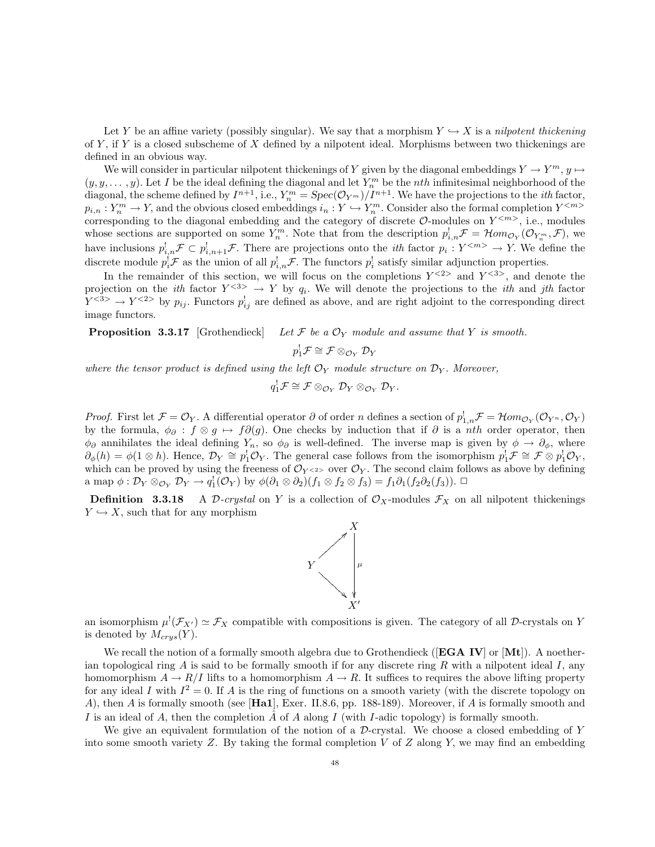Let Y be an affine variety (possibly singular). We say that a morphism  $Y \hookrightarrow X$  is a nilpotent thickening of Y, if Y is a closed subscheme of X defined by a nilpotent ideal. Morphisms between two thickenings are defined in an obvious way.

We will consider in particular nilpotent thickenings of Y given by the diagonal embeddings  $Y \to Y^m$ ,  $y \mapsto$  $(y, y, \dots, y)$ . Let I be the ideal defining the diagonal and let  $Y_n^m$  be the *nth* infinitesimal neighborhood of the diagonal, the scheme defined by  $I^{n+1}$ , i.e.,  $Y_n^m = Spec(\mathcal{O}_{Y^m})/I^{n+1}$ . We have the projections to the *ith* factor,  $p_{i,n}: Y_n^m \to Y$ , and the obvious closed embeddings  $i_n: Y \hookrightarrow Y_n^m$ . Consider also the formal completion  $Y^{}$ corresponding to the diagonal embedding and the category of discrete  $\mathcal{O}\text{-modules on }Y^{< m>}$ , i.e., modules whose sections are supported on some  $Y_n^m$ . Note that from the description  $p_{i,n}^! \mathcal{F} = \mathcal{H}om_{\mathcal{O}_Y}(\mathcal{O}_{Y_n^m}, \mathcal{F})$ , we have inclusions  $p_{i,n}^{\dagger}$   $\mathcal{F} \subset p_{i,n+1}^{\dagger}$   $\mathcal{F}$ . There are projections onto the *ith* factor  $p_i: Y^{} \to Y$ . We define the discrete module  $p_i^!\mathcal{F}$  as the union of all  $p_{i,n}^!\mathcal{F}$ . The functors  $p_i^!$  satisfy similar adjunction properties.

In the remainder of this section, we will focus on the completions  $Y^{<2>}$  and  $Y^{<3>}$ , and denote the projection on the *ith* factor  $Y^{&3>}\to Y$  by  $q_i$ . We will denote the projections to the *ith* and *jth* factor  $Y^{<3>} \to Y^{<2>}$  by  $p_{ij}$ . Functors  $p_{ij}^{\dagger}$  are defined as above, and are right adjoint to the corresponding direct image functors.

**Proposition 3.3.17** [Grothendieck] Let  $\mathcal F$  be a  $\mathcal O_Y$  module and assume that  $Y$  is smooth.

$$
p_1^!\mathcal{F} \cong \mathcal{F} \otimes_{\mathcal{O}_Y} \mathcal{D}_Y
$$

where the tensor product is defined using the left  $\mathcal{O}_Y$  module structure on  $\mathcal{D}_Y$ . Moreover,

 $q_1^!\mathcal{F} \cong \mathcal{F} \otimes_{\mathcal{O}_Y} \mathcal{D}_Y \otimes_{\mathcal{O}_Y} \mathcal{D}_Y.$ 

*Proof.* First let  $\mathcal{F} = \mathcal{O}_Y$ . A differential operator  $\partial$  of order n defines a section of  $p_{1,n}^{\dagger} \mathcal{F} = \mathcal{H}om_{\mathcal{O}_Y}(\mathcal{O}_{Y^n}, \mathcal{O}_Y)$ by the formula,  $\phi_{\partial}: f \otimes g \mapsto f \partial(g)$ . One checks by induction that if  $\partial$  is a *nth* order operator, then  $\phi_{\partial}$  annihilates the ideal defining  $Y_n$ , so  $\phi_{\partial}$  is well-defined. The inverse map is given by  $\phi \to \partial_{\phi}$ , where  $\partial_{\phi}(h) = \phi(1 \otimes h)$ . Hence,  $\mathcal{D}_Y \cong p_1^{\dagger} \mathcal{O}_Y$ . The general case follows from the isomorphism  $p_1^{\dagger} \mathcal{F} \cong \mathcal{F} \otimes p_1^{\dagger} \mathcal{O}_Y$ , which can be proved by using the freeness of  $\mathcal{O}_{Y\leq 2}$  over  $\mathcal{O}_Y$ . The second claim follows as above by defining a map  $\phi: \mathcal{D}_Y \otimes_{\mathcal{O}_Y} \mathcal{D}_Y \to q_1^1(\mathcal{O}_Y)$  by  $\phi(\partial_1 \otimes \partial_2)(f_1 \otimes f_2 \otimes f_3) = f_1 \partial_1(f_2 \partial_2(f_3))$ .  $\Box$ 

**Definition** 3.3.18 A D-crystal on Y is a collection of  $\mathcal{O}_X$ -modules  $\mathcal{F}_X$  on all nilpotent thickenings  $Y \hookrightarrow X$ , such that for any morphism



an isomorphism  $\mu^! (\mathcal{F}_{X'}) \simeq \mathcal{F}_X$  compatible with compositions is given. The category of all D-crystals on Y is denoted by  $M_{crys}(Y)$ .

We recall the notion of a formally smooth algebra due to Grothendieck ([EGA IV] or [Mt]). A noetherian topological ring  $A$  is said to be formally smooth if for any discrete ring  $R$  with a nilpotent ideal  $I$ , any homomorphism  $A \to R/I$  lifts to a homomorphism  $A \to R$ . It suffices to requires the above lifting property for any ideal I with  $I^2 = 0$ . If A is the ring of functions on a smooth variety (with the discrete topology on A), then A is formally smooth (see [**Ha1**], Exer. II.8.6, pp. 188-189). Moreover, if A is formally smooth and I is an ideal of A, then the completion  $\hat{A}$  of A along I (with I-adic topology) is formally smooth.

We give an equivalent formulation of the notion of a  $\mathcal D$ -crystal. We choose a closed embedding of Y into some smooth variety Z. By taking the formal completion  $V$  of  $Z$  along  $Y$ , we may find an embedding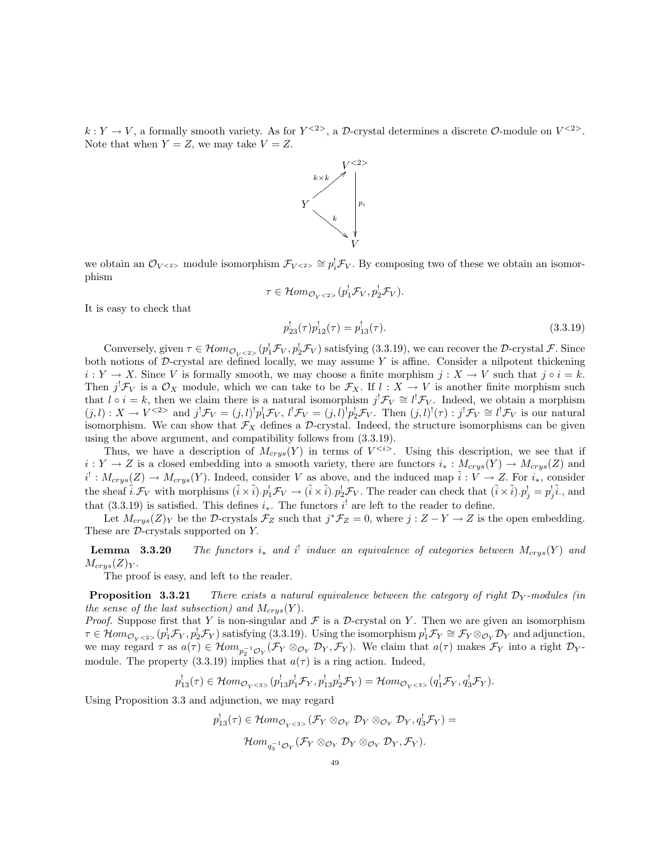$k: Y \to V$ , a formally smooth variety. As for  $Y^{<2>}$ , a D-crystal determines a discrete  $\mathcal{O}\text{-module on }V^{<2>}$ . Note that when  $Y = Z$ , we may take  $V = Z$ .



we obtain an  $\mathcal{O}_{V^{<2>}}$  module isomorphism  $\mathcal{F}_{V^{<2>}} \cong p_i^!\mathcal{F}_V$ . By composing two of these we obtain an isomorphism

$$
\tau \in \mathcal{H}om_{\mathcal{O}_{V} < 2>} (p_1^! \mathcal{F}_V, p_2^! \mathcal{F}_V).
$$

It is easy to check that

$$
p_{23}^!(\tau)p_{12}^!(\tau) = p_{13}^!(\tau). \tag{3.3.19}
$$

Conversely, given  $\tau \in \mathcal{H}om_{\mathcal{O}_{V} \leq 2>}(p_1^!\mathcal{F}_V, p_2^!\mathcal{F}_V)$  satisfying (3.3.19), we can recover the D-crystal  $\mathcal{F}$ . Since both notions of D-crystal are defined locally, we may assume  $Y$  is affine. Consider a nilpotent thickening  $i: Y \to X$ . Since V is formally smooth, we may choose a finite morphism  $j: X \to V$  such that  $j \circ i = k$ . Then  $j^! \mathcal{F}_V$  is a  $\mathcal{O}_X$  module, which we can take to be  $\mathcal{F}_X$ . If  $l : X \to V$  is another finite morphism such that  $l \circ i = k$ , then we claim there is a natural isomorphism  $j^! \mathcal{F}_V \cong l^! \mathcal{F}_V$ . Indeed, we obtain a morphism  $(j, l) : X \to V^{<2>}$  and  $j^! \mathcal{F}_V = (j, l)^! p_1^! \mathcal{F}_V$ ,  $l^! \mathcal{F}_V = (j, l)^! p_2^! \mathcal{F}_V$ . Then  $(j, l)^! (\tau) : j^! \mathcal{F}_V \cong l^! \mathcal{F}_V$  is our natural isomorphism. We can show that  $\mathcal{F}_X$  defines a D-crystal. Indeed, the structure isomorphisms can be given using the above argument, and compatibility follows from (3.3.19).

Thus, we have a description of  $M_{crys}(Y)$  in terms of  $V^{< i>}$ . Using this description, we see that if  $i: Y \to Z$  is a closed embedding into a smooth variety, there are functors  $i_*: M_{crys}(Y) \to M_{crys}(Z)$  and  $i^!: M_{crys}(Z) \to M_{crys}(Y)$ . Indeed, consider V as above, and the induced map  $\tilde{i}: V \to Z$ . For  $i_*$ , consider the sheaf  $\tilde{i}.\mathcal{F}_V$  with morphisms  $(\tilde{i} \times \tilde{i}).p_1^!\mathcal{F}_V \to (\tilde{i} \times \tilde{i}).p_2^!\mathcal{F}_V$ . The reader can check that  $(\tilde{i} \times \tilde{i}).p_j^! = p_j^! \tilde{i}$ ., and that (3.3.19) is satisfied. This defines  $i_*$ . The functors  $i'$  are left to the reader to define.

Let  $M_{crys}(Z)_Y$  be the D-crystals  $\mathcal{F}_Z$  such that  $j^*\mathcal{F}_Z=0$ , where  $j:Z-Y\to Z$  is the open embedding. These are  $\mathcal{D}$ -crystals supported on Y.

**Lemma** 3.3.20 The functors i<sub>\*</sub> and i<sup>1</sup> induce an equivalence of categories between  $M_{crys}(Y)$  and  $M_{crys}(Z)_{Y}.$ 

The proof is easy, and left to the reader.

**Proposition 3.3.21** There exists a natural equivalence between the category of right  $\mathcal{D}_Y$ -modules (in the sense of the last subsection) and  $M_{crys}(Y)$ .

*Proof.* Suppose first that Y is non-singular and  $\mathcal F$  is a  $\mathcal D$ -crystal on Y. Then we are given an isomorphism  $\tau \in \mathcal{H}om_{\mathcal{O}_{Y} \leq 2} (p_1^!\mathcal{F}_Y, p_2^!\mathcal{F}_Y)$  satisfying (3.3.19). Using the isomorphism  $p_1^!\mathcal{F}_Y \cong \mathcal{F}_Y \otimes_{\mathcal{O}_Y} \mathcal{D}_Y$  and adjunction, we may regard  $\tau$  as  $a(\tau) \in \mathcal{H}om_{p_2^{-1}\mathcal{O}_Y}(\mathcal{F}_Y \otimes_{\mathcal{O}_Y} \mathcal{D}_Y, \mathcal{F}_Y)$ . We claim that  $a(\tau)$  makes  $\mathcal{F}_Y$  into a right  $\mathcal{D}_Y$ module. The property (3.3.19) implies that  $a(\tau)$  is a ring action. Indeed,

$$
p_{13}^{\dagger}(\tau) \in \mathcal{H}om_{\mathcal{O}_{Y} < 3>} (p_{13}^{\dagger}p_{1}^{\dagger}\mathcal{F}_{Y}, p_{13}^{\dagger}p_{2}^{\dagger}\mathcal{F}_{Y}) = \mathcal{H}om_{\mathcal{O}_{Y} < 3>} (q_{1}^{\dagger}\mathcal{F}_{Y}, q_{3}^{\dagger}\mathcal{F}_{Y}).
$$

Using Proposition 3.3 and adjunction, we may regard

$$
p'_{13}(\tau) \in \mathcal{H}om_{\mathcal{O}_{Y} < 3>}(\mathcal{F}_{Y} \otimes_{\mathcal{O}_{Y}} \mathcal{D}_{Y} \otimes_{\mathcal{O}_{Y}} \mathcal{D}_{Y}, q'_{3}\mathcal{F}_{Y}) =
$$

$$
\mathcal{H}om_{q_{3}^{-1}\mathcal{O}_{Y}}(\mathcal{F}_{Y} \otimes_{\mathcal{O}_{Y}} \mathcal{D}_{Y} \otimes_{\mathcal{O}_{Y}} \mathcal{D}_{Y}, \mathcal{F}_{Y}).
$$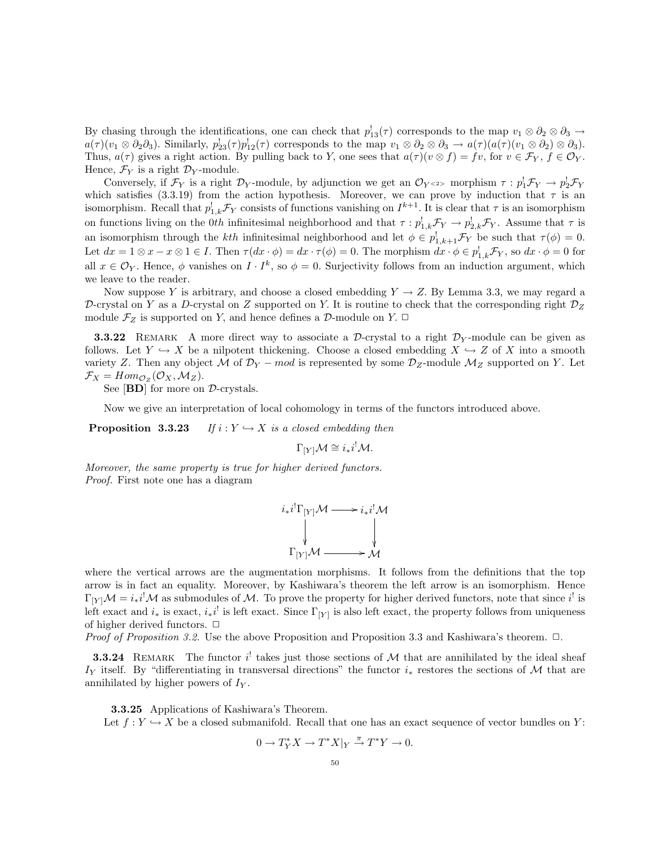By chasing through the identifications, one can check that  $p'_{13}(\tau)$  corresponds to the map  $v_1 \otimes \partial_2 \otimes \partial_3 \to$  $a(\tau)(v_1 \otimes \partial_2 \partial_3)$ . Similarly,  $p_{23}^{\dagger}(\tau)p_{12}^{\dagger}(\tau)$  corresponds to the map  $v_1 \otimes \partial_2 \otimes \partial_3 \to a(\tau)(a(\tau)(v_1 \otimes \partial_2) \otimes \partial_3)$ . Thus,  $a(\tau)$  gives a right action. By pulling back to Y, one sees that  $a(\tau)(v \otimes f) = fv$ , for  $v \in \mathcal{F}_Y$ ,  $f \in \mathcal{O}_Y$ . Hence,  $\mathcal{F}_Y$  is a right  $\mathcal{D}_Y$ -module.

Conversely, if  $\mathcal{F}_Y$  is a right  $\mathcal{D}_Y$ -module, by adjunction we get an  $\mathcal{O}_{Y^{<2>}$  morphism  $\tau : p_1^!\mathcal{F}_Y \to p_2^!\mathcal{F}_Y$ which satisfies (3.3.19) from the action hypothesis. Moreover, we can prove by induction that  $\tau$  is an isomorphism. Recall that  $p_{1,k}^l \mathcal{F}_Y$  consists of functions vanishing on  $I^{k+1}$ . It is clear that  $\tau$  is an isomorphism on functions living on the 0th infinitesimal neighborhood and that  $\tau : p_{1,k}^! \mathcal{F}_Y \to p_{2,k}^! \mathcal{F}_Y$ . Assume that  $\tau$  is an isomorphism through the kth infinitesimal neighborhood and let  $\phi \in p_{1,k+1}^1 \mathcal{F}_Y$  be such that  $\tau(\phi) = 0$ . Let  $dx = 1 \otimes x - x \otimes 1 \in I$ . Then  $\tau(dx \cdot \phi) = dx \cdot \tau(\phi) = 0$ . The morphism  $dx \cdot \phi \in p_{1,k}^{\dagger} \mathcal{F}_Y$ , so  $dx \cdot \phi = 0$  for all  $x \in \mathcal{O}_Y$ . Hence,  $\phi$  vanishes on  $I \cdot I^k$ , so  $\phi = 0$ . Surjectivity follows from an induction argument, which we leave to the reader.

Now suppose Y is arbitrary, and choose a closed embedding  $Y \to Z$ . By Lemma 3.3, we may regard a D-crystal on Y as a D-crystal on Z supported on Y. It is routine to check that the corresponding right  $\mathcal{D}_Z$ module  $\mathcal{F}_Z$  is supported on Y, and hence defines a D-module on Y.  $\Box$ 

**3.3.22** REMARK A more direct way to associate a D-crystal to a right  $\mathcal{D}_Y$ -module can be given as follows. Let  $Y \hookrightarrow X$  be a nilpotent thickening. Choose a closed embedding  $X \hookrightarrow Z$  of X into a smooth variety Z. Then any object M of  $\mathcal{D}_Y$  – mod is represented by some  $\mathcal{D}_Z$ -module  $\mathcal{M}_Z$  supported on Y. Let  $\mathcal{F}_X = Hom_{\mathcal{O}_Z}(\mathcal{O}_X, \mathcal{M}_Z).$ 

See [**BD**] for more on  $\mathcal{D}$ -crystals.

Now we give an interpretation of local cohomology in terms of the functors introduced above.

**Proposition 3.3.23** If  $i : Y \hookrightarrow X$  is a closed embedding then

$$
\Gamma_{[Y]} \mathcal{M} \cong i_* i^! \mathcal{M}.
$$

Moreover, the same property is true for higher derived functors. Proof. First note one has a diagram

$$
i_*i^!\Gamma_{[Y]}{\mathcal M} \longrightarrow i_*i^!{\mathcal M}
$$
  
\n
$$
\downarrow \qquad \qquad \downarrow
$$
  
\n
$$
\Gamma_{[Y]}{\mathcal M} \longrightarrow {\mathcal M}
$$

where the vertical arrows are the augmentation morphisms. It follows from the definitions that the top arrow is in fact an equality. Moreover, by Kashiwara's theorem the left arrow is an isomorphism. Hence  $\Gamma_{[Y]} \mathcal{M} = i_* i^! \mathcal{M}$  as submodules of  $\mathcal{M}$ . To prove the property for higher derived functors, note that since  $i^!$  is left exact and  $i_*$  is exact,  $i_*i^!$  is left exact. Since  $\Gamma_{[Y]}$  is also left exact, the property follows from uniqueness of higher derived functors.  $\Box$ 

*Proof of Proposition 3.2.* Use the above Proposition and Proposition 3.3 and Kashiwara's theorem.  $\Box$ .

**3.3.24** REMARK The functor  $i^!$  takes just those sections of M that are annihilated by the ideal sheaf I<sub>Y</sub> itself. By "differentiating in transversal directions" the functor  $i_*$  restores the sections of M that are annihilated by higher powers of  $I_Y$ .

3.3.25 Applications of Kashiwara's Theorem.

Let  $f: Y \hookrightarrow X$  be a closed submanifold. Recall that one has an exact sequence of vector bundles on Y:

$$
0 \to T_Y^* X \to T^* X|_Y \stackrel{\pi}{\to} T^* Y \to 0.
$$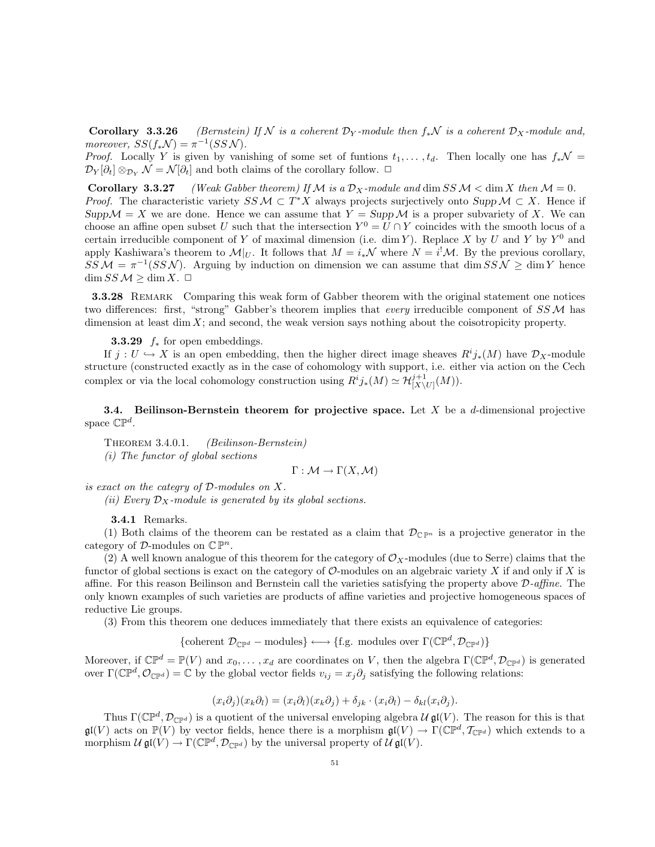**Corollary 3.3.26** (Bernstein) If N is a coherent  $\mathcal{D}_Y$ -module then  $f_*\mathcal{N}$  is a coherent  $\mathcal{D}_X$ -module and, moreover,  $SS(f_*\mathcal{N}) = \pi^{-1}(SS\mathcal{N}).$ 

*Proof.* Locally Y is given by vanishing of some set of funtions  $t_1, \ldots, t_d$ . Then locally one has  $f_*\mathcal{N} =$  $\mathcal{D}_Y[\partial_t] \otimes_{\mathcal{D}_Y} \mathcal{N} = \mathcal{N}[\partial_t]$  and both claims of the corollary follow.  $\Box$ 

**Corollary 3.3.27** (Weak Gabber theorem) If M is a  $\mathcal{D}_X$ -module and dim SS M < dim X then  $\mathcal{M} = 0$ . *Proof.* The characteristic variety  $SS \mathcal{M} \subset T^*X$  always projects surjectively onto  $Supp \mathcal{M} \subset X$ . Hence if  $Supp\mathcal{M}=X$  we are done. Hence we can assume that  $Y = Supp\mathcal{M}$  is a proper subvariety of X. We can choose an affine open subset U such that the intersection  $Y^0 = U \cap Y$  coincides with the smooth locus of a certain irreducible component of Y of maximal dimension (i.e. dim Y). Replace X by U and Y by  $Y^0$  and apply Kashiwara's theorem to  $\mathcal{M}|_U$ . It follows that  $M = i_*\mathcal{N}$  where  $N = i^!\mathcal{M}$ . By the previous corollary,  $SSM = \pi^{-1}(SSN)$ . Arguing by induction on dimension we can assume that dim  $SSN \ge$  dim Y hence  $\dim SS \mathcal{M} \geq \dim X. \square$ 

**3.3.28** REMARK Comparing this weak form of Gabber theorem with the original statement one notices two differences: first, "strong" Gabber's theorem implies that every irreducible component of  $SSM$  has dimension at least dim  $X$ ; and second, the weak version says nothing about the coisotropicity property.

**3.3.29**  $f_*$  for open embeddings.

If  $j: U \hookrightarrow X$  is an open embedding, then the higher direct image sheaves  $R^i j_*(M)$  have  $\mathcal{D}_X$ -module structure (constructed exactly as in the case of cohomology with support, i.e. either via action on the Cech complex or via the local cohomology construction using  $R^i j_*(M) \simeq \mathcal{H}^{j+1}_{[X\setminus U]}(M)$ .

**3.4.** Beilinson-Bernstein theorem for projective space. Let  $X$  be a d-dimensional projective space  $\mathbb{CP}^d$ .

THEOREM 3.4.0.1. (Beilinson-Bernstein) (i) The functor of global sections

$$
\Gamma: \mathcal{M} \to \Gamma(X, \mathcal{M})
$$

is exact on the categry of D-modules on X.

(ii) Every  $\mathcal{D}_X$ -module is generated by its global sections.

3.4.1 Remarks.

(1) Both claims of the theorem can be restated as a claim that  $\mathcal{D}_{\mathbb{C}\mathbb{P}^n}$  is a projective generator in the category of  $\mathcal{D}$ -modules on  $\mathbb{C} \mathbb{P}^n$ .

(2) A well known analogue of this theorem for the category of  $\mathcal{O}_X$ -modules (due to Serre) claims that the functor of global sections is exact on the category of  $\mathcal O$ -modules on an algebraic variety X if and only if X is affine. For this reason Beilinson and Bernstein call the varieties satisfying the property above D-affine. The only known examples of such varieties are products of affine varieties and projective homogeneous spaces of reductive Lie groups.

(3) From this theorem one deduces immediately that there exists an equivalence of categories:

{coherent  $\mathcal{D}_{\mathbb{C}\mathbb{P}^d}$  – modules}  $\longleftrightarrow$  {f.g. modules over  $\Gamma(\mathbb{C}\mathbb{P}^d, \mathcal{D}_{\mathbb{C}\mathbb{P}^d})$ }

Moreover, if  $\mathbb{CP}^d = \mathbb{P}(V)$  and  $x_0, \ldots, x_d$  are coordinates on V, then the algebra  $\Gamma(\mathbb{CP}^d, \mathcal{D}_{\mathbb{CP}^d})$  is generated over  $\Gamma(\mathbb{CP}^d, \mathcal{O}_{\mathbb{CP}^d}) = \mathbb{C}$  by the global vector fields  $v_{ij} = x_j \partial_j$  satisfying the following relations:

$$
(x_i\partial_j)(x_k\partial_l) = (x_i\partial_l)(x_k\partial_j) + \delta_{jk} \cdot (x_i\partial_l) - \delta_{kl}(x_i\partial_j).
$$

Thus  $\Gamma(\mathbb{CP}^d, \mathcal{D}_{\mathbb{CP}^d})$  is a quotient of the universal enveloping algebra  $\mathcal{U}$  gl(V). The reason for this is that  $\mathfrak{gl}(V)$  acts on  $\mathbb{P}(V)$  by vector fields, hence there is a morphism  $\mathfrak{gl}(V) \to \Gamma(\mathbb{CP}^d, \mathcal{T}_{\mathbb{CP}^d})$  which extends to a morphism  $\mathcal U \mathfrak{gl}(V) \to \Gamma(\mathbb{C} \mathbb{P}^d, \mathcal D_{\mathbb{C} \mathbb{P}^d})$  by the universal property of  $\mathcal U \mathfrak{gl}(V)$ .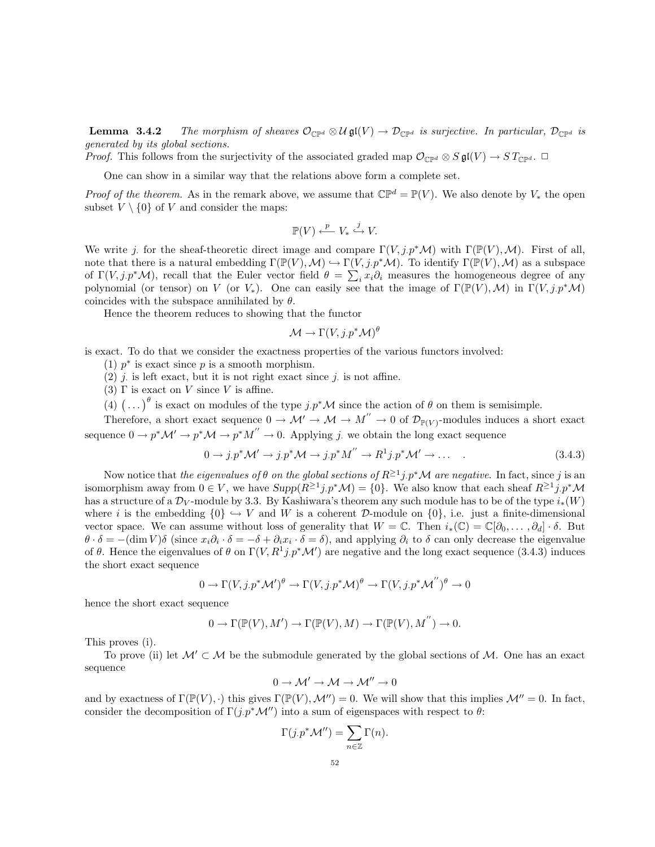**Lemma 3.4.2** The morphism of sheaves  $\mathcal{O}_{\mathbb{C}\mathbb{P}^d} \otimes \mathcal{U} \mathfrak{gl}(V) \to \mathcal{D}_{\mathbb{C}\mathbb{P}^d}$  is surjective. In particular,  $\mathcal{D}_{\mathbb{C}\mathbb{P}^d}$  is generated by its global sections.

*Proof.* This follows from the surjectivity of the associated graded map  $\mathcal{O}_{\mathbb{C}P^d} \otimes S \mathfrak{gl}(V) \to ST_{\mathbb{C}P^d}$ .  $\Box$ 

One can show in a similar way that the relations above form a complete set.

*Proof of the theorem.* As in the remark above, we assume that  $\mathbb{CP}^d = \mathbb{P}(V)$ . We also denote by  $V_*$  the open subset  $V \setminus \{0\}$  of V and consider the maps:

$$
\mathbb{P}(V) \xleftarrow{p} V_* \xrightarrow{j} V.
$$

We write j. for the sheaf-theoretic direct image and compare  $\Gamma(V, j.p^*\mathcal{M})$  with  $\Gamma(\mathbb{P}(V), \mathcal{M})$ . First of all, note that there is a natural embedding  $\Gamma(\mathbb{P}(V),\mathcal{M}) \hookrightarrow \Gamma(V,j.p^*\mathcal{M})$ . To identify  $\Gamma(\mathbb{P}(V),\mathcal{M})$  as a subspace of  $\Gamma(V, j.p^*\mathcal{M})$ , recall that the Euler vector field  $\theta = \sum_i x_i \partial_i$  measures the homogeneous degree of any polynomial (or tensor) on V (or V<sub>\*</sub>). One can easily see that the image of  $\Gamma(\mathbb{P}(V),\mathcal{M})$  in  $\Gamma(V,j,p^*\mathcal{M})$ coincides with the subspace annihilated by  $\theta$ .

Hence the theorem reduces to showing that the functor

$$
\mathcal{M}\to \Gamma(V,j.p^*\mathcal{M})^\theta
$$

is exact. To do that we consider the exactness properties of the various functors involved:

(1)  $p^*$  is exact since p is a smooth morphism.

(2)  $j$  is left exact, but it is not right exact since  $j$  is not affine.

(3)  $\Gamma$  is exact on V since V is affine.

(4)  $\left(\ldots\right)^{\theta}$  is exact on modules of the type  $j.p^{\ast}\mathcal{M}$  since the action of  $\theta$  on them is semisimple.

Therefore, a short exact sequence  $0 \to M' \to M \to M'' \to 0$  of  $\mathcal{D}_{\mathbb{P}(V)}$ -modules induces a short exact sequence  $0 \to p^* \mathcal{M}' \to p^* \mathcal{M} \to p^* M'' \to 0$ . Applying j. we obtain the long exact sequence

$$
0 \to j.p^* \mathcal{M}' \to j.p^* \mathcal{M} \to j.p^* M'' \to R^1 j.p^* \mathcal{M}' \to \dots \tag{3.4.3}
$$

Now notice that *the eigenvalues of*  $\theta$  *on the global sections of*  $R^{\geq 1}j.p^*\mathcal{M}$  *are negative.* In fact, since  $j$  is an isomorphism away from  $0 \in V$ , we have  $Supp(R^{\geq 1}j.p^*\mathcal{M}) = \{0\}$ . We also know that each sheaf  $R^{\geq 1}j.p^*\mathcal{M}$ has a structure of a  $\mathcal{D}_V$ -module by 3.3. By Kashiwara's theorem any such module has to be of the type  $i_*(W)$ where i is the embedding  $\{0\} \hookrightarrow V$  and W is a coherent D-module on  $\{0\}$ , i.e. just a finite-dimensional vector space. We can assume without loss of generality that  $W = \mathbb{C}$ . Then  $i_*(\mathbb{C}) = \mathbb{C}[\partial_0, \dots, \partial_d] \cdot \delta$ . But  $\theta \cdot \delta = -(\dim V)\delta$  (since  $x_i \partial_i \cdot \delta = -\delta + \partial_i x_i \cdot \delta = \delta$ ), and applying  $\partial_i$  to  $\delta$  can only decrease the eigenvalue of  $\theta$ . Hence the eigenvalues of  $\theta$  on  $\Gamma(V, R^1 j. p^* \mathcal{M}')$  are negative and the long exact sequence (3.4.3) induces the short exact sequence

$$
0 \to \Gamma(V, j. p^* \mathcal{M}')^{\theta} \to \Gamma(V, j. p^* \mathcal{M})^{\theta} \to \Gamma(V, j. p^* \mathcal{M}'')^{\theta} \to 0
$$

hence the short exact sequence

$$
0 \to \Gamma(\mathbb{P}(V), M') \to \Gamma(\mathbb{P}(V), M) \to \Gamma(\mathbb{P}(V), M^{''}) \to 0.
$$

This proves (i).

To prove (ii) let  $\mathcal{M}' \subset \mathcal{M}$  be the submodule generated by the global sections of  $\mathcal{M}$ . One has an exact sequence

$$
0\to \mathcal{M}'\to \mathcal{M}\to \mathcal{M}''\to 0
$$

and by exactness of  $\Gamma(\mathbb{P}(V), \cdot)$  this gives  $\Gamma(\mathbb{P}(V), \mathcal{M}^{\prime\prime}) = 0$ . We will show that this implies  $\mathcal{M}^{\prime\prime} = 0$ . In fact, consider the decomposition of  $\Gamma(j \cdot p^* \mathcal{M}'')$  into a sum of eigenspaces with respect to  $\theta$ :

$$
\Gamma(j.p^* \mathcal{M}'') = \sum_{n \in \mathbb{Z}} \Gamma(n).
$$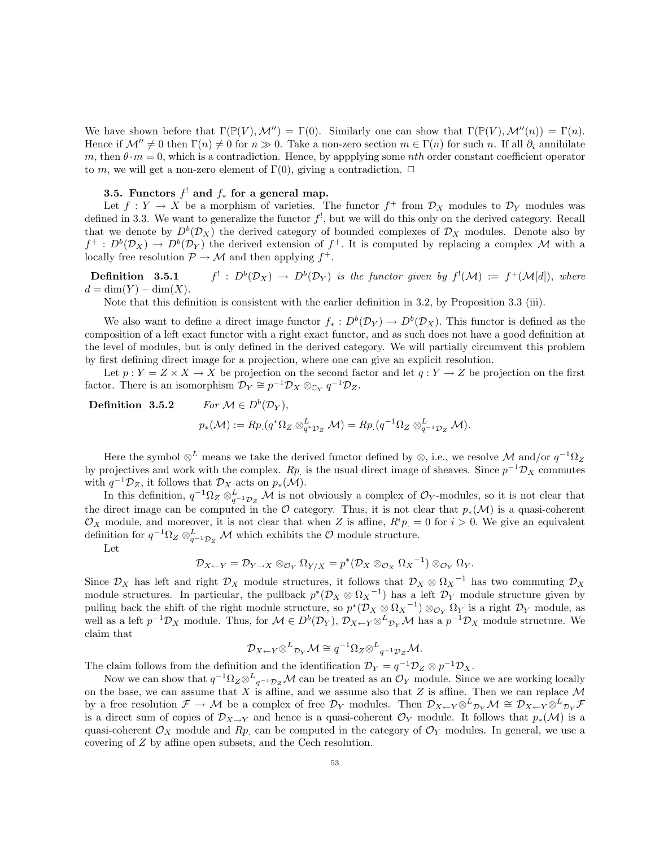We have shown before that  $\Gamma(\mathbb{P}(V),\mathcal{M}'') = \Gamma(0)$ . Similarly one can show that  $\Gamma(\mathbb{P}(V),\mathcal{M}''(n)) = \Gamma(n)$ . Hence if  $\mathcal{M}'' \neq 0$  then  $\Gamma(n) \neq 0$  for  $n \gg 0$ . Take a non-zero section  $m \in \Gamma(n)$  for such n. If all  $\partial_i$  annihilate m, then  $\theta \cdot m = 0$ , which is a contradiction. Hence, by appplying some *nth* order constant coefficient operator to m, we will get a non-zero element of  $\Gamma(0)$ , giving a contradiction.  $\Box$ 

## 3.5. Functors  $f^!$  and  $f_*$  for a general map.

Let  $f: Y \to X$  be a morphism of varieties. The functor  $f^+$  from  $\mathcal{D}_X$  modules to  $\mathcal{D}_Y$  modules was defined in 3.3. We want to generalize the functor  $f^!$ , but we will do this only on the derived category. Recall that we denote by  $D^b(\mathcal{D}_X)$  the derived category of bounded complexes of  $\mathcal{D}_X$  modules. Denote also by  $f^+ : D^b(\mathcal{D}_X) \to D^b(\mathcal{D}_Y)$  the derived extension of  $f^+$ . It is computed by replacing a complex M with a locally free resolution  $\mathcal{P} \to \mathcal{M}$  and then applying  $f^+$ .

Definition 3.5.1  $f^!: D^b(\mathcal{D}_X) \to D^b(\mathcal{D}_Y)$  is the functor given by  $f^!(\mathcal{M}) := f^+(\mathcal{M}[d]),$  where  $d = \dim(Y) - \dim(X).$ 

Note that this definition is consistent with the earlier definition in 3.2, by Proposition 3.3 (iii).

We also want to define a direct image functor  $f_*: D^b(\mathcal{D}_Y) \to D^b(\mathcal{D}_X)$ . This functor is defined as the composition of a left exact functor with a right exact functor, and as such does not have a good definition at the level of modules, but is only defined in the derived category. We will partially circumvent this problem by first defining direct image for a projection, where one can give an explicit resolution.

Let  $p: Y = Z \times X \to X$  be projection on the second factor and let  $q: Y \to Z$  be projection on the first factor. There is an isomorphism  $\mathcal{D}_Y \cong p^{-1} \mathcal{D}_X \otimes_{\mathbb{C}_Y} q^{-1} \mathcal{D}_Z$ .

Definition 3.5.2 For  $M \in D^b(\mathcal{D}_V)$ ,  $p_*(\mathcal{M}) := Rp_*(q^*\Omega_Z \otimes_{q^*\mathcal{D}_Z}^L \mathcal{M}) = Rp_*(q^{-1}\Omega_Z \otimes_{q^{-1}\mathcal{D}_Z}^L \mathcal{M}).$ 

Here the symbol  $\otimes^L$  means we take the derived functor defined by  $\otimes$ , i.e., we resolve M and/or  $q^{-1}\Omega_Z$ by projectives and work with the complex.  $Rp$  is the usual direct image of sheaves. Since  $p^{-1}D_X$  commutes with  $q^{-1}\mathcal{D}_Z$ , it follows that  $\mathcal{D}_X$  acts on  $p_*(\mathcal{M})$ .

In this definition,  $q^{-1}\Omega_Z \otimes_{q^{-1}\mathcal{D}_Z}^L \mathcal{M}$  is not obviously a complex of  $\mathcal{O}_Y$ -modules, so it is not clear that the direct image can be computed in the O category. Thus, it is not clear that  $p_*(\mathcal{M})$  is a quasi-coherent  $\mathcal{O}_X$  module, and moreover, it is not clear that when Z is affine,  $R^i p = 0$  for  $i > 0$ . We give an equivalent definition for  $q^{-1}\Omega_Z \otimes_{q^{-1}\mathcal{D}_Z}^L \mathcal{M}$  which exhibits the  $\mathcal{O}$  module structure.

Let

$$
\mathcal{D}_{X \leftarrow Y} = \mathcal{D}_{Y \rightarrow X} \otimes_{\mathcal{O}_Y} \Omega_{Y/X} = p^*(\mathcal{D}_X \otimes_{\mathcal{O}_X} \Omega_X^{-1}) \otimes_{\mathcal{O}_Y} \Omega_Y.
$$

Since  $\mathcal{D}_X$  has left and right  $\mathcal{D}_X$  module structures, it follows that  $\mathcal{D}_X \otimes \Omega_X^{-1}$  has two commuting  $\mathcal{D}_X$ module structures. In particular, the pullback  $p^*(D_X \otimes \Omega_X^{-1})$  has a left  $D_Y$  module structure given by pulling back the shift of the right module structure, so  $p^*(D_X \otimes \Omega_X^{-1}) \otimes_{\mathcal{O}_Y} \Omega_Y$  is a right  $\mathcal{D}_Y$  module, as well as a left  $p^{-1}\mathcal{D}_X$  module. Thus, for  $\mathcal{M} \in D^b(\mathcal{D}_Y)$ ,  $\mathcal{D}_{X\leftarrow Y}\otimes^L_{\mathcal{D}_Y}\mathcal{M}$  has a  $p^{-1}\mathcal{D}_X$  module structure. We claim that

$$
\mathcal{D}_{X \leftarrow Y} \otimes^L \mathcal{D}_Y \mathcal{M} \cong q^{-1} \Omega_Z \otimes^L q^{-1} \mathcal{D}_Z \mathcal{M}.
$$

The claim follows from the definition and the identification  $\mathcal{D}_Y = q^{-1} \mathcal{D}_Z \otimes p^{-1} \mathcal{D}_X$ .

Now we can show that  $q^{-1}\Omega_Z \otimes^L_{q^{-1}\mathcal{D}_Z}\mathcal{M}$  can be treated as an  $\mathcal{O}_Y$  module. Since we are working locally on the base, we can assume that X is affine, and we assume also that Z is affine. Then we can replace  $\mathcal M$ by a free resolution  $\mathcal{F} \to \mathcal{M}$  be a complex of free  $\mathcal{D}_Y$  modules. Then  $\mathcal{D}_{X \leftarrow Y} \otimes^L_{\mathcal{D}_Y} \mathcal{M} \cong \mathcal{D}_{X \leftarrow Y} \otimes^L_{\mathcal{D}_Y} \mathcal{F}$ is a direct sum of copies of  $\mathcal{D}_{X\to Y}$  and hence is a quasi-coherent  $\mathcal{O}_Y$  module. It follows that  $p_*(\mathcal{M})$  is a quasi-coherent  $\mathcal{O}_X$  module and  $Rp$  can be computed in the category of  $\mathcal{O}_Y$  modules. In general, we use a covering of Z by affine open subsets, and the Cech resolution.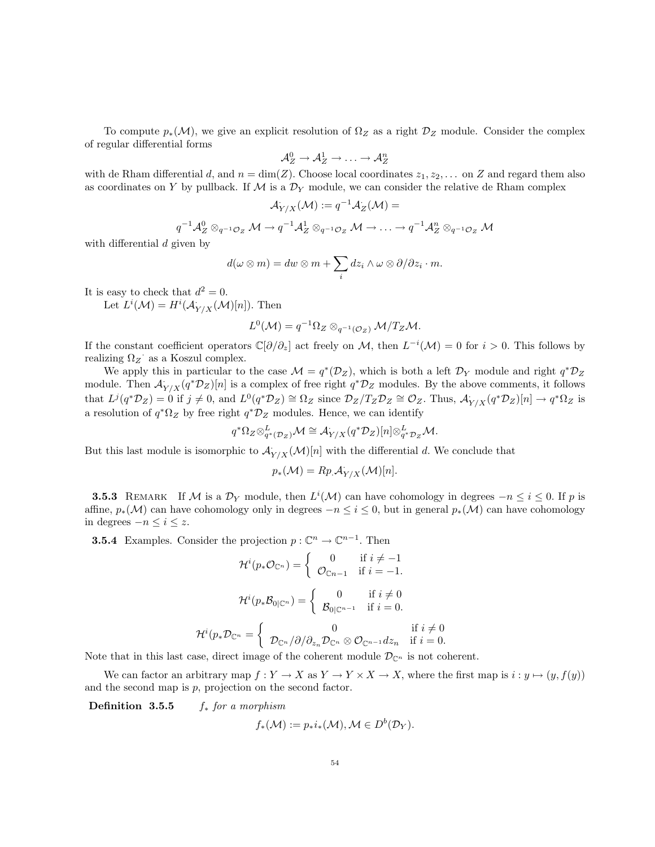To compute  $p_*(\mathcal{M})$ , we give an explicit resolution of  $\Omega_Z$  as a right  $\mathcal{D}_Z$  module. Consider the complex of regular differential forms

$$
\mathcal{A}_Z^0 \to \mathcal{A}_Z^1 \to \ldots \to \mathcal{A}_Z^n
$$

with de Rham differential d, and  $n = \dim(Z)$ . Choose local coordinates  $z_1, z_2, \ldots$  on Z and regard them also as coordinates on Y by pullback. If  $M$  is a  $\mathcal{D}_Y$  module, we can consider the relative de Rham complex

$$
\mathcal{A}_{Y/X}(\mathcal{M}) := q^{-1} \mathcal{A}_Z(\mathcal{M}) =
$$

$$
q^{-1} \mathcal{A}_Z^0 \otimes_{q^{-1}\mathcal{O}_Z} \mathcal{M} \to q^{-1} \mathcal{A}_Z^1 \otimes_{q^{-1}\mathcal{O}_Z} \mathcal{M} \to \dots \to q^{-1} \mathcal{A}_Z^n \otimes_{q^{-1}\mathcal{O}_Z} \mathcal{M}
$$

with differential d given by

$$
d(\omega \otimes m) = dw \otimes m + \sum_i dz_i \wedge \omega \otimes \partial/\partial z_i \cdot m.
$$

It is easy to check that  $d^2 = 0$ .

Let  $L^i(\mathcal{M}) = H^i(\mathcal{A}_{Y/X}(\mathcal{M})[n])$ . Then

$$
L^{0}(\mathcal{M}) = q^{-1}\Omega_{Z} \otimes_{q^{-1}(\mathcal{O}_{Z})} \mathcal{M}/T_{Z}\mathcal{M}.
$$

If the constant coefficient operators  $\mathbb{C}[\partial/\partial_z]$  act freely on M, then  $L^{-i}(\mathcal{M})=0$  for  $i>0$ . This follows by realizing  $\Omega_Z$  as a Koszul complex.

We apply this in particular to the case  $\mathcal{M} = q^*(\mathcal{D}_Z)$ , which is both a left  $\mathcal{D}_Y$  module and right  $q^*\mathcal{D}_Z$ module. Then  $\mathcal{A}_{Y/X}(q^*\mathcal{D}_Z)[n]$  is a complex of free right  $q^*\mathcal{D}_Z$  modules. By the above comments, it follows that  $L^j(q^*\mathcal{D}_Z) = 0$  if  $j \neq 0$ , and  $L^0(q^*\mathcal{D}_Z) \cong \Omega_Z$  since  $\mathcal{D}_Z/T_Z\mathcal{D}_Z \cong \mathcal{O}_Z$ . Thus,  $\mathcal{A}_{Y/X}^{\cdot}(q^*\mathcal{D}_Z)[n] \to q^*\Omega_Z$  is a resolution of  $q^*\Omega_Z$  by free right  $q^*\mathcal{D}_Z$  modules. Hence, we can identify

$$
q^*\Omega_Z \otimes^L_{q^*(\mathcal{D}_Z)} \mathcal{M} \cong \mathcal{A}_{Y/X}(q^*\mathcal{D}_Z)[n] \otimes^L_{q^*\mathcal{D}_Z} \mathcal{M}.
$$

But this last module is isomorphic to  $\mathcal{A}_{Y/X}(\mathcal{M})[n]$  with the differential d. We conclude that

$$
p_*(\mathcal{M}) = Rp \mathcal{A}_{Y/X}(\mathcal{M})[n].
$$

**3.5.3** REMARK If M is a  $\mathcal{D}_Y$  module, then  $L^i(\mathcal{M})$  can have cohomology in degrees  $-n \leq i \leq 0$ . If p is affine,  $p_*(\mathcal{M})$  can have cohomology only in degrees  $-n \leq i \leq 0$ , but in general  $p_*(\mathcal{M})$  can have cohomology in degrees  $-n \leq i \leq z$ .

**3.5.4** Examples. Consider the projection  $p : \mathbb{C}^n \to \mathbb{C}^{n-1}$ . Then

$$
\mathcal{H}^{i}(p_{*}\mathcal{O}_{\mathbb{C}^{n}}) = \begin{cases} 0 & \text{if } i \neq -1 \\ \mathcal{O}_{\mathbb{C}n-1} & \text{if } i = -1. \end{cases}
$$

$$
\mathcal{H}^{i}(p_{*}\mathcal{B}_{0|\mathbb{C}^{n}}) = \begin{cases} 0 & \text{if } i \neq 0 \\ \mathcal{B}_{0|\mathbb{C}^{n-1}} & \text{if } i = 0. \end{cases}
$$

$$
\mathcal{H}^{i}(p_{*}\mathcal{D}_{\mathbb{C}^{n}} = \begin{cases} 0 & \text{if } i \neq 0 \\ \mathcal{D}_{\mathbb{C}^{n}}/\partial/\partial_{z_{n}}\mathcal{D}_{\mathbb{C}^{n}} \otimes \mathcal{O}_{\mathbb{C}^{n-1}}dz_{n} & \text{if } i = 0. \end{cases}
$$

Note that in this last case, direct image of the coherent module  $\mathcal{D}_{\mathbb{C}^n}$  is not coherent.

We can factor an arbitrary map  $f: Y \to X$  as  $Y \to Y \times X \to X$ , where the first map is  $i: y \mapsto (y, f(y))$ and the second map is  $p$ , projection on the second factor.

**Definition 3.5.5** f<sub>∗</sub> for a morphism

$$
f_*(\mathcal{M}) := p_*i_*(\mathcal{M}), \mathcal{M} \in D^b(\mathcal{D}_Y).
$$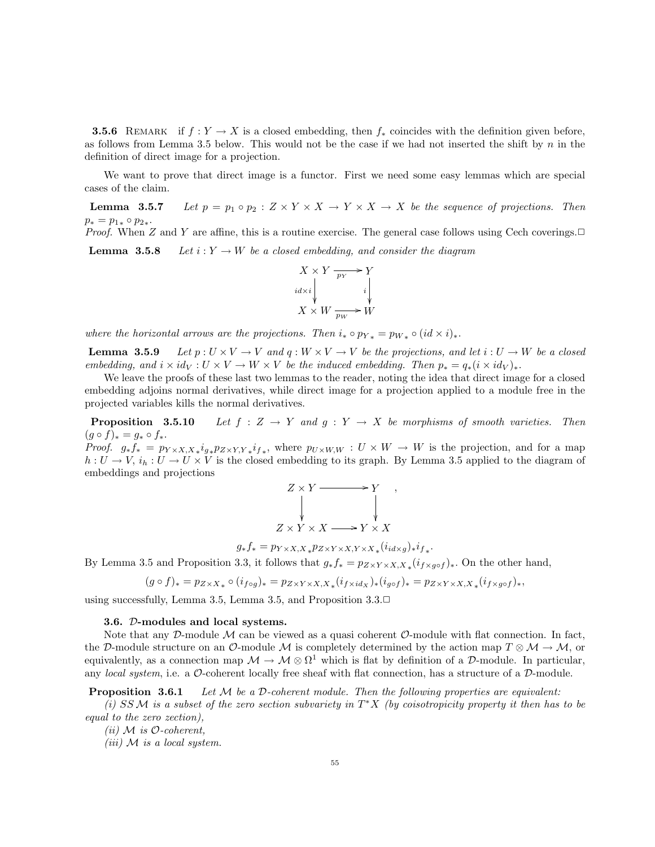**3.5.6** REMARK if  $f: Y \to X$  is a closed embedding, then  $f_*$  coincides with the definition given before, as follows from Lemma 3.5 below. This would not be the case if we had not inserted the shift by  $n$  in the definition of direct image for a projection.

We want to prove that direct image is a functor. First we need some easy lemmas which are special cases of the claim.

**Lemma 3.5.7** Let  $p = p_1 \circ p_2 : Z \times Y \times X \to Y \times X \to X$  be the sequence of projections. Then  $p_* = p_{1*} \circ p_{2*}.$ 

*Proof.* When Z and Y are affine, this is a routine exercise. The general case follows using Cech coverings. $\Box$ **Lemma 3.5.8** Let  $i : Y \to W$  be a closed embedding, and consider the diagram



where the horizontal arrows are the projections. Then  $i_* \circ p_{Y*} = p_{W*} \circ (id \times i)_*.$ 

**Lemma 3.5.9** Let  $p: U \times V \to V$  and  $q: W \times V \to V$  be the projections, and let  $i: U \to W$  be a closed embedding, and  $i \times id_V : U \times V \to W \times V$  be the induced embedding. Then  $p_* = q_*(i \times id_V)_*.$ 

We leave the proofs of these last two lemmas to the reader, noting the idea that direct image for a closed embedding adjoins normal derivatives, while direct image for a projection applied to a module free in the projected variables kills the normal derivatives.

**Proposition** 3.5.10 Let  $f : Z \to Y$  and  $g : Y \to X$  be morphisms of smooth varieties. Then  $(g \circ f)_* = g_* \circ f_*$ .

*Proof.*  $g_* f_* = p_{Y \times X, X} i_{g*} p_{Z \times Y, Y} i_{f*}$ , where  $p_{U \times W, W} : U \times W \to W$  is the projection, and for a map  $h: U \to V$ ,  $i_h: U \to U \times V$  is the closed embedding to its graph. By Lemma 3.5 applied to the diagram of embeddings and projections

$$
Z \times Y \xrightarrow{\qquad} Y \qquad ,
$$
  
\n
$$
Z \times Y \times X \longrightarrow Y \times X
$$

 $g_* f_* = p_{Y \times X, X*} p_{Z \times Y \times X, Y \times X*} (i_{id \times g})_* i_{f*}.$ 

By Lemma 3.5 and Proposition 3.3, it follows that  $g_* f_* = p_{Z \times Y \times X, X_*}(i_{f \times g \circ f})_*$ . On the other hand,

$$
(g \circ f)_* = p_{Z \times X_*} \circ (i_{f \circ g})_* = p_{Z \times Y \times X, X_*} (i_{f \times id_X})_* (i_{g \circ f})_* = p_{Z \times Y \times X, X_*} (i_{f \times g \circ f})_*,
$$

using successfully, Lemma 3.5, Lemma 3.5, and Proposition  $3.3 \square$ 

#### 3.6. D-modules and local systems.

Note that any D-module  $\mathcal M$  can be viewed as a quasi coherent  $\mathcal O$ -module with flat connection. In fact, the D-module structure on an O-module M is completely determined by the action map  $T \otimes M \to M$ , or equivalently, as a connection map  $\mathcal{M} \to \mathcal{M} \otimes \Omega^1$  which is flat by definition of a D-module. In particular, any local system, i.e. a  $\mathcal{O}\text{-coherent locally free sheaf with flat connection, has a structure of a }\mathcal{D}\text{-module.}$ 

**Proposition 3.6.1** Let  $M$  be a D-coherent module. Then the following properties are equivalent:

(i) SSM is a subset of the zero section subvariety in  $T^*X$  (by coisotropicity property it then has to be equal to the zero zection),

(*ii*)  $M$  *is*  $O$ -coherent,

(*iii*)  $\mathcal M$  *is a local system.*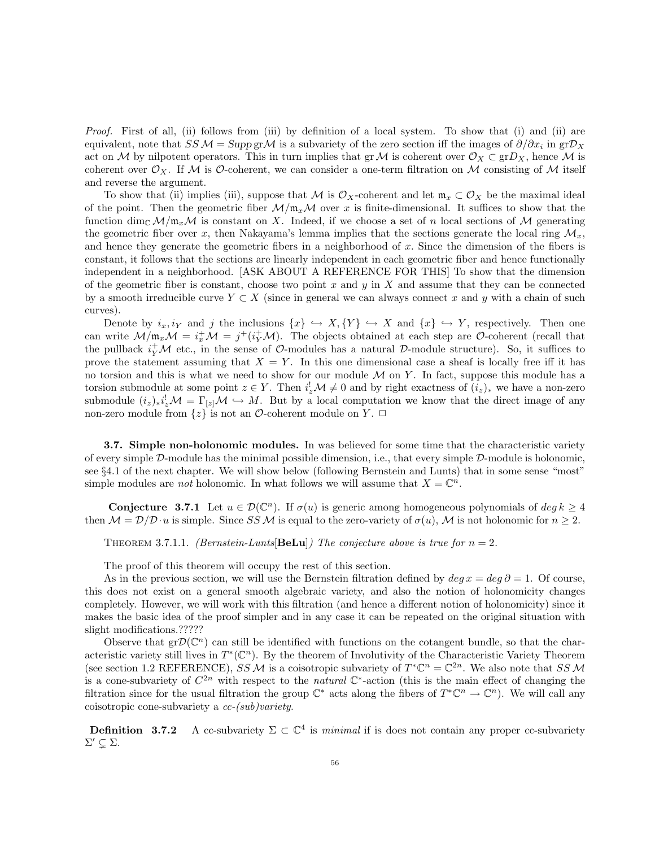Proof. First of all, (ii) follows from (iii) by definition of a local system. To show that (i) and (ii) are equivalent, note that  $SSM = \text{Supp } g r \mathcal{M}$  is a subvariety of the zero section iff the images of  $\partial/\partial x_i$  in  $gr\mathcal{D}_X$ act on M by nilpotent operators. This in turn implies that  $\operatorname{gr} \mathcal{M}$  is coherent over  $\mathcal{O}_X \subset \operatorname{gr} D_X$ , hence M is coherent over  $\mathcal{O}_X$ . If M is  $\mathcal{O}\text{-coherent}$ , we can consider a one-term filtration on M consisting of M itself and reverse the argument.

To show that (ii) implies (iii), suppose that M is  $\mathcal{O}_X$ -coherent and let  $\mathfrak{m}_x \subset \mathcal{O}_X$  be the maximal ideal of the point. Then the geometric fiber  $\mathcal{M}/m_x\mathcal{M}$  over x is finite-dimensional. It suffices to show that the function  $\dim_{\mathbb{C}} \mathcal{M}/\mathfrak{m}_x\mathcal{M}$  is constant on X. Indeed, if we choose a set of n local sections of M generating the geometric fiber over x, then Nakayama's lemma implies that the sections generate the local ring  $\mathcal{M}_x$ , and hence they generate the geometric fibers in a neighborhood of  $x$ . Since the dimension of the fibers is constant, it follows that the sections are linearly independent in each geometric fiber and hence functionally independent in a neighborhood. [ASK ABOUT A REFERENCE FOR THIS] To show that the dimension of the geometric fiber is constant, choose two point x and y in X and assume that they can be connected by a smooth irreducible curve  $Y \subset X$  (since in general we can always connect x and y with a chain of such curves).

Denote by  $i_x, i_Y$  and j the inclusions  $\{x\} \hookrightarrow X, \{Y\} \hookrightarrow X$  and  $\{x\} \hookrightarrow Y$ , respectively. Then one can write  $\mathcal{M}/\mathfrak{m}_x\mathcal{M} = i_x^+\mathcal{M} = j^+(i_Y^+\mathcal{M})$ . The objects obtained at each step are O-coherent (recall that the pullback  $i_Y^+ \mathcal{M}$  etc., in the sense of  $\mathcal{O}\text{-modules}$  has a natural  $\mathcal{D}\text{-module}$  structure). So, it suffices to prove the statement assuming that  $X = Y$ . In this one dimensional case a sheaf is locally free iff it has no torsion and this is what we need to show for our module  $\mathcal M$  on Y. In fact, suppose this module has a torsion submodule at some point  $z \in Y$ . Then  $i_z^! \mathcal{M} \neq 0$  and by right exactness of  $(i_z)_*$  we have a non-zero submodule  $(i_z)_*i_z^! \mathcal{M} = \Gamma_{[z]} \mathcal{M} \hookrightarrow M$ . But by a local computation we know that the direct image of any non-zero module from  $\{z\}$  is not an  $\mathcal O$ -coherent module on Y.  $\Box$ 

**3.7.** Simple non-holonomic modules. In was believed for some time that the characteristic variety of every simple  $D$ -module has the minimal possible dimension, i.e., that every simple  $D$ -module is holonomic, see §4.1 of the next chapter. We will show below (following Bernstein and Lunts) that in some sense "most" simple modules are *not* holonomic. In what follows we will assume that  $X = \mathbb{C}^n$ .

**Conjecture** 3.7.1 Let  $u \in \mathcal{D}(\mathbb{C}^n)$ . If  $\sigma(u)$  is generic among homogeneous polynomials of  $\deg k \geq 4$ then  $M = \mathcal{D}/\mathcal{D} \cdot u$  is simple. Since SSM is equal to the zero-variety of  $\sigma(u)$ , M is not holonomic for  $n \geq 2$ .

THEOREM 3.7.1.1. (Bernstein-Lunts **BeLu**) The conjecture above is true for  $n = 2$ .

The proof of this theorem will occupy the rest of this section.

As in the previous section, we will use the Bernstein filtration defined by  $deg x = deg \partial = 1$ . Of course, this does not exist on a general smooth algebraic variety, and also the notion of holonomicity changes completely. However, we will work with this filtration (and hence a different notion of holonomicity) since it makes the basic idea of the proof simpler and in any case it can be repeated on the original situation with slight modifications.??????

Observe that  $gr\mathcal{D}(\mathbb{C}^n)$  can still be identified with functions on the cotangent bundle, so that the characteristic variety still lives in  $T^*(\mathbb{C}^n)$ . By the theorem of Involutivity of the Characteristic Variety Theorem (see section 1.2 REFERENCE), SS M is a coisotropic subvariety of  $T^*\mathbb{C}^n = \mathbb{C}^{2n}$ . We also note that SS M is a cone-subvariety of  $C^{2n}$  with respect to the *natural*  $\mathbb{C}^*$ -action (this is the main effect of changing the filtration since for the usual filtration the group  $\mathbb{C}^*$  acts along the fibers of  $T^*\mathbb{C}^n \to \mathbb{C}^n$ ). We will call any coisotropic cone-subvariety a cc-(sub)variety.

**Definition** 3.7.2 A cc-subvariety  $\Sigma \subset \mathbb{C}^4$  is *minimal* if is does not contain any proper cc-subvariety  $\Sigma' \subsetneq \Sigma$ .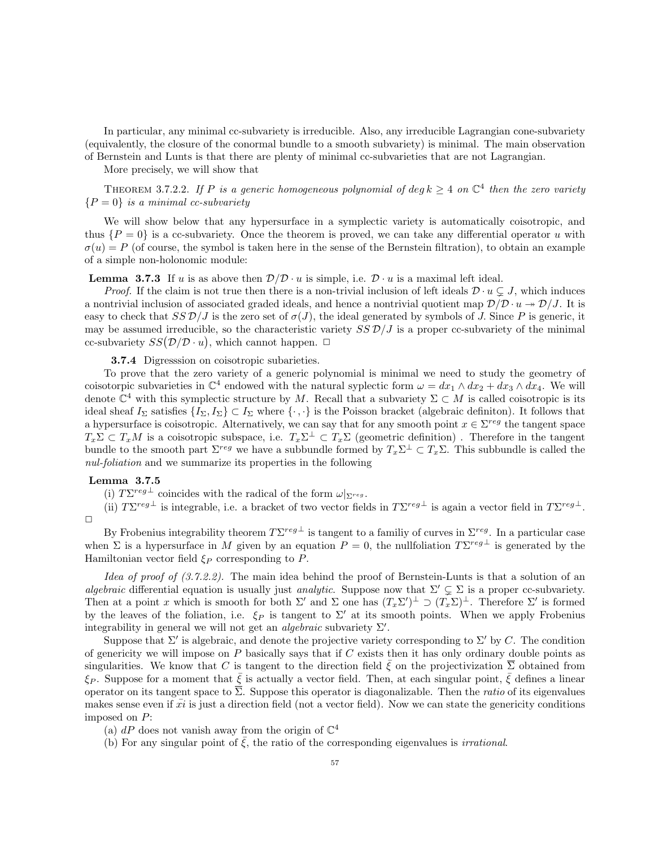In particular, any minimal cc-subvariety is irreducible. Also, any irreducible Lagrangian cone-subvariety (equivalently, the closure of the conormal bundle to a smooth subvariety) is minimal. The main observation of Bernstein and Lunts is that there are plenty of minimal cc-subvarieties that are not Lagrangian.

More precisely, we will show that

THEOREM 3.7.2.2. If P is a generic homogeneous polynomial of deg  $k \geq 4$  on  $\mathbb{C}^4$  then the zero variety  ${P = 0}$  is a minimal cc-subvariety

We will show below that any hypersurface in a symplectic variety is automatically coisotropic, and thus  $\{P = 0\}$  is a cc-subvariety. Once the theorem is proved, we can take any differential operator u with  $\sigma(u) = P$  (of course, the symbol is taken here in the sense of the Bernstein filtration), to obtain an example of a simple non-holonomic module:

**Lemma 3.7.3** If u is as above then  $\mathcal{D}/\mathcal{D} \cdot u$  is simple, i.e.  $\mathcal{D} \cdot u$  is a maximal left ideal.

*Proof.* If the claim is not true then there is a non-trivial inclusion of left ideals  $\mathcal{D} \cdot u \subsetneq J$ , which induces a nontrivial inclusion of associated graded ideals, and hence a nontrivial quotient map  $\mathcal{D}/\mathcal{D}\cdot u \twoheadrightarrow \mathcal{D}/J$ . It is easy to check that  $SSD/J$  is the zero set of  $\sigma(J)$ , the ideal generated by symbols of J. Since P is generic, it may be assumed irreducible, so the characteristic variety  $SSD/J$  is a proper cc-subvariety of the minimal cc-subvariety  $SS(\mathcal{D}/\mathcal{D}\cdot u)$ , which cannot happen.  $\Box$ 

3.7.4 Digresssion on coisotropic subarieties.

To prove that the zero variety of a generic polynomial is minimal we need to study the geometry of coisotorpic subvarieties in  $\mathbb{C}^4$  endowed with the natural syplectic form  $\omega = dx_1 \wedge dx_2 + dx_3 \wedge dx_4$ . We will denote  $\mathbb{C}^4$  with this symplectic structure by M. Recall that a subvariety  $\Sigma \subset M$  is called coisotropic is its ideal sheaf  $I_{\Sigma}$  satisfies  $\{I_{\Sigma}, I_{\Sigma}\}\subset I_{\Sigma}$  where  $\{\cdot, \cdot\}$  is the Poisson bracket (algebraic definiton). It follows that a hypersurface is coisotropic. Alternatively, we can say that for any smooth point  $x \in \Sigma^{reg}$  the tangent space  $T_x\Sigma \subset T_xM$  is a coisotropic subspace, i.e.  $T_x\Sigma^{\perp} \subset T_x\Sigma$  (geometric definition). Therefore in the tangent bundle to the smooth part  $\Sigma^{reg}$  we have a subbundle formed by  $T_x\Sigma^{\perp} \subset T_x\Sigma$ . This subbundle is called the nul-foliation and we summarize its properties in the following

## Lemma 3.7.5

(i)  $T\Sigma^{reg\perp}$  coincides with the radical of the form  $\omega|_{\Sigma^{reg}}$ .

(ii)  $T\Sigma^{reg\perp}$  is integrable, i.e. a bracket of two vector fields in  $T\Sigma^{reg\perp}$  is again a vector field in  $T\Sigma^{reg\perp}$ .  $\Box$ 

By Frobenius integrability theorem  $T\Sigma^{reg}$  is tangent to a familiy of curves in  $\Sigma^{reg}$ . In a particular case when  $\Sigma$  is a hypersurface in M given by an equation  $P=0$ , the nullfoliation  $T\Sigma^{reg\perp}$  is generated by the Hamiltonian vector field  $\xi_P$  corresponding to P.

Idea of proof of  $(3.7.2.2)$ . The main idea behind the proof of Bernstein-Lunts is that a solution of an algebraic differential equation is usually just analytic. Suppose now that  $\Sigma' \subset \Sigma$  is a proper cc-subvariety. Then at a point x which is smooth for both  $\Sigma'$  and  $\Sigma$  one has  $(T_x \Sigma')^{\perp} \supset (T_x \Sigma)^{\perp}$ . Therefore  $\Sigma'$  is formed by the leaves of the foliation, i.e.  $\xi_P$  is tangent to  $\Sigma'$  at its smooth points. When we apply Frobenius integrability in general we will not get an *algebraic* subvariety  $\Sigma'$ .

Suppose that  $\Sigma'$  is algebraic, and denote the projective variety corresponding to  $\Sigma'$  by C. The condition of genericity we will impose on  $P$  basically says that if  $C$  exists then it has only ordinary double points as singularities. We know that C is tangent to the direction field  $\bar{\xi}$  on the projectivization  $\bar{\Sigma}$  obtained from  $\xi_P$ . Suppose for a moment that  $\bar{\xi}$  is actually a vector field. Then, at each singular point,  $\bar{\xi}$  defines a linear operator on its tangent space to  $\Sigma$ . Suppose this operator is diagonalizable. Then the *ratio* of its eigenvalues makes sense even if  $xi$  is just a direction field (not a vector field). Now we can state the genericity conditions imposed on P:

(a)  $dP$  does not vanish away from the origin of  $\mathbb{C}^4$ 

(b) For any singular point of  $\xi$ , the ratio of the corresponding eigenvalues is *irrational*.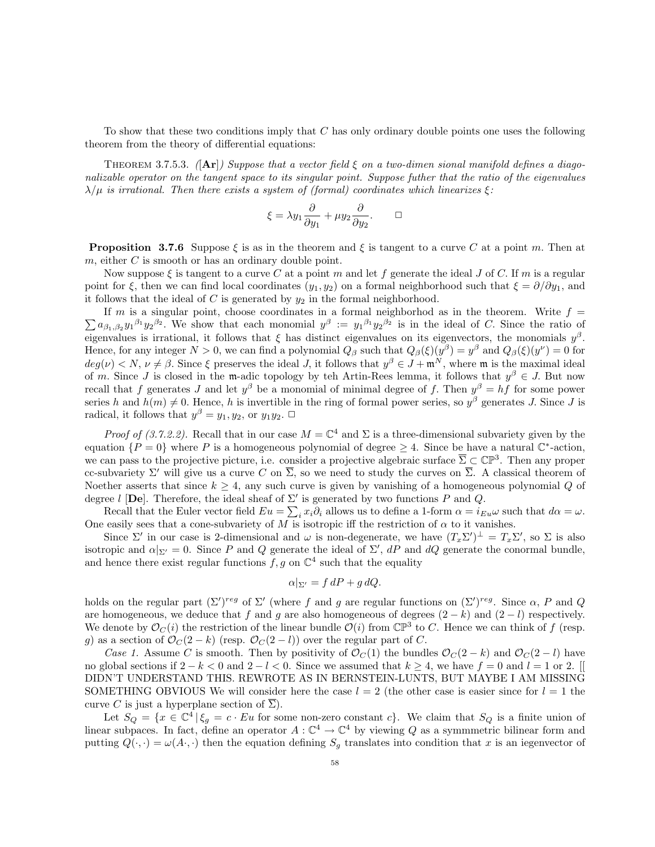To show that these two conditions imply that C has only ordinary double points one uses the following theorem from the theory of differential equations:

THEOREM 3.7.5.3. ( $\text{Ar}|$ ) Suppose that a vector field  $\xi$  on a two-dimen sional manifold defines a diagonalizable operator on the tangent space to its singular point. Suppose futher that the ratio of the eigenvalues  $\lambda/\mu$  is irrational. Then there exists a system of (formal) coordinates which linearizes  $\xi$ :

$$
\xi = \lambda y_1 \frac{\partial}{\partial y_1} + \mu y_2 \frac{\partial}{\partial y_2}. \qquad \Box
$$

**Proposition 3.7.6** Suppose  $\xi$  is as in the theorem and  $\xi$  is tangent to a curve C at a point m. Then at  $m$ , either  $C$  is smooth or has an ordinary double point.

Now suppose  $\xi$  is tangent to a curve C at a point m and let f generate the ideal J of C. If m is a regular point for  $\xi$ , then we can find local coordinates  $(y_1, y_2)$  on a formal neighborhood such that  $\xi = \partial/\partial y_1$ , and it follows that the ideal of  $C$  is generated by  $y_2$  in the formal neighborhood.

 $\sum a_{\beta_1,\beta_2}y_1^{\beta_1}y_2^{\beta_2}$ . We show that each monomial  $y^{\beta} := y_1^{\beta_1}y_2^{\beta_2}$  is in the ideal of C. Since the ratio of If m is a singular point, choose coordinates in a formal neighborhod as in the theorem. Write  $f =$ eigenvalues is irrational, it follows that  $\xi$  has distinct eigenvalues on its eigenvectors, the monomials  $y^{\beta}$ . Hence, for any integer  $N > 0$ , we can find a polynomial  $Q_\beta$  such that  $Q_\beta(\xi)(y^\beta) = y^\beta$  and  $Q_\beta(\xi)(y^\nu) = 0$  for  $deg(\nu) < N$ ,  $\nu \neq \beta$ . Since  $\xi$  preserves the ideal J, it follows that  $y^{\beta} \in J + \mathfrak{m}^{N}$ , where  $\mathfrak{m}$  is the maximal ideal of m. Since J is closed in the m-adic topology by teh Artin-Rees lemma, it follows that  $y^{\beta} \in J$ . But now recall that f generates J and let  $y^{\beta}$  be a monomial of minimal degree of f. Then  $y^{\beta} = hf$  for some power series h and  $h(m) \neq 0$ . Hence, h is invertible in the ring of formal power series, so  $y^{\beta}$  generates J. Since J is radical, it follows that  $y^{\beta} = y_1, y_2$ , or  $y_1 y_2$ .  $\Box$ 

*Proof of (3.7.2.2)*. Recall that in our case  $M = \mathbb{C}^4$  and  $\Sigma$  is a three-dimensional subvariety given by the equation  $\{P=0\}$  where P is a homogeneous polynomial of degree  $\geq 4$ . Since be have a natural  $\mathbb{C}^*$ -action, we can pass to the projective picture, i.e. consider a projective algebraic surface  $\overline{\Sigma} \subset \mathbb{CP}^3$ . Then any proper cc-subvariety  $\Sigma'$  will give us a curve C on  $\overline{\Sigma}$ , so we need to study the curves on  $\overline{\Sigma}$ . A classical theorem of Noether asserts that since  $k \geq 4$ , any such curve is given by vanishing of a homogeneous polynomial Q of degree l [De]. Therefore, the ideal sheaf of  $\Sigma'$  is generated by two functions P and Q.

Recall that the Euler vector field  $Eu = \sum_i x_i \partial_i$  allows us to define a 1-form  $\alpha = i_{Eu}\omega$  such that  $d\alpha = \omega$ . One easily sees that a cone-subvariety of M is isotropic iff the restriction of  $\alpha$  to it vanishes.

Since  $\Sigma'$  in our case is 2-dimensional and  $\omega$  is non-degenerate, we have  $(T_x \Sigma')^{\perp} = T_x \Sigma'$ , so  $\Sigma$  is also isotropic and  $\alpha|_{\Sigma'}=0$ . Since P and Q generate the ideal of  $\Sigma'$ , dP and dQ generate the conormal bundle, and hence there exist regular functions  $f, g$  on  $\mathbb{C}^4$  such that the equality

$$
\alpha|_{\Sigma'} = f \, dP + g \, dQ.
$$

holds on the regular part  $(\Sigma')^{reg}$  of  $\Sigma'$  (where f and g are regular functions on  $(\Sigma')^{reg}$ . Since  $\alpha$ , P and Q are homogeneous, we deduce that f and g are also homogeneous of degrees  $(2 - k)$  and  $(2 - l)$  respectively. We denote by  $\mathcal{O}_C(i)$  the restriction of the linear bundle  $\mathcal{O}(i)$  from  $\mathbb{CP}^3$  to C. Hence we can think of f (resp. g) as a section of  $\mathcal{O}_C(2-k)$  (resp.  $\mathcal{O}_C(2-l)$ ) over the regular part of C.

Case 1. Assume C is smooth. Then by positivity of  $\mathcal{O}_C(1)$  the bundles  $\mathcal{O}_C(2-k)$  and  $\mathcal{O}_C(2-l)$  have no global sections if  $2 - k < 0$  and  $2 - l < 0$ . Since we assumed that  $k \ge 4$ , we have  $f = 0$  and  $l = 1$  or 2. [[ DIDN'T UNDERSTAND THIS. REWROTE AS IN BERNSTEIN-LUNTS, BUT MAYBE I AM MISSING SOMETHING OBVIOUS We will consider here the case  $l = 2$  (the other case is easier since for  $l = 1$  the curve C is just a hyperplane section of  $\overline{\Sigma}$ ).

Let  $S_Q = \{x \in \mathbb{C}^4 \mid \xi_g = c \cdot Eu$  for some non-zero constant c. We claim that  $S_Q$  is a finite union of linear subpaces. In fact, define an operator  $A: \mathbb{C}^4 \to \mathbb{C}^4$  by viewing Q as a symmmetric bilinear form and putting  $Q(\cdot, \cdot) = \omega(A, \cdot)$  then the equation defining  $S_q$  translates into condition that x is an iegenvector of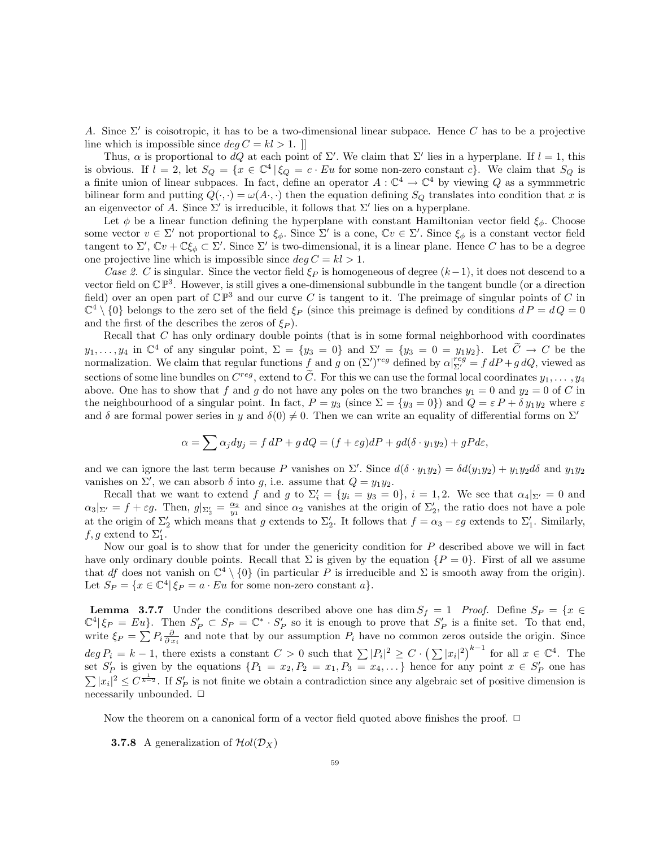A. Since  $\Sigma'$  is coisotropic, it has to be a two-dimensional linear subpace. Hence C has to be a projective line which is impossible since  $\deg C = kl > 1$ .

Thus,  $\alpha$  is proportional to dQ at each point of  $\Sigma'$ . We claim that  $\Sigma'$  lies in a hyperplane. If  $l = 1$ , this is obvious. If  $l = 2$ , let  $S_Q = \{x \in \mathbb{C}^4 \mid \xi_Q = c \cdot Eu$  for some non-zero constant  $c\}$ . We claim that  $S_Q$  is a finite union of linear subpaces. In fact, define an operator  $A: \mathbb{C}^4 \to \mathbb{C}^4$  by viewing Q as a symmmetric bilinear form and putting  $Q(\cdot, \cdot) = \omega(A \cdot, \cdot)$  then the equation defining  $S_Q$  translates into condition that x is an eigenvector of A. Since  $\Sigma'$  is irreducible, it follows that  $\Sigma'$  lies on a hyperplane.

Let  $\phi$  be a linear function defining the hyperplane with constant Hamiltonian vector field  $\xi_{\phi}$ . Choose some vector  $v \in \Sigma'$  not proportional to  $\xi_{\phi}$ . Since  $\Sigma'$  is a cone,  $\mathbb{C}v \in \Sigma'$ . Since  $\xi_{\phi}$  is a constant vector field tangent to  $\Sigma'$ ,  $\mathbb{C}v + \mathbb{C}\xi_{\phi} \subset \Sigma'$ . Since  $\Sigma'$  is two-dimensional, it is a linear plane. Hence C has to be a degree one projective line which is impossible since  $deg C = kl > 1$ .

Case 2. C is singular. Since the vector field  $\xi_P$  is homogeneous of degree  $(k-1)$ , it does not descend to a vector field on  $\mathbb{CP}^3$ . However, is still gives a one-dimensional subbundle in the tangent bundle (or a direction field) over an open part of  $\mathbb{CP}^3$  and our curve C is tangent to it. The preimage of singular points of C in  $\mathbb{C}^4 \setminus \{0\}$  belongs to the zero set of the field  $\xi_P$  (since this preimage is defined by conditions  $dP = dQ = 0$ and the first of the describes the zeros of  $\xi_P$ ).

Recall that C has only ordinary double points (that is in some formal neighborhood with coordinates  $y_1, \ldots, y_4$  in  $\mathbb{C}^4$  of any singular point,  $\Sigma = \{y_3 = 0\}$  and  $\Sigma' = \{y_3 = 0 = y_1y_2\}$ . Let  $\widetilde{C} \to C$  be the normalization. We claim that regular functions  $f$  and  $g$  on  $(\Sigma')^{reg}$  defined by  $\alpha|_{\Sigma'}^{reg} = f dP + g dQ$ sections of some line bundles on  $C^{reg}$ , extend to  $\tilde{C}$ . For this we can use the formal local coordinates  $y_1, \ldots, y_4$ above. One has to show that f and g do not have any poles on the two branches  $y_1 = 0$  and  $y_2 = 0$  of C in the neighbourhood of a singular point. In fact,  $P = y_3$  (since  $\Sigma = \{y_3 = 0\}$ ) and  $Q = \varepsilon P + \delta y_1 y_2$  where  $\varepsilon$ and  $\delta$  are formal power series in y and  $\delta(0) \neq 0$ . Then we can write an equality of differential forms on  $\Sigma'$ 

$$
\alpha = \sum \alpha_j dy_j = f dP + g dQ = (f + \varepsilon g) dP + gd(\delta \cdot y_1 y_2) + gP d\varepsilon,
$$

and we can ignore the last term because P vanishes on  $\Sigma'$ . Since  $d(\delta \cdot y_1y_2) = \delta d(y_1y_2) + y_1y_2d\delta$  and  $y_1y_2$ vanishes on  $\Sigma'$ , we can absorb  $\delta$  into g, i.e. assume that  $Q = y_1 y_2$ .

Recall that we want to extend f and g to  $\Sigma_i' = \{y_i = y_3 = 0\}$ ,  $i = 1, 2$ . We see that  $\alpha_4|_{\Sigma'} = 0$  and  $\alpha_3|_{\Sigma'} = f + \varepsilon g$ . Then,  $g|_{\Sigma'_2} = \frac{\alpha_2}{y_1}$  and since  $\alpha_2$  vanishes at the origin of  $\Sigma'_2$ , the ratio does not have a pole at the origin of  $\Sigma'_2$  which means that g extends to  $\Sigma'_2$ . It follows that  $f = \alpha_3 - \varepsilon g$  extends to  $\Sigma'_1$ . Similarly,  $f, g$  extend to  $\Sigma'_1$ .

Now our goal is to show that for under the genericity condition for  $P$  described above we will in fact have only ordinary double points. Recall that  $\Sigma$  is given by the equation  $\{P = 0\}$ . First of all we assume that df does not vanish on  $\mathbb{C}^4 \setminus \{0\}$  (in particular P is irreducible and  $\Sigma$  is smooth away from the origin). Let  $S_P = \{x \in \mathbb{C}^4 | \xi_P = a \cdot Eu$  for some non-zero constant  $a\}.$ 

**Lemma 3.7.7** Under the conditions described above one has dim  $S_f = 1$  *Proof.* Define  $S_p = \{x \in S\}$  $\mathbb{C}^4|\xi_P = Eu\}$ . Then  $S'_P \subset S_P = \mathbb{C}^* \cdot S'_P$  so it is enough to prove that  $S'_P$  is a finite set. To that end, write  $\xi_P = \sum P_i \frac{\partial}{\partial x_i}$  and note that by our assumption  $P_i$  have no common zeros outside the origin. Since  $deg P_i = k - 1$ , there exists a constant  $C > 0$  such that  $\sum |P_i|^2 \ge C \cdot (\sum |x_i|^2)^{k-1}$  for all  $x \in \mathbb{C}^4$ . The set  $S'_P$  is given by the equations  $\{P_1 = x_2, P_2 = x_1, P_3 = x_4, ...\}$  hence for any point  $x \in S'_P$  one has  $\sum |x_i|^2 \leq C^{\frac{1}{k-2}}$ . If  $S'_P$  is not finite we obtain a contradiction since any algebraic set of positive dimension is necessarily unbounded.  $\Box$ 

Now the theorem on a canonical form of a vector field quoted above finishes the proof.  $\Box$ 

**3.7.8** A generalization of  $\mathcal{H}ol(\mathcal{D}_X)$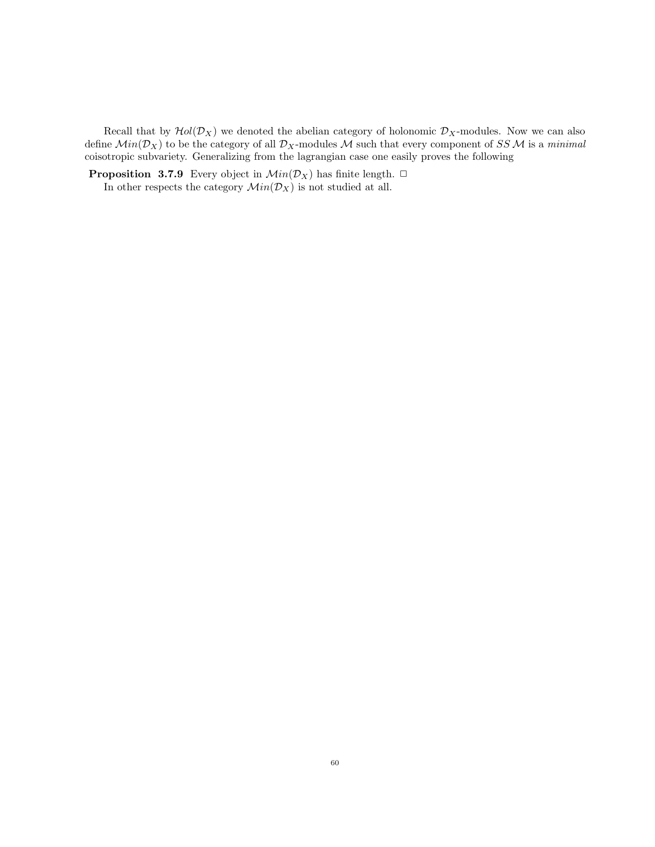Recall that by  $\mathcal{H}ol(\mathcal{D}_X)$  we denoted the abelian category of holonomic  $\mathcal{D}_X$ -modules. Now we can also define  $Min(\mathcal{D}_X)$  to be the category of all  $\mathcal{D}_X$ -modules M such that every component of SSM is a minimal coisotropic subvariety. Generalizing from the lagrangian case one easily proves the following

**Proposition 3.7.9** Every object in  $Min(\mathcal{D}_X)$  has finite length.  $\Box$ In other respects the category  $Min(\mathcal{D}_X)$  is not studied at all.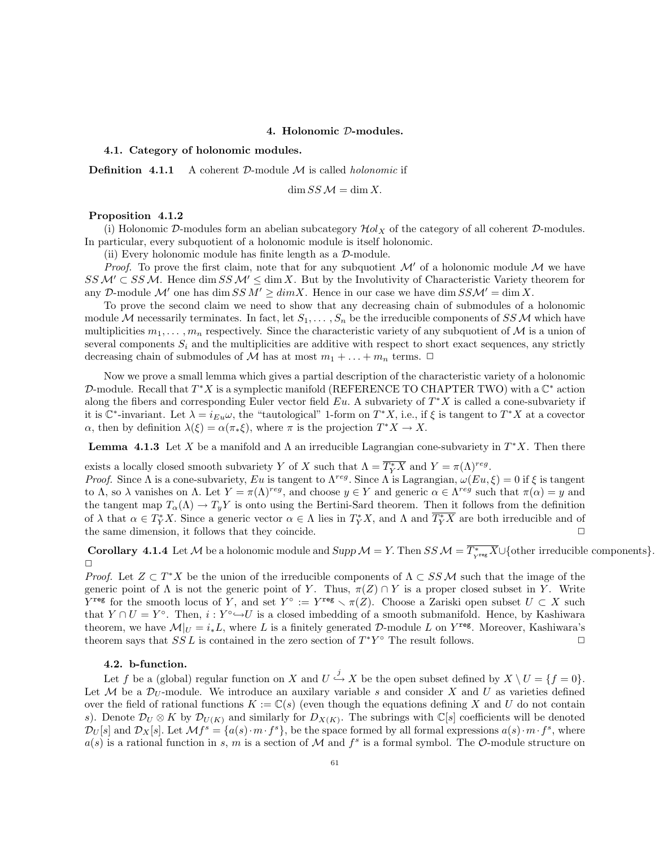### 4. Holonomic D-modules.

#### 4.1. Category of holonomic modules.

**Definition 4.1.1** A coherent  $D$ -module  $M$  is called *holonomic* if

$$
\dim SS \mathcal{M} = \dim X.
$$

## Proposition 4.1.2

(i) Holonomic D-modules form an abelian subcategory  $\mathcal{H}ol_X$  of the category of all coherent D-modules. In particular, every subquotient of a holonomic module is itself holonomic.

(ii) Every holonomic module has finite length as a D-module.

*Proof.* To prove the first claim, note that for any subquotient  $\mathcal{M}'$  of a holonomic module  $\mathcal{M}$  we have  $SS M \subset SS M$ . Hence dim  $SS M' \leq \dim X$ . But by the Involutivity of Characteristic Variety theorem for any D-module M' one has dim  $SS M' \geq dim X$ . Hence in our case we have dim  $SS M' = \dim X$ .

To prove the second claim we need to show that any decreasing chain of submodules of a holonomic module M necessarily terminates. In fact, let  $S_1, \ldots, S_n$  be the irreducible components of SSM which have multiplicities  $m_1, \ldots, m_n$  respectively. Since the characteristic variety of any subquotient of M is a union of several components  $S_i$  and the multiplicities are additive with respect to short exact sequences, any strictly decreasing chain of submodules of M has at most  $m_1 + \ldots + m_n$  terms.  $\Box$ 

Now we prove a small lemma which gives a partial description of the characteristic variety of a holonomic D-module. Recall that  $T^*X$  is a symplectic manifold (REFERENCE TO CHAPTER TWO) with a  $\mathbb{C}^*$  action along the fibers and corresponding Euler vector field  $Eu$ . A subvariety of  $T^*X$  is called a cone-subvariety if it is  $\mathbb{C}^*$ -invariant. Let  $\lambda = i_{Eu}\omega$ , the "tautological" 1-form on  $T^*X$ , i.e., if  $\xi$  is tangent to  $T^*X$  at a covector  $\alpha$ , then by definition  $\lambda(\xi) = \alpha(\pi_*\xi)$ , where  $\pi$  is the projection  $T^*X \to X$ .

**Lemma 4.1.3** Let X be a manifold and  $\Lambda$  an irreducible Lagrangian cone-subvariety in  $T^*X$ . Then there

exists a locally closed smooth subvariety Y of X such that  $\Lambda = \overline{T_Y^*X}$  and  $Y = \pi(\Lambda)^{reg}$ .

Proof. Since  $\Lambda$  is a cone-subvariety, Eu is tangent to  $\Lambda^{reg}$ . Since  $\Lambda$  is Lagrangian,  $\omega(Eu,\xi) = 0$  if  $\xi$  is tangent to  $\Lambda$ , so  $\lambda$  vanishes on  $\Lambda$ . Let  $Y = \pi(\Lambda)^{reg}$ , and choose  $y \in Y$  and generic  $\alpha \in \Lambda^{reg}$  such that  $\pi(\alpha) = y$  and the tangent map  $T_{\alpha}(\Lambda) \to T_y Y$  is onto using the Bertini-Sard theorem. Then it follows from the definition of  $\lambda$  that  $\alpha \in T_Y^*X$ . Since a generic vector  $\alpha \in \Lambda$  lies in  $T_Y^*X$ , and  $\Lambda$  and  $\overline{T_Y^*X}$  are both irreducible and of the same dimension, it follows that they coincide.

**Corollary 4.1.4** Let M be a holonomic module and  $Supp M = Y$ . Then  $SS M = \overline{T^*_{Y^{reg}} X} \cup \{other\ irreducible\ components\}.$  $\Box$ 

*Proof.* Let  $Z \subset T^*X$  be the union of the irreducible components of  $\Lambda \subset SS\mathcal{M}$  such that the image of the generic point of  $\Lambda$  is not the generic point of Y. Thus,  $\pi(Z) \cap Y$  is a proper closed subset in Y. Write  $Y^{\text{reg}}$  for the smooth locus of Y, and set  $Y^{\circ} := Y^{\text{reg}} \setminus \pi(Z)$ . Choose a Zariski open subset  $U \subset X$  such that  $Y \cap U = Y^{\circ}$ . Then,  $i: Y^{\circ} \hookrightarrow U$  is a closed imbedding of a smooth submanifold. Hence, by Kashiwara theorem, we have  $\mathcal{M}|_U = i_*L$ , where L is a finitely generated D-module L on Y<sup>reg</sup>. Moreover, Kashiwara's theorem says that  $SSL$  is contained in the zero section of  $T^*Y^{\circ}$  The result follows.

## 4.2. b-function.

Let f be a (global) regular function on X and  $U \stackrel{j}{\hookrightarrow} X$  be the open subset defined by  $X \setminus U = \{f = 0\}.$ Let M be a  $\mathcal{D}_U$ -module. We introduce an auxilary variable s and consider X and U as varieties defined over the field of rational functions  $K := \mathbb{C}(s)$  (even though the equations defining X and U do not contain s). Denote  $\mathcal{D}_U \otimes K$  by  $\mathcal{D}_{U(K)}$  and similarly for  $D_{X(K)}$ . The subrings with  $\mathbb{C}[s]$  coefficients will be denoted  $\mathcal{D}_U[s]$  and  $\mathcal{D}_X[s]$ . Let  $\mathcal{M}f^s = \{a(s) \cdot m \cdot f^s\}$ , be the space formed by all formal expressions  $a(s) \cdot m \cdot f^s$ , where  $a(s)$  is a rational function in s, m is a section of M and  $f^s$  is a formal symbol. The O-module structure on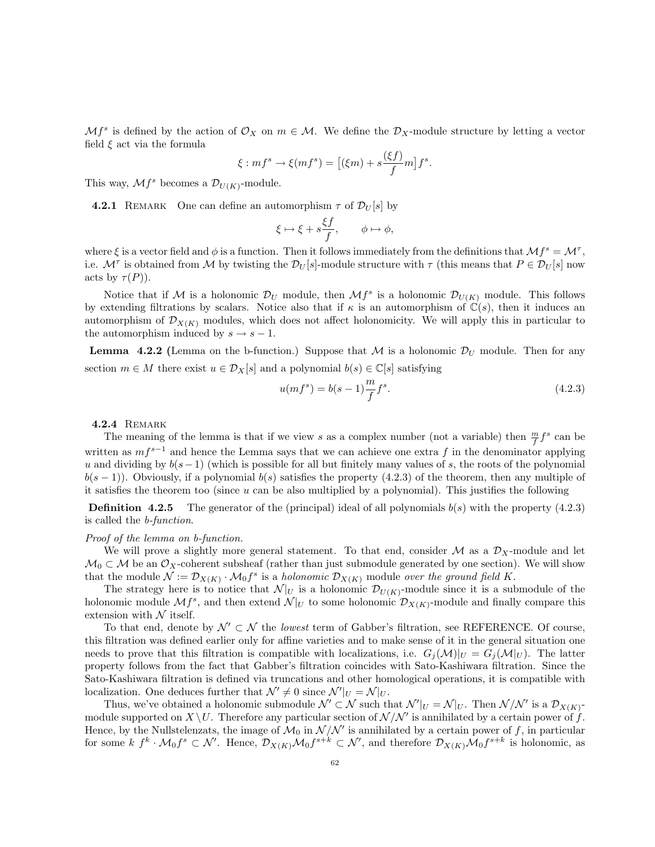$\mathcal{M}f^s$  is defined by the action of  $\mathcal{O}_X$  on  $m \in \mathcal{M}$ . We define the  $\mathcal{D}_X$ -module structure by letting a vector field  $\xi$  act via the formula  $\sqrt{2}$ 

$$
\xi: mf^s \to \xi(mf^s) = [(\xi m) + s\frac{(\xi f)}{f}m]f^s.
$$

This way,  $\mathcal{M}f^s$  becomes a  $\mathcal{D}_{U(K)}$ -module.

**4.2.1** REMARK One can define an automorphism  $\tau$  of  $\mathcal{D}_U[s]$  by

$$
\xi \mapsto \xi + s \frac{\xi f}{f}, \qquad \phi \mapsto \phi,
$$

where  $\xi$  is a vector field and  $\phi$  is a function. Then it follows immediately from the definitions that  $\mathcal{M}f^s = \mathcal{M}^{\tau}$ , i.e.  $\mathcal{M}^{\tau}$  is obtained from M by twisting the  $\mathcal{D}_{U}[s]$ -module structure with  $\tau$  (this means that  $P \in \mathcal{D}_{U}[s]$  now acts by  $\tau(P)$ ).

Notice that if M is a holonomic  $\mathcal{D}_U$  module, then  $\mathcal{M}^s$  is a holonomic  $\mathcal{D}_{U(K)}$  module. This follows by extending filtrations by scalars. Notice also that if  $\kappa$  is an automorphism of  $\mathbb{C}(s)$ , then it induces an automorphism of  $\mathcal{D}_{X(K)}$  modules, which does not affect holonomicity. We will apply this in particular to the automorphism induced by  $s \to s - 1$ .

**Lemma** 4.2.2 (Lemma on the b-function.) Suppose that M is a holonomic  $\mathcal{D}_U$  module. Then for any section  $m \in M$  there exist  $u \in \mathcal{D}_X[s]$  and a polynomial  $b(s) \in \mathbb{C}[s]$  satisfying

$$
u(mf^{s}) = b(s-1)\frac{m}{f}f^{s}.
$$
\n(4.2.3)

**4.2.4 REMARK** 

The meaning of the lemma is that if we view s as a complex number (not a variable) then  $\frac{m}{f}f^s$  can be written as  $mf^{s-1}$  and hence the Lemma says that we can achieve one extra f in the denominator applying u and dividing by  $b(s-1)$  (which is possible for all but finitely many values of s, the roots of the polynomial  $b(s - 1)$ ). Obviously, if a polynomial  $b(s)$  satisfies the property (4.2.3) of the theorem, then any multiple of it satisfies the theorem too (since u can be also multiplied by a polynomial). This justifies the following

**Definition 4.2.5** The generator of the (principal) ideal of all polynomials  $b(s)$  with the property (4.2.3) is called the b-function.

#### Proof of the lemma on b-function.

We will prove a slightly more general statement. To that end, consider  $\mathcal M$  as a  $\mathcal D_X$ -module and let  $M_0 \subset M$  be an  $\mathcal{O}_X$ -coherent subsheaf (rather than just submodule generated by one section). We will show that the module  $\mathcal{N} := \mathcal{D}_{X(K)} \cdot \mathcal{M}_0 f^s$  is a holonomic  $\mathcal{D}_{X(K)}$  module over the ground field K.

The strategy here is to notice that  $\mathcal{N}|_U$  is a holonomic  $\mathcal{D}_{U(K)}$ -module since it is a submodule of the holonomic module  $\mathcal{M} f^s$ , and then extend  $\mathcal{N}|_U$  to some holonomic  $\mathcal{D}_{X(K)}$ -module and finally compare this extension with  $\mathcal N$  itself.

To that end, denote by  $\mathcal{N}' \subset \mathcal{N}$  the *lowest* term of Gabber's filtration, see REFERENCE. Of course, this filtration was defined earlier only for affine varieties and to make sense of it in the general situation one needs to prove that this filtration is compatible with localizations, i.e.  $G_i(\mathcal{M})|_U = G_i(\mathcal{M}|_U)$ . The latter property follows from the fact that Gabber's filtration coincides with Sato-Kashiwara filtration. Since the Sato-Kashiwara filtration is defined via truncations and other homological operations, it is compatible with localization. One deduces further that  $\mathcal{N}' \neq 0$  since  $\mathcal{N}'|_{U} = \mathcal{N}|_{U}$ .

Thus, we've obtained a holonomic submodule  $\mathcal{N}' \subset \mathcal{N}$  such that  $\mathcal{N}'|_U = \mathcal{N}|_U$ . Then  $\mathcal{N}/\mathcal{N}'$  is a  $\mathcal{D}_{X(K)}$ module supported on  $X \setminus U$ . Therefore any particular section of  $\mathcal{N} / \mathcal{N}'$  is annihilated by a certain power of  $\hat{f}$ . Hence, by the Nullstelenzats, the image of  $\mathcal{M}_0$  in  $\mathcal{N}/\mathcal{N}'$  is annihilated by a certain power of f, in particular for some  $k \, f^k \cdot \mathcal{M}_0 f^s \subset \mathcal{N}'$ . Hence,  $\mathcal{D}_{X(K)} \mathcal{M}_0 f^{s+k} \subset \mathcal{N}'$ , and therefore  $\mathcal{D}_{X(K)} \mathcal{M}_0 f^{s+k}$  is holonomic, as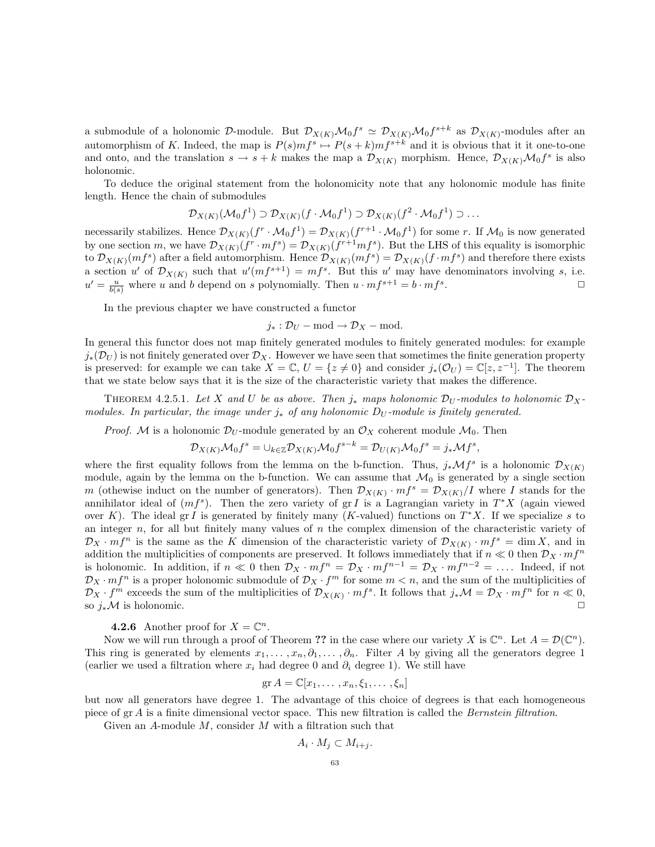a submodule of a holonomic D-module. But  $\mathcal{D}_{X(K)}\mathcal{M}_0f^s \simeq \mathcal{D}_{X(K)}\mathcal{M}_0f^{s+k}$  as  $\mathcal{D}_{X(K)}$ -modules after an automorphism of K. Indeed, the map is  $P(s)mf^s \mapsto P(s+k)mf^{s+k}$  and it is obvious that it it one-to-one and onto, and the translation  $s \to s + k$  makes the map a  $\mathcal{D}_{X(K)}$  morphism. Hence,  $\mathcal{D}_{X(K)}\mathcal{M}_0 f^s$  is also holonomic.

To deduce the original statement from the holonomicity note that any holonomic module has finite length. Hence the chain of submodules

$$
\mathcal{D}_{X(K)}(\mathcal{M}_0 f^1) \supset \mathcal{D}_{X(K)}(f \cdot \mathcal{M}_0 f^1) \supset \mathcal{D}_{X(K)}(f^2 \cdot \mathcal{M}_0 f^1) \supset \dots
$$

necessarily stabilizes. Hence  $\mathcal{D}_{X(K)}(f^r \cdot \mathcal{M}_0 f^1) = \mathcal{D}_{X(K)}(f^{r+1} \cdot \mathcal{M}_0 f^1)$  for some r. If  $\mathcal{M}_0$  is now generated by one section m, we have  $\mathcal{D}_{X(K)}(f^r \cdot mf^s) = \mathcal{D}_{X(K)}(f^{r+1}mf^s)$ . But the LHS of this equality is isomorphic to  $\mathcal{D}_{X(K)}(m f^s)$  after a field automorphism. Hence  $\mathcal{D}_{X(K)}(m f^s) = \mathcal{D}_{X(K)}(f \cdot m f^s)$  and therefore there exists a section u' of  $\mathcal{D}_{X(K)}$  such that  $u'(mf^{s+1}) = mf^s$ . But this u' may have denominators involving s, i.e.  $u' = \frac{u}{b(s)}$  where u and b depend on s polynomially. Then  $u \cdot mf^{s+1} = b \cdot mf^s$ .  $\Box$ 

In the previous chapter we have constructed a functor

$$
j_* : \mathcal{D}_U - \text{mod} \to \mathcal{D}_X - \text{mod}.
$$

In general this functor does not map finitely generated modules to finitely generated modules: for example  $j_*(\mathcal{D}_U)$  is not finitely generated over  $\mathcal{D}_X$ . However we have seen that sometimes the finite generation property is preserved: for example we can take  $X = \mathbb{C}$ ,  $U = \{z \neq 0\}$  and consider  $j_*(\mathcal{O}_U) = \mathbb{C}[z, z^{-1}]$ . The theorem that we state below says that it is the size of the characteristic variety that makes the difference.

THEOREM 4.2.5.1. Let X and U be as above. Then  $j_*$  maps holonomic  $\mathcal{D}_U$ -modules to holonomic  $\mathcal{D}_X$ modules. In particular, the image under  $j_*$  of any holonomic D<sub>U</sub>-module is finitely generated.

*Proof.* M is a holonomic  $\mathcal{D}_U$ -module generated by an  $\mathcal{O}_X$  coherent module  $\mathcal{M}_0$ . Then

$$
\mathcal D_{X(K)}\mathcal M_0f^s=\cup_{k\in\mathbb Z}\mathcal D_{X(K)}\mathcal M_0f^{s-k}=\mathcal D_{U(K)}\mathcal M_0f^s=j_*\mathcal Mf^s,
$$

where the first equality follows from the lemma on the b-function. Thus,  $j_*\mathcal{M}f^s$  is a holonomic  $\mathcal{D}_{X(K)}$ module, again by the lemma on the b-function. We can assume that  $\mathcal{M}_0$  is generated by a single section m (othewise induct on the number of generators). Then  $\mathcal{D}_{X(K)} \cdot m f^s = \mathcal{D}_{X(K)} / I$  where I stands for the annihilator ideal of  $(m f<sup>s</sup>)$ . Then the zero variety of gr I is a Lagrangian variety in  $T^*X$  (again viewed over K). The ideal gr I is generated by finitely many (K-valued) functions on  $T^*X$ . If we specialize s to an integer  $n$ , for all but finitely many values of  $n$  the complex dimension of the characteristic variety of  $\mathcal{D}_X \cdot m f^n$  is the same as the K dimension of the characteristic variety of  $\mathcal{D}_{X(K)} \cdot m f^s = \dim X$ , and in addition the multiplicities of components are preserved. It follows immediately that if  $n \ll 0$  then  $\mathcal{D}_X \cdot m f^n$ is holonomic. In addition, if  $n \ll 0$  then  $\mathcal{D}_X \cdot m f^n = \mathcal{D}_X \cdot m f^{n-1} = \mathcal{D}_X \cdot m f^{n-2} = \dots$ . Indeed, if not  $\mathcal{D}_X \cdot m f^n$  is a proper holonomic submodule of  $\mathcal{D}_X \cdot f^m$  for some  $m < n$ , and the sum of the multiplicities of  $\mathcal{D}_X \cdot f^m$  exceeds the sum of the multiplicities of  $\mathcal{D}_{X(K)} \cdot mf^s$ . It follows that  $j_*\mathcal{M} = \mathcal{D}_X \cdot mf^n$  for  $n \ll 0$ , so  $j_*\mathcal{M}$  is holonomic.

## **4.2.6** Another proof for  $X = \mathbb{C}^n$ .

Now we will run through a proof of Theorem ?? in the case where our variety X is  $\mathbb{C}^n$ . Let  $A = \mathcal{D}(\mathbb{C}^n)$ . This ring is generated by elements  $x_1, \ldots, x_n, \partial_1, \ldots, \partial_n$ . Filter A by giving all the generators degree 1 (earlier we used a filtration where  $x_i$  had degree 0 and  $\partial_i$  degree 1). We still have

$$
\operatorname{gr} A = \mathbb{C}[x_1, \ldots, x_n, \xi_1, \ldots, \xi_n]
$$

but now all generators have degree 1. The advantage of this choice of degrees is that each homogeneous piece of gr A is a finite dimensional vector space. This new filtration is called the Bernstein filtration.

Given an A-module M, consider M with a filtration such that

$$
A_i \cdot M_j \subset M_{i+j}.
$$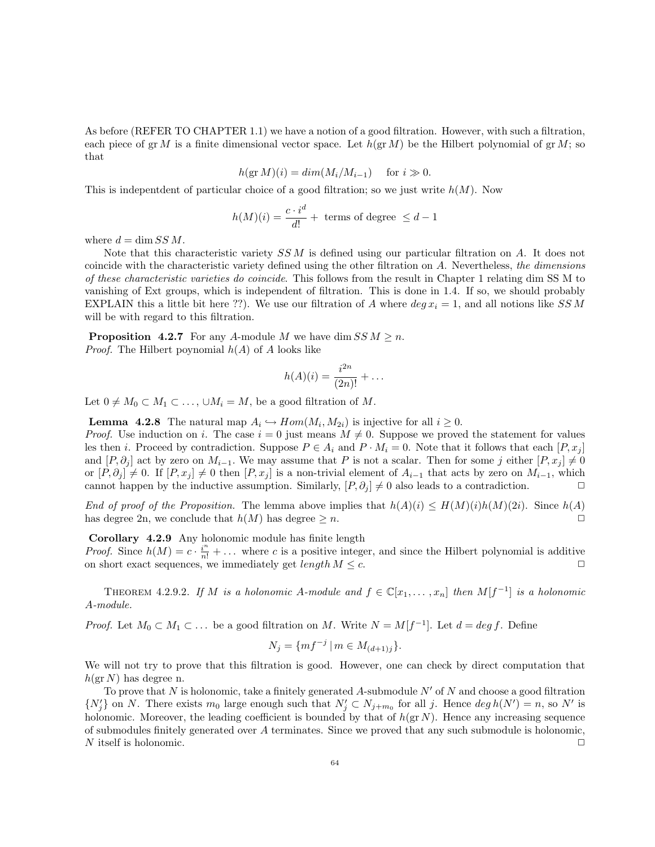As before (REFER TO CHAPTER 1.1) we have a notion of a good filtration. However, with such a filtration, each piece of gr M is a finite dimensional vector space. Let  $h(\text{gr }M)$  be the Hilbert polynomial of gr M; so that

$$
h(\text{gr }M)(i) = dim(M_i/M_{i-1}) \quad \text{ for } i \gg 0.
$$

This is indepentdent of particular choice of a good filtration; so we just write  $h(M)$ . Now

$$
h(M)(i) = \frac{c \cdot i^d}{d!} + \text{ terms of degree } \leq d - 1
$$

where  $d = \dim SS M$ .

Note that this characteristic variety  $SSM$  is defined using our particular filtration on A. It does not coincide with the characteristic variety defined using the other filtration on A. Nevertheless, the dimensions of these characteristic varieties do coincide. This follows from the result in Chapter 1 relating dim SS M to vanishing of Ext groups, which is independent of filtration. This is done in 1.4. If so, we should probably EXPLAIN this a little bit here ??). We use our filtration of A where  $deg x_i = 1$ , and all notions like SSM will be with regard to this filtration.

**Proposition 4.2.7** For any A-module M we have dim  $SS M \ge n$ . *Proof.* The Hilbert poynomial  $h(A)$  of A looks like

$$
h(A)(i) = \frac{i^{2n}}{(2n)!} + \dots
$$

Let  $0 \neq M_0 \subset M_1 \subset \ldots$ ,  $\cup M_i = M$ , be a good filtration of M.

**Lemma 4.2.8** The natural map  $A_i \hookrightarrow Hom(M_i, M_{2i})$  is injective for all  $i \geq 0$ .

*Proof.* Use induction on i. The case  $i = 0$  just means  $M \neq 0$ . Suppose we proved the statement for values les then i. Proceed by contradiction. Suppose  $P \in A_i$  and  $P \cdot M_i = 0$ . Note that it follows that each  $[P, x_i]$ and  $[P, \partial_j]$  act by zero on  $M_{i-1}$ . We may assume that P is not a scalar. Then for some j either  $[P, x_j] \neq 0$ or  $[P, \partial_i] \neq 0$ . If  $[P, x_i] \neq 0$  then  $[P, x_i]$  is a non-trivial element of  $A_{i-1}$  that acts by zero on  $M_{i-1}$ , which cannot happen by the inductive assumption. Similarly,  $[P, \partial_j] \neq 0$  also leads to a contradiction.

End of proof of the Proposition. The lemma above implies that  $h(A)(i) \leq H(M)(i)h(M)(2i)$ . Since  $h(A)$ has degree 2n, we conclude that  $h(M)$  has degree  $\geq n$ .

Corollary 4.2.9 Any holonomic module has finite length

*Proof.* Since  $h(M) = c \cdot \frac{i^n}{n!} + \dots$  where c is a positive integer, and since the Hilbert polynomial is additive on short exact sequences, we immediately get *length*  $M \leq c$ .

THEOREM 4.2.9.2. If M is a holonomic A-module and  $f \in \mathbb{C}[x_1,\ldots,x_n]$  then  $M[f^{-1}]$  is a holonomic A-module.

*Proof.* Let  $M_0 \subset M_1 \subset \ldots$  be a good filtration on M. Write  $N = M[f^{-1}]$ . Let  $d = deg f$ . Define

$$
N_j = \{ mf^{-j} \mid m \in M_{(d+1)j} \}.
$$

We will not try to prove that this filtration is good. However, one can check by direct computation that  $h(\text{gr }N)$  has degree n.

To prove that N is holonomic, take a finitely generated A-submodule  $N'$  of N and choose a good filtration  $\{N'_j\}$  on N. There exists  $m_0$  large enough such that  $N'_j \subset N_{j+m_0}$  for all j. Hence  $\deg h(N') = n$ , so N' is holonomic. Moreover, the leading coefficient is bounded by that of  $h(\text{gr } N)$ . Hence any increasing sequence of submodules finitely generated over A terminates. Since we proved that any such submodule is holonomic, N itself is holonomic.  $\Box$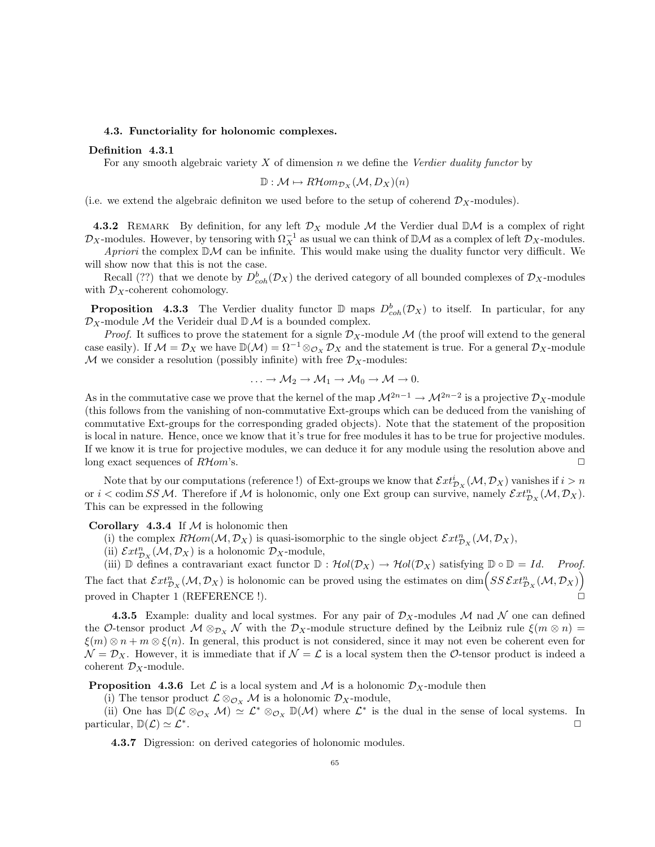#### 4.3. Functoriality for holonomic complexes.

#### Definition 4.3.1

For any smooth algebraic variety  $X$  of dimension n we define the Verdier duality functor by

$$
\mathbb{D}: \mathcal{M} \mapsto R\mathcal{H}om_{\mathcal{D}_X}(\mathcal{M}, D_X)(n)
$$

(i.e. we extend the algebraic definiton we used before to the setup of coherend  $\mathcal{D}_X$ -modules).

4.3.2 REMARK By definition, for any left  $\mathcal{D}_X$  module M the Verdier dual  $\mathbb{D}\mathcal{M}$  is a complex of right  $\mathcal{D}_X$ -modules. However, by tensoring with  $\Omega_X^{-1}$  as usual we can think of DM as a complex of left  $\mathcal{D}_X$ -modules.

Apriori the complex  $\mathbb{D}M$  can be infinite. This would make using the duality functor very difficult. We will show now that this is not the case.

Recall (??) that we denote by  $D^b_{coh}(\mathcal{D}_X)$  the derived category of all bounded complexes of  $\mathcal{D}_X$ -modules with  $\mathcal{D}_X$ -coherent cohomology.

**Proposition** 4.3.3 The Verdier duality functor  $D$  maps  $D_{coh}^b(\mathcal{D}_X)$  to itself. In particular, for any  $\mathcal{D}_X$ -module M the Verideir dual  $\mathbb{D}$ M is a bounded complex.

*Proof.* It suffices to prove the statement for a signle  $\mathcal{D}_X$ -module M (the proof will extend to the general case easily). If  $\mathcal{M} = \mathcal{D}_X$  we have  $\mathbb{D}(\mathcal{M}) = \Omega^{-1} \otimes_{\mathcal{O}_X} \mathcal{D}_X$  and the statement is true. For a general  $\mathcal{D}_X$ -module M we consider a resolution (possibly infinite) with free  $\mathcal{D}_X$ -modules:

$$
\ldots \to \mathcal{M}_2 \to \mathcal{M}_1 \to \mathcal{M}_0 \to \mathcal{M} \to 0.
$$

As in the commutative case we prove that the kernel of the map  $\mathcal{M}^{2n-1} \to \mathcal{M}^{2n-2}$  is a projective  $\mathcal{D}_X$ -module (this follows from the vanishing of non-commutative Ext-groups which can be deduced from the vanishing of commutative Ext-groups for the corresponding graded objects). Note that the statement of the proposition is local in nature. Hence, once we know that it's true for free modules it has to be true for projective modules. If we know it is true for projective modules, we can deduce it for any module using the resolution above and long exact sequences of  $R\mathcal{H}om$ 's.

Note that by our computations (reference!) of Ext-groups we know that  $\mathcal{E}xt^i_{\mathcal{D}_X}(\mathcal{M},\mathcal{D}_X)$  vanishes if  $i > n$ or  $i <$  codim SSM. Therefore if M is holonomic, only one Ext group can survive, namely  $\mathcal{E}xt_{\mathcal{D}_X}^n(\mathcal{M}, \mathcal{D}_X)$ . This can be expressed in the following

Corollary 4.3.4 If  $M$  is holonomic then

- (i) the complex  $RHom(M, \mathcal{D}_X)$  is quasi-isomorphic to the single object  $\mathcal{E}xt_{\mathcal{D}_X}^n(\mathcal{M}, \mathcal{D}_X)$ ,
- (ii)  $\mathcal{E}xt_{\mathcal{D}_X}^n(\mathcal{M}, \mathcal{D}_X)$  is a holonomic  $\mathcal{D}_X$ -module,

(iii) D defines a contravariant exact functor  $\mathbb{D}: \mathcal{H}ol(\mathcal{D}_X) \to \mathcal{H}ol(\mathcal{D}_X)$  satisfying  $\mathbb{D} \circ \mathbb{D} = Id$ . Proof. The fact that  $\mathcal{E}xt_{\mathcal{D}_X}^n(\mathcal{M}, \mathcal{D}_X)$  is holonomic can be proved using the estimates on  $\dim \left(SS\mathcal{E}xt_{\mathcal{D}_X}^n(\mathcal{M}, \mathcal{D}_X)\right)$ proved in Chapter 1 (REFERENCE !).

4.3.5 Example: duality and local systmes. For any pair of  $\mathcal{D}_X$ -modules M nad N one can defined the O-tensor product  $\mathcal{M} \otimes_{\mathcal{D}_X} \mathcal{N}$  with the  $\mathcal{D}_X$ -module structure defined by the Leibniz rule  $\xi(m \otimes n)$  =  $\xi(m) \otimes n + m \otimes \xi(n)$ . In general, this product is not considered, since it may not even be coherent even for  $\mathcal{N} = \mathcal{D}_X$ . However, it is immediate that if  $\mathcal{N} = \mathcal{L}$  is a local system then the O-tensor product is indeed a coherent  $\mathcal{D}_X$ -module.

**Proposition 4.3.6** Let  $\mathcal{L}$  is a local system and  $\mathcal{M}$  is a holonomic  $\mathcal{D}_X$ -module then

(i) The tensor product  $\mathcal{L} \otimes_{\mathcal{O}_X} \mathcal{M}$  is a holonomic  $\mathcal{D}_X$ -module,

(ii) One has  $\mathbb{D}(\mathcal{L} \otimes_{\mathcal{O}_X} \mathcal{M}) \simeq \mathcal{L}^* \otimes_{\mathcal{O}_X} \mathbb{D}(\mathcal{M})$  where  $\mathcal{L}^*$  is the dual in the sense of local systems. In particular,  $\mathbb{D}(\mathcal{L}) \simeq \mathcal{L}^*$ . . The contract of the contract of the contract of the contract of the contract of the contract of the contract of the contract of the contract of the contract of the contract of the contract of the contract of the contrac

4.3.7 Digression: on derived categories of holonomic modules.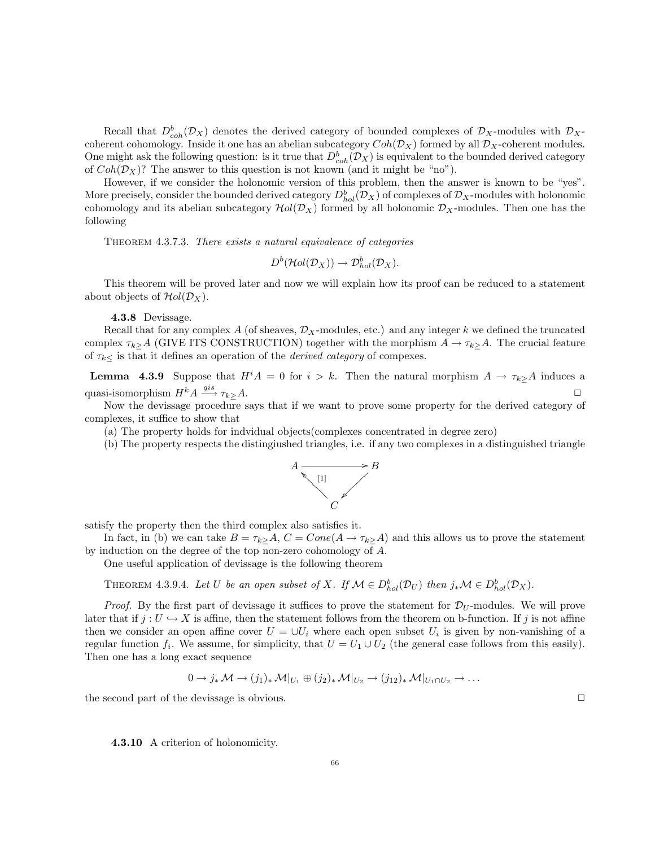Recall that  $D_{coh}^b(\mathcal{D}_X)$  denotes the derived category of bounded complexes of  $\mathcal{D}_X$ -modules with  $\mathcal{D}_X$ coherent cohomology. Inside it one has an abelian subcategory  $Coh(\mathcal{D}_X)$  formed by all  $\mathcal{D}_X$ -coherent modules. One might ask the following question: is it true that  $D^b_{coh}(\mathcal{D}_X)$  is equivalent to the bounded derived category of  $Coh(\mathcal{D}_X)$ ? The answer to this question is not known (and it might be "no").

However, if we consider the holonomic version of this problem, then the answer is known to be "yes". More precisely, consider the bounded derived category  $D_{hol}^b(\mathcal{D}_X)$  of complexes of  $\mathcal{D}_X$ -modules with holonomic cohomology and its abelian subcategory  $Hol(\mathcal{D}_X)$  formed by all holonomic  $\mathcal{D}_X$ -modules. Then one has the following

THEOREM 4.3.7.3. There exists a natural equivalence of categories

$$
D^b(\mathcal{H}ol(\mathcal{D}_X)) \to \mathcal{D}_{hol}^b(\mathcal{D}_X).
$$

This theorem will be proved later and now we will explain how its proof can be reduced to a statement about objects of  $Hol(\mathcal{D}_X)$ .

#### 4.3.8 Devissage.

Recall that for any complex A (of sheaves,  $\mathcal{D}_X$ -modules, etc.) and any integer k we defined the truncated complex  $\tau_k > A$  (GIVE ITS CONSTRUCTION) together with the morphism  $A \to \tau_k > A$ . The crucial feature of  $\tau_{k\leq}$  is that it defines an operation of the *derived category* of compexes.

**Lemma 4.3.9** Suppose that  $H^iA = 0$  for  $i > k$ . Then the natural morphism  $A \to \tau_{k}A$  induces a quasi-isomorphism  $H^k A \stackrel{qis}{\longrightarrow} \tau_{k>} A$ .

Now the devissage procedure says that if we want to prove some property for the derived category of complexes, it suffice to show that

(a) The property holds for indvidual objects(complexes concentrated in degree zero)

(b) The property respects the distingiushed triangles, i.e. if any two complexes in a distinguished triangle



satisfy the property then the third complex also satisfies it.

In fact, in (b) we can take  $B = \tau_{k> A}$ ,  $C = Cone(A \rightarrow \tau_{k> A})$  and this allows us to prove the statement by induction on the degree of the top non-zero cohomology of A.

One useful application of devissage is the following theorem

THEOREM 4.3.9.4. Let U be an open subset of X. If  $\mathcal{M} \in D_{hol}^b(\mathcal{D}_U)$  then  $j_*\mathcal{M} \in D_{hol}^b(\mathcal{D}_X)$ .

*Proof.* By the first part of devissage it suffices to prove the statement for  $\mathcal{D}_U$ -modules. We will prove later that if  $j: U \hookrightarrow X$  is affine, then the statement follows from the theorem on b-function. If j is not affine then we consider an open affine cover  $U = \cup U_i$  where each open subset  $U_i$  is given by non-vanishing of a regular function  $f_i$ . We assume, for simplicity, that  $U = U_1 \cup U_2$  (the general case follows from this easily). Then one has a long exact sequence

$$
0 \to j_* \mathcal{M} \to (j_1)_* \mathcal{M}|_{U_1} \oplus (j_2)_* \mathcal{M}|_{U_2} \to (j_{12})_* \mathcal{M}|_{U_1 \cap U_2} \to \dots
$$

the second part of the devissage is obvious.  $\Box$ 

4.3.10 A criterion of holonomicity.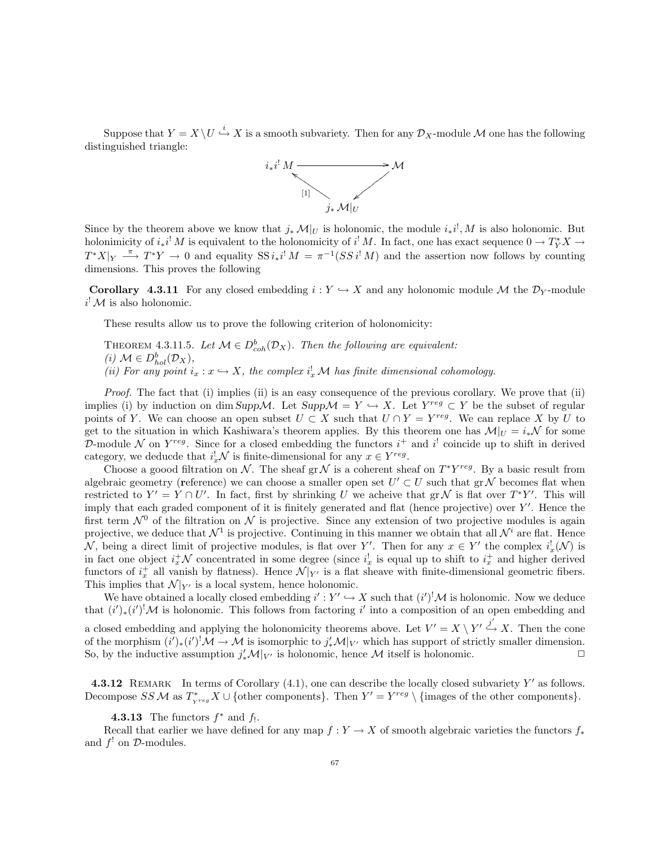Suppose that  $Y = X \setminus U \stackrel{i}{\hookrightarrow} X$  is a smooth subvariety. Then for any  $\mathcal{D}_X$ -module M one has the following distinguished triangle:



Since by the theorem above we know that  $j_* \mathcal{M}|_U$  is holonomic, the module  $i_* i^!, M$  is also holonomic. But holonimicity of  $i_*i^! M$  is equivalent to the holonomicity of  $i^! M$ . In fact, one has exact sequence  $0 \to T_Y^* X \to$  $T^*X|_Y \stackrel{\pi}{\longrightarrow} T^*Y \to 0$  and equality  $SS i_*i^! M = \pi^{-1}(SS i^! M)$  and the assertion now follows by counting dimensions. This proves the following

**Corollary 4.3.11** For any closed embedding  $i: Y \hookrightarrow X$  and any holonomic module M the  $\mathcal{D}_Y$ -module  $i^! \mathcal{M}$  is also holonomic.

These results allow us to prove the following criterion of holonomicity:

THEOREM 4.3.11.5. Let  $M \in D^b_{coh}(\mathcal{D}_X)$ . Then the following are equivalent: (i)  $\mathcal{M} \in D_{hol}^b(\mathcal{D}_X)$ , (ii) For any point  $i_x : x \hookrightarrow X$ , the complex  $i_x^! \mathcal{M}$  has finite dimensional cohomology.

Proof. The fact that (i) implies (ii) is an easy consequence of the previous corollary. We prove that (ii) implies (i) by induction on dim Supp $\mathcal{M}$ . Let Supp $\mathcal{M} = Y \hookrightarrow X$ . Let  $Y^{reg} \subset Y$  be the subset of regular points of Y. We can choose an open subset  $U \subset X$  such that  $U \cap Y = Y^{reg}$ . We can replace X by U to get to the situation in which Kashiwara's theorem applies. By this theorem one has  $\mathcal{M}|_{U} = i_{*}\mathcal{N}$  for some D-module N on  $Y^{reg}$ . Since for a closed embedding the functors  $i^+$  and  $i^!$  coincide up to shift in derived category, we deducde that  $i_x^! \mathcal{N}$  is finite-dimensional for any  $x \in Y^{reg}$ .

Choose a goood filtration on N. The sheaf gr N is a coherent sheaf on  $T^*Y^{reg}$ . By a basic result from algebraic geometry (reference) we can choose a smaller open set  $U' \subset U$  such that  $gr\mathcal{N}$  becomes flat when restricted to  $Y' = Y \cap U'$ . In fact, first by shrinking U we acheive that  $gr \mathcal{N}$  is flat over  $T^*Y'$ . This will imply that each graded component of it is finitely generated and flat (hence projective) over  $Y'$ . Hence the first term  $\mathcal{N}^0$  of the filtration on  $\mathcal N$  is projective. Since any extension of two projective modules is again projective, we deduce that  $\mathcal{N}^1$  is projective. Continuing in this manner we obtain that all  $\mathcal{N}^i$  are flat. Hence N, being a direct limit of projective modules, is flat over Y'. Then for any  $x \in Y'$  the complex  $i_x^{\dagger}(\mathcal{N})$  is in fact one object  $i_x^+\mathcal{N}$  concentrated in some degree (since  $i_x^!$  is equal up to shift to  $i_x^+$  and higher derived functors of  $i_x^+$  all vanish by flatness). Hence  $\mathcal{N}|_{Y'}$  is a flat sheave with finite-dimensional geometric fibers. This implies that  $\mathcal{N}|_{Y'}$  is a local system, hence holonomic.

We have obtained a locally closed embedding  $i': Y' \hookrightarrow X$  such that  $(i')^! \mathcal{M}$  is holonomic. Now we deduce that  $(i')_*(i')^! \mathcal{M}$  is holonomic. This follows from factoring i' into a composition of an open embedding and a closed embedding and applying the holonomicity theorems above. Let  $V' = X \setminus Y' \stackrel{j'}{\hookrightarrow} X$ . Then the cone of the morphism  $(i')_*(i')^! \mathcal{M} \to \mathcal{M}$  is isomorphic to  $j'_* \mathcal{M}|_{V'}$  which has support of strictly smaller dimension. So, by the inductive assumption  $j'_* \mathcal{M}|_{V'}$  is holonomic, hence  $\mathcal M$  itself is holonomic.

**4.3.12** REMARK In terms of Corollary  $(4.1)$ , one can describe the locally closed subvariety Y' as follows. Decompose  $SSM$  as  $T^*_{\chi_{reg}} X \cup \{\text{other components}\}\$ . Then  $Y' = Y^{reg} \setminus {\{\text{images of the other components}\}}\$ .

## **4.3.13** The functors  $f^*$  and  $f_!$ .

Recall that earlier we have defined for any map  $f : Y \to X$  of smooth algebraic varieties the functors  $f_*$ and  $f'$  on  $\mathcal{D}$ -modules.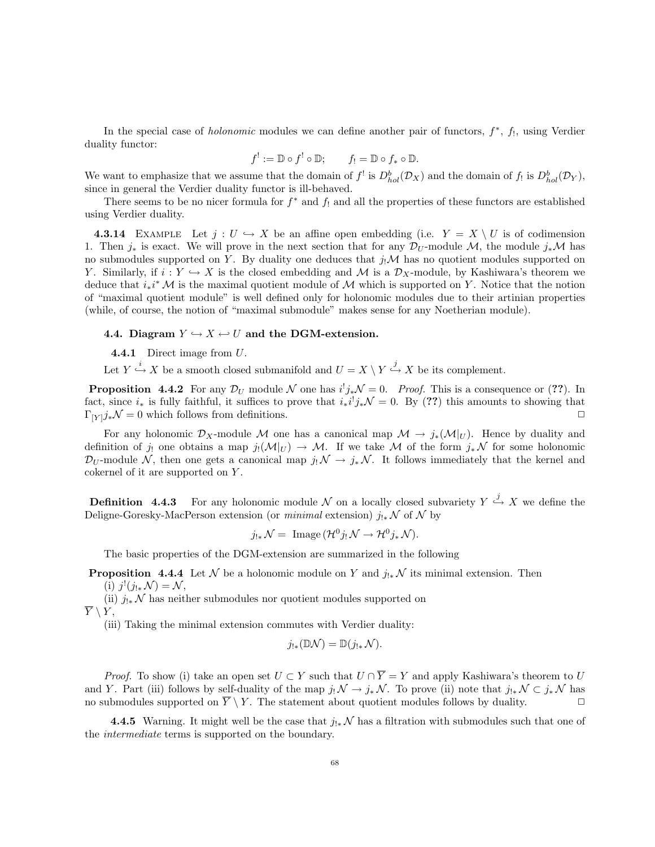In the special case of *holonomic* modules we can define another pair of functors,  $f^*$ ,  $f_!$ , using Verdier duality functor:

$$
f^! := \mathbb{D} \circ f^! \circ \mathbb{D}; \qquad f_! = \mathbb{D} \circ f_* \circ \mathbb{D}.
$$

We want to emphasize that we assume that the domain of  $f^!$  is  $D_{hol}^b(\mathcal{D}_X)$  and the domain of  $f_!$  is  $D_{hol}^b(\mathcal{D}_Y)$ , since in general the Verdier duality functor is ill-behaved.

There seems to be no nicer formula for  $f^*$  and  $f_!$  and all the properties of these functors are established using Verdier duality.

**4.3.14** EXAMPLE Let  $j: U \hookrightarrow X$  be an affine open embedding (i.e.  $Y = X \setminus U$  is of codimension 1. Then  $j_*$  is exact. We will prove in the next section that for any  $\mathcal{D}_U$ -module  $\mathcal{M}$ , the module  $j_*\mathcal{M}$  has no submodules supported on Y. By duality one deduces that  $j_!\mathcal{M}$  has no quotient modules supported on Y. Similarly, if  $i: Y \hookrightarrow X$  is the closed embedding and M is a  $\mathcal{D}_X$ -module, by Kashiwara's theorem we deduce that  $i_*i^* M$  is the maximal quotient module of M which is supported on Y. Notice that the notion of "maximal quotient module" is well defined only for holonomic modules due to their artinian properties (while, of course, the notion of "maximal submodule" makes sense for any Noetherian module).

## 4.4. Diagram  $Y \hookrightarrow X \leftarrow U$  and the DGM-extension.

**4.4.1** Direct image from  $U$ .

Let  $Y \stackrel{i}{\hookrightarrow} X$  be a smooth closed submanifold and  $U = X \setminus Y \stackrel{j}{\hookrightarrow} X$  be its complement.

**Proposition 4.4.2** For any  $\mathcal{D}_U$  module N one has  $i^!j_*\mathcal{N}=0$ . Proof. This is a consequence or (??). In fact, since  $i_*$  is fully faithful, it suffices to prove that  $i_*i^!j_*\mathcal{N}=0$ . By (??) this amounts to showing that  $\Gamma_{[Y]}j_*\mathcal{N}=0$  which follows from definitions.

For any holonomic  $\mathcal{D}_X$ -module M one has a canonical map  $\mathcal{M} \to j_*(\mathcal{M}|_U)$ . Hence by duality and definition of j! one obtains a map  $j_!({\cal M}|_U) \to {\cal M}$ . If we take M of the form  $j_*{\cal N}$  for some holonomic  $\mathcal{D}_U$ -module N, then one gets a canonical map  $j_! \mathcal{N} \to j_* \mathcal{N}$ . It follows immediately that the kernel and cokernel of it are supported on Y.

**Definition** 4.4.3 For any holonomic module N on a locally closed subvariety  $Y \stackrel{j}{\hookrightarrow} X$  we define the Deligne-Goresky-MacPerson extension (or *minimal* extension)  $j_{!*} \mathcal{N}$  of  $\mathcal{N}$  by

$$
j_{!*}\mathcal{N} = \text{ Image } (\mathcal{H}^0 j_! \mathcal{N} \to \mathcal{H}^0 j_* \mathcal{N}).
$$

The basic properties of the DGM-extension are summarized in the following

**Proposition 4.4.4** Let N be a holonomic module on Y and  $j_{!*}$  N its minimal extension. Then (i)  $j^!(j_{!*} \mathcal{N}) = \mathcal{N},$ 

(ii)  $j_{!*}\mathcal{N}$  has neither submodules nor quotient modules supported on  $\overline{Y} \setminus Y,$ 

(iii) Taking the minimal extension commutes with Verdier duality:

$$
j_{!*}(\mathbb{D}\mathcal{N})=\mathbb{D}(j_{!*}\mathcal{N}).
$$

*Proof.* To show (i) take an open set  $U \subset Y$  such that  $U \cap \overline{Y} = Y$  and apply Kashiwara's theorem to U and Y. Part (iii) follows by self-duality of the map  $j_! \mathcal{N} \to j_* \mathcal{N}$ . To prove (ii) note that  $j_{!*} \mathcal{N} \subset j_* \mathcal{N}$  has no submodules supported on  $\overline{Y} \setminus Y$ . The statement about quotient modules follows by duality.

4.4.5 Warning. It might well be the case that  $j_{!*}{\mathcal N}$  has a filtration with submodules such that one of the intermediate terms is supported on the boundary.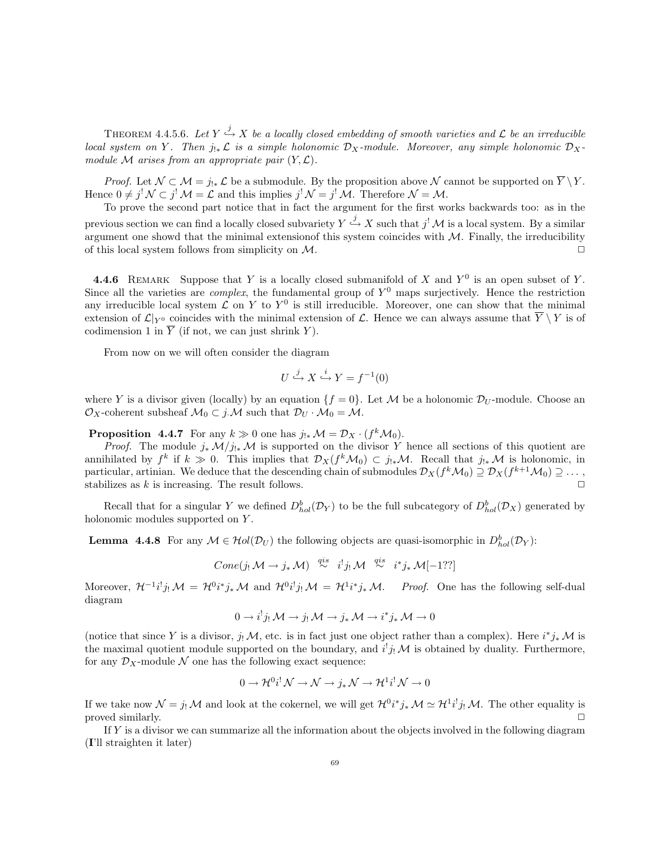THEOREM 4.4.5.6. Let  $Y \stackrel{j}{\hookrightarrow} X$  be a locally closed embedding of smooth varieties and  ${\mathcal L}$  be an irreducible local system on Y. Then  $j_{!*}\mathcal{L}$  is a simple holonomic  $\mathcal{D}_X$ -module. Moreover, any simple holonomic  $\mathcal{D}_X$ module M arises from an appropriate pair  $(Y, \mathcal{L})$ .

*Proof.* Let  $\mathcal{N} \subset \mathcal{M} = j_{!*} \mathcal{L}$  be a submodule. By the proposition above  $\mathcal{N}$  cannot be supported on  $\overline{Y} \setminus Y$ . Hence  $0 \neq j^! \mathcal{N} \subset j^! \mathcal{M} = \mathcal{L}$  and this implies  $j^! \mathcal{N} = j^! \mathcal{M}$ . Therefore  $\mathcal{N} = \mathcal{M}$ .

To prove the second part notice that in fact the argument for the first works backwards too: as in the previous section we can find a locally closed subvariety  $Y \stackrel{j}{\hookrightarrow} X$  such that  $j^! \mathcal{M}$  is a local system. By a similar argument one showd that the minimal extension of this system coincides with  $M$ . Finally, the irreducibility of this local system follows from simplicity on  $\mathcal{M}$ .

**4.4.6** REMARK Suppose that Y is a locally closed submanifold of X and  $Y^0$  is an open subset of Y. Since all the varieties are *complex*, the fundamental group of  $Y^0$  maps surjectively. Hence the restriction any irreducible local system  $\mathcal L$  on Y to Y<sup>0</sup> is still irreducible. Moreover, one can show that the minimal extension of  $\mathcal{L}|_{Y^0}$  coincides with the minimal extension of  $\mathcal{L}$ . Hence we can always assume that  $\overline{Y} \setminus Y$  is of codimension 1 in  $\overline{Y}$  (if not, we can just shrink Y).

From now on we will often consider the diagram

$$
U \xrightarrow{j} X \xrightarrow{i} Y = f^{-1}(0)
$$

where Y is a divisor given (locally) by an equation  $\{f = 0\}$ . Let M be a holonomic  $\mathcal{D}_U$ -module. Choose an  $\mathcal{O}_X$ -coherent subsheaf  $\mathcal{M}_0 \subset j \mathcal{M}$  such that  $\mathcal{D}_U \cdot \mathcal{M}_0 = \mathcal{M}$ .

**Proposition 4.4.7** For any  $k \gg 0$  one has  $j_{!*} \mathcal{M} = \mathcal{D}_X \cdot (f^k \mathcal{M}_0)$ .

*Proof.* The module  $j_* \mathcal{M}/j_{!*} \mathcal{M}$  is supported on the divisor Y hence all sections of this quotient are annihilated by  $f^k$  if  $k \gg 0$ . This implies that  $\mathcal{D}_X(f^k\mathcal{M}_0) \subset j_{!*}\mathcal{M}$ . Recall that  $j_{!*}\mathcal{M}$  is holonomic, in particular, artinian. We deduce that the descending chain of submodules  $\mathcal{D}_X(f^k\mathcal{M}_0)\supseteq \mathcal{D}_X(f^{k+1}\mathcal{M}_0)\supseteq \dots,$ stabilizes as  $k$  is increasing. The result follows.

Recall that for a singular Y we defined  $D_{hol}^b(\mathcal{D}_Y)$  to be the full subcategory of  $D_{hol}^b(\mathcal{D}_X)$  generated by holonomic modules supported on Y.

**Lemma 4.4.8** For any  $M \in Hol(D_U)$  the following objects are quasi-isomorphic in  $D_{hol}^b(D_Y)$ :

$$
Cone(j_!\mathcal{M} \to j_*\mathcal{M}) \overset{qis}{\sim} i^!j_!\mathcal{M} \overset{qis}{\sim} i^*j_*\mathcal{M}[-1??]
$$

Moreover,  $\mathcal{H}^{-1}i^!j_!\mathcal{M} = \mathcal{H}^0i^*j_*\mathcal{M}$  and  $\mathcal{H}^0i^!j_!\mathcal{M} = \mathcal{H}^1i^*j_*\mathcal{M}$ . Proof. One has the following self-dual diagram

$$
0 \to i^! j_! \mathcal{M} \to j_! \mathcal{M} \to j_* \mathcal{M} \to i^* j_* \mathcal{M} \to 0
$$

(notice that since Y is a divisor,  $j_! \mathcal{M}$ , etc. is in fact just one object rather than a complex). Here  $i^*j_*\mathcal{M}$  is the maximal quotient module supported on the boundary, and  $i^!j_!\mathcal{M}$  is obtained by duality. Furthermore, for any  $\mathcal{D}_X$ -module N one has the following exact sequence:

$$
0 \to \mathcal{H}^{0}i^{!}\mathcal{N} \to \mathcal{N} \to j_{*}\mathcal{N} \to \mathcal{H}^{1}i^{!}\mathcal{N} \to 0
$$

If we take now  $\mathcal{N} = j_! \mathcal{M}$  and look at the cokernel, we will get  $\mathcal{H}^0 i^* j_* \mathcal{M} \simeq \mathcal{H}^1 i^! j_! \mathcal{M}$ . The other equality is proved similarly.

If Y is a divisor we can summarize all the information about the objects involved in the following diagram (I'll straighten it later)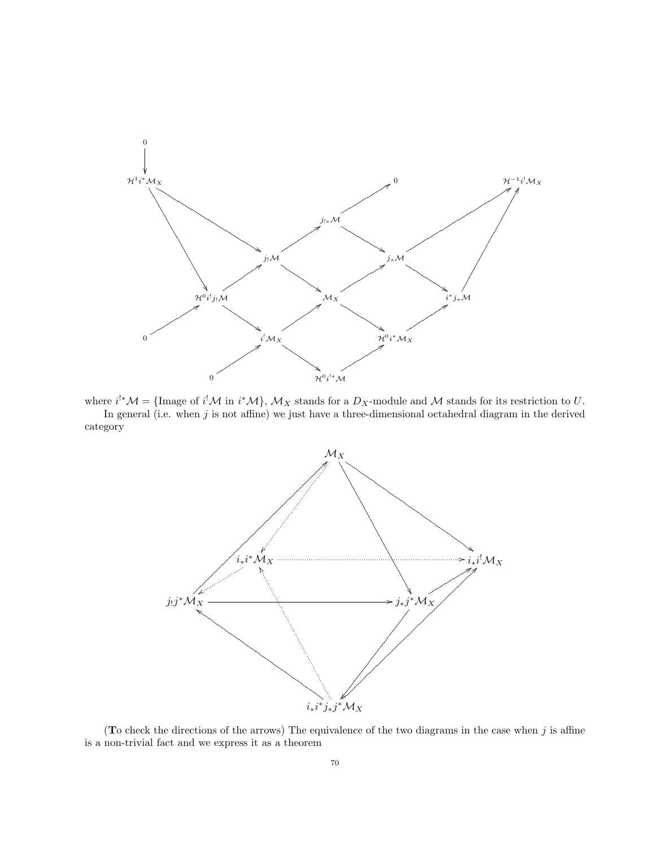

where  $i^{!*}M = \{\text{Image of } i^! \mathcal{M} \text{ in } i^* \mathcal{M}\}, \mathcal{M}_X \text{ stands for a } D_X\text{-module and } \mathcal{M} \text{ stands for its restriction to } U.$ In general (i.e. when  $j$  is not affine) we just have a three-dimensional octahedral diagram in the derived category



(To check the directions of the arrows) The equivalence of the two diagrams in the case when  $j$  is affine is a non-trivial fact and we express it as a theorem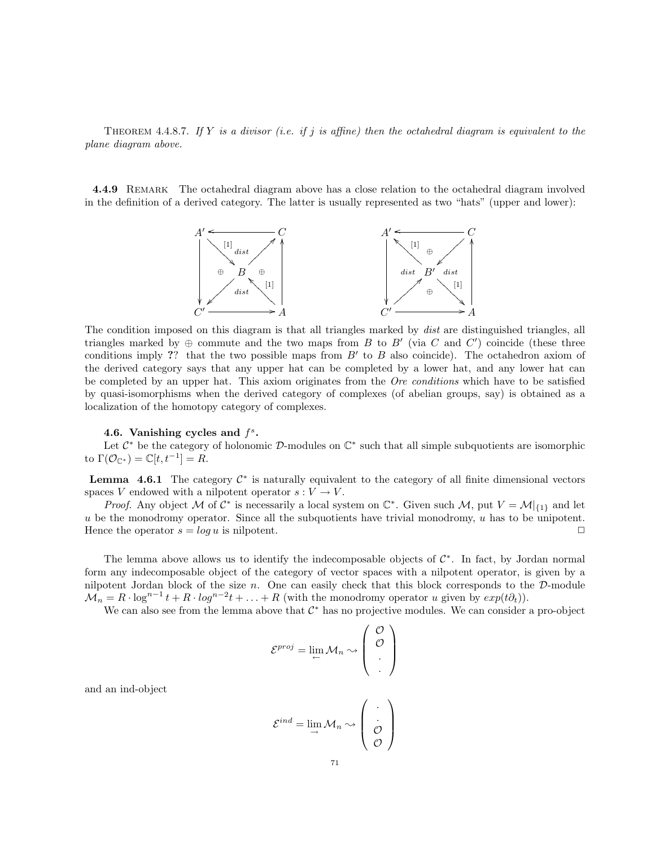THEOREM 4.4.8.7. If Y is a divisor (i.e. if j is affine) then the octahedral diagram is equivalent to the plane diagram above.

4.4.9 REMARK The octahedral diagram above has a close relation to the octahedral diagram involved in the definition of a derived category. The latter is usually represented as two "hats" (upper and lower):



The condition imposed on this diagram is that all triangles marked by dist are distinguished triangles, all triangles marked by  $\oplus$  commute and the two maps from B to B' (via C and C') coincide (these three conditions imply ?? that the two possible maps from  $B'$  to  $B$  also coincide). The octahedron axiom of the derived category says that any upper hat can be completed by a lower hat, and any lower hat can be completed by an upper hat. This axiom originates from the *Ore conditions* which have to be satisfied by quasi-isomorphisms when the derived category of complexes (of abelian groups, say) is obtained as a localization of the homotopy category of complexes.

## 4.6. Vanishing cycles and  $f^s$ .

Let  $\mathcal{C}^*$  be the category of holonomic  $\mathcal{D}$ -modules on  $\mathbb{C}^*$  such that all simple subquotients are isomorphic to  $\Gamma(\mathcal{O}_{\mathbb{C}^*}) = \mathbb{C}[t, t^{-1}] = R$ .

**Lemma** 4.6.1 The category  $C^*$  is naturally equivalent to the category of all finite dimensional vectors spaces V endowed with a nilpotent operator  $s: V \to V$ .

*Proof.* Any object M of  $C^*$  is necessarily a local system on  $C^*$ . Given such M, put  $V = M|_{\{1\}}$  and let  $u$  be the monodromy operator. Since all the subquotients have trivial monodromy,  $u$  has to be unipotent. Hence the operator  $s = \log u$  is nilpotent.

The lemma above allows us to identify the indecomposable objects of  $\mathcal{C}^*$ . In fact, by Jordan normal form any indecomposable object of the category of vector spaces with a nilpotent operator, is given by a nilpotent Jordan block of the size  $n$ . One can easily check that this block corresponds to the  $D$ -module  $\mathcal{M}_n = R \cdot \log^{n-1} t + R \cdot \log^{n-2} t + \ldots + R$  (with the monodromy operator u given by  $exp(t\partial_t)$ ).

We can also see from the lemma above that  $\mathcal{C}^*$  has no projective modules. We can consider a pro-object

$$
\mathcal{E}^{proj} = \lim_{\leftarrow} \mathcal{M}_n \rightsquigarrow \begin{pmatrix} \mathcal{O} \\ \mathcal{O} \\ \vdots \end{pmatrix}
$$

and an ind-object

$$
\mathcal{E}^{ind} = \lim_{n \to \infty} \mathcal{M}_n \sim \left(\begin{array}{c} \cdot \\ \cdot \\ \mathcal{O} \end{array}\right)
$$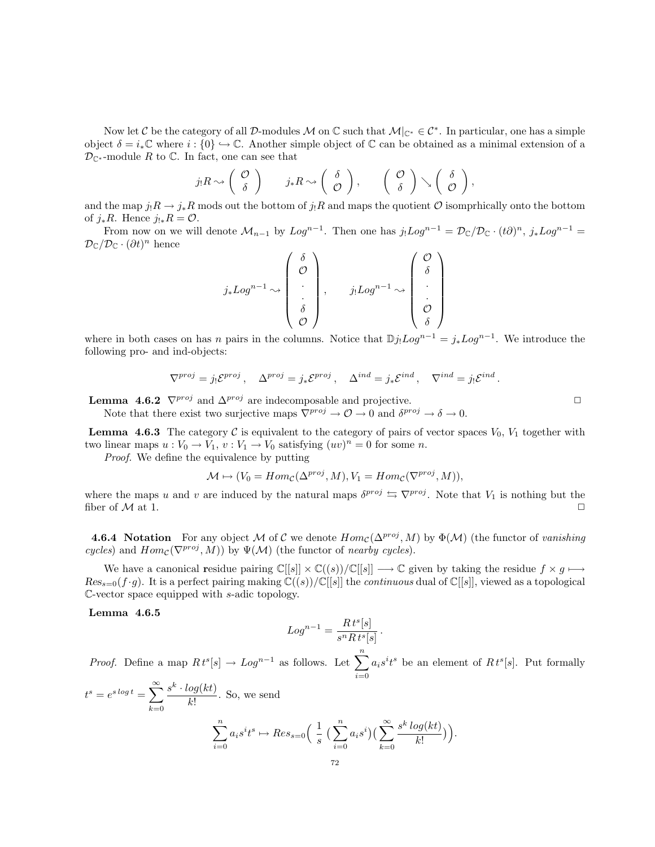Now let C be the category of all D-modules M on  $\mathbb C$  such that  $\mathcal M|_{\mathbb C^*}\in \mathcal C^*$ . In particular, one has a simple object  $\delta = i_* \mathbb{C}$  where  $i : \{0\} \hookrightarrow \mathbb{C}$ . Another simple object of  $\mathbb{C}$  can be obtained as a minimal extension of a  $\mathcal{D}_{\mathbb{C}^*}$ -module R to  $\mathbb{C}$ . In fact, one can see that

$$
j_!R\rightsquigarrow \left(\begin{array}{c} \mathcal{O} \\ \delta \end{array}\right) \qquad j_*R\rightsquigarrow \left(\begin{array}{c} \delta \\ \mathcal{O} \end{array}\right), \qquad \left(\begin{array}{c} \mathcal{O} \\ \delta \end{array}\right)\rightsquigarrow \left(\begin{array}{c} \delta \\ \mathcal{O} \end{array}\right),
$$

and the map  $j_!R \to j_*R$  mods out the bottom of  $j_!R$  and maps the quotient  $\mathcal O$  isomprhically onto the bottom of  $j_*R$ . Hence  $j_{!*}R = \mathcal{O}$ .

From now on we will denote  $\mathcal{M}_{n-1}$  by  $Log^{n-1}$ . Then one has  $j_!Log^{n-1} = \mathcal{D}_{\mathbb{C}}/\mathcal{D}_{\mathbb{C}} \cdot (t\partial)^n$ ,  $j_*Log^{n-1} =$  $\mathcal{D}_{\mathbb{C}}/\mathcal{D}_{\mathbb{C}}\cdot(\partial t)^n$  hence

$$
j_* Log^{n-1} \sim\n\begin{pmatrix}\n\delta \\
\mathcal{O} \\
\vdots \\
\delta \\
\mathcal{O}\n\end{pmatrix},\n\qquad\nj_! Log^{n-1} \sim\n\begin{pmatrix}\n\mathcal{O} \\
\delta \\
\vdots \\
\mathcal{O} \\
\delta\n\end{pmatrix}
$$

where in both cases on has n pairs in the columns. Notice that  $\mathbb{D}j_!Log^{n-1} = j_*Log^{n-1}$ . We introduce the following pro- and ind-objects:

$$
\nabla^{proj} = j_! \mathcal{E}^{proj} \,, \quad \Delta^{proj} = j_* \mathcal{E}^{proj} \,, \quad \Delta^{ind} = j_* \mathcal{E}^{ind} \,, \quad \nabla^{ind} = j_! \mathcal{E}^{ind} \,.
$$

**Lemma 4.6.2**  $\nabla^{proj}$  and  $\Delta^{proj}$  are indecomposable and projective.

Note that there exist two surjective maps  $\nabla^{proj} \to \mathcal{O} \to 0$  and  $\delta^{proj} \to \delta \to 0$ .

**Lemma 4.6.3** The category C is equivalent to the category of pairs of vector spaces  $V_0$ ,  $V_1$  together with two linear maps  $u: V_0 \to V_1$ ,  $v: V_1 \to V_0$  satisfying  $(uv)^n = 0$  for some n.

Proof. We define the equivalence by putting

$$
\mathcal{M} \mapsto (V_0 = Hom_{\mathcal{C}}(\Delta^{proj}, M), V_1 = Hom_{\mathcal{C}}(\nabla^{proj}, M)),
$$

where the maps u and v are induced by the natural maps  $\delta^{proj} \subseteq \nabla^{proj}$ . Note that  $V_1$  is nothing but the fiber of  $M$  at 1.

**4.6.4 Notation** For any object M of C we denote  $Hom_{\mathcal{C}}(\Delta^{proj}, M)$  by  $\Phi(\mathcal{M})$  (the functor of vanishing cycles) and  $Hom_{\mathcal{C}}(\nabla^{proj}, M)$  by  $\Psi(\mathcal{M})$  (the functor of nearby cycles).

We have a canonical residue pairing  $\mathbb{C}[[s]] \times \mathbb{C}((s))/\mathbb{C}[[s]] \longrightarrow \mathbb{C}$  given by taking the residue  $f \times g \longmapsto$  $Res_{s=0}(f \cdot g)$ . It is a perfect pairing making  $\mathbb{C}((s))/\mathbb{C}[[s]]$  the *continuous* dual of  $\mathbb{C}[[s]]$ , viewed as a topological C-vector space equipped with s-adic topology.

### Lemma 4.6.5

$$
Log^{n-1} = \frac{R\,t^s[s]}{s^nR\,t^s[s]}
$$

.

.

*Proof.* Define a map  $R t<sup>s</sup>[s] \rightarrow Log^{n-1}$  as follows. Let  $\sum_{n=1}^{n}$  $i=0$  $a_i s^i t^s$  be an element of  $R t^s[s]$ . Put formally

$$
t^{s} = e^{s \log t} = \sum_{k=0}^{\infty} \frac{s^{k} \cdot \log(kt)}{k!}.
$$
 So, we send  

$$
\sum_{k=0}^{n} a_{i} s^{i} t^{s} \mapsto Res_{s=0} \left( \frac{1}{n} \left( \sum_{k=0}^{n} a_{i} s^{i} t^{k} \right) \right)
$$

$$
\sum_{i=0}^{n} a_i s^i t^s \mapsto Res_{s=0} \left( \frac{1}{s} \left( \sum_{i=0}^{n} a_i s^i \right) \left( \sum_{k=0}^{\infty} \frac{s^k \log(kt)}{k!} \right) \right)
$$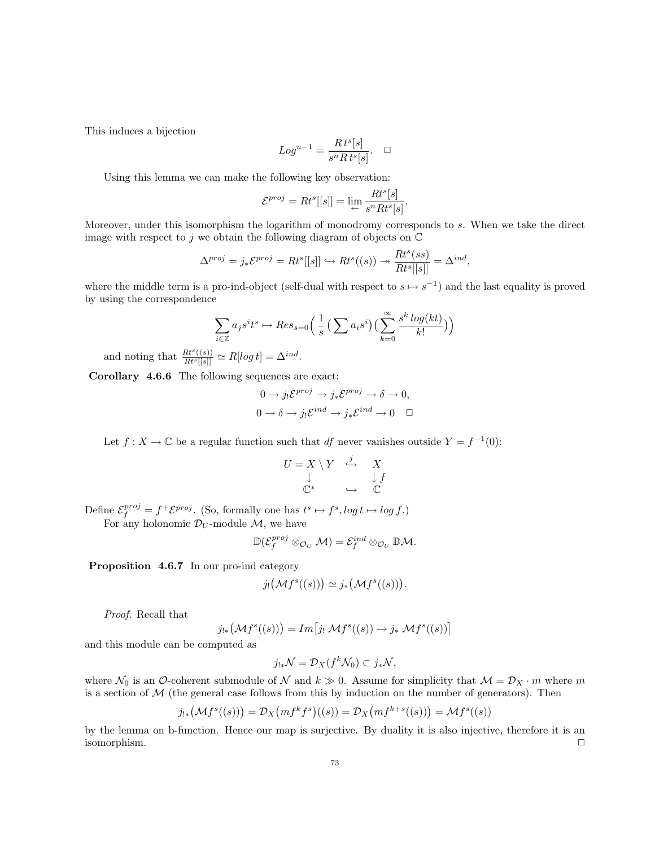This induces a bijection

$$
Log^{n-1} = \frac{R t^s[s]}{s^nR t^s[s]}.\quad \Box
$$

Using this lemma we can make the following key observation:

$$
\mathcal{E}^{proj} = Rt^s[[s]] = \lim_{\leftarrow} \frac{Rt^s[s]}{s^n Rt^s[s]}
$$

.

Moreover, under this isomorphism the logarithm of monodromy corresponds to s. When we take the direct image with respect to j we obtain the following diagram of objects on  $\mathbb C$ 

$$
\Delta^{proj} = j_* \mathcal{E}^{proj} = Rt^s[[s]] \hookrightarrow Rt^s((s)) \twoheadrightarrow \frac{Rt^s(ss)}{Rt^s[[s]]} = \Delta^{ind},
$$

where the middle term is a pro-ind-object (self-dual with respect to  $s \mapsto s^{-1}$ ) and the last equality is proved by using the correspondence

$$
\sum_{i \in \mathbb{Z}} a_j s^i t^s \mapsto Res_{s=0} \left( \frac{1}{s} \left( \sum a_i s^i \right) \left( \sum_{k=0}^{\infty} \frac{s^k \log(kt)}{k!} \right) \right)
$$

and noting that  $\frac{Rt^{s}((s))}{Rt^{s}[[s]]} \simeq R[log t] = \Delta^{ind}$ .

Corollary 4.6.6 The following sequences are exact:

$$
0 \to j_! \mathcal{E}^{proj} \to j_* \mathcal{E}^{proj} \to \delta \to 0,
$$
  

$$
0 \to \delta \to j_! \mathcal{E}^{ind} \to j_* \mathcal{E}^{ind} \to 0 \quad \Box
$$

Let  $f: X \to \mathbb{C}$  be a regular function such that df never vanishes outside  $Y = f^{-1}(0)$ :

$$
U = X \setminus Y \stackrel{j}{\hookrightarrow} X
$$
  

$$
\downarrow \qquad \qquad \downarrow f
$$
  

$$
\mathbb{C}^* \qquad \hookrightarrow \qquad \mathbb{C}
$$

Define  $\mathcal{E}_f^{proj} = f^+ \mathcal{E}^{proj}$ . (So, formally one has  $t^s \mapsto f^s$ ,  $log t \mapsto log f$ .)

For any holonomic  $\mathcal{D}_U$ -module  $\mathcal{M}$ , we have

$$
\mathbb{D}(\mathcal{E}_f^{proj} \otimes_{\mathcal{O}_U} \mathcal{M}) = \mathcal{E}_f^{ind} \otimes_{\mathcal{O}_U} \mathbb{D} \mathcal{M}.
$$

Proposition 4.6.7 In our pro-ind category

$$
j_! (\mathcal{M}f^s((s))) \simeq j_* (\mathcal{M}f^s((s))).
$$

Proof. Recall that

$$
j_{!*}\bigl(\mathcal{M}f^s((s))\bigr)=Im\bigl[j_!\ \mathcal{M}f^s((s))\to j_*\ \mathcal{M}f^s((s))\bigr]
$$

and this module can be computed as

$$
j_{!*}\mathcal{N}=\mathcal{D}_X(f^k\mathcal{N}_0)\subset j_*\mathcal{N},
$$

where  $\mathcal{N}_0$  is an O-coherent submodule of  $\mathcal N$  and  $k \gg 0$ . Assume for simplicity that  $\mathcal M = \mathcal D_X \cdot m$  where m is a section of  $M$  (the general case follows from this by induction on the number of generators). Then

$$
j_{!*}(\mathcal{M}f^s((s))) = \mathcal{D}_X\big(mf^kf^s\big)((s)) = \mathcal{D}_X\big(mf^{k+s}((s))\big) = \mathcal{M}f^s((s))
$$

by the lemma on b-function. Hence our map is surjective. By duality it is also injective, therefore it is an  $\Box$  isomorphism.  $\Box$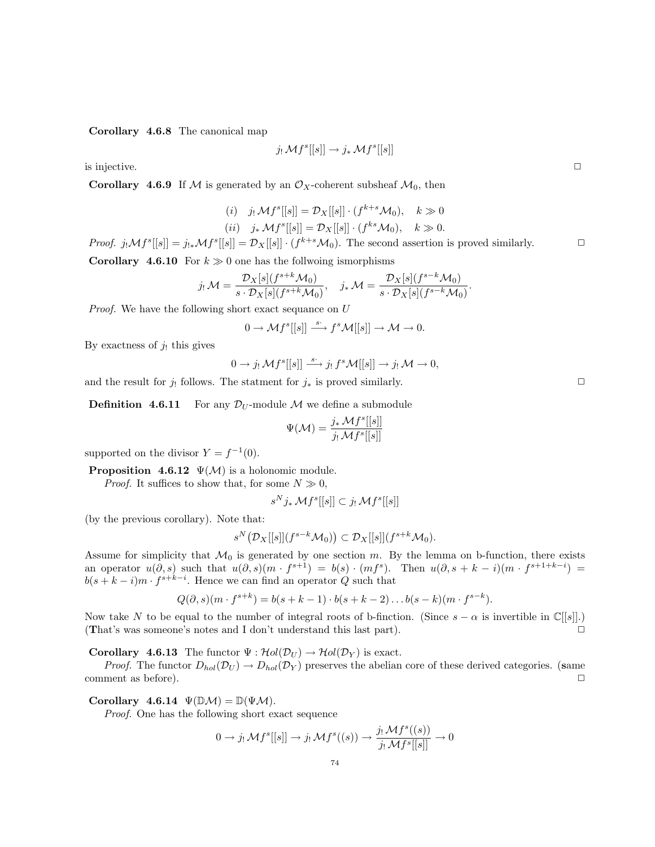Corollary 4.6.8 The canonical map

$$
j_!\,\mathcal{M}f^s[[s]]\rightarrow j_*\,\mathcal{M}f^s[[s]]
$$

is injective.  $\Box$ 

**Corollary 4.6.9** If M is generated by an  $\mathcal{O}_X$ -coherent subsheaf  $\mathcal{M}_0$ , then

(i) 
$$
j_!\mathcal{M}f^s[[s]] = \mathcal{D}_X[[s]] \cdot (f^{k+s}\mathcal{M}_0), \quad k \gg 0
$$
  
(ii)  $j_*\mathcal{M}f^s[[s]] = \mathcal{D}_X[[s]] \cdot (f^{ks}\mathcal{M}_0), \quad k \gg 0.$ 

Proof.  $j_! \mathcal{M} f^s[[s]] = j_{!*} \mathcal{M} f^s[[s]] = \mathcal{D}_X[[s]] \cdot (f^{k+s} \mathcal{M}_0)$ . The second assertion is proved similarly.

**Corollary 4.6.10** For  $k \geq 0$  one has the follwoing ismorphisms

$$
j_!\mathcal{M}=\frac{\mathcal{D}_X[s](f^{s+k}\mathcal{M}_0)}{s\cdot\mathcal{D}_X[s](f^{s+k}\mathcal{M}_0)},\quad j_*\mathcal{M}=\frac{\mathcal{D}_X[s](f^{s-k}\mathcal{M}_0)}{s\cdot\mathcal{D}_X[s](f^{s-k}\mathcal{M}_0)}.
$$

Proof. We have the following short exact sequance on U

$$
0\to \mathcal{M} f^s[[s]]\stackrel{s\cdot}{\longrightarrow} f^s\mathcal{M}[[s]]\to \mathcal{M}\to 0.
$$

By exactness of  $j_!$  this gives

$$
0 \to j_! \mathcal{M}f^s[[s]] \xrightarrow{s^*} j_! f^s \mathcal{M}[[s]] \to j_! \mathcal{M} \to 0,
$$

and the result for  $j_!$  follows. The statment for  $j_*$  is proved similarly.  $\Box$ 

**Definition 4.6.11** For any  $\mathcal{D}_U$ -module M we define a submodule

$$
\Psi(\mathcal{M})=\frac{j_*\mathcal{M}f^s[[s]]}{j_!\mathcal{M}f^s[[s]]}
$$

supported on the divisor  $Y = f^{-1}(0)$ .

**Proposition 4.6.12**  $\Psi(\mathcal{M})$  is a holonomic module.

*Proof.* It suffices to show that, for some  $N \gg 0$ ,

$$
s^N j_* \mathcal{M} f^s[[s]] \subset j_! \mathcal{M} f^s[[s]]
$$

(by the previous corollary). Note that:

$$
s^N\big(\mathcal{D}_X[[s]](f^{s-k}\mathcal{M}_0)\big)\subset \mathcal{D}_X[[s]](f^{s+k}\mathcal{M}_0).
$$

Assume for simplicity that  $\mathcal{M}_0$  is generated by one section m. By the lemma on b-function, there exists an operator  $u(\partial, s)$  such that  $u(\partial, s)(m \cdot f^{s+1}) = b(s) \cdot (mf^s)$ . Then  $u(\partial, s + k - i)(m \cdot f^{s+1+k-i}) =$  $b(s+k-i)m \cdot f^{s+k-i}$ . Hence we can find an operator Q such that

$$
Q(\partial, s)(m \cdot f^{s+k}) = b(s+k-1) \cdot b(s+k-2) \dots b(s-k)(m \cdot f^{s-k}).
$$

Now take N to be equal to the number of integral roots of b-finction. (Since  $s - \alpha$  is invertible in  $\mathbb{C}[[s]]$ .) (That's was someone's notes and I don't understand this last part).  $\Box$ 

**Corollary 4.6.13** The functor  $\Psi : Hol(\mathcal{D}_U) \to Hol(\mathcal{D}_Y)$  is exact.

*Proof.* The functor  $D_{hol}(\mathcal{D}_U) \to D_{hol}(\mathcal{D}_Y)$  preserves the abelian core of these derived categories. (same comment as before).  $\Box$ 

Corollary 4.6.14  $\Psi(\mathbb{D}\mathcal{M}) = \mathbb{D}(\Psi\mathcal{M})$ .

Proof. One has the following short exact sequence

$$
0 \to j_! \mathcal{M}f^s[[s]] \to j_! \mathcal{M}f^s((s)) \to \frac{j_! \mathcal{M}f^s((s))}{j_! \mathcal{M}f^s[[s]]} \to 0
$$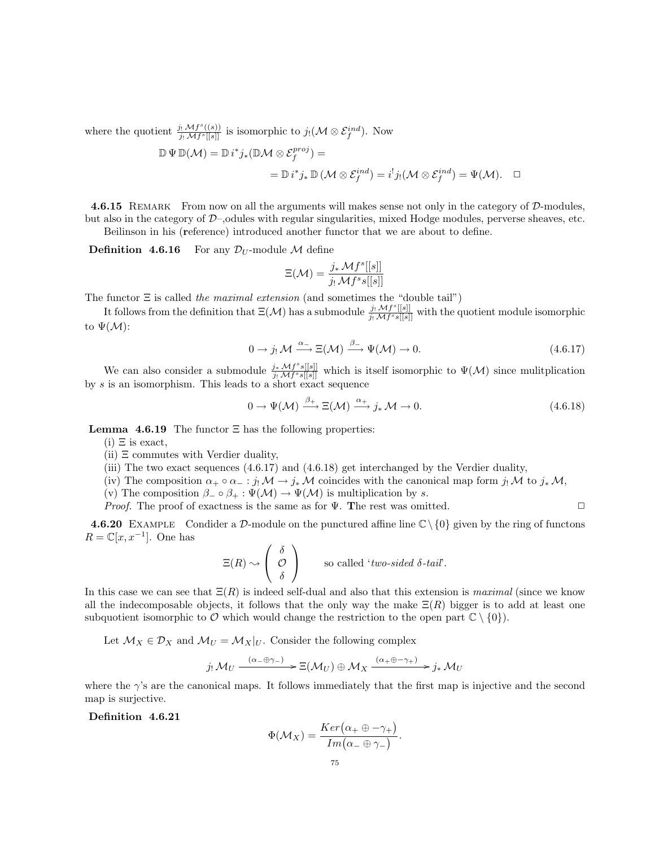where the quotient  $\frac{j_! \mathcal{M} f^s((s))}{j_! \mathcal{M} f^s([s])}$  $\frac{\partial_i \mathcal{M}f^s((s))}{\partial_j \mathcal{M}f^s[[s]]}$  is isomorphic to  $j_! (\mathcal{M} \otimes \mathcal{E}_f^{ind}).$  Now

$$
\mathbb{D} \Psi \mathbb{D}(\mathcal{M}) = \mathbb{D} i^* j_* (\mathbb{D} \mathcal{M} \otimes \mathcal{E}_f^{proj}) =
$$
  
=  $\mathbb{D} i^* j_* \mathbb{D}(\mathcal{M} \otimes \mathcal{E}_f^{ind}) = i^! j_! (\mathcal{M} \otimes \mathcal{E}_f^{ind}) = \Psi(\mathcal{M}). \quad \Box$ 

4.6.15 REMARK From now on all the arguments will makes sense not only in the category of D-modules, but also in the category of  $\mathcal{D}$ –, odules with regular singularities, mixed Hodge modules, perverse sheaves, etc. Beilinson in his (reference) introduced another functor that we are about to define.

**Definition 4.6.16** For any  $\mathcal{D}_U$ -module M define

$$
\Xi(\mathcal{M}) = \frac{j_* \mathcal{M} f^s[[s]]}{j_! \mathcal{M} f^s s[[s]]}
$$

The functor  $\Xi$  is called the maximal extension (and sometimes the "double tail")

It follows from the definition that  $\Xi(\mathcal{M})$  has a submodule  $\frac{j_1 \mathcal{M} f^s[[s]]}{i_1 \mathcal{M} f^s s[[s]]}$  $\frac{j! \mathcal{M}}{j! \mathcal{M}f^s s[[s]]}$  with the quotient module isomorphic to  $\Psi(\mathcal{M})$ :

$$
0 \to j_! \mathcal{M} \xrightarrow{\alpha_-} \Xi(\mathcal{M}) \xrightarrow{\beta_-} \Psi(\mathcal{M}) \to 0. \tag{4.6.17}
$$

We can also consider a submodule  $\frac{j_* \mathcal{M} f^s s[[s]]}{j_* \mathcal{M} f^s s[[s]]}$  $\frac{\partial f_*}{\partial f} \frac{\mathcal{M}f^s[s][s]}{\mathcal{M}f^s[s][s]}$  which is itself isomorphic to  $\Psi(\mathcal{M})$  since mulitplication by s is an isomorphism. This leads to a short exact sequence

$$
0 \to \Psi(\mathcal{M}) \xrightarrow{\beta_+} \Xi(\mathcal{M}) \xrightarrow{\alpha_+} j_* \mathcal{M} \to 0.
$$
\n(4.6.18)

**Lemma 4.6.19** The functor  $\Xi$  has the following properties:

 $(i) \equiv$  is exact,

 $(ii) \equiv$  commutes with Verdier duality,

- (iii) The two exact sequences (4.6.17) and (4.6.18) get interchanged by the Verdier duality,
- (iv) The composition  $\alpha_+ \circ \alpha_- : j_! \mathcal{M} \to j_* \mathcal{M}$  coincides with the canonical map form j! M to  $j_* \mathcal{M}$ ,
- (v) The composition  $\beta_-\circ\beta_+:\Psi(\mathcal{M})\to \Psi(\mathcal{M})$  is multiplication by s.

*Proof.* The proof of exactness is the same as for  $\Psi$ . The rest was omitted.  $\square$ 

**4.6.20** EXAMPLE Condider a D-module on the punctured affine line  $\mathbb{C}\setminus\{0\}$  given by the ring of functons  $R = \mathbb{C}[x, x^{-1}]$ . One has

$$
\Xi(R) \rightsquigarrow \begin{pmatrix} \delta \\ \mathcal{O} \\ \delta \end{pmatrix} \qquad \text{so called 'two-sided }\delta\text{-tail'}.
$$

In this case we can see that  $\Xi(R)$  is indeed self-dual and also that this extension is maximal (since we know all the indecomposable objects, it follows that the only way the make  $\Xi(R)$  bigger is to add at least one subquotient isomorphic to  $\mathcal O$  which would change the restriction to the open part  $\mathbb C \setminus \{0\}$ .

Let  $\mathcal{M}_X \in \mathcal{D}_X$  and  $\mathcal{M}_U = \mathcal{M}_X|_U$ . Consider the following complex

$$
j_! \mathcal{M}_U \xrightarrow{(\alpha_- \oplus \gamma_-)} \Xi(\mathcal{M}_U) \oplus \mathcal{M}_X \xrightarrow{(\alpha_+ \oplus -\gamma_+)} j_* \mathcal{M}_U
$$

where the  $\gamma$ 's are the canonical maps. It follows immediately that the first map is injective and the second map is surjective.

Definition 4.6.21

$$
\Phi(\mathcal{M}_X) = \frac{Ker(\alpha_+ \oplus -\gamma_+)}{Im(\alpha_- \oplus \gamma_-)}.
$$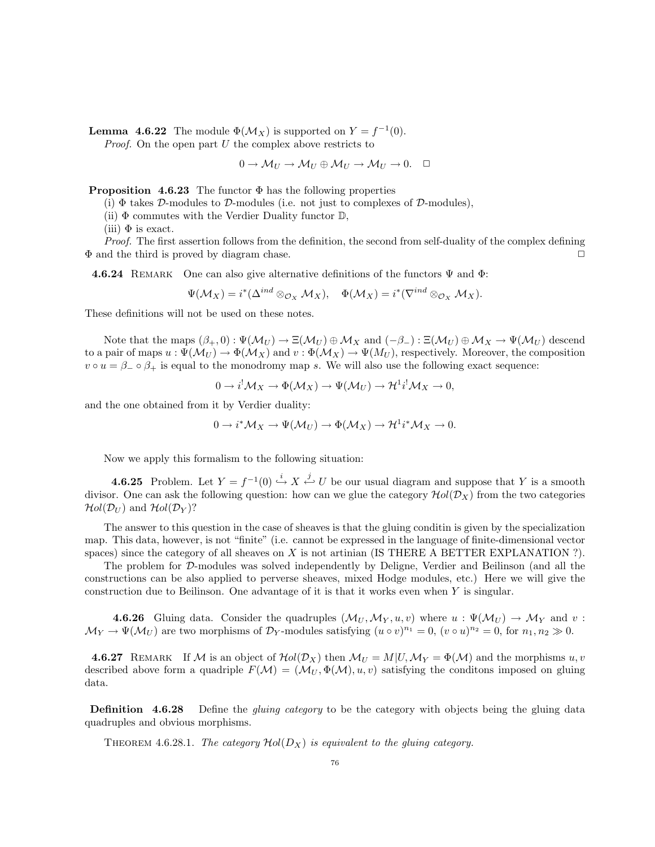**Lemma 4.6.22** The module  $\Phi(\mathcal{M}_X)$  is supported on  $Y = f^{-1}(0)$ . *Proof.* On the open part  $U$  the complex above restricts to

 $0 \to \mathcal{M}_U \to \mathcal{M}_U \oplus \mathcal{M}_U \to \mathcal{M}_U \to 0. \quad \Box$ 

**Proposition 4.6.23** The functor  $\Phi$  has the following properties

(i)  $\Phi$  takes D-modules to D-modules (i.e. not just to complexes of D-modules),

(ii)  $\Phi$  commutes with the Verdier Duality functor  $\mathbb{D}$ ,

(iii)  $\Phi$  is exact.

Proof. The first assertion follows from the definition, the second from self-duality of the complex defining  $\Phi$  and the third is proved by diagram chase.

4.6.24 REMARK One can also give alternative definitions of the functors  $\Psi$  and  $\Phi$ :

$$
\Psi(\mathcal{M}_X)=i^*(\Delta^{ind}\otimes_{\mathcal{O}_X}\mathcal{M}_X),\quad \Phi(\mathcal{M}_X)=i^*(\nabla^{ind}\otimes_{\mathcal{O}_X}\mathcal{M}_X).
$$

These definitions will not be used on these notes.

Note that the maps  $(\beta_+, 0) : \Psi(\mathcal{M}_U) \to \Xi(\mathcal{M}_U) \oplus \mathcal{M}_X$  and  $(-\beta_-) : \Xi(\mathcal{M}_U) \oplus \mathcal{M}_X \to \Psi(\mathcal{M}_U)$  descend to a pair of maps  $u: \Psi(\mathcal{M}_U) \to \Phi(\mathcal{M}_X)$  and  $v: \Phi(\mathcal{M}_X) \to \Psi(\mathcal{M}_U)$ , respectively. Moreover, the composition  $v \circ u = \beta_- \circ \beta_+$  is equal to the monodromy map s. We will also use the following exact sequence:

$$
0 \to i^{!} \mathcal{M}_{X} \to \Phi(\mathcal{M}_{X}) \to \Psi(\mathcal{M}_{U}) \to \mathcal{H}^{1} i^{!} \mathcal{M}_{X} \to 0,
$$

and the one obtained from it by Verdier duality:

$$
0 \to i^* \mathcal{M}_X \to \Psi(\mathcal{M}_U) \to \Phi(\mathcal{M}_X) \to \mathcal{H}^1 i^* \mathcal{M}_X \to 0.
$$

Now we apply this formalism to the following situation:

**4.6.25** Problem. Let  $Y = f^{-1}(0) \stackrel{i}{\hookrightarrow} X \stackrel{j}{\hookleftarrow} U$  be our usual diagram and suppose that Y is a smooth divisor. One can ask the following question: how can we glue the category  $Hol(\mathcal{D}_X)$  from the two categories  $\mathcal{H}ol(\mathcal{D}_{U})$  and  $\mathcal{H}ol(\mathcal{D}_{V})$ ?

The answer to this question in the case of sheaves is that the gluing conditin is given by the specialization map. This data, however, is not "finite" (i.e. cannot be expressed in the language of finite-dimensional vector spaces) since the category of all sheaves on  $X$  is not artinian (IS THERE A BETTER EXPLANATION ?).

The problem for D-modules was solved independently by Deligne, Verdier and Beilinson (and all the constructions can be also applied to perverse sheaves, mixed Hodge modules, etc.) Here we will give the construction due to Beilinson. One advantage of it is that it works even when  $Y$  is singular.

**4.6.26** Gluing data. Consider the quadruples  $(\mathcal{M}_U, \mathcal{M}_Y, u, v)$  where  $u : \Psi(\mathcal{M}_U) \to \mathcal{M}_Y$  and v:  $\mathcal{M}_Y \to \Psi(\mathcal{M}_U)$  are two morphisms of  $\mathcal{D}_Y$ -modules satisfying  $(u \circ v)^{n_1} = 0$ ,  $(v \circ u)^{n_2} = 0$ , for  $n_1, n_2 \gg 0$ .

**4.6.27** REMARK If M is an object of  $Hol(\mathcal{D}_X)$  then  $\mathcal{M}_U = M|U, \mathcal{M}_Y = \Phi(\mathcal{M})$  and the morphisms u, v described above form a quadriple  $F(\mathcal{M}) = (\mathcal{M}_U, \Phi(\mathcal{M}), u, v)$  satisfying the conditions imposed on gluing data.

**Definition** 4.6.28 Define the *gluing category* to be the category with objects being the gluing data quadruples and obvious morphisms.

THEOREM 4.6.28.1. The category  $Hol(D_x)$  is equivalent to the gluing category.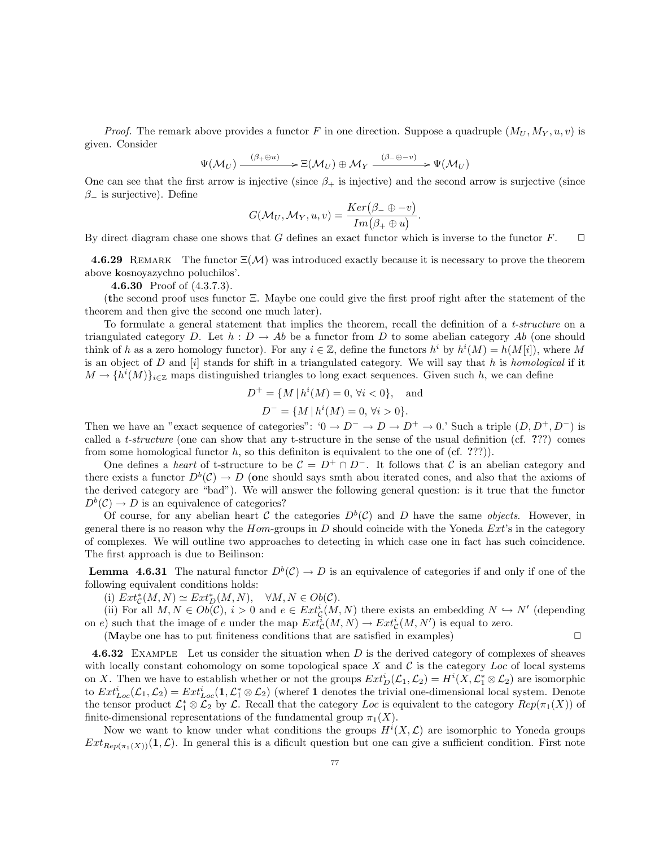*Proof.* The remark above provides a functor F in one direction. Suppose a quadruple  $(M_U, M_Y, u, v)$  is given. Consider

$$
\Psi(\mathcal{M}_U) \xrightarrow{(\beta_+ \oplus u)} \mathcal{B}(\mathcal{M}_U) \oplus \mathcal{M}_Y \xrightarrow{(\beta_- \oplus -v)} \Psi(\mathcal{M}_U)
$$

One can see that the first arrow is injective (since  $\beta_+$  is injective) and the second arrow is surjective (since  $\beta$ <sub>−</sub> is surjective). Define

$$
G(\mathcal{M}_U,\mathcal{M}_Y,u,v)=\frac{Ker(\beta_-\oplus -v)}{Im(\beta_+\oplus u)}.
$$

By direct diagram chase one shows that G defines an exact functor which is inverse to the functor  $F$ .

**4.6.29** REMARK The functor  $\Xi(\mathcal{M})$  was introduced exactly because it is necessary to prove the theorem above kosnoyazychno poluchilos'.

**4.6.30** Proof of  $(4.3.7.3)$ .

(the second proof uses functor Ξ. Maybe one could give the first proof right after the statement of the theorem and then give the second one much later).

To formulate a general statement that implies the theorem, recall the definition of a t-structure on a triangulated category D. Let  $h : D \to Ab$  be a functor from D to some abelian category Ab (one should think of h as a zero homology functor). For any  $i \in \mathbb{Z}$ , define the functors  $h^i$  by  $h^i(M) = h(M[i])$ , where M is an object of D and  $[i]$  stands for shift in a triangulated category. We will say that h is homological if it  $M \to \{h^{i}(M)\}_{i \in \mathbb{Z}}$  maps distinguished triangles to long exact sequences. Given such h, we can define

$$
D^{+} = \{ M \mid h^{i}(M) = 0, \forall i < 0 \}, \text{ and}
$$

$$
D^{-} = \{ M \mid h^{i}(M) = 0, \forall i > 0 \}.
$$

Then we have an "exact sequence of categories":  $0 \to D^- \to D \to D^+ \to 0$ . Such a triple  $(D, D^+, D^-)$  is called a t-structure (one can show that any t-structure in the sense of the usual definition (cf. ???) comes from some homological functor  $h$ , so this definiton is equivalent to the one of (cf. ???)).

One defines a heart of t-structure to be  $\mathcal{C} = D^+ \cap D^-$ . It follows that C is an abelian category and there exists a functor  $D^b(\mathcal{C}) \to D$  (one should says smth abou iterated cones, and also that the axioms of the derived category are "bad"). We will answer the following general question: is it true that the functor  $D<sup>b</sup>(\mathcal{C}) \to D$  is an equivalence of categories?

Of course, for any abelian heart C the categories  $D<sup>b</sup>(\mathcal{C})$  and D have the same *objects*. However, in general there is no reason why the  $Hom$ -groups in  $D$  should coincide with the Yoneda  $Ext$ 's in the category of complexes. We will outline two approaches to detecting in which case one in fact has such coincidence. The first approach is due to Beilinson:

**Lemma 4.6.31** The natural functor  $D^b(\mathcal{C}) \to D$  is an equivalence of categories if and only if one of the following equivalent conditions holds:

(i)  $Ext^*_{\mathcal{C}}(M, N) \simeq Ext^*_{D}(M, N), \quad \forall M, N \in Ob(\mathcal{C}).$ 

(ii) For all  $M, N \in Ob(\mathcal{C})$ ,  $i > 0$  and  $e \in Ext^i_{\mathcal{C}}(M, N)$  there exists an embedding  $N \hookrightarrow N'$  (depending on e) such that the image of e under the map  $Ext_{\mathcal{C}}^{i}(M, N) \to Ext_{\mathcal{C}}^{i}(M, N')$  is equal to zero.

(Maybe one has to put finiteness conditions that are satisfied in examples)  $\Box$ 

**4.6.32** EXAMPLE Let us consider the situation when D is the derived category of complexes of sheaves with locally constant cohomology on some topological space X and  $\mathcal C$  is the category Loc of local systems on X. Then we have to establish whether or not the groups  $Ext_D^i(\mathcal{L}_1, \mathcal{L}_2) = H^i(X, \mathcal{L}_1^* \otimes \mathcal{L}_2)$  are isomorphic to  $Ext^i_{Loc}(\mathcal{L}_1,\mathcal{L}_2) = Ext^i_{Loc}(1,\mathcal{L}_1^* \otimes \mathcal{L}_2)$  (wheref 1 denotes the trivial one-dimensional local system. Denote the tensor product  $\mathcal{L}_1^* \otimes \mathcal{L}_2$  by  $\mathcal{L}$ . Recall that the category Loc is equivalent to the category  $Rep(\pi_1(X))$  of finite-dimensional representations of the fundamental group  $\pi_1(X)$ .

Now we want to know under what conditions the groups  $H^{i}(X,\mathcal{L})$  are isomorphic to Yoneda groups  $Ext_{Rep(\pi_1(X))}(1,\mathcal{L})$ . In general this is a dificult question but one can give a sufficient condition. First note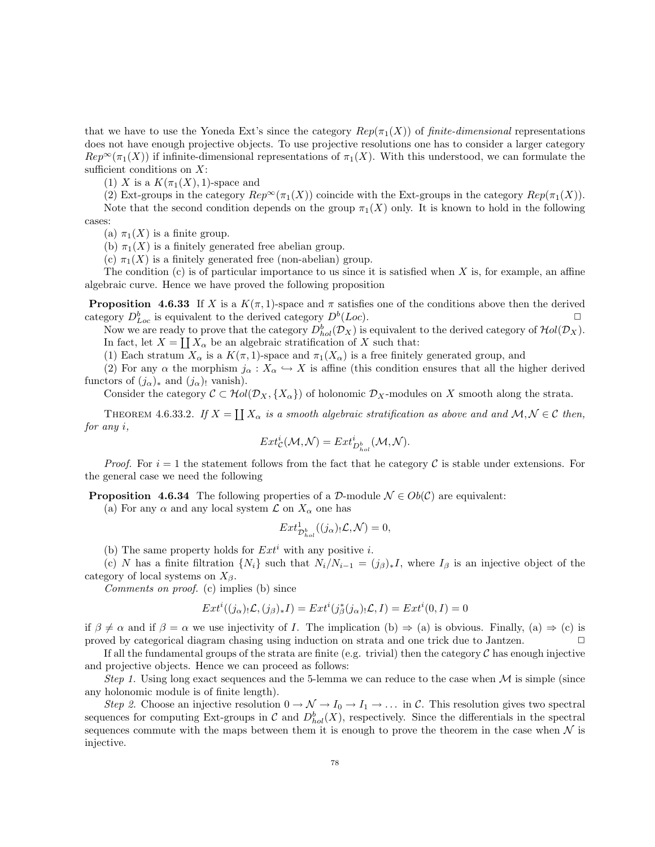that we have to use the Yoneda Ext's since the category  $Rep(\pi_1(X))$  of finite-dimensional representations does not have enough projective objects. To use projective resolutions one has to consider a larger category  $Rep^{\infty}(\pi_1(X))$  if infinite-dimensional representations of  $\pi_1(X)$ . With this understood, we can formulate the sufficient conditions on  $X$ :

(1) X is a  $K(\pi_1(X), 1)$ -space and

(2) Ext-groups in the category  $Rep^{\infty}(\pi_1(X))$  coincide with the Ext-groups in the category  $Rep(\pi_1(X))$ .

Note that the second condition depends on the group  $\pi_1(X)$  only. It is known to hold in the following cases:

(a)  $\pi_1(X)$  is a finite group.

(b)  $\pi_1(X)$  is a finitely generated free abelian group.

(c)  $\pi_1(X)$  is a finitely generated free (non-abelian) group.

The condition  $(c)$  is of particular importance to us since it is satisfied when X is, for example, an affine algebraic curve. Hence we have proved the following proposition

**Proposition 4.6.33** If X is a  $K(\pi, 1)$ -space and  $\pi$  satisfies one of the conditions above then the derived category  $D_{Loc}^b$  is equivalent to the derived category  $D^b(Loc)$ .

Now we are ready to prove that the category  $D_{hol}^b(\mathcal{D}_X)$  is equivalent to the derived category of  $Hol(\mathcal{D}_X)$ . In fact, let  $X = \coprod X_\alpha$  be an algebraic stratification of X such that:

(1) Each stratum  $X_\alpha$  is a  $K(\pi, 1)$ -space and  $\pi_1(X_\alpha)$  is a free finitely generated group, and

(2) For any  $\alpha$  the morphism  $j_{\alpha}: X_{\alpha} \hookrightarrow X$  is affine (this condition ensures that all the higher derived functors of  $(j_{\alpha})_*$  and  $(j_{\alpha})_!$  vanish).

Consider the category  $\mathcal{C} \subset \mathcal{H}ol(\mathcal{D}_X, \{X_\alpha\})$  of holonomic  $\mathcal{D}_X$ -modules on X smooth along the strata.

THEOREM 4.6.33.2. If  $X = \coprod X_\alpha$  is a smooth algebraic stratification as above and and  $\mathcal{M}, \mathcal{N} \in \mathcal{C}$  then, for any i,

$$
Ext_{\mathcal{C}}^{i}(\mathcal{M},\mathcal{N})=Ext_{D_{hol}^{b}}^{i}(\mathcal{M},\mathcal{N}).
$$

*Proof.* For  $i = 1$  the statement follows from the fact that he category C is stable under extensions. For the general case we need the following

**Proposition 4.6.34** The following properties of a D-module  $\mathcal{N} \in Ob(\mathcal{C})$  are equivalent:

(a) For any  $\alpha$  and any local system  $\mathcal L$  on  $X_{\alpha}$  one has

 $Ext^1_{\mathcal{D}_{hol}^b}((j_{\alpha})_!\mathcal{L},\mathcal{N})=0,$ 

(b) The same property holds for  $Ext<sup>i</sup>$  with any positive i.

(c) N has a finite filtration  $\{N_i\}$  such that  $N_i/N_{i-1} = (j_{\beta})_*I$ , where  $I_{\beta}$  is an injective object of the category of local systems on  $X_{\beta}$ .

Comments on proof. (c) implies (b) since

$$
Ext^i((j_{\alpha})_!\mathcal{L},(j_{\beta})_*I) = Ext^i(j_{\beta}^*(j_{\alpha})_!\mathcal{L},I) = Ext^i(0,I) = 0
$$

if  $\beta \neq \alpha$  and if  $\beta = \alpha$  we use injectivity of I. The implication (b)  $\Rightarrow$  (a) is obvious. Finally, (a)  $\Rightarrow$  (c) is proved by categorical diagram chasing using induction on strata and one trick due to Jantzen. ✷

If all the fundamental groups of the strata are finite (e.g. trivial) then the category  $\mathcal C$  has enough injective and projective objects. Hence we can proceed as follows:

Step 1. Using long exact sequences and the 5-lemma we can reduce to the case when  $\mathcal M$  is simple (since any holonomic module is of finite length).

Step 2. Choose an injective resolution  $0 \to \mathcal{N} \to I_0 \to I_1 \to \ldots$  in C. This resolution gives two spectral sequences for computing Ext-groups in  $\mathcal C$  and  $D_{hol}^b(X)$ , respectively. Since the differentials in the spectral sequences commute with the maps between them it is enough to prove the theorem in the case when  $\mathcal N$  is injective.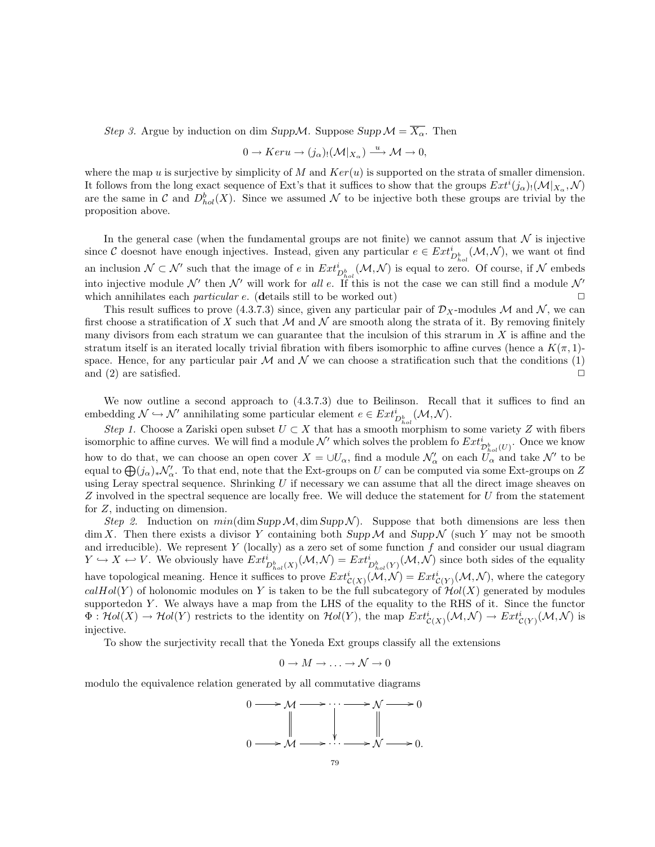Step 3. Argue by induction on dim Supp $\mathcal{M}$ . Suppose Supp $\mathcal{M} = \overline{X_{\alpha}}$ . Then

$$
0 \to Ker u \to (j_{\alpha})_!(\mathcal{M}|_{X_{\alpha}}) \xrightarrow{u} \mathcal{M} \to 0,
$$

where the map u is surjective by simplicity of M and  $Ker(u)$  is supported on the strata of smaller dimension. It follows from the long exact sequence of Ext's that it suffices to show that the groups  $Ext^i(j_\alpha)$ ! $(\mathcal{M}|_{X_\alpha}, \mathcal{N})$ are the same in C and  $D_{hol}^b(X)$ . Since we assumed N to be injective both these groups are trivial by the proposition above.

In the general case (when the fundamental groups are not finite) we cannot assum that  $N$  is injective since C doesnot have enough injectives. Instead, given any particular  $e \in Ext_{D_{hol}}^{i}(\mathcal{M}, \mathcal{N})$ , we want ot find an inclusion  $\mathcal{N} \subset \mathcal{N}'$  such that the image of e in  $Ext_{D_{hol}^b}^i(\mathcal{M}, \mathcal{N})$  is equal to zero. Of course, if  $\mathcal{N}$  embeds into injective module  $\mathcal{N}'$  then  $\mathcal{N}'$  will work for all e. If this is not the case we can still find a module  $\mathcal{N}'$ which annihilates each *particular e.* (details still to be worked out)  $\Box$ 

This result suffices to prove (4.3.7.3) since, given any particular pair of  $\mathcal{D}_X$ -modules M and N, we can first choose a stratification of X such that  $M$  and  $N$  are smooth along the strata of it. By removing finitely many divisors from each stratum we can guarantee that the inculsion of this strarum in  $X$  is affine and the stratum itself is an iterated locally trivial fibration with fibers isomorphic to affine curves (hence a  $K(\pi, 1)$ space. Hence, for any particular pair  $\mathcal M$  and  $\mathcal N$  we can choose a stratification such that the conditions (1) and (2) are satisfied.  $\Box$ 

We now outline a second approach to  $(4.3.7.3)$  due to Beilinson. Recall that it suffices to find an embedding  $\mathcal{N} \hookrightarrow \mathcal{N}'$  annihilating some particular element  $e \in Ext_{D_{hol}}^{i}(\mathcal{M}, \mathcal{N})$ .

Step 1. Choose a Zariski open subset  $U \subset X$  that has a smooth morphism to some variety Z with fibers isomorphic to affine curves. We will find a module  $\mathcal{N}'$  which solves the problem fo  $Ext^i_{\mathcal{D}^b_{hol}(U)}$ . Once we know how to do that, we can choose an open cover  $X = \cup U_\alpha$ , find a module  $\mathcal{N}'_\alpha$  on each  $\overline{U_\alpha}$  and take  $\mathcal{N}'$  to be equal to  $\bigoplus (j_\alpha)_*\mathcal{N}'_\alpha$ . To that end, note that the Ext-groups on U can be computed via some Ext-groups on Z using Leray spectral sequence. Shrinking  $U$  if necessary we can assume that all the direct image sheaves on Z involved in the spectral sequence are locally free. We will deduce the statement for U from the statement for Z, inducting on dimension.

Step 2. Induction on  $min(\dim Supp \mathcal{M}, \dim Supp \mathcal{N})$ . Suppose that both dimensions are less then  $\dim X$ . Then there exists a divisor Y containing both Supp M and Supp N (such Y may not be smooth and irreducible). We represent Y (locally) as a zero set of some function  $f$  and consider our usual diagram  $Y \hookrightarrow X \hookleftarrow V$ . We obviously have  $Ext^i_{D^b_{hol}(X)}(\mathcal{M}, \mathcal{N}) = Ext^i_{D^b_{hol}(Y)}(\mathcal{M}, \mathcal{N})$  since both sides of the equality have topological meaning. Hence it suffices to prove  $Ext^i_{\mathcal{C}(X)}(\mathcal{M},\mathcal{N}) = Ext^i_{\mathcal{C}(Y)}(\mathcal{M},\mathcal{N})$ , where the category  $calHol(Y)$  of holonomic modules on Y is taken to be the full subcategory of  $Hol(X)$  generated by modules supportedon Y. We always have a map from the LHS of the equality to the RHS of it. Since the functor  $\Phi: Hol(X) \to Hol(Y)$  restricts to the identity on  $Hol(Y)$ , the map  $Ext^i_{\mathcal{C}(X)}(\mathcal{M}, \mathcal{N}) \to Ext^i_{\mathcal{C}(Y)}(\mathcal{M}, \mathcal{N})$  is injective.

To show the surjectivity recall that the Yoneda Ext groups classify all the extensions

$$
0 \to M \to \ldots \to \mathcal{N} \to 0
$$

modulo the equivalence relation generated by all commutative diagrams

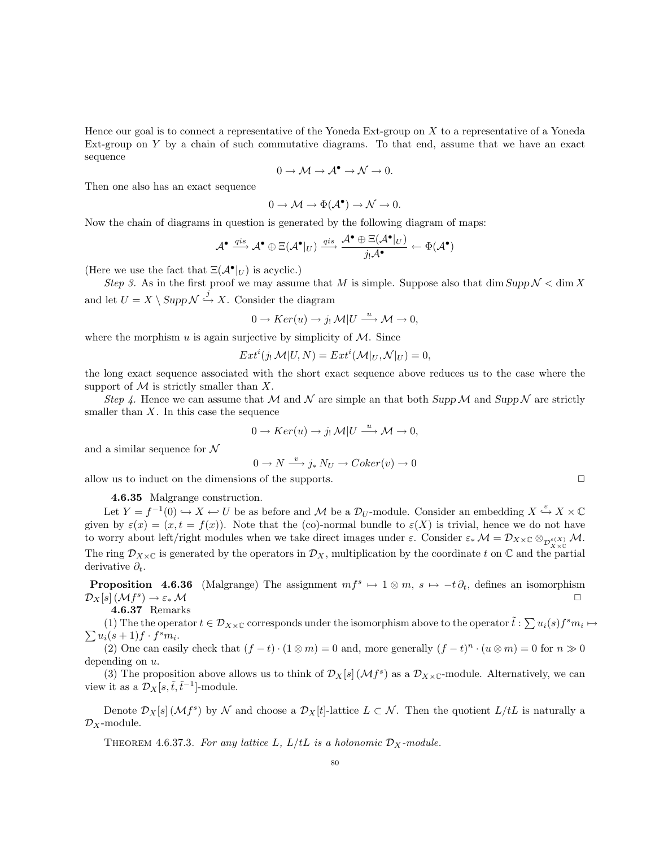Hence our goal is to connect a representative of the Yoneda Ext-group on X to a representative of a Yoneda Ext-group on Y by a chain of such commutative diagrams. To that end, assume that we have an exact sequence

$$
0\to \mathcal{M}\to \mathcal{A}^\bullet\to \mathcal{N}\to 0.
$$

Then one also has an exact sequence

$$
0 \to \mathcal{M} \to \Phi(\mathcal{A}^{\bullet}) \to \mathcal{N} \to 0.
$$

Now the chain of diagrams in question is generated by the following diagram of maps:

$$
\mathcal{A}^{\bullet} \xrightarrow{qis} \mathcal{A}^{\bullet} \oplus \Xi(\mathcal{A}^{\bullet}|_{U}) \xrightarrow{qis} \xrightarrow{\mathcal{A}^{\bullet} \oplus \Xi(\mathcal{A}^{\bullet}|_{U})} \leftarrow \Phi(\mathcal{A}^{\bullet})
$$

(Here we use the fact that  $\Xi(\mathcal{A}^{\bullet}|_U)$  is acyclic.)

Step 3. As in the first proof we may assume that M is simple. Suppose also that dim Supp  $\mathcal{N} < \dim X$ and let  $U = X \setminus \text{Supp}\,\mathcal{N} \stackrel{j}{\hookrightarrow} X$ . Consider the diagram

$$
0 \to Ker(u) \to j_! \mathcal{M}|U \stackrel{u}{\longrightarrow} \mathcal{M} \to 0,
$$

where the morphism  $u$  is again surjective by simplicity of  $\mathcal{M}$ . Since

$$
Ext^{i}(j_{!}\mathcal{M}|U,N) = Ext^{i}(\mathcal{M}|_{U},\mathcal{N}|_{U}) = 0,
$$

the long exact sequence associated with the short exact sequence above reduces us to the case where the support of  $\mathcal M$  is strictly smaller than  $X$ .

Step 4. Hence we can assume that M and N are simple an that both Supp M and Supp N are strictly smaller than  $X$ . In this case the sequence

$$
0 \to Ker(u) \to j_! \mathcal{M}|U \stackrel{u}{\longrightarrow} \mathcal{M} \to 0,
$$

and a similar sequence for  $\mathcal N$ 

$$
0 \to N \xrightarrow{v} j_* N_U \to Coker(v) \to 0
$$

allow us to induct on the dimensions of the supports.  $\Box$ 

4.6.35 Malgrange construction.

Let  $Y = f^{-1}(0) \hookrightarrow X \hookleftarrow U$  be as before and M be a  $\mathcal{D}_U$ -module. Consider an embedding  $X \xrightarrow{\varepsilon} X \times \mathbb{C}$ given by  $\varepsilon(x) = (x, t = f(x))$ . Note that the (co)-normal bundle to  $\varepsilon(X)$  is trivial, hence we do not have to worry about left/right modules when we take direct images under  $\varepsilon$ . Consider  $\varepsilon_*\mathcal{M} = \mathcal{D}_{X\times\mathbb{C}}\otimes_{\mathcal{D}^{\varepsilon(X)}_{X\times\mathbb{C}}}\mathcal{M}.$ The ring  $\mathcal{D}_{X\times\mathbb{C}}$  is generated by the operators in  $\mathcal{D}_X$ , multiplication by the coordinate t on  $\mathbb{C}$  and the partial derivative  $\partial_t$ .

**Proposition** 4.6.36 (Malgrange) The assignment  $mf^s \mapsto 1 \otimes m$ ,  $s \mapsto -t \partial_t$ , defines an isomorphism  $\mathcal{D}_X[s]\,(\mathcal{M} f^s)$  $) \rightarrow \varepsilon_* \mathcal{M}$ 

4.6.37 Remarks

(1) The the operator  $t \in \mathcal{D}_{X\times\mathbb{C}}$  corresponds under the isomorphism above to the operator  $\tilde{t}$  :  $\sum u_i(s) f^s m_i \mapsto$ <br> $\sum u_i(s+1) f \cdot f^s m_i$ .  $u_i(s+1)f \cdot f^s m_i.$ 

(2) One can easily check that  $(f - t) \cdot (1 \otimes m) = 0$  and, more generally  $(f - t)^n \cdot (u \otimes m) = 0$  for  $n \gg 0$ depending on  $u$ .

(3) The proposition above allows us to think of  $\mathcal{D}_X[s](\mathcal{M}f^s)$  as a  $\mathcal{D}_{X\times\mathbb{C}}$ -module. Alternatively, we can view it as a  $\mathcal{D}_X[s, \tilde{t}, \tilde{t}^{-1}]$ -module.

Denote  $\mathcal{D}_X[s](\mathcal{M}f^s)$  by  $\mathcal N$  and choose a  $\mathcal{D}_X[t]$ -lattice  $L \subset \mathcal N$ . Then the quotient  $L/tL$  is naturally a  $\mathcal{D}_X$ -module.

THEOREM 4.6.37.3. For any lattice L,  $L/tL$  is a holonomic  $\mathcal{D}_X$ -module.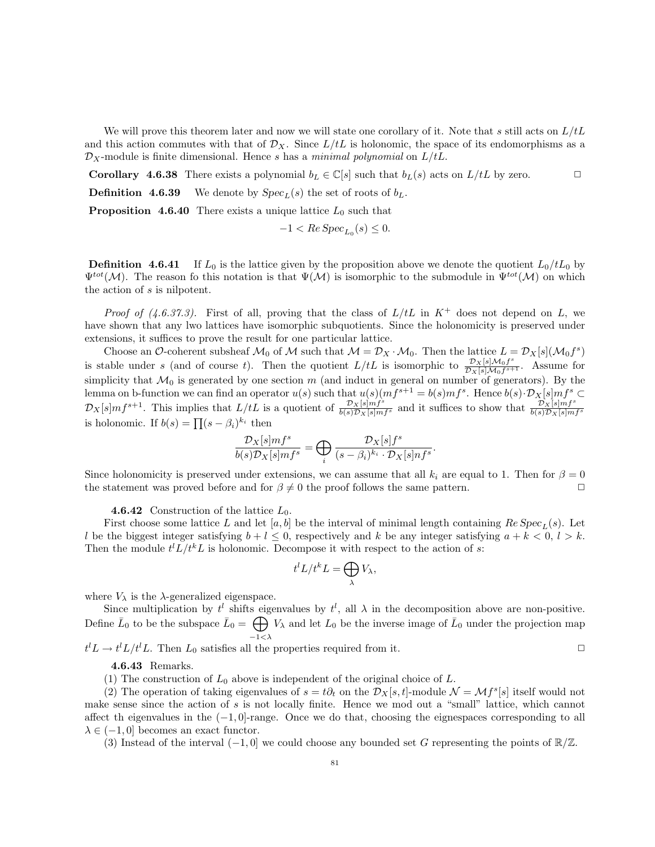We will prove this theorem later and now we will state one corollary of it. Note that s still acts on  $L/tL$ and this action commutes with that of  $\mathcal{D}_X$ . Since  $L/tL$  is holonomic, the space of its endomorphisms as a  $\mathcal{D}_X$ -module is finite dimensional. Hence s has a minimal polynomial on  $L/tL$ .

**Corollary 4.6.38** There exists a polynomial  $b_L \in \mathbb{C}[s]$  such that  $b_L(s)$  acts on  $L/tL$  by zero.  $\Box$ 

**Definition 4.6.39** We denote by  $Spec_L(s)$  the set of roots of  $b_L$ .

**Proposition 4.6.40** There exists a unique lattice  $L_0$  such that

$$
-1 < Re\,Spec_{L_0}(s) \le 0.
$$

**Definition 4.6.41** If  $L_0$  is the lattice given by the proposition above we denote the quotient  $L_0/tL_0$  by  $\Psi^{tot}(\mathcal{M})$ . The reason fo this notation is that  $\Psi(\mathcal{M})$  is isomorphic to the submodule in  $\Psi^{tot}(\mathcal{M})$  on which the action of s is nilpotent.

*Proof of (4.6.37.3).* First of all, proving that the class of  $L/tL$  in  $K^+$  does not depend on L, we have shown that any lwo lattices have isomorphic subquotients. Since the holonomicity is preserved under extensions, it suffices to prove the result for one particular lattice.

Choose an O-coherent subsheaf  $\mathcal{M}_0$  of  $\mathcal M$  such that  $\mathcal M = \mathcal D_X \cdot \mathcal M_0$ . Then the lattice  $L = \mathcal D_X[s](\mathcal M_0 f^s)$ is stable under s (and of course t). Then the quotient  $L/tL$  is isomorphic to  $\frac{\mathcal{D}_X[s]\mathcal{M}_0f^s}{\mathcal{D}_X[s]\mathcal{M}_0f^s}$  $\frac{\nu_{X}\left[s\right] \mathcal{M}_0 f^*}{\mathcal{D}_X\left[s\right] \mathcal{M}_0 f^{s+1}}$ . Assume for simplicity that  $\mathcal{M}_0$  is generated by one section m (and induct in general on number of generators). By the lemma on b-function we can find an operator  $u(s)$  such that  $u(s)(mf^{s+1} = b(s)mf^s$ . Hence  $b(s) \cdot \mathcal{D}_X[s]mf^s \subset$  $\mathcal{D}_X[s]mf^{s+1}$ . This implies that  $L/tL$  is a quotient of  $\frac{\mathcal{D}_X[s]mf^s}{b(s)\mathcal{D}_X[s]mf^s}$  and it suffices to show that  $\frac{\mathcal{D}_X[s]mf^s}{b(s)\mathcal{D}_X[s]mf^s}$ is holonomic. If  $b(s) = \prod (s - \beta_i)^{k_i}$  then

$$
\frac{\mathcal{D}_X[s]mf^s}{b(s)\mathcal{D}_X[s]mf^s} = \bigoplus_i \frac{\mathcal{D}_X[s]f^s}{(s-\beta_i)^{k_i} \cdot \mathcal{D}_X[s]nf^s}.
$$

Since holonomicity is preserved under extensions, we can assume that all  $k_i$  are equal to 1. Then for  $\beta = 0$ the statement was proved before and for  $\beta \neq 0$  the proof follows the same pattern.

**4.6.42** Construction of the lattice  $L_0$ .

First choose some lattice L and let [a, b] be the interval of minimal length containing  $Re\,Spec_L(s)$ . Let l be the biggest integer satisfying  $b + l \leq 0$ , respectively and k be any integer satisfying  $a + k < 0$ ,  $l > k$ . Then the module  $t^l L/t^k L$  is holonomic. Decompose it with respect to the action of s:

$$
t^l L/t^k L = \bigoplus_{\lambda} V_{\lambda},
$$

where  $V_{\lambda}$  is the  $\lambda$ -generalized eigenspace.

Since multiplication by  $t^l$  shifts eigenvalues by  $t^l$ , all  $\lambda$  in the decomposition above are non-positive. Define  $\bar{L}_0$  to be the subspace  $\bar{L}_0 = \bigoplus$  $-1<\lambda$  $V_{\lambda}$  and let  $L_0$  be the inverse image of  $\bar{L}_0$  under the projection map

 $t^l L \to t^l L/t^l L$ . Then  $L_0$  satisfies all the properties required from it.

4.6.43 Remarks.

(1) The construction of  $L_0$  above is independent of the original choice of L.

(2) The operation of taking eigenvalues of  $s = t\partial_t$  on the  $\mathcal{D}_X[s, t]$ -module  $\mathcal{N} = \mathcal{M}f^s[s]$  itself would not make sense since the action of s is not locally finite. Hence we mod out a "small" lattice, which cannot affect th eigenvalues in the  $(-1, 0]$ -range. Once we do that, choosing the eignespaces corresponding to all  $\lambda \in (-1, 0]$  becomes an exact functor.

(3) Instead of the interval  $(-1, 0]$  we could choose any bounded set G representing the points of  $\mathbb{R}/\mathbb{Z}$ .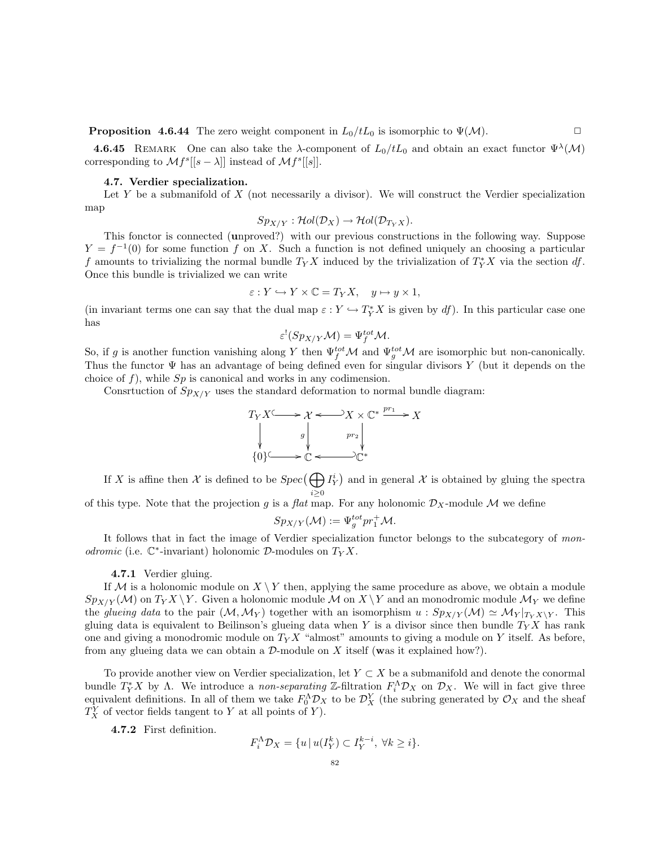**Proposition 4.6.44** The zero weight component in  $L_0/tL_0$  is isomorphic to  $\Psi(\mathcal{M})$ .

**4.6.45** REMARK One can also take the  $\lambda$ -component of  $L_0/tL_0$  and obtain an exact functor  $\Psi^{\lambda}(\mathcal{M})$ corresponding to  $\mathcal{M}f^{s}[[s-\lambda]]$  instead of  $\mathcal{M}f^{s}[[s]]$ .

## 4.7. Verdier specialization.

Let Y be a submanifold of  $X$  (not necessarily a divisor). We will construct the Verdier specialization map

$$
Sp_{X/Y}: \mathcal{H}ol(\mathcal{D}_X) \to \mathcal{H}ol(\mathcal{D}_{T_YX}).
$$

This fonctor is connected (unproved?) with our previous constructions in the following way. Suppose  $Y = f^{-1}(0)$  for some function f on X. Such a function is not defined uniquely an choosing a particular f amounts to trivializing the normal bundle  $T_Y X$  induced by the trivialization of  $T_Y^* X$  via the section df. Once this bundle is trivialized we can write

$$
\varepsilon: Y \hookrightarrow Y \times \mathbb{C} = T_Y X, \quad y \mapsto y \times 1,
$$

(in invariant terms one can say that the dual map  $\varepsilon: Y \hookrightarrow T_Y^*X$  is given by df). In this particular case one has

$$
\varepsilon^!(Sp_{X/Y}\mathcal{M})=\Psi_f^{tot}\mathcal{M}.
$$

So, if g is another function vanishing along Y then  $\Psi_f^{tot}$ M and  $\Psi_g^{tot}$ M are isomorphic but non-canonically. Thus the functor  $\Psi$  has an advantage of being defined even for singular divisors Y (but it depends on the choice of  $f$ ), while  $Sp$  is canonical and works in any codimension.

Consrtuction of  $Sp_{X/Y}$  uses the standard deformation to normal bundle diagram:

$$
T_Y X \longrightarrow X \longrightarrow X \times \mathbb{C}^* \xrightarrow{pr_1} X
$$
  
\n
$$
\downarrow \qquad \qquad \downarrow \qquad \qquad pr_2 \downarrow
$$
  
\n
$$
\{0\} \longrightarrow \mathbb{C} \longrightarrow \mathbb{C}^*
$$

If X is affine then X is defined to be  $Spec(\bigoplus I_Y^i)$  and in general X is obtained by gluing the spectra  $i \geq 0$ 

of this type. Note that the projection g is a flat map. For any holonomic  $\mathcal{D}_X$ -module M we define

$$
Sp_{X/Y}(\mathcal{M}) := \Psi_g^{tot} pr_1^+ \mathcal{M}.
$$

It follows that in fact the image of Verdier specialization functor belongs to the subcategory of monodromic (i.e.  $\mathbb{C}^*$ -invariant) holonomic  $\mathcal{D}$ -modules on  $T_Y X$ .

4.7.1 Verdier gluing.

If M is a holonomic module on  $X \ Y$  then, applying the same procedure as above, we obtain a module  $Sp_{X/Y}(\mathcal{M})$  on  $T_YX \setminus Y$ . Given a holonomic module  $\mathcal{M}$  on  $X \setminus Y$  and an monodromic module  $\mathcal{M}_Y$  we define the glueing data to the pair  $(M, \mathcal{M}_Y)$  together with an isomorphism  $u : Sp_{X/Y}(\mathcal{M}) \simeq \mathcal{M}_Y|_{T_X \times Y}$ . This gluing data is equivalent to Beilinson's glueing data when Y is a divisor since then bundle  $T_Y X$  has rank one and giving a monodromic module on  $T_Y X$  "almost" amounts to giving a module on Y itself. As before, from any glueing data we can obtain a  $\mathcal{D}$ -module on X itself (was it explained how?).

To provide another view on Verdier specialization, let  $Y \subset X$  be a submanifold and denote the conormal bundle  $T_Y^*X$  by  $\Lambda$ . We introduce a non-separating Z-filtration  $F_i^{\Lambda} \mathcal{D}_X$  on  $\mathcal{D}_X$ . We will in fact give three equivalent definitions. In all of them we take  $F_0^{\Lambda} \mathcal{D}_X$  to be  $\mathcal{D}_X^Y$  (the subring generated by  $\mathcal{O}_X$  and the sheaf  $T_X^Y$  of vector fields tangent to Y at all points of Y).

4.7.2 First definition.

$$
F_i^{\Lambda} \mathcal{D}_X = \{ u \mid u(I_Y^k) \subset I_Y^{k-i}, \ \forall k \ge i \}.
$$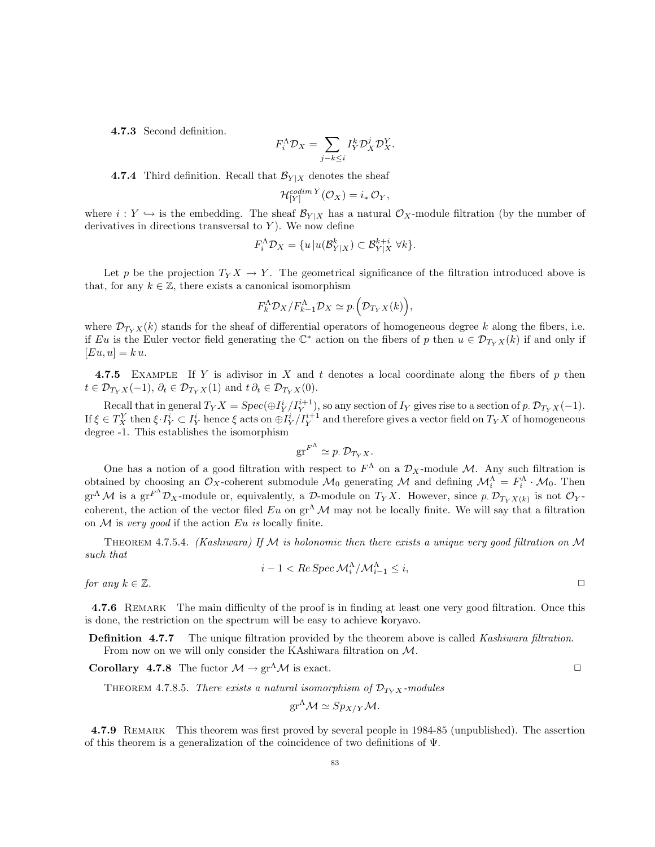4.7.3 Second definition.

$$
F_i^{\Lambda} \mathcal{D}_X = \sum_{j-k \leq i} I_Y^k \mathcal{D}_X^j \mathcal{D}_X^Y.
$$

**4.7.4** Third definition. Recall that  $\mathcal{B}_{Y|X}$  denotes the sheaf

$$
\mathcal{H}_{[Y]}^{codim Y}(\mathcal{O}_X) = i_* \mathcal{O}_Y,
$$

where  $i: Y \hookrightarrow$  is the embedding. The sheaf  $\mathcal{B}_{Y|X}$  has a natural  $\mathcal{O}_X$ -module filtration (by the number of derivatives in directions transversal to  $Y$ ). We now define

$$
F_i^{\Lambda} \mathcal{D}_X = \{ u \mid u(\mathcal{B}_{Y|X}^k) \subset \mathcal{B}_{Y|X}^{k+i} \,\,\forall k \}.
$$

Let p be the projection  $T_Y X \to Y$ . The geometrical significance of the filtration introduced above is that, for any  $k \in \mathbb{Z}$ , there exists a canonical isomorphism

$$
F_{k}^{\Lambda} \mathcal{D}_{X} / F_{k-1}^{\Lambda} \mathcal{D}_{X} \simeq p. \left( \mathcal{D}_{T_{Y} X}(k) \right),
$$

where  $\mathcal{D}_{T_Y X}(k)$  stands for the sheaf of differential operators of homogeneous degree k along the fibers, i.e. if Eu is the Euler vector field generating the  $\mathbb{C}^*$  action on the fibers of p then  $u \in \mathcal{D}_{T_Y X}(k)$  if and only if  $[Eu, u] = k u.$ 

4.7.5 EXAMPLE If Y is adivisor in X and t denotes a local coordinate along the fibers of p then  $t \in \mathcal{D}_{T_Y X}(-1), \, \partial_t \in \mathcal{D}_{T_Y X}(1)$  and  $t \partial_t \in \mathcal{D}_{T_Y X}(0)$ .

Recall that in general  $T_Y X = Spec(\bigoplus I_Y^i / I_Y^{i+1})$ , so any section of  $I_Y$  gives rise to a section of p.  $\mathcal{D}_{T_Y X}(-1)$ . If  $\xi \in T_X^Y$  then  $\xi \cdot I_Y^i \subset I_Y^i$  hence  $\xi$  acts on  $\bigoplus I_Y^i/I_Y^{i+1}$  and therefore gives a vector field on  $T_YX$  of homogeneous degree -1. This establishes the isomorphism

$$
\mathrm{gr}^{F^{\Lambda}} \simeq p. \mathcal{D}_{T_Y X}.
$$

One has a notion of a good filtration with respect to  $F^{\Lambda}$  on a  $\mathcal{D}_X$ -module M. Any such filtration is obtained by choosing an  $\mathcal{O}_X$ -coherent submodule  $\mathcal{M}_0$  generating  $\mathcal{M}$  and defining  $\mathcal{M}_i^{\Lambda} = F_i^{\Lambda} \cdot \mathcal{M}_0$ . Then  $\mathrm{gr}^{\Lambda} \mathcal{M}$  is a  $\mathrm{gr}^{F^{\Lambda}} \mathcal{D}_X$ -module or, equivalently, a  $\mathcal{D}$ -module on  $T_Y X$ . However, since p.  $\mathcal{D}_{T_Y X(k)}$  is not  $\mathcal{O}_Y$ coherent, the action of the vector filed  $Eu$  on  $gr^{\Lambda}$  M may not be locally finite. We will say that a filtration on  $M$  is very good if the action  $Eu$  is locally finite.

THEOREM 4.7.5.4. (Kashiwara) If M is holonomic then there exists a unique very good filtration on M such that

$$
i-1 < Re \, \text{Spec} \, \mathcal{M}_i^{\Lambda} / \mathcal{M}_{i-1}^{\Lambda} \leq i,
$$

for any  $k \in \mathbb{Z}$ .

4.7.6 REMARK The main difficulty of the proof is in finding at least one very good filtration. Once this is done, the restriction on the spectrum will be easy to achieve koryavo.

**Definition 4.7.7** The unique filtration provided by the theorem above is called *Kashiwara filtration*. From now on we will only consider the KAshiwara filtration on M.

**Corollary 4.7.8** The fuctor  $\mathcal{M} \to \text{gr}^{\Lambda} \mathcal{M}$  is exact.

THEOREM 4.7.8.5. There exists a natural isomorphism of  $\mathcal{D}_{T_X X}$ -modules

$$
\mathrm{gr}^{\Lambda} \mathcal{M} \simeq Sp_{X/Y} \mathcal{M}.
$$

4.7.9 Remark This theorem was first proved by several people in 1984-85 (unpublished). The assertion of this theorem is a generalization of the coincidence of two definitions of Ψ.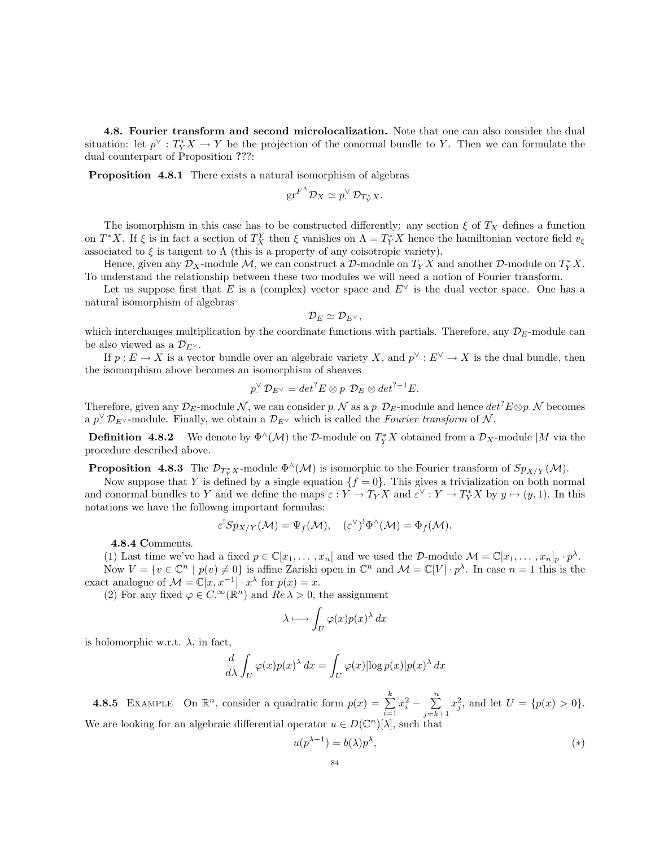4.8. Fourier transform and second microlocalization. Note that one can also consider the dual situation: let  $p^{\vee}: T^*_Y X \to Y$  be the projection of the conormal bundle to Y. Then we can formulate the dual counterpart of Proposition ???:

Proposition 4.8.1 There exists a natural isomorphism of algebras

$$
\mathrm{gr}^{F^{\Lambda}} \mathcal{D}_X \simeq p_{\cdot}^{\vee} \mathcal{D}_{T^*_Y X}.
$$

The isomorphism in this case has to be constructed differently: any section  $\xi$  of  $T_X$  defines a function on  $T^*X$ . If  $\xi$  is in fact a section of  $T_X^Y$  then  $\xi$  vanishes on  $\Lambda = T_Y^*X$  hence the hamiltonian vectore field  $v_{\xi}$ associated to  $\xi$  is tangent to  $\Lambda$  (this is a property of any coisotropic variety).

Hence, given any  $\mathcal{D}_X$ -module  $\mathcal{M}$ , we can construct a  $\mathcal{D}$ -module on  $T_YX$  and another  $\mathcal{D}$ -module on  $T_Y^*X$ . To understand the relationship between these two modules we will need a notion of Fourier transform.

Let us suppose first that E is a (complex) vector space and  $E^{\vee}$  is the dual vector space. One has a natural isomorphism of algebras

$$
\mathcal{D}_E\simeq \mathcal{D}_{E^\vee},
$$

which interchanges multiplication by the coordinate functions with partials. Therefore, any  $\mathcal{D}_E$ -module can be also viewed as a  $\mathcal{D}_{E^{\vee}}$ .

If  $p: E \to X$  is a vector bundle over an algebraic variety X, and  $p^{\vee}: E^{\vee} \to X$  is the dual bundle, then the isomorphism above becomes an isomorphism of sheaves

$$
p_{.}^{\vee}\mathcal{D}_{E^{\vee}}=det^{?}E\otimes p_{.}\mathcal{D}_{E}\otimes det^{?-1}E.
$$

Therefore, given any  $\mathcal{D}_E$ -module N, we can consider p. N as a p.  $\mathcal{D}_E$ -module and hence  $det^7 E \otimes p$ . N becomes a  $p\degree{\mathcal{D}}_{E\degree{\mathcal{D}}}$ -module. Finally, we obtain a  $\mathcal{D}_{E\degree{\mathcal{D}}}$  which is called the *Fourier transform* of N.

**Definition** 4.8.2 We denote by  $\Phi^{\wedge}(\mathcal{M})$  the D-module on  $T_Y^*X$  obtained from a  $\mathcal{D}_X$ -module |M via the procedure described above.

**Proposition** 4.8.3 The  $\mathcal{D}_{T^*_Y X}$ -module  $\Phi^{\wedge}(\mathcal{M})$  is isomorphic to the Fourier transform of  $Sp_{X/Y}(\mathcal{M})$ .

Now suppose that Y is defined by a single equation  $\{f = 0\}$ . This gives a trivialization on both normal and conormal bundles to Y and we define the maps  $\varepsilon: Y \to T_Y X$  and  $\varepsilon^{\vee}: Y \to T_Y^* X$  by  $y \mapsto (y, 1)$ . In this notations we have the followng important formulas:

$$
\varepsilon^!Sp_{X/Y}({\mathcal M})=\Psi_f({\mathcal M}),\quad (\varepsilon^\vee)^!\Phi^\wedge({\mathcal M})=\Phi_f({\mathcal M}).
$$

4.8.4 Comments.

(1) Last time we've had a fixed  $p \in \mathbb{C}[x_1, \ldots, x_n]$  and we used the D-module  $\mathcal{M} = \mathbb{C}[x_1, \ldots, x_n]_p \cdot p^{\lambda}$ .

Now  $V = \{v \in \mathbb{C}^n \mid p(v) \neq 0\}$  is affine Zariski open in  $\mathbb{C}^n$  and  $\mathcal{M} = \mathbb{C}[V] \cdot p^{\lambda}$ . In case  $n = 1$  this is the exact analogue of  $\mathcal{M} = \mathbb{C}[x, x^{-1}] \cdot x^{\lambda}$  for  $p(x) = x$ .

(2) For any fixed  $\varphi \in C^{\infty}(\mathbb{R}^n)$  and  $Re \lambda > 0$ , the assignment

$$
\lambda \longmapsto \int_U \varphi(x) p(x)^\lambda dx
$$

is holomorphic w.r.t.  $\lambda$ , in fact,

$$
\frac{d}{d\lambda} \int_U \varphi(x) p(x)^\lambda dx = \int_U \varphi(x) [\log p(x)] p(x)^\lambda dx
$$

**4.8.5** EXAMPLE On  $\mathbb{R}^n$ , consider a quadratic form  $p(x) = \sum_{k=1}^k p(x)$  $i=1$  $x_i^2 - \sum_{i=1}^n$  $j=k+1$  $x_j^2$ , and let  $U = \{p(x) > 0\}.$ We are looking for an algebraic differential operator  $u \in D(\mathbb{C}^n)[\lambda]$ , such that

$$
u(p^{\lambda+1}) = b(\lambda)p^{\lambda}, \tag{*}
$$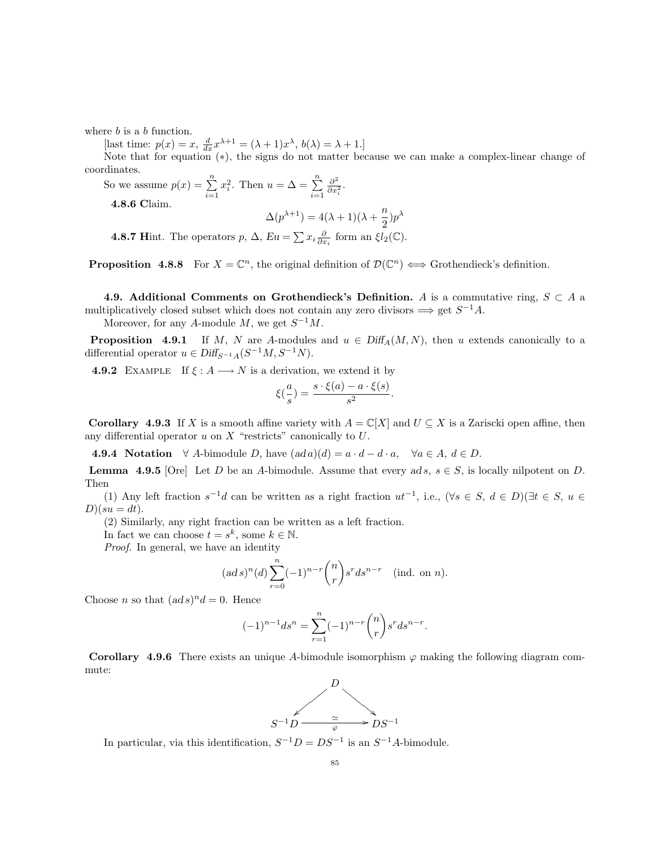where  $b$  is a  $b$  function.

[last time:  $p(x) = x$ ,  $\frac{d}{dx}x^{\lambda+1} = (\lambda+1)x^{\lambda}$ ,  $b(\lambda) = \lambda+1$ .]

Note that for equation (∗), the signs do not matter because we can make a complex-linear change of coordinates.

So we assume  $p(x) = \sum_{n=1}^{\infty}$  $i=1$  $x_i^2$ . Then  $u = \Delta = \sum_{i=1}^{n}$  $i=1$  $\partial^2$  $\frac{\partial^2}{\partial x_i^2}$ . 4.8.6 Claim.

$$
\Delta(p^{\lambda+1}) = 4(\lambda+1)(\lambda+\frac{n}{2})p^{\lambda}
$$

**4.8.7 Hint.** The operators  $p$ ,  $\Delta$ ,  $Eu = \sum x_i \frac{\partial}{\partial x_i}$  form an  $\xi l_2(\mathbb{C})$ .

**Proposition 4.8.8** For  $X = \mathbb{C}^n$ , the original definition of  $\mathcal{D}(\mathbb{C}^n) \iff$  Grothendieck's definition.

4.9. Additional Comments on Grothendieck's Definition. A is a commutative ring,  $S \subset A$  a multiplicatively closed subset which does not contain any zero divisors  $\implies$  get  $S^{-1}A$ .

Moreover, for any A-module M, we get  $S^{-1}M$ .

**Proposition** 4.9.1 If M, N are A-modules and  $u \in Diff_A(M, N)$ , then u extends canonically to a differential operator  $u \in \text{Diff}_{S^{-1}A}(S^{-1}M, S^{-1}N)$ .

**4.9.2** EXAMPLE If  $\xi : A \longrightarrow N$  is a derivation, we extend it by

$$
\xi(\frac{a}{s}) = \frac{s \cdot \xi(a) - a \cdot \xi(s)}{s^2}.
$$

**Corollary 4.9.3** If X is a smooth affine variety with  $A = \mathbb{C}[X]$  and  $U \subseteq X$  is a Zariscki open affine, then any differential operator  $u$  on  $X$  "restricts" canonically to  $U$ .

4.9.4 Notation  $\forall A$ -bimodule D, have  $(ad\,a)(d) = a \cdot d - d \cdot a$ ,  $\forall a \in A, d \in D$ .

**Lemma 4.9.5** [Ore] Let D be an A-bimodule. Assume that every ad s,  $s \in S$ , is locally nilpotent on D. Then

(1) Any left fraction  $s^{-1}d$  can be written as a right fraction  $ut^{-1}$ , i.e.,  $(\forall s \in S, d \in D)(\exists t \in S, u \in D)$  $D)(su = dt).$ 

(2) Similarly, any right fraction can be written as a left fraction.

In fact we can choose  $t = s^k$ , some  $k \in \mathbb{N}$ .

Proof. In general, we have an identity

$$
(ad s)^n(d) \sum_{r=0}^n (-1)^{n-r} {n \choose r} s^r ds^{n-r}
$$
 (ind. on n).

Choose *n* so that  $(ad s)^n d = 0$ . Hence

$$
(-1)^{n-1}ds^n = \sum_{r=1}^n (-1)^{n-r} \binom{n}{r} s^r ds^{n-r}.
$$

**Corollary 4.9.6** There exists an unique A-bimodule isomorphism  $\varphi$  making the following diagram commute:



In particular, via this identification,  $S^{-1}D = DS^{-1}$  is an  $S^{-1}A$ -bimodule.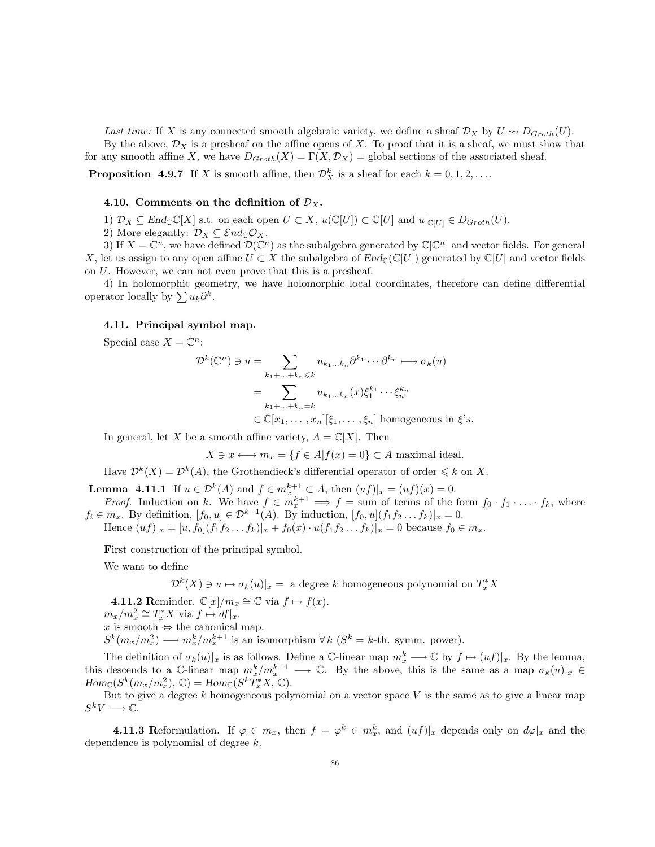Last time: If X is any connected smooth algebraic variety, we define a sheaf  $\mathcal{D}_X$  by  $U \rightsquigarrow D_{Groth}(U)$ . By the above,  $\mathcal{D}_X$  is a presheaf on the affine opens of X. To proof that it is a sheaf, we must show that for any smooth affine X, we have  $D_{Groth}(X) = \Gamma(X, \mathcal{D}_X)$  = global sections of the associated sheaf.

**Proposition** 4.9.7 If X is smooth affine, then  $\mathcal{D}_X^k$  is a sheaf for each  $k = 0, 1, 2, \ldots$ .

### 4.10. Comments on the definition of  $\mathcal{D}_X$ .

1)  $\mathcal{D}_X \subseteq \text{End}_{\mathbb{C}}[X]$  s.t. on each open  $U \subset X$ ,  $u(\mathbb{C}[U]) \subset \mathbb{C}[U]$  and  $u|_{\mathbb{C}[U]} \in D_{Groth}(U)$ .

2) More elegantly:  $\mathcal{D}_X \subseteq \mathcal{E}nd_{\mathbb{C}}\mathcal{O}_X$ .

3) If  $X = \mathbb{C}^n$ , we have defined  $\mathcal{D}(\mathbb{C}^n)$  as the subalgebra generated by  $\mathbb{C}[\mathbb{C}^n]$  and vector fields. For general X, let us assign to any open affine  $U \subset X$  the subalgebra of  $End_{\mathbb{C}}(\mathbb{C}[U])$  generated by  $\mathbb{C}[U]$  and vector fields on U. However, we can not even prove that this is a presheaf.

4) In holomorphic geometry, we have holomorphic local coordinates, therefore can define differential operator locally by  $\sum u_k \partial^k$ .

## 4.11. Principal symbol map.

Special case  $X = \mathbb{C}^n$ :

$$
\mathcal{D}^k(\mathbb{C}^n) \ni u = \sum_{k_1 + \ldots + k_n \leq k} u_{k_1 \ldots k_n} \partial^{k_1} \cdots \partial^{k_n} \longmapsto \sigma_k(u)
$$

$$
= \sum_{k_1 + \ldots + k_n = k} u_{k_1 \ldots k_n}(x) \xi_1^{k_1} \cdots \xi_n^{k_n}
$$

$$
\in \mathbb{C}[x_1, \ldots, x_n][\xi_1, \ldots, \xi_n] \text{ homogeneous in } \xi's.
$$

In general, let X be a smooth affine variety,  $A = \mathbb{C}[X]$ . Then

 $X \ni x \longleftrightarrow m_x = \{f \in A | f(x) = 0\} \subset A$  maximal ideal.

Have  $\mathcal{D}^k(X) = \mathcal{D}^k(A)$ , the Grothendieck's differential operator of order  $\leq k$  on X.

**Lemma 4.11.1** If  $u \in \mathcal{D}^k(A)$  and  $f \in m_x^{k+1} \subset A$ , then  $(uf)|_x = (uf)(x) = 0$ .

*Proof.* Induction on k. We have  $f \in m_x^{k+1} \implies f = \text{sum of terms of the form } f_0 \cdot f_1 \cdot \ldots \cdot f_k$ , where  $f_i \in m_x$ . By definition,  $[f_0, u] \in \mathcal{D}^{k-1}(A)$ . By induction,  $[f_0, u](f_1 f_2 \dots f_k)|_x = 0$ .

Hence  $(uf)|_x = [u, f_0](f_1f_2 \tldots f_k)|_x + f_0(x) \cdot u(f_1f_2 \tldots f_k)|_x = 0$  because  $f_0 \in m_x$ .

First construction of the principal symbol.

We want to define

 $\mathcal{D}^k(X) \ni u \mapsto \sigma_k(u)|_x =$  a degree k homogeneous polynomial on  $T^*_xX$ 

**4.11.2** Reminder.  $\mathbb{C}[x]/m_x \cong \mathbb{C}$  via  $f \mapsto f(x)$ .

 $m_x/m_x^2 \cong T_x^*X$  via  $f \mapsto df|_x$ .

 $x$  is smooth  $\Leftrightarrow$  the canonical map.

 $S^k(m_x/m_x^2) \longrightarrow m_x^k/m_x^{k+1}$  is an isomorphism  $\forall k \ (S^k = k\text{-th. symm. power}).$ 

The definition of  $\sigma_k(u)|_x$  is as follows. Define a C-linear map  $m_x^k \longrightarrow \mathbb{C}$  by  $f \mapsto (uf)|_x$ . By the lemma, this descends to a  $\mathbb{C}$ -linear map  $m_x^k/m_x^{k+1} \longrightarrow \mathbb{C}$ . By the above, this is the same as a map  $\sigma_k(u)|_x \in$  $Hom_{\mathbb{C}}(S^k(m_x/m_x^2), \mathbb{C}) = Hom_{\mathbb{C}}(S^kT_x^*X, \mathbb{C}).$ 

But to give a degree  $k$  homogeneous polynomial on a vector space  $V$  is the same as to give a linear map  $S^k V \longrightarrow \mathbb{C}.$ 

**4.11.3** Reformulation. If  $\varphi \in m_x$ , then  $f = \varphi^k \in m_x^k$ , and  $(uf)|_x$  depends only on  $d\varphi|_x$  and the dependence is polynomial of degree k.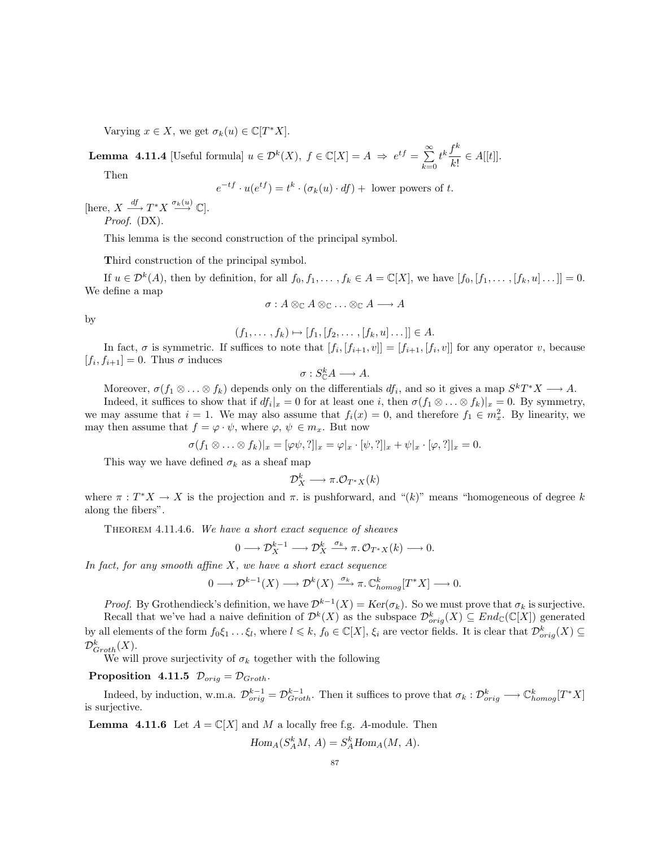Varying  $x \in X$ , we get  $\sigma_k(u) \in \mathbb{C}[T^*X]$ .

**Lemma 4.11.4** [Useful formula]  $u \in \mathcal{D}^k(X)$ ,  $f \in \mathbb{C}[X] = A \implies e^{tf} = \sum_{n=1}^{\infty}$  $_{k=0}$  $t^k \frac{f^k}{\sqrt{1-\epsilon}}$  $\frac{y}{k!} \in A[[t]].$ 

Then

$$
e^{-tf} \cdot u(e^{tf}) = t^k \cdot (\sigma_k(u) \cdot df) + \text{ lower powers of } t.
$$

[here,  $X \xrightarrow{df} T^*X \xrightarrow{\sigma_k(u)} \mathbb{C}$ ]. Proof. (DX).

This lemma is the second construction of the principal symbol.

Third construction of the principal symbol.

If  $u \in \mathcal{D}^k(A)$ , then by definition, for all  $f_0, f_1, \ldots, f_k \in A = \mathbb{C}[X]$ , we have  $[f_0, [f_1, \ldots, [f_k, u] \ldots]] = 0$ . We define a map

$$
\sigma: A \otimes_{\mathbb{C}} A \otimes_{\mathbb{C}} \ldots \otimes_{\mathbb{C}} A \longrightarrow A
$$

by

$$
(f_1, ..., f_k) \mapsto [f_1, [f_2, ..., [f_k, u]...]] \in A.
$$

In fact,  $\sigma$  is symmetric. If suffices to note that  $[f_i,[f_{i+1},v]] = [f_{i+1},[f_i,v]]$  for any operator v, because  $[f_i, f_{i+1}] = 0$ . Thus  $\sigma$  induces

$$
\sigma: S_{\mathbb{C}}^k A \longrightarrow A.
$$

Moreover,  $\sigma(f_1 \otimes \ldots \otimes f_k)$  depends only on the differentials  $df_i$ , and so it gives a map  $S^kT^*X \longrightarrow A$ .

Indeed, it suffices to show that if  $df_i|_x = 0$  for at least one i, then  $\sigma(f_1 \otimes \ldots \otimes f_k)|_x = 0$ . By symmetry, we may assume that  $i = 1$ . We may also assume that  $f_i(x) = 0$ , and therefore  $f_1 \in m_x^2$ . By linearity, we may then assume that  $f = \varphi \cdot \psi$ , where  $\varphi, \psi \in m_x$ . But now

$$
\sigma(f_1\otimes\ldots\otimes f_k)|_x=[\varphi\psi,\cdot]|_x=\varphi|_x\cdot[\psi,\cdot]|_x+\psi|_x\cdot[\varphi,\cdot]|_x=0.
$$

This way we have defined  $\sigma_k$  as a sheaf map

$$
\mathcal{D}^k_X\longrightarrow \pi.\mathcal{O}_{T^*X}(k)
$$

where  $\pi : T^*X \to X$  is the projection and  $\pi$ , is pushforward, and " $(k)$ " means "homogeneous of degree k along the fibers".

THEOREM 4.11.4.6. We have a short exact sequence of sheaves

$$
0\longrightarrow \mathcal{D}^{k-1}_X\longrightarrow \mathcal{D}^k_X\stackrel{\sigma_k}{\longrightarrow} \pi_.\mathcal{O}_{T^*X}(k)\longrightarrow 0.
$$

In fact, for any smooth affine  $X$ , we have a short exact sequence

$$
0\longrightarrow \mathcal{D}^{k-1}(X)\longrightarrow \mathcal{D}^k(X)\stackrel{\sigma_k}{\longrightarrow} \pi.\,\mathbb{C}^k_{homog}[T^*X]\longrightarrow 0.
$$

*Proof.* By Grothendieck's definition, we have  $\mathcal{D}^{k-1}(X) = \text{Ker}(\sigma_k)$ . So we must prove that  $\sigma_k$  is surjective. Recall that we've had a naive definition of  $\mathcal{D}^k(X)$  as the subspace  $\mathcal{D}_{orig}^k(X) \subseteq End_{\mathbb{C}}(\mathbb{C}[X])$  generated by all elements of the form  $f_0\xi_1 \dots \xi_l$ , where  $l \leq k$ ,  $f_0 \in \mathbb{C}[X]$ ,  $\xi_i$  are vector fields. It is clear that  $\mathcal{D}_{orig}^k(X) \subseteq$  $\mathcal{D}^k_{Groth}(X)$ .

We will prove surjectivity of  $\sigma_k$  together with the following

Proposition 4.11.5  $\mathcal{D}_{orig} = \mathcal{D}_{Groth}$ .

Indeed, by induction, w.m.a.  $\mathcal{D}_{orig}^{k-1} = \mathcal{D}_{Groth}^{k-1}$ . Then it suffices to prove that  $\sigma_k : \mathcal{D}_{orig}^k \longrightarrow \mathbb{C}_{homog}^k[T^*X]$ is surjective.

**Lemma 4.11.6** Let  $A = \mathbb{C}[X]$  and M a locally free f.g. A-module. Then

 $Hom_A(S_A^k M, A) = S_A^k Hom_A(M, A).$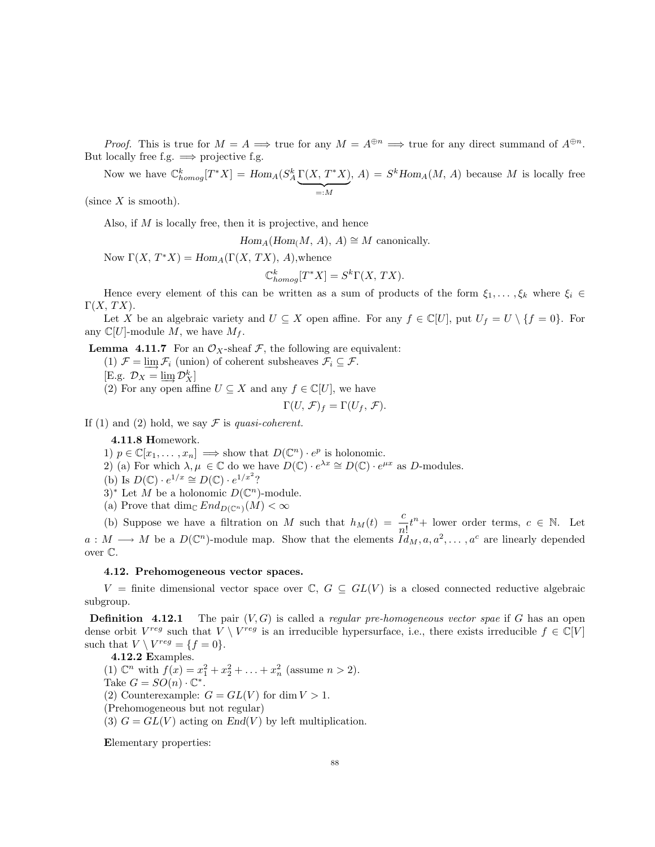*Proof.* This is true for  $M = A \implies$  true for any  $M = A^{\oplus n} \implies$  true for any direct summand of  $A^{\oplus n}$ . But locally free f.g.  $\implies$  projective f.g.

Now we have  $\mathbb{C}_{homog}^k[T^*X] = Hom_A(S_A^k\Gamma(X, T^*X))$  $= :M$ ,  $A) = S^k Hom_A(M, A)$  because M is locally free

(since  $X$  is smooth).

Also, if  $M$  is locally free, then it is projective, and hence

 $Hom_A(Hom(M, A), A) \cong M$  canonically.

Now  $\Gamma(X, T^*X) = Hom_A(\Gamma(X, TX), A)$ , whence

$$
\mathbb{C}^k_{homog}[T^*X] = S^k\Gamma(X, TX).
$$

Hence every element of this can be written as a sum of products of the form  $\xi_1, \ldots, \xi_k$  where  $\xi_i \in$  $\Gamma(X, TX).$ 

Let X be an algebraic variety and  $U \subseteq X$  open affine. For any  $f \in \mathbb{C}[U]$ , put  $U_f = U \setminus \{f = 0\}$ . For any  $\mathbb{C}[U]$ -module M, we have  $M_f$ .

**Lemma 4.11.7** For an  $\mathcal{O}_X$ -sheaf  $\mathcal{F}$ , the following are equivalent:

(1)  $\mathcal{F} = \varinjlim \mathcal{F}_i$  (union) of coherent subsheaves  $\mathcal{F}_i \subseteq \mathcal{F}$ .

$$
[\text{E.g. } \mathcal{D}_X = \varinjlim \mathcal{D}_X^k]
$$

(2) For any open affine  $U \subseteq X$  and any  $f \in \mathbb{C}[U]$ , we have

$$
\Gamma(U,\mathcal{F})_f = \Gamma(U_f,\mathcal{F}).
$$

If (1) and (2) hold, we say  $\mathcal F$  is quasi-coherent.

4.11.8 Homework.

1)  $p \in \mathbb{C}[x_1, \ldots, x_n] \implies \text{show that } D(\mathbb{C}^n) \cdot e^p \text{ is holonomic.}$ 

- 2) (a) For which  $\lambda, \mu \in \mathbb{C}$  do we have  $D(\mathbb{C}) \cdot e^{\lambda x} \cong D(\mathbb{C}) \cdot e^{\mu x}$  as D-modules.
- (b) Is  $D(\mathbb{C}) \cdot e^{1/x} \cong D(\mathbb{C}) \cdot e^{1/x^2}$ ?
- 3<sup>\*</sup> Let M be a holonomic  $D(\mathbb{C}^n)$ -module.
- (a) Prove that dim<sub>C</sub>  $End_{D(\mathbb{C}^n)}(M) < \infty$

(b) Suppose we have a filtration on M such that  $h_M(t) = \frac{c}{n!}t^n +$  lower order terms,  $c \in \mathbb{N}$ . Let  $a: M \longrightarrow M$  be a  $D(\mathbb{C}^n)$ -module map. Show that the elements  $\tilde{Id}_M, a, a^2, \ldots, a^c$  are linearly depended over C.

### 4.12. Prehomogeneous vector spaces.

V = finite dimensional vector space over  $\mathbb{C}, G \subseteq GL(V)$  is a closed connected reductive algebraic subgroup.

**Definition** 4.12.1 The pair  $(V, G)$  is called a *regular pre-homogeneous vector spae* if G has an open dense orbit  $V^{reg}$  such that  $\overline{V} \setminus V^{reg}$  is an irreducible hypersurface, i.e., there exists irreducible  $f \in \mathbb{C}[V]$ such that  $V \setminus V^{reg} = \{f = 0\}.$ 

4.12.2 Examples. (1)  $\mathbb{C}^n$  with  $f(x) = x_1^2 + x_2^2 + \ldots + x_n^2$  (assume  $n > 2$ ). Take  $G = SO(n) \cdot \mathbb{C}^*$ . (2) Counterexample:  $G = GL(V)$  for dim  $V > 1$ . (Prehomogeneous but not regular) (3)  $G = GL(V)$  acting on  $End(V)$  by left multiplication.

Elementary properties: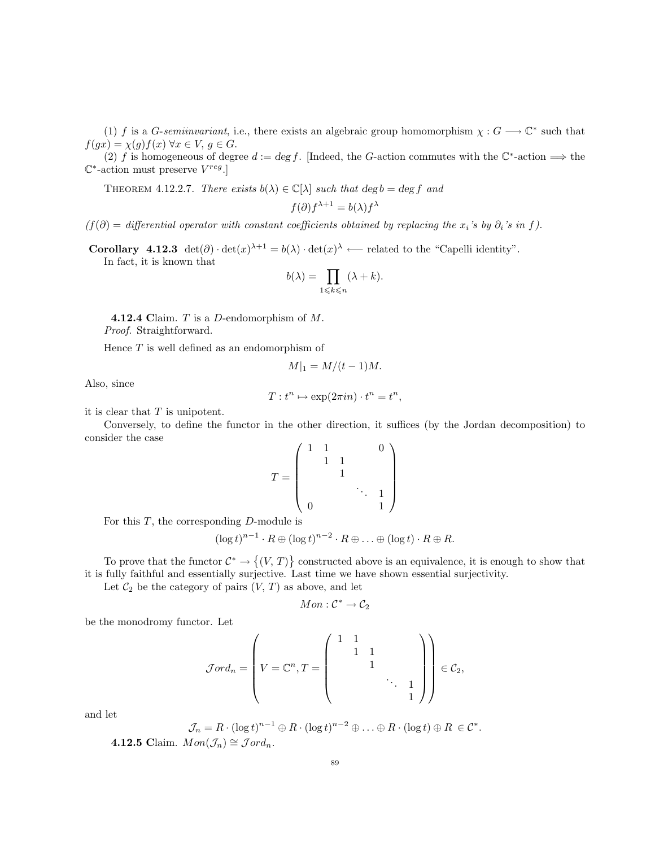(1) f is a G-semiinvariant, i.e., there exists an algebraic group homomorphism  $\chi : G \longrightarrow \mathbb{C}^*$  such that  $f(gx) = \chi(g)f(x) \,\forall x \in V, g \in G.$ 

(2) f is homogeneous of degree  $d := \deg f$ . [Indeed, the G-action commutes with the  $\mathbb{C}^*$ -action  $\implies$  the  $\mathbb{C}^*$ -action must preserve  $V^{reg}$ .

THEOREM 4.12.2.7. There exists  $b(\lambda) \in \mathbb{C}[\lambda]$  such that  $\deg b = \deg f$  and

$$
f(\partial)f^{\lambda+1} = b(\lambda)f^{\lambda}
$$

 $(f(\partial)) =$  differential operator with constant coefficients obtained by replacing the x<sub>i</sub>'s by  $\partial_i$ 's in f).

**Corollary** 4.12.3  $\det(\partial) \cdot \det(x)^{\lambda+1} = b(\lambda) \cdot \det(x)^{\lambda}$  ← related to the "Capelli identity".

In fact, it is known that

$$
b(\lambda) = \prod_{1 \leq k \leq n} (\lambda + k).
$$

**4.12.4 Claim.**  $T$  is a  $D$ -endomorphism of  $M$ . Proof. Straightforward.

Hence  $T$  is well defined as an endomorphism of

$$
M|_1 = M/(t-1)M.
$$

Also, since

$$
T: t^n \mapsto \exp(2\pi i n) \cdot t^n = t^n,
$$

it is clear that  $T$  is unipotent.

Conversely, to define the functor in the other direction, it suffices (by the Jordan decomposition) to consider the case

$$
T = \begin{pmatrix} 1 & 1 & & & & 0 \\ & 1 & 1 & & & \\ & & 1 & & & \\ & & & \ddots & 1 & \\ 0 & & & & 1 & \end{pmatrix}
$$

For this  $T$ , the corresponding  $D$ -module is

$$
(\log t)^{n-1} \cdot R \oplus (\log t)^{n-2} \cdot R \oplus \ldots \oplus (\log t) \cdot R \oplus R.
$$

To prove that the functor  $\mathcal{C}^* \to \{(V, T)\}\)$  constructed above is an equivalence, it is enough to show that it is fully faithful and essentially surjective. Last time we have shown essential surjectivity.

Let  $C_2$  be the category of pairs  $(V, T)$  as above, and let

$$
Mon: \mathcal{C}^* \to \mathcal{C}_2
$$

be the monodromy functor. Let

$$
\mathcal{J}ord_n = \left(V = \mathbb{C}^n, T = \begin{pmatrix} 1 & 1 & & & \\ & 1 & 1 & & \\ & & 1 & & \\ & & & \ddots & 1 \\ & & & & 1 \end{pmatrix} \right) \in \mathcal{C}_2,
$$

and let

$$
\mathcal{J}_n = R \cdot (\log t)^{n-1} \oplus R \cdot (\log t)^{n-2} \oplus \ldots \oplus R \cdot (\log t) \oplus R \in \mathcal{C}^*
$$

4.12.5 Claim.  $Mon(\mathcal{J}_n) \cong Jord_n$ .

.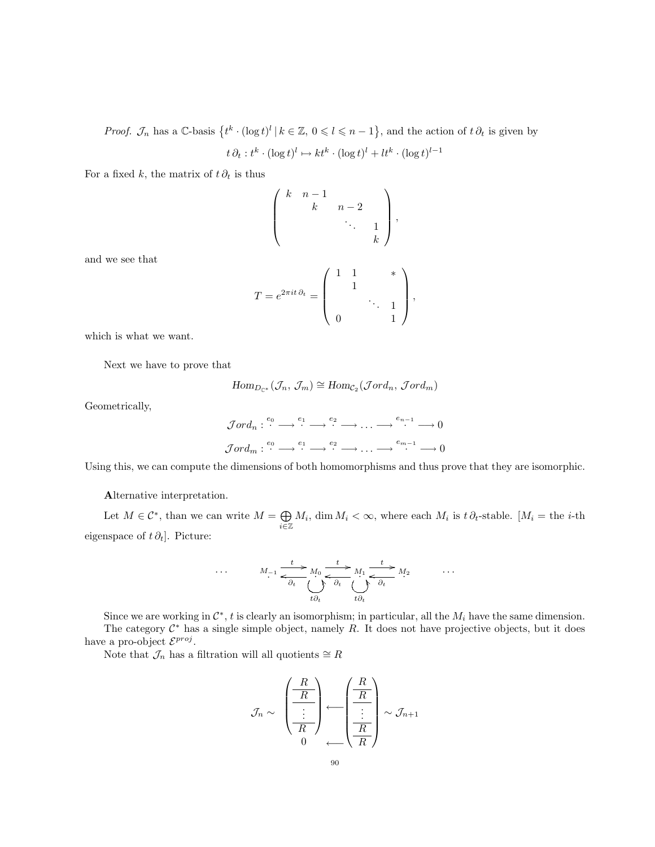*Proof.*  $\mathcal{J}_n$  has a C-basis  $\{t^k \cdot (\log t)^l | k \in \mathbb{Z}, 0 \leq l \leq n-1\}$ , and the action of  $t \partial_t$  is given by  $t \partial_t : t^k \cdot (\log t)^l \mapsto kt^k \cdot (\log t)^l + lt^k \cdot (\log t)^{l-1}$ 

For a fixed k, the matrix of  $t \partial_t$  is thus

$$
T = e^{2\pi i t \partial_t} = \begin{pmatrix} k & n-1 & & & \\ & k & n-2 & & \\ & & \ddots & 1 & \\ & & & k \end{pmatrix},
$$

,

which is what we want.

Next we have to prove that

$$
\mathrm{Hom}_{D_{\mathbb{C}^*}}(\mathcal{J}_n, \mathcal{J}_m) \cong \mathrm{Hom}_{\mathcal{C}_2}(\mathcal{J}ord_n, \mathcal{J}ord_m)
$$

Geometrically,

and we see that

$$
\mathcal{J}ord_n: \stackrel{e_0}{\cdots} \longrightarrow \stackrel{e_1}{\cdots} \longrightarrow \stackrel{e_2}{\cdots} \longrightarrow \cdots \longrightarrow \stackrel{e_{n-1}}{\cdots} \longrightarrow 0
$$
  

$$
\mathcal{J}ord_m: \stackrel{e_0}{\cdots} \longrightarrow \stackrel{e_1}{\cdots} \longrightarrow \stackrel{e_2}{\cdots} \longrightarrow \cdots \longrightarrow \stackrel{e_{m-1}}{\cdots} \longrightarrow 0
$$

Using this, we can compute the dimensions of both homomorphisms and thus prove that they are isomorphic.

Alternative interpretation.

Let  $M \in \mathcal{C}^*$ , than we can write  $M = \bigoplus$  $\bigoplus_{i\in\mathbb{Z}} M_i$ , dim  $M_i < \infty$ , where each  $M_i$  is  $t \partial_t$ -stable. [ $M_i =$  the *i*-th eigenspace of  $t \partial_t$ . Picture:

$$
\cdot \qquad M_{-1} \xrightarrow{\phantom{A}t \phantom{A}} M_0 \xrightarrow{\phantom{A}t \phantom{A}} M_0 \xrightarrow{\phantom{A}t \phantom{A}} M_1 \xrightarrow{\phantom{A}t \phantom{A}} M_2 \qquad \cdots
$$

$$
\phantom{A} \cdot \qquad \qquad \downarrow \qquad \downarrow \qquad \downarrow \qquad \downarrow \qquad \downarrow \qquad \downarrow \qquad \downarrow \qquad \downarrow \qquad \downarrow \qquad \downarrow \qquad \downarrow \qquad \downarrow \qquad \downarrow \qquad \downarrow \qquad \downarrow \qquad \downarrow \qquad \downarrow \qquad \downarrow \qquad \downarrow \qquad \downarrow \qquad \downarrow \qquad \downarrow \qquad \downarrow \qquad \downarrow \qquad \downarrow \qquad \downarrow \qquad \downarrow \qquad \downarrow \qquad \downarrow \qquad \downarrow \qquad \downarrow \qquad \downarrow \qquad \downarrow \qquad \downarrow \qquad \downarrow \qquad \downarrow \qquad \downarrow \qquad \downarrow \qquad \downarrow \qquad \downarrow \qquad \downarrow \qquad \downarrow \qquad \downarrow \qquad \downarrow \qquad \downarrow \qquad \downarrow \qquad \downarrow \qquad \downarrow \qquad \downarrow \qquad \downarrow \qquad \downarrow \qquad \downarrow \qquad \downarrow \qquad \downarrow \qquad \downarrow \qquad \downarrow \qquad \downarrow \qquad \downarrow \qquad \downarrow \qquad \downarrow \qquad \downarrow \qquad \downarrow \qquad \downarrow \qquad \downarrow \qquad \downarrow \qquad \downarrow \qquad \downarrow \qquad \downarrow \qquad \downarrow \qquad \downarrow \qquad \downarrow \qquad \downarrow \qquad \downarrow \qquad \downarrow \qquad \downarrow \qquad \downarrow \qquad \downarrow \qquad \downarrow \qquad \downarrow \qquad \downarrow \qquad \downarrow \qquad \downarrow \qquad \downarrow \qquad \downarrow \qquad \downarrow \qquad \downarrow \qquad \downarrow \qquad \downarrow \qquad \downarrow \qquad \downarrow \qquad \downarrow \qquad \downarrow \qquad \downarrow \qquad \downarrow \qquad \downarrow \qquad \downarrow \qquad \downarrow \qquad \downarrow \qquad \downarrow \qquad \downarrow \qquad \downarrow \qquad \downarrow \qquad \downarrow \qquad \downarrow \qquad \downarrow \qquad \downarrow \qquad \downarrow \qquad \downarrow \q
$$

Since we are working in  $\mathcal{C}^*$ , t is clearly an isomorphism; in particular, all the  $M_i$  have the same dimension. The category  $C^*$  has a single simple object, namely R. It does not have projective objects, but it does have a pro-object  $\mathcal{E}^{proj}$ .

Note that  $\mathcal{J}_n$  has a filtration will all quotients  $\cong R$ 

 $\ddotsc$ 

$$
\mathcal{J}_n \sim \left(\begin{array}{c} \begin{array}{c} R \\ \hline R \\ \hline \end{array} \\ \hline \begin{array}{c} R \\ \hline R \\ \end{array} \\ \hline \end{array}\right) \leftarrow \left(\begin{array}{c} \begin{array}{c} R \\ \hline R \\ \hline \end{array} \\ \hline \begin{array}{c} R \\ \hline R \\ \end{array} \\ \hline \end{array}\right) \sim \mathcal{J}_{n+1}
$$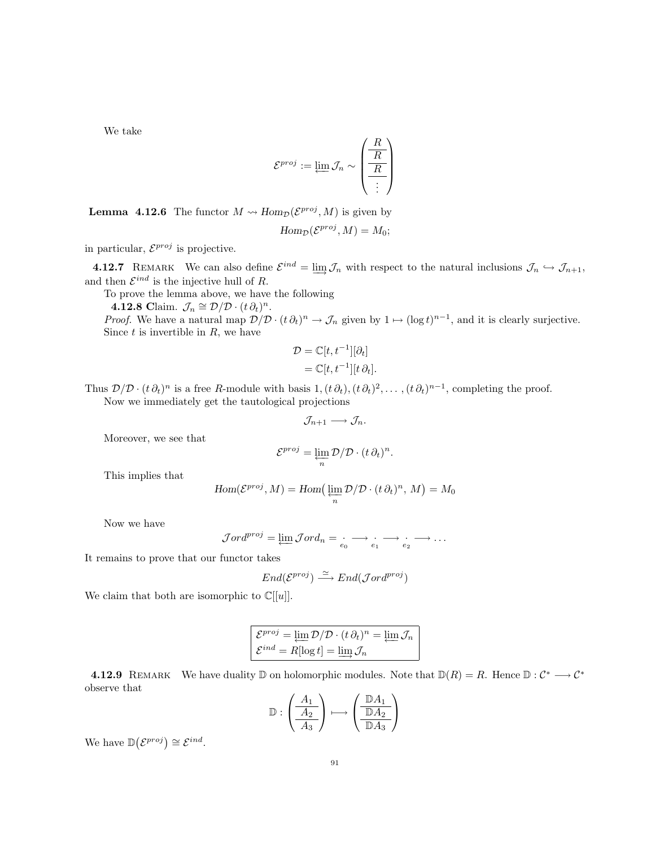We take

$$
\mathcal{E}^{proj} := \varprojlim \mathcal{J}_n \sim \left(\begin{array}{c} R \\ \hline R \\ \hline \vdots \end{array}\right)
$$

**Lemma 4.12.6** The functor  $M \rightsquigarrow Hom_{\mathcal{D}}(\mathcal{E}^{proj}, M)$  is given by

$$
Hom_{\mathcal{D}}(\mathcal{E}^{proj}, M) = M_0;
$$

in particular,  $\mathcal{E}^{proj}$  is projective.

**4.12.7** REMARK We can also define  $\mathcal{E}^{ind} = \varinjlim \mathcal{J}_n$  with respect to the natural inclusions  $\mathcal{J}_n \hookrightarrow \mathcal{J}_{n+1}$ , and then  $\mathcal{E}^{ind}$  is the injective hull of R.

To prove the lemma above, we have the following

**4.12.8** Claim.  $\mathcal{J}_n \cong \mathcal{D}/\mathcal{D} \cdot (t \partial_t)^n$ .

*Proof.* We have a natural map  $\mathcal{D}/\mathcal{D} \cdot (t \partial_t)^n \to \mathcal{J}_n$  given by  $1 \mapsto (\log t)^{n-1}$ , and it is clearly surjective. Since  $t$  is invertible in  $R$ , we have

$$
\mathcal{D} = \mathbb{C}[t, t^{-1}][\partial_t]
$$
  
= 
$$
\mathbb{C}[t, t^{-1}][t \partial_t].
$$

Thus  $\mathcal{D}/\mathcal{D} \cdot (t \partial_t)^n$  is a free R-module with basis  $1, (t \partial_t), (t \partial_t)^2, \ldots, (t \partial_t)^{n-1}$ , completing the proof. Now we immediately get the tautological projections

$$
\mathcal{J}_{n+1} \longrightarrow \mathcal{J}_n.
$$

Moreover, we see that

$$
\mathcal{E}^{proj} = \varprojlim_{n} \mathcal{D}/\mathcal{D} \cdot (t \, \partial_t)^n.
$$

This implies that

$$
Hom(\mathcal{E}^{proj}, M) = Hom\left(\varprojlim_{n} \mathcal{D}/\mathcal{D} \cdot (t \partial_{t})^{n}, M\right) = M_{0}
$$

Now we have

$$
\mathcal{J}ord^{proj} = \underleftarrow{\lim} \mathcal{J}ord_n = \underleftarrow{e_0} \longrightarrow \underleftarrow{e_1} \longrightarrow \underleftarrow{e_2} \longrightarrow \cdots
$$

It remains to prove that our functor takes

$$
End(\mathcal{E}^{proj}) \xrightarrow{\simeq} End(\mathcal{J}ord^{proj})
$$

We claim that both are isomorphic to  $\mathbb{C}[[u]]$ .

$$
\mathcal{E}^{proj} = \underleftarrow{\lim} \mathcal{D}/\mathcal{D} \cdot (t \partial_t)^n = \underleftarrow{\lim} \mathcal{J}_n
$$

$$
\mathcal{E}^{ind} = R[\log t] = \underleftarrow{\lim} \mathcal{J}_n
$$

**4.12.9** REMARK We have duality  $\mathbb{D}$  on holomorphic modules. Note that  $\mathbb{D}(R) = R$ . Hence  $\mathbb{D}: C^* \longrightarrow C^*$ observe that

$$
\mathbb{D}: \left(\begin{array}{c} A_1 \\ \hline A_2 \\ \hline A_3 \end{array}\right) \longmapsto \left(\begin{array}{c} \mathbb{D} A_1 \\ \hline \mathbb{D} A_2 \\ \hline \mathbb{D} A_3 \end{array}\right)
$$

We have  $\mathbb{D}(\mathcal{E}^{proj}) \cong \mathcal{E}^{ind}$ .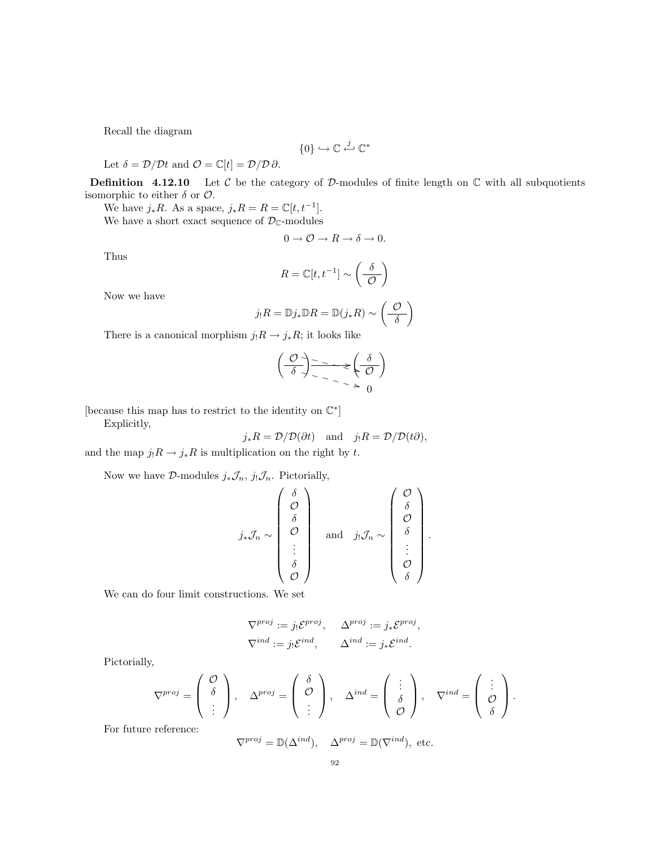Recall the diagram

$$
\{0\} \hookrightarrow \mathbb{C} \xleftarrow{j} \mathbb{C}^*
$$

Let  $\delta = \mathcal{D}/\mathcal{D}t$  and  $\mathcal{O} = \mathbb{C}[t] = \mathcal{D}/\mathcal{D}\partial$ .

**Definition** 4.12.10 Let C be the category of D-modules of finite length on  $\mathbb C$  with all subquotients isomorphic to either  $\delta$  or  $\mathcal{O}$ .

We have  $j_*R$ . As a space,  $j_*R = R = \mathbb{C}[t, t^{-1}]$ .

We have a short exact sequence of  $\mathcal{D}_{\mathbb{C}}$ -modules

$$
0 \to \mathcal{O} \to R \to \delta \to 0.
$$

Thus

$$
R = \mathbb{C}[t, t^{-1}] \sim \left(\frac{\delta}{\mathcal{O}}\right)
$$

Now we have

$$
j_!R = \mathbb{D}j_*\mathbb{D}R = \mathbb{D}(j_*R) \sim \left(\frac{\mathcal{O}}{\delta}\right)
$$

There is a canonical morphism  $j_!R \to j_*R$ ; it looks like

$$
\left(\begin{array}{c}\n\mathcal{O} \\
\hline\n\delta\n\end{array}\right) \xrightarrow{\sim} \mathcal{L}\left(\begin{array}{c}\n\delta \\
\hline\n\mathcal{O}\n\end{array}\right)
$$

[because this map has to restrict to the identity on  $\mathbb{C}^*$ ]

Explicitly,

$$
j_*R = \mathcal{D}/\mathcal{D}(\partial t)
$$
 and  $j_!R = \mathcal{D}/\mathcal{D}(t\partial)$ ,

and the map  $j_!R \to j_*R$  is multiplication on the right by  $t.$ 

Now we have  $\mathcal{D}\text{-modules } j_*\mathcal{J}_n, j_!\mathcal{J}_n$ . Pictorially,

$$
j_*\mathcal{J}_n \sim \begin{pmatrix} \delta \\ \mathcal{O} \\ \delta \\ \vdots \\ \delta \\ \mathcal{O} \end{pmatrix} \quad \text{and} \quad j_!\mathcal{J}_n \sim \begin{pmatrix} \mathcal{O} \\ \delta \\ \mathcal{O} \\ \vdots \\ \mathcal{O} \\ \delta \end{pmatrix}.
$$

We can do four limit constructions. We set

$$
\nabla^{proj} := j_! \mathcal{E}^{proj}, \quad \Delta^{proj} := j_* \mathcal{E}^{proj},
$$
  

$$
\nabla^{ind} := j_! \mathcal{E}^{ind}, \quad \Delta^{ind} := j_* \mathcal{E}^{ind}.
$$

Pictorially,

$$
\nabla^{proj} = \begin{pmatrix} \mathcal{O} \\ \delta \\ \vdots \end{pmatrix}, \quad \Delta^{proj} = \begin{pmatrix} \delta \\ \mathcal{O} \\ \vdots \end{pmatrix}, \quad \Delta^{ind} = \begin{pmatrix} \vdots \\ \delta \\ \mathcal{O} \end{pmatrix}, \quad \nabla^{ind} = \begin{pmatrix} \vdots \\ \mathcal{O} \\ \delta \end{pmatrix}.
$$

For future reference:

$$
\nabla^{proj} = \mathbb{D}(\Delta^{ind}), \quad \Delta^{proj} = \mathbb{D}(\nabla^{ind}), \text{ etc.}
$$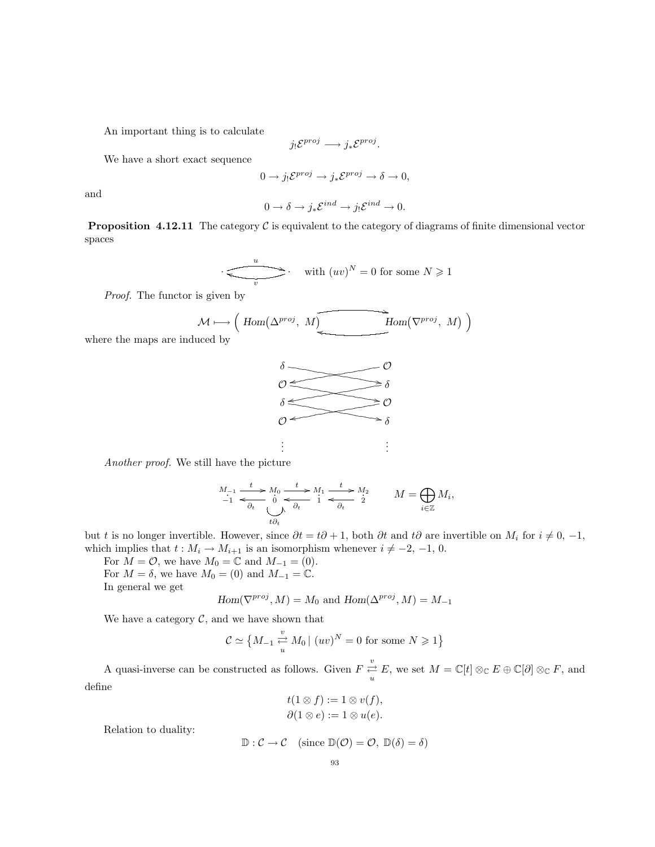An important thing is to calculate

$$
j_! \mathcal{E}^{proj} \longrightarrow j_* \mathcal{E}^{proj}.
$$

We have a short exact sequence

$$
0 \to j_! \mathcal{E}^{proj} \to j_* \mathcal{E}^{proj} \to \delta \to 0,
$$

and

$$
0 \to \delta \to j_* \mathcal{E}^{ind} \to j_! \mathcal{E}^{ind} \to 0.
$$

**Proposition 4.12.11** The category  $\mathcal{C}$  is equivalent to the category of diagrams of finite dimensional vector spaces

$$
\frac{u}{v} \qquad \qquad \text{with } (uv)^N = 0 \text{ for some } N \geq 1
$$

Proof. The functor is given by

$$
\mathcal{M} \longmapsto \left(\text{Hom}(\Delta^{proj}, M) \right) \longrightarrow \text{Hom}(\nabla^{proj}, M) \big)
$$

where the maps are induced by



Another proof. We still have the picture

$$
\begin{array}{ccc}\nM_{-1} & t & M_0 & t & M_1 \\
\hline\n-1 & t & \delta_t & \downarrow & \rightarrow M_1 \\
\hline\n\delta_t & \bigcup_{t \partial_t} \delta_t & 1 & \n\end{array}\n\quad\n\begin{array}{ccc}\n\hline\n & t & \downarrow & M_2 \\
\hline\n\delta_t & 1 & \downarrow & \rightarrow M_2 \\
\hline\n\delta_t & 1 & \downarrow & \rightarrow M_2\n\end{array}\n\quad\nM = \bigoplus_{i \in \mathbb{Z}} M_i,
$$

but t is no longer invertible. However, since  $\partial t = t\partial + 1$ , both  $\partial t$  and  $t\partial$  are invertible on  $M_i$  for  $i \neq 0, -1$ , which implies that  $t : M_i \to M_{i+1}$  is an isomorphism whenever  $i \neq -2, -1, 0$ .

For  $M = \mathcal{O}$ , we have  $M_0 = \mathbb{C}$  and  $M_{-1} = (0)$ .

For  $M = \delta$ , we have  $M_0 = (0)$  and  $M_{-1} = \mathbb{C}$ .

In general we get

$$
Hom(\nabla^{proj}, M) = M_0 \text{ and } Hom(\Delta^{proj}, M) = M_{-1}
$$

We have a category  $C$ , and we have shown that

$$
C \simeq \left\{ M_{-1} \stackrel{v}{\underset{u}{\rightleftarrows}} M_0 \mid (uv)^N = 0 \text{ for some } N \geq 1 \right\}
$$

A quasi-inverse can be constructed as follows. Given  $F \stackrel{v}{\rightleftarrows}$  $\frac{\partial}{\partial u} E$ , we set  $M = \mathbb{C}[t] \otimes_{\mathbb{C}} E \oplus \mathbb{C}[\partial] \otimes_{\mathbb{C}} F$ , and define

$$
t(1 \otimes f) := 1 \otimes v(f),
$$
  

$$
\partial(1 \otimes e) := 1 \otimes u(e).
$$

Relation to duality:

$$
\mathbb{D}: \mathcal{C} \to \mathcal{C} \quad (\text{since } \mathbb{D}(\mathcal{O}) = \mathcal{O}, \mathbb{D}(\delta) = \delta)
$$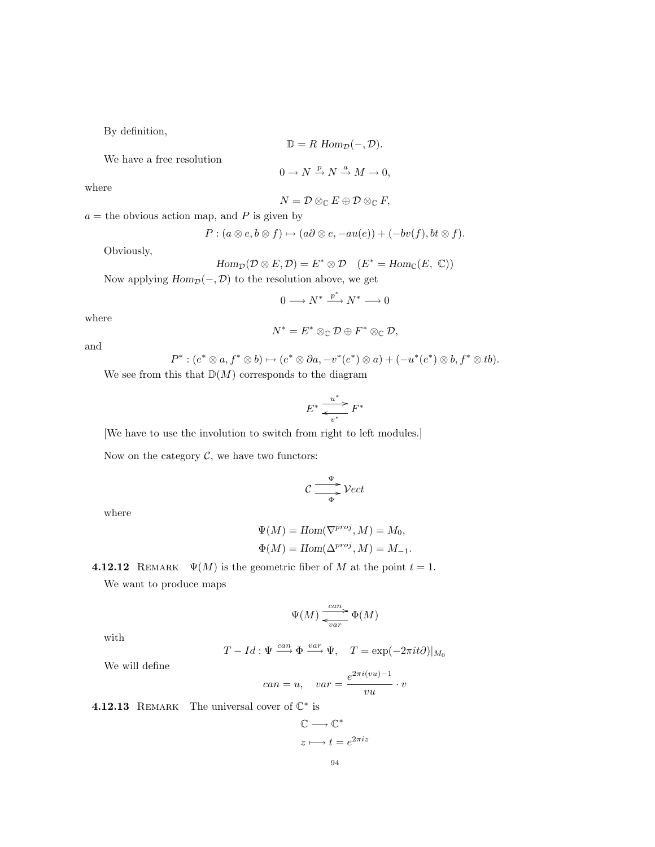By definition,

$$
\mathbb{D}=R \text{ Hom}_{\mathcal{D}}(-,\mathcal{D}).
$$

We have a free resolution

$$
0 \to N \xrightarrow{p} N \xrightarrow{a} M \to 0,
$$

where

$$
N=\mathcal{D}\otimes_{\mathbb{C}} E\oplus \mathcal{D}\otimes_{\mathbb{C}} F,
$$

 $a =$  the obvious action map, and P is given by

$$
P:(a\otimes e,b\otimes f)\mapsto (a\partial\otimes e,-au(e))+(-bv(f),bt\otimes f).
$$

Obviously,

$$
\mathrm{Hom}_{\mathcal{D}}(\mathcal{D}\otimes E,\mathcal{D})=E^*\otimes \mathcal{D} \quad (E^*=\mathrm{Hom}_{\mathbb{C}}(E,\ \mathbb{C}))
$$

Now applying  $Hom_{\mathcal{D}}(-, \mathcal{D})$  to the resolution above, we get

$$
0\longrightarrow N^*\stackrel{p^*}{\longrightarrow} N^*\longrightarrow 0
$$

where

$$
N^*=E^*\otimes_{\mathbb{C}}\mathcal{D}\oplus F^*\otimes_{\mathbb{C}}\mathcal{D},
$$

and

$$
P^*: (e^* \otimes a, f^* \otimes b) \mapsto (e^* \otimes \partial a, -v^*(e^*) \otimes a) + (-u^*(e^*) \otimes b, f^* \otimes tb).
$$

We see from this that  $\mathbb{D}(M)$  corresponds to the diagram

$$
E^* \xrightarrow[v^*]{u^*} F^*
$$

[We have to use the involution to switch from right to left modules.]

Now on the category  $C$ , we have two functors:

$$
\mathcal{C} \xrightarrow{\Psi} \mathcal{V}ect
$$

where

$$
\Psi(M) = \text{Hom}(\nabla^{\text{proj}}, M) = M_0,
$$
  

$$
\Phi(M) = \text{Hom}(\Delta^{\text{proj}}, M) = M_{-1}.
$$

4.12.12 REMARK  $\Psi(M)$  is the geometric fiber of M at the point  $t = 1$ .

We want to produce maps

$$
\Psi(M) \xrightarrow[\text{var}]{\text{can}} \Phi(M)
$$

with

$$
T - Id : \Psi \xrightarrow{can} \Phi \xrightarrow{var} \Psi, \quad T = \exp(-2\pi it\partial)|_{M_0}
$$

We will define

$$
can = u, \quad var = \frac{e^{2\pi i (vu) - 1}}{vu} \cdot v
$$

**4.12.13** REMARK The universal cover of  $\mathbb{C}^*$  is

$$
\mathbb{C} \longrightarrow \mathbb{C}^*
$$

$$
z \longmapsto t = e^{2\pi i z}
$$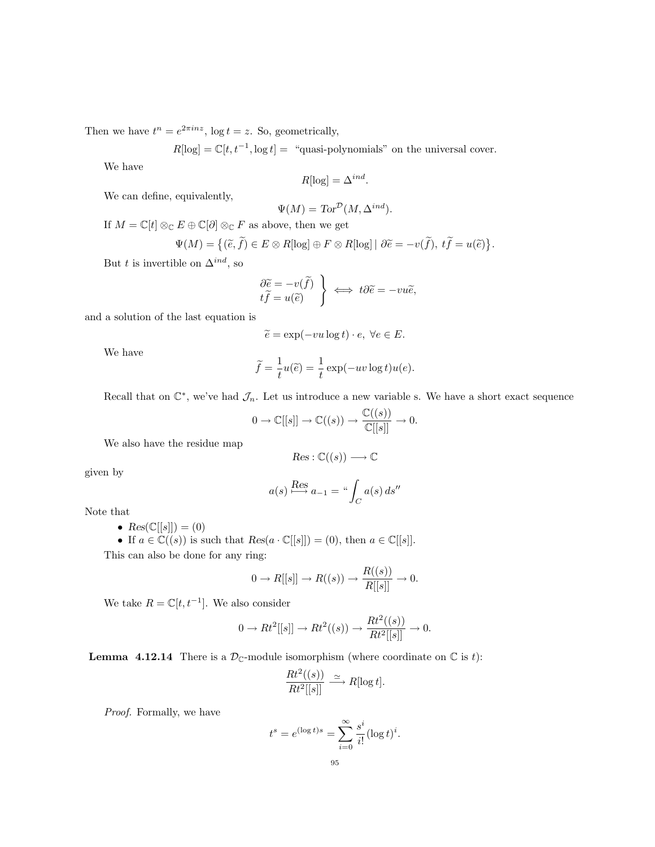Then we have  $t^n = e^{2\pi i n z}$ ,  $\log t = z$ . So, geometrically,

 $R[log] = \mathbb{C}[t, t^{-1}, \log t] =$  "quasi-polynomials" on the universal cover.

We have

$$
R[\log] = \Delta^{ind}
$$

.

We can define, equivalently,

$$
\Psi(M) = \text{Tor}^{\mathcal{D}}(M, \Delta^{ind}).
$$

If  $M=\mathbb{C}[t]\otimes_{\mathbb{C}} E\oplus \mathbb{C}[\partial]\otimes_{\mathbb{C}} F$  as above, then we get

$$
\Psi(M) = \{ (\tilde{e}, \tilde{f}) \in E \otimes R[\log] \oplus F \otimes R[\log] \mid \partial \tilde{e} = -v(\tilde{f}), t\tilde{f} = u(\tilde{e}) \}.
$$

But t is invertible on  $\Delta^{ind},$  so

$$
\left\{\begin{aligned}\n\frac{\partial \widetilde{e}}{\partial \widetilde{f}} &= -v(\widetilde{f}) \\
t\widetilde{f} &= u(\widetilde{e})\n\end{aligned}\right\} \iff t\partial \widetilde{e} = -vu\widetilde{e},
$$

and a solution of the last equation is

$$
\widetilde{e} = \exp(-vu \log t) \cdot e, \ \forall e \in E.
$$

We have

$$
\widetilde{f} = \frac{1}{t}u(\widetilde{e}) = \frac{1}{t}\exp(-uv\log t)u(e).
$$

Recall that on  $\mathbb{C}^*$ , we've had  $\mathcal{J}_n$ . Let us introduce a new variable s. We have a short exact sequence

$$
0 \to \mathbb{C}[[s]] \to \mathbb{C}((s)) \to \frac{\mathbb{C}((s))}{\mathbb{C}[[s]]} \to 0.
$$

We also have the residue map

$$
Res: \mathbb{C}((s)) \longrightarrow \mathbb{C}
$$

given by

$$
a(s) \stackrel{\text{Res}}{\longrightarrow} a_{-1} = \text{``}\int_C a(s) \, ds''
$$

Note that

- $Res(\mathbb{C}[[s]]) = (0)$
- If  $a \in \mathbb{C}((s))$  is such that  $Res(a \cdot \mathbb{C}[[s]]) = (0)$ , then  $a \in \mathbb{C}[[s]]$ .

This can also be done for any ring:

$$
0 \to R[[s]] \to R((s)) \to \frac{R((s))}{R[[s]]} \to 0.
$$

We take  $R = \mathbb{C}[t, t^{-1}]$ . We also consider

$$
0 \to Rt^2[[s]] \to Rt^2((s)) \to \frac{Rt^2((s))}{Rt^2[[s]]} \to 0.
$$

**Lemma 4.12.14** There is a  $\mathcal{D}_{\mathbb{C}}$ -module isomorphism (where coordinate on  $\mathbb{C}$  is t):

$$
\frac{Rt^2((s))}{Rt^2[[s]]} \xrightarrow{\simeq} R[\log t].
$$

Proof. Formally, we have

$$
t^s = e^{(\log t)s} = \sum_{i=0}^{\infty} \frac{s^i}{i!} (\log t)^i.
$$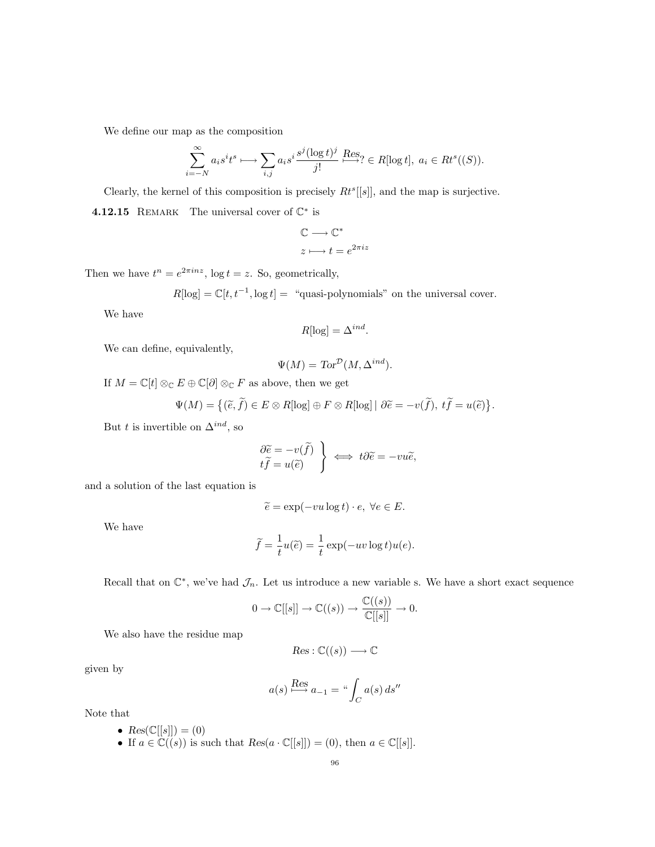We define our map as the composition

$$
\sum_{i=-N}^{\infty} a_i s^i t^s \longmapsto \sum_{i,j} a_i s^i \frac{s^j (\log t)^j}{j!} \xrightarrow{\text{Res}_?} \in R[\log t], \ a_i \in Rt^s((S)).
$$

Clearly, the kernel of this composition is precisely  $Rt^{s}[[s]]$ , and the map is surjective.

**4.12.15** REMARK The universal cover of  $\mathbb{C}^*$  is

$$
\mathbb{C}\longrightarrow\mathbb{C}^*
$$

$$
z\longmapsto t=e^{2\pi iz}
$$

Then we have  $t^n = e^{2\pi i n z}$ ,  $\log t = z$ . So, geometrically,

 $R[log] = \mathbb{C}[t, t^{-1}, \log t] =$  "quasi-polynomials" on the universal cover.

We have

$$
R[\log] = \Delta^{ind}.
$$

We can define, equivalently,

$$
\Psi(M) = \text{Tor}^{\mathcal{D}}(M, \Delta^{ind}).
$$

If  $M=\mathbb{C}[t]\otimes_{\mathbb{C}}E\oplus\mathbb{C}[\partial]\otimes_{\mathbb{C}}F$  as above, then we get

$$
\Psi(M) = \{ (\widetilde{e}, \widetilde{f}) \in E \otimes R[\log] \oplus F \otimes R[\log] \mid \partial \widetilde{e} = -v(\widetilde{f}), t\widetilde{f} = u(\widetilde{e}) \}.
$$

But t is invertible on  $\Delta^{ind}$ , so

$$
\left\{\begin{aligned}\n\frac{\partial \widetilde{e}}{\partial \widetilde{f}} &= -v(\widetilde{f}) \\
t\widetilde{f} &= u(\widetilde{e})\n\end{aligned}\right\} \iff t\partial \widetilde{e} = -vu\widetilde{e},
$$

and a solution of the last equation is

$$
\widetilde{e} = \exp(-vu \log t) \cdot e, \ \forall e \in E.
$$

We have

$$
\widetilde{f} = \frac{1}{t}u(\widetilde{e}) = \frac{1}{t}\exp(-uv\log t)u(e).
$$

Recall that on  $\mathbb{C}^*$ , we've had  $\mathcal{J}_n$ . Let us introduce a new variable s. We have a short exact sequence

$$
0 \to \mathbb{C}[[s]] \to \mathbb{C}((s)) \to \frac{\mathbb{C}((s))}{\mathbb{C}[[s]]} \to 0.
$$

We also have the residue map

$$
Res: \mathbb{C}((s)) \longrightarrow \mathbb{C}
$$

given by

$$
a(s) \stackrel{\text{Res}}{\longrightarrow} a_{-1} = \text{``}\int_C a(s) \, ds''
$$

Note that

- $Res(\mathbb{C}[[s]]) = (0)$
- If  $a \in \mathbb{C}((s))$  is such that  $Res(a \cdot \mathbb{C}[[s]]) = (0)$ , then  $a \in \mathbb{C}[[s]]$ .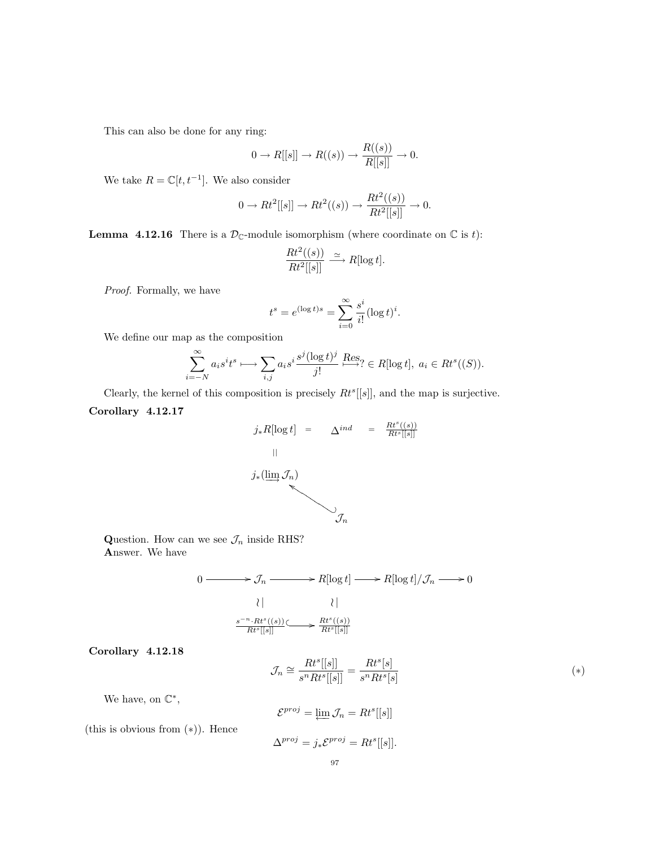This can also be done for any ring:

$$
0 \to R[[s]] \to R((s)) \to \frac{R((s))}{R[[s]]} \to 0.
$$

We take  $R = \mathbb{C}[t, t^{-1}]$ . We also consider

$$
0 \to Rt^2[[s]] \to Rt^2((s)) \to \frac{Rt^2((s))}{Rt^2[[s]]} \to 0.
$$

**Lemma 4.12.16** There is a  $\mathcal{D}_{\mathbb{C}}$ -module isomorphism (where coordinate on  $\mathbb{C}$  is t):

$$
\frac{Rt^2((s))}{Rt^2[[s]]} \xrightarrow{\simeq} R[\log t].
$$

Proof. Formally, we have

$$
t^{s} = e^{(\log t)s} = \sum_{i=0}^{\infty} \frac{s^{i}}{i!} (\log t)^{i}.
$$

We define our map as the composition

$$
\sum_{i=-N}^{\infty} a_i s^i t^s \longmapsto \sum_{i,j} a_i s^i \frac{s^j (\log t)^j}{j!} \xrightarrow{\text{Res}} \in R[\log t], \ a_i \in Rt^s((S)).
$$

Clearly, the kernel of this composition is precisely  $Rt^{s}[[s]]$ , and the map is surjective.

Corollary 4.12.17

$$
j_* R[\log t] = \Delta^{ind} = \frac{Rt^{s}((s))}{Rt^{s}[[s]]}
$$
  
||  

$$
j_* (\lim_{h \to 0} \mathcal{J}_n)
$$
  

$$
\mathcal{J}_n
$$

Question. How can we see  $\mathcal{J}_n$  inside RHS? Answer. We have

> $0 \longrightarrow \mathcal{J}_n \longrightarrow R[\log t] \longrightarrow R[\log t]/\mathcal{J}_n \longrightarrow 0$  $\lambda$  |  $\lambda$  |  $\lambda$  |  $\lambda$  |  $\lambda$  |  $\lambda$  |  $\lambda$  |  $\lambda$  |  $\lambda$  |  $\lambda$  |  $\lambda$  |  $\lambda$  |  $\lambda$  |  $\lambda$  |  $\lambda$  |  $\lambda$  |  $\lambda$  |  $\lambda$  |  $\lambda$  |  $\lambda$  |  $\lambda$  |  $\lambda$  |  $\lambda$  |  $\lambda$  |  $\lambda$  |  $\lambda$  |  $\lambda$  |  $\lambda$  |  $\lambda$  |  $\lambda$  |  $\lambda$  |  $\lambda$  $\frac{s^{-n} \cdot Rt^s((s))}{Rt^s[[s]]} \longrightarrow \frac{Rt^s((s))}{Rt^s[[s]]}$

Corollary 4.12.18

$$
\mathcal{J}_n \cong \frac{Rt^s[[s]]}{s^n Rt^s[[s]]} = \frac{Rt^s[s]}{s^n Rt^s[s]}
$$
\n
$$
(*)
$$

We have, on  $\mathbb{C}^*$ ,

$$
\mathcal{E}^{proj} = \varprojlim \mathcal{J}_n = Rt^s[[s]]
$$

(this is obvious from (∗)). Hence

$$
\Delta^{proj} = j_* \mathcal{E}^{proj} = Rt^s[[s]].
$$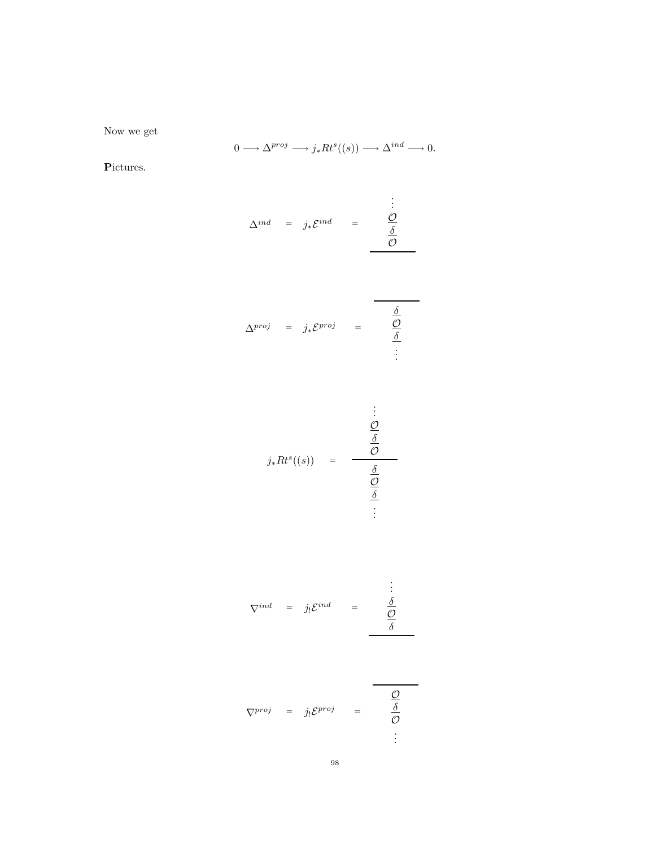Now we get

$$
0 \longrightarrow \Delta^{proj} \longrightarrow j_*Rt^s((s)) \longrightarrow \Delta^{ind} \longrightarrow 0.
$$

Pictures.

$$
\Delta^{ind} = j_* \mathcal{E}^{ind} = \frac{\frac{\vdots}{\delta}}{\frac{\delta}{\mathcal{O}}}
$$

$$
\Delta^{proj} = j_* \mathcal{E}^{proj} = \frac{\underline{\delta}}{\underline{\delta}} \tag{1}
$$

$$
\vdots
$$
\n
$$
j_* R t^s((s)) = \frac{\frac{\partial}{\partial s}}{\frac{\frac{\partial}{\partial s}}{\frac{\partial}{\partial s}}}
$$

$$
\nabla^{ind} = j_{!} \mathcal{E}^{ind} = \frac{\vdots}{\frac{\delta}{\delta}}
$$

$$
\nabla^{proj} = j_! \mathcal{E}^{proj} = \frac{\frac{\mathcal{O}}{\delta}}{\frac{\delta}{\mathcal{O}}}
$$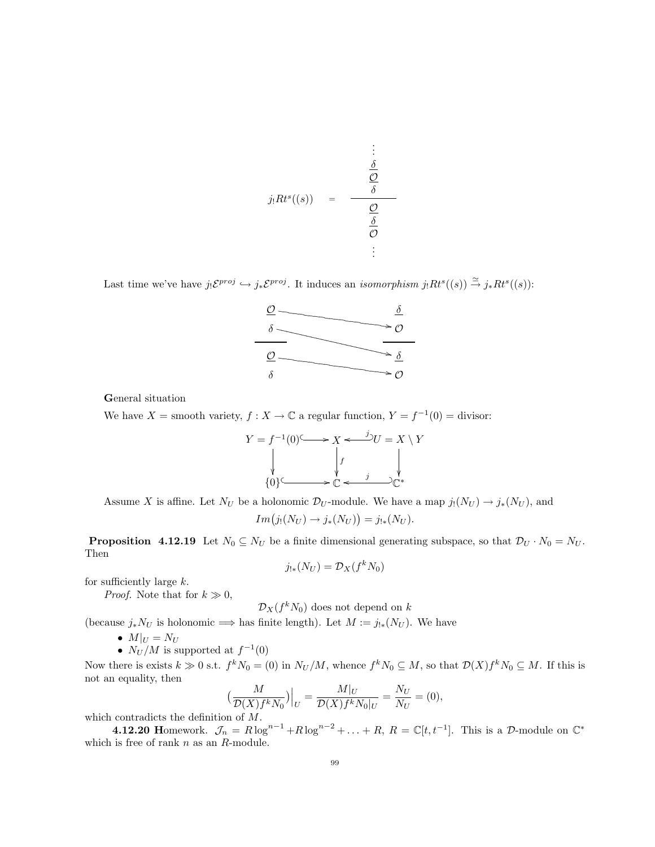$$
j_!Rt^s((s)) = \frac{\frac{\delta}{\delta}}{\frac{\frac{\delta}{\delta}}{\frac{\delta}{\delta}}}
$$
  

Last time we've have  $j_!\mathcal{E}^{proj} \hookrightarrow j_*\mathcal{E}^{proj}$ . It induces an *isomorphism*  $j_!Rt^s((s)) \stackrel{\simeq}{\rightarrow} j_*Rt^s((s))$ :



General situation

We have  $X =$  smooth variety,  $f : X \to \mathbb{C}$  a regular function,  $Y = f^{-1}(0) =$  divisor:



Assume X is affine. Let  $N_U$  be a holonomic  $\mathcal{D}_U$ -module. We have a map  $j_!(N_U) \to j_*(N_U)$ , and

$$
Im(j_!(N_U) \rightarrow j_*(N_U)) = j_{!*}(N_U).
$$

**Proposition 4.12.19** Let  $N_0 \subseteq N_U$  be a finite dimensional generating subspace, so that  $\mathcal{D}_U \cdot N_0 = N_U$ . Then

$$
j_{!*}(N_U) = \mathcal{D}_X(f^k N_0)
$$

for sufficiently large  $k$ .

*Proof.* Note that for  $k \gg 0$ ,

$$
\mathcal{D}_X(f^k N_0)
$$
 does not depend on k

(because  $j_*N_U$  is holonomic  $\implies$  has finite length). Let  $M := j_{!*}(N_U)$ . We have

- $M|_U = N_U$
- $N_U/M$  is supported at  $f^{-1}(0)$

Now there is exists  $k \gg 0$  s.t.  $f^k N_0 = (0)$  in  $N_U/M$ , whence  $f^k N_0 \subseteq M$ , so that  $\mathcal{D}(X)f^k N_0 \subseteq M$ . If this is not an equality, then

$$
\left(\frac{M}{\mathcal{D}(X)f^k N_0}\right)\Big|_U = \frac{M|_U}{\mathcal{D}(X)f^k N_0|_U} = \frac{N_U}{N_U} = (0),
$$

which contradicts the definition of  $M$ .

**4.12.20** Homework.  $\mathcal{J}_n = R \log^{n-1} + R \log^{n-2} + \ldots + R$ ,  $R = \mathbb{C}[t, t^{-1}]$ . This is a D-module on  $\mathbb{C}^*$ which is free of rank  $n$  as an  $R$ -module.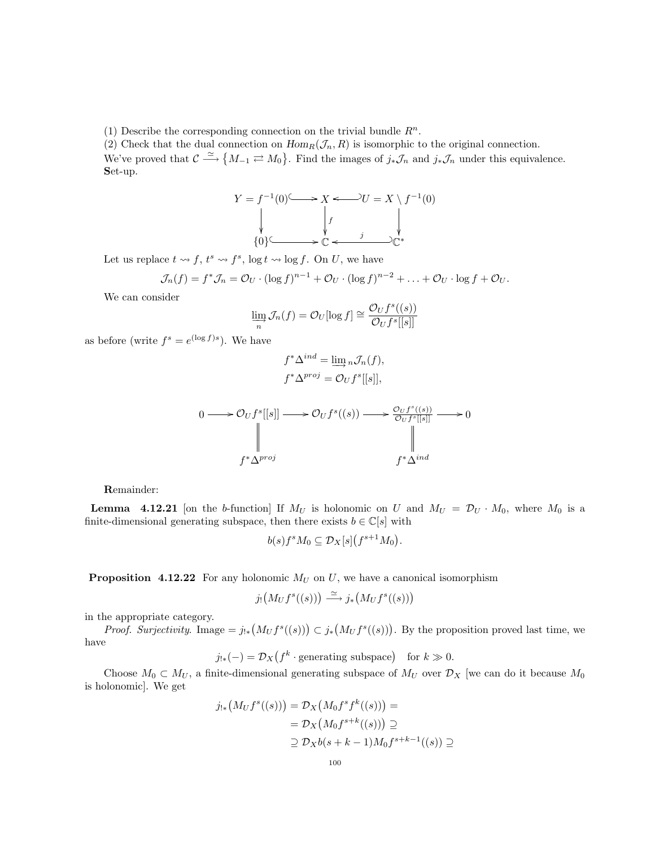(1) Describe the corresponding connection on the trivial bundle  $R^n$ .

(2) Check that the dual connection on  $Hom_R(\mathcal{J}_n, R)$  is isomorphic to the original connection. We've proved that  $\mathcal{C} \stackrel{\simeq}{\longrightarrow} \{M_{-1} \rightleftarrows M_0\}$ . Find the images of  $j_*\mathcal{J}_n$  and  $j_*\mathcal{J}_n$  under this equivalence. Set-up.

$$
Y = f^{-1}(0) \longrightarrow X \longleftarrow U = X \setminus f^{-1}(0)
$$
  
\n
$$
\downarrow \qquad \qquad \downarrow f
$$
  
\n
$$
\{0\} \longrightarrow \mathbb{C} \longleftarrow \mathbb{C}^*
$$

Let us replace  $t \leadsto f$ ,  $t^s \leadsto f^s$ ,  $\log t \leadsto \log f$ . On U, we have

$$
\mathcal{J}_n(f) = f^* \mathcal{J}_n = \mathcal{O}_U \cdot (\log f)^{n-1} + \mathcal{O}_U \cdot (\log f)^{n-2} + \ldots + \mathcal{O}_U \cdot \log f + \mathcal{O}_U.
$$

We can consider

$$
\lim_{n} \mathcal{J}_{n}(f) = \mathcal{O}_{U}[\log f] \cong \frac{\mathcal{O}_{U}f^{s}((s))}{\mathcal{O}_{U}f^{s}[[s]]}
$$

as before (write  $f^s = e^{(\log f)s}$ ). We have

$$
f^* \Delta^{ind} = \varinjlim{}_n \mathcal{J}_n(f),
$$
  

$$
f^* \Delta^{proj} = \mathcal{O}_U f^s[[s]],
$$



Remainder:

**Lemma** 4.12.21 [on the b-function] If  $M_U$  is holonomic on U and  $M_U = \mathcal{D}_U \cdot M_0$ , where  $M_0$  is a finite-dimensional generating subspace, then there exists  $b \in \mathbb{C}[s]$  with

$$
b(s)f^sM_0\subseteq \mathcal{D}_X[s](f^{s+1}M_0).
$$

**Proposition 4.12.22** For any holonomic  $M_U$  on U, we have a canonical isomorphism

$$
j_! (M_U f^s((s))) \xrightarrow{\simeq} j_* (M_U f^s((s)))
$$

in the appropriate category.

*Proof. Surjectivity.* Image =  $j_{!*}(M_U f^s((s))) \subset j_*(M_U f^s((s)))$ . By the proposition proved last time, we have

 $j_{!*}(-) = \mathcal{D}_X(f^k \cdot \text{generating subspace}) \text{ for } k \gg 0.$ 

Choose  $M_0 \subset M_U$ , a finite-dimensional generating subspace of  $M_U$  over  $\mathcal{D}_X$  [we can do it because  $M_0$ is holonomic]. We get

$$
j_{!*}(M_U f^s((s))) = \mathcal{D}_X(M_0 f^s f^k((s))) =
$$
  
=  $\mathcal{D}_X(M_0 f^{s+k}((s))) \supseteq$   

$$
\supseteq \mathcal{D}_X b(s+k-1) M_0 f^{s+k-1}((s)) \supseteq
$$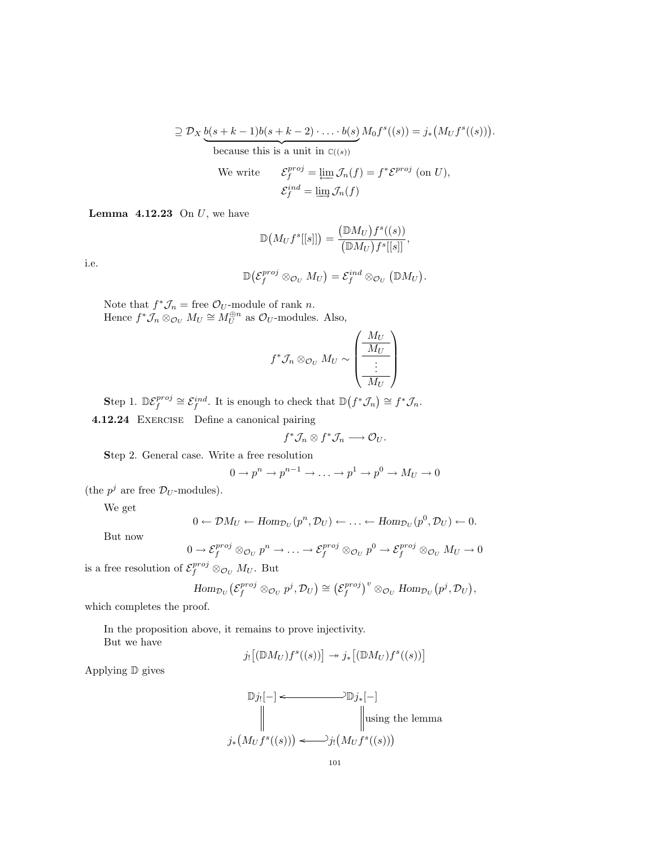$$
\supseteq \mathcal{D}_X \underbrace{b(s+k-1)b(s+k-2)\cdot\ldots\cdot b(s)}_{\text{because this is a unit in }\mathbb{C}((s))} M_0 f^s((s)) = j_* \big(M_U f^s((s))\big)
$$
\n
$$
\text{We write } \quad \mathcal{E}_f^{proj} = \varprojlim \mathcal{J}_n(f) = f^* \mathcal{E}^{proj} \text{ (on } U),
$$
\n
$$
\mathcal{E}_f^{ind} = \varinjlim \mathcal{J}_n(f)
$$

.

**Lemma 4.12.23** On  $U$ , we have

$$
\mathbb{D}\big(M_Uf^s[[s]]\big)=\frac{\big(\mathbb{D}M_U\big)f^s((s))}{\big(\mathbb{D}M_U\big)f^s[[s]]},
$$

i.e.

$$
\mathbb{D}\big(\mathcal{E}_f^{proj} \otimes_{\mathcal{O}_U} M_U\big) = \mathcal{E}_f^{ind} \otimes_{\mathcal{O}_U} (\mathbb{D} M_U).
$$

Note that  $f^*\mathcal{J}_n$  = free  $\mathcal{O}_U$ -module of rank n. Hence  $f^*\tilde{\mathcal{J}}_n \otimes_{\mathcal{O}_U} M_U \cong M_U^{\oplus n}$  as  $\mathcal{O}_U$ -modules. Also,

$$
f^* \mathcal{J}_n \otimes_{\mathcal{O}_U} M_U \sim \left( \underbrace{\frac{M_U}{M_U}}_{\vdots} \right)
$$

Step 1.  $\mathbb{D}\mathcal{E}_f^{proj} \cong \mathcal{E}_f^{ind}$ . It is enough to check that  $\mathbb{D}(f^*\mathcal{J}_n) \cong f^*\mathcal{J}_n$ . 4.12.24 Exercise Define a canonical pairing

$$
f^*\mathcal{J}_n \otimes f^*\mathcal{J}_n \longrightarrow \mathcal{O}_U.
$$

Step 2. General case. Write a free resolution

$$
0 \to p^n \to p^{n-1} \to \ldots \to p^1 \to p^0 \to M_U \to 0
$$

(the  $p^j$  are free  $\mathcal{D}_U$ -modules).

We get

$$
0 \leftarrow \mathcal{D}M_U \leftarrow \text{Hom}_{\mathcal{D}_U}(p^n, \mathcal{D}_U) \leftarrow \ldots \leftarrow \text{Hom}_{\mathcal{D}_U}(p^0, \mathcal{D}_U) \leftarrow 0.
$$

But now

$$
0 \to \mathcal{E}_f^{proj} \otimes_{\mathcal{O}_U} p^n \to \dots \to \mathcal{E}_f^{proj} \otimes_{\mathcal{O}_U} p^0 \to \mathcal{E}_f^{proj} \otimes_{\mathcal{O}_U} M_U \to 0
$$

is a free resolution of  $\mathcal{E}_f^{proj} \otimes_{\mathcal{O}_U} M_U$ . But

$$
\mathrm{Hom}_{\mathcal{D}_U}\big(\mathcal{E}_f^{proj} \otimes_{\mathcal{O}_U} p^j, \mathcal{D}_U\big) \cong \big(\mathcal{E}_f^{proj}\big)^v \otimes_{\mathcal{O}_U} \mathrm{Hom}_{\mathcal{D}_U}\big(p^j, \mathcal{D}_U\big),
$$

which completes the proof.

In the proposition above, it remains to prove injectivity. But we have

$$
j_![(\mathbb{D}M_U)f^s((s))] \to j_*[(\mathbb{D}M_U)f^s((s))]
$$

Applying D gives

$$
\mathbb{D}j_![-] \leftarrow \mathbb{D}j_*[-]
$$
\n
$$
\parallel \text{using the lemma}
$$
\n
$$
j_*\big(M_U f^s((s))\big) \leftarrow \text{Jj}\big(M_U f^s((s))\big)
$$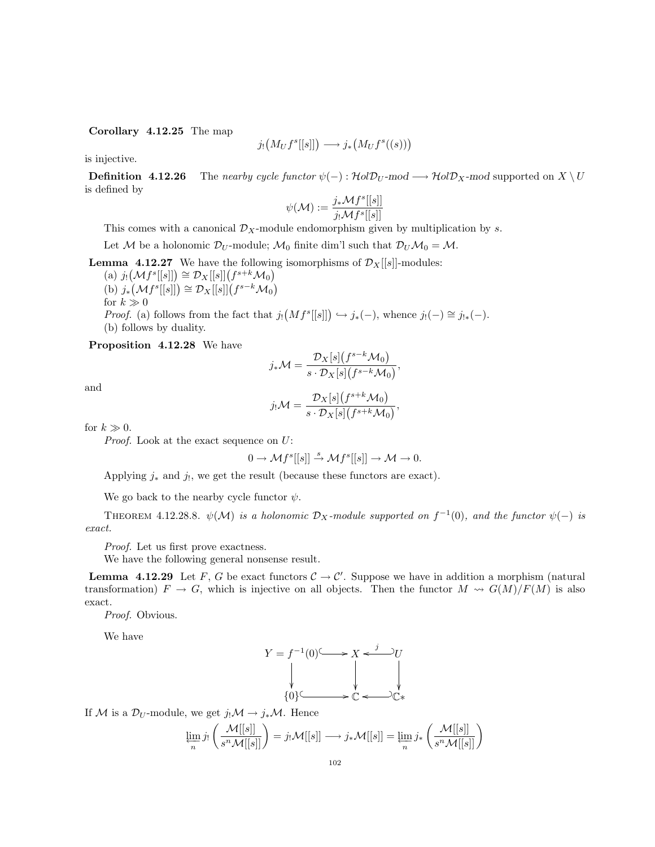Corollary 4.12.25 The map

$$
j_! \big(M_U f^s[[s]]\big) \longrightarrow j_* \big(M_U f^s((s))\big)
$$

is injective.

**Definition 4.12.26** The nearby cycle functor  $\psi(-): \mathcal{H}ol\mathcal{D}_U$ -mod  $\longrightarrow \mathcal{H}ol\mathcal{D}_X$ -mod supported on  $X \setminus U$ is defined by

$$
\psi(\mathcal{M}) := \frac{j_* \mathcal{M} f^s[[s]]}{j_! \mathcal{M} f^s[[s]]}
$$

This comes with a canonical  $\mathcal{D}_X$ -module endomorphism given by multiplication by s.

Let M be a holonomic  $\mathcal{D}_U$ -module;  $\mathcal{M}_0$  finite dim'l such that  $\mathcal{D}_U \mathcal{M}_0 = \mathcal{M}$ .

**Lemma 4.12.27** We have the following isomorphisms of  $\mathcal{D}_X[[s]]$ -modules:

(a)  $j_! (\mathcal{M} f^s[[s]]) \cong \mathcal{D}_X[[s]](f^{s+k}\mathcal{M}_0)$ (b)  $j_*(\mathcal{M}f^s[[s]]) \cong \mathcal{D}_X[[s]](f^{s-k}\mathcal{M}_0)$ for  $k \gg 0$ *Proof.* (a) follows from the fact that  $j_! (Mf^s[[s]]) \hookrightarrow j_*(-),$  whence  $j_!(-) \cong j_{!*}(-)$ . (b) follows by duality.

Proposition 4.12.28 We have

$$
j_*\mathcal{M} = \frac{\mathcal{D}_X[s](f^{s-k}\mathcal{M}_0)}{s \cdot \mathcal{D}_X[s](f^{s-k}\mathcal{M}_0)},
$$

and

$$
j_!\mathcal{M} = \frac{\mathcal{D}_X[s](f^{s+k}\mathcal{M}_0)}{s \cdot \mathcal{D}_X[s](f^{s+k}\mathcal{M}_0)},
$$

for  $k \gg 0$ .

Proof. Look at the exact sequence on U:

$$
0 \to \mathcal{M}f^s[[s]] \stackrel{s}{\to} \mathcal{M}f^s[[s]] \to \mathcal{M} \to 0.
$$

Applying  $j_*$  and  $j_!,$  we get the result (because these functors are exact).

We go back to the nearby cycle functor  $\psi$ .

THEOREM 4.12.28.8.  $\psi(\mathcal{M})$  is a holonomic  $\mathcal{D}_X$ -module supported on  $f^{-1}(0)$ , and the functor  $\psi(-)$  is exact.

Proof. Let us first prove exactness.

We have the following general nonsense result.

**Lemma 4.12.29** Let F, G be exact functors  $C \to C'$ . Suppose we have in addition a morphism (natural transformation)  $F \to G$ , which is injective on all objects. Then the functor  $M \leadsto G(M)/F(M)$  is also exact.

Proof. Obvious.

We have

$$
Y = f^{-1}(0) \longrightarrow X \xleftarrow{j} U
$$
  
\n
$$
\downarrow \qquad \qquad \downarrow
$$
  
\n
$$
\downarrow \qquad \qquad \downarrow
$$
  
\n
$$
\downarrow \qquad \qquad \downarrow
$$
  
\n
$$
\downarrow \qquad \qquad \downarrow
$$
  
\n
$$
\downarrow \qquad \qquad \downarrow
$$
  
\n
$$
\downarrow \qquad \qquad \downarrow
$$
  
\n
$$
\downarrow \qquad \qquad \downarrow
$$
  
\n
$$
\downarrow \qquad \qquad \downarrow
$$
  
\n
$$
\downarrow \qquad \qquad \downarrow
$$
  
\n
$$
\downarrow \qquad \qquad \downarrow
$$
  
\n
$$
\downarrow \qquad \qquad \downarrow
$$
  
\n
$$
\downarrow \qquad \qquad \downarrow
$$

If M is a  $\mathcal{D}_U$ -module, we get  $j_!\mathcal{M} \to j_*\mathcal{M}$ . Hence

$$
\varprojlim_{n} j_{!}\left(\frac{\mathcal{M}[[s]]}{s^{n}\mathcal{M}[[s]]}\right) = j_{!}\mathcal{M}[[s]] \longrightarrow j_{*}\mathcal{M}[[s]] = \varprojlim_{n} j_{*}\left(\frac{\mathcal{M}[[s]]}{s^{n}\mathcal{M}[[s]]}\right)
$$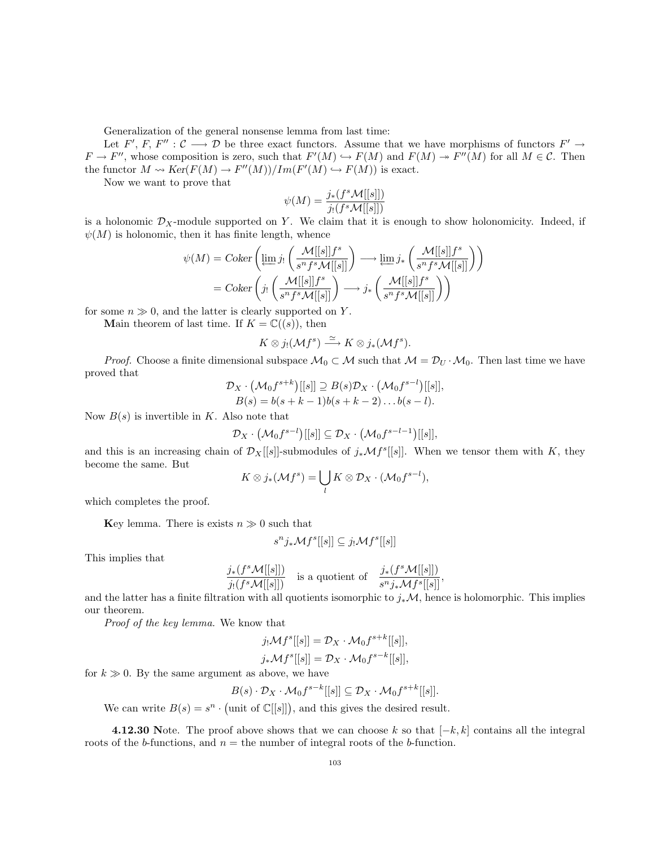Generalization of the general nonsense lemma from last time:

Let F', F, F'':  $\mathcal{C} \longrightarrow \mathcal{D}$  be three exact functors. Assume that we have morphisms of functors  $F' \rightarrow$  $F \to F''$ , whose composition is zero, such that  $F'(M) \hookrightarrow F(M)$  and  $F(M) \to F''(M)$  for all  $M \in \mathcal{C}$ . Then the functor  $M \rightsquigarrow Ker(F(M) \rightarrow F''(M))/Im(F'(M) \hookrightarrow F(M))$  is exact.

Now we want to prove that

$$
\psi(M) = \frac{j_*(f^s \mathcal{M}[[s]])}{j_!(f^s \mathcal{M}[[s]])}
$$

is a holonomic  $\mathcal{D}_X$ -module supported on Y. We claim that it is enough to show holonomicity. Indeed, if  $\psi(M)$  is holonomic, then it has finite length, whence

$$
\psi(M) = Coker \left( \underbrace{\lim_{s} j_! \left( \frac{\mathcal{M}[[s]]f^s}{s^n f^s \mathcal{M}[[s]]} \right)}_{= Coker \left( j_! \left( \frac{\mathcal{M}[[s]]f^s}{s^n f^s \mathcal{M}[[s]]} \right) \right) \longrightarrow j_* \left( \frac{\mathcal{M}[[s]]f^s}{s^n f^s \mathcal{M}[[s]]} \right) \right)
$$

for some  $n \gg 0$ , and the latter is clearly supported on Y.

Main theorem of last time. If  $K = \mathbb{C}((s))$ , then

$$
K\otimes j_!(\mathcal{M}f^s)\stackrel{\simeq}{\longrightarrow} K\otimes j_*(\mathcal{M}f^s).
$$

*Proof.* Choose a finite dimensional subspace  $\mathcal{M}_0 \subset \mathcal{M}$  such that  $\mathcal{M} = \mathcal{D}_U \cdot \mathcal{M}_0$ . Then last time we have proved that

$$
\mathcal{D}_X \cdot (\mathcal{M}_0 f^{s+k})[[s]] \supseteq B(s) \mathcal{D}_X \cdot (\mathcal{M}_0 f^{s-l})[[s]],
$$
  

$$
B(s) = b(s+k-1)b(s+k-2) \dots b(s-l).
$$

Now  $B(s)$  is invertible in K. Also note that

$$
\mathcal{D}_X\cdot\big(\mathcal{M}_0f^{s-l}\big)[[s]]\subseteq\mathcal{D}_X\cdot\big(\mathcal{M}_0f^{s-l-1}\big)[[s]],
$$

and this is an increasing chain of  $\mathcal{D}_X[[s]]$ -submodules of  $j_*\mathcal{M}f^s[[s]]$ . When we tensor them with K, they become the same. But

$$
K \otimes j_*(\mathcal{M}f^s) = \bigcup_l K \otimes \mathcal{D}_X \cdot (\mathcal{M}_0f^{s-l}),
$$

which completes the proof.

Key lemma. There is exists  $n \gg 0$  such that

$$
s^n j_* \mathcal{M} f^s[[s]] \subseteq j_! \mathcal{M} f^s[[s]]
$$

This implies that

$$
\frac{j_*(f^s\mathcal{M}[[s]])}{j_!(f^s\mathcal{M}[[s]])} \text{ is a quotient of } \frac{j_*(f^s\mathcal{M}[[s]])}{s^n j_*\mathcal{M}f^s[[s]]},
$$

and the latter has a finite filtration with all quotients isomorphic to  $j_*\mathcal{M}$ , hence is holomorphic. This implies our theorem.

Proof of the key lemma. We know that

$$
j_!\mathcal{M}f^s[[s]] = \mathcal{D}_X \cdot \mathcal{M}_0 f^{s+k}[[s]],
$$
  

$$
j_*\mathcal{M}f^s[[s]] = \mathcal{D}_X \cdot \mathcal{M}_0 f^{s-k}[[s]],
$$

for  $k \gg 0$ . By the same argument as above, we have

$$
B(s) \cdot \mathcal{D}_X \cdot \mathcal{M}_0 f^{s-k}[[s]] \subseteq \mathcal{D}_X \cdot \mathcal{M}_0 f^{s+k}[[s]].
$$

We can write  $B(s) = s^n \cdot \text{(unit of } \mathbb{C}[[s]])$ , and this gives the desired result.

4.12.30 Note. The proof above shows that we can choose k so that  $[-k, k]$  contains all the integral roots of the b-functions, and  $n =$  the number of integral roots of the b-function.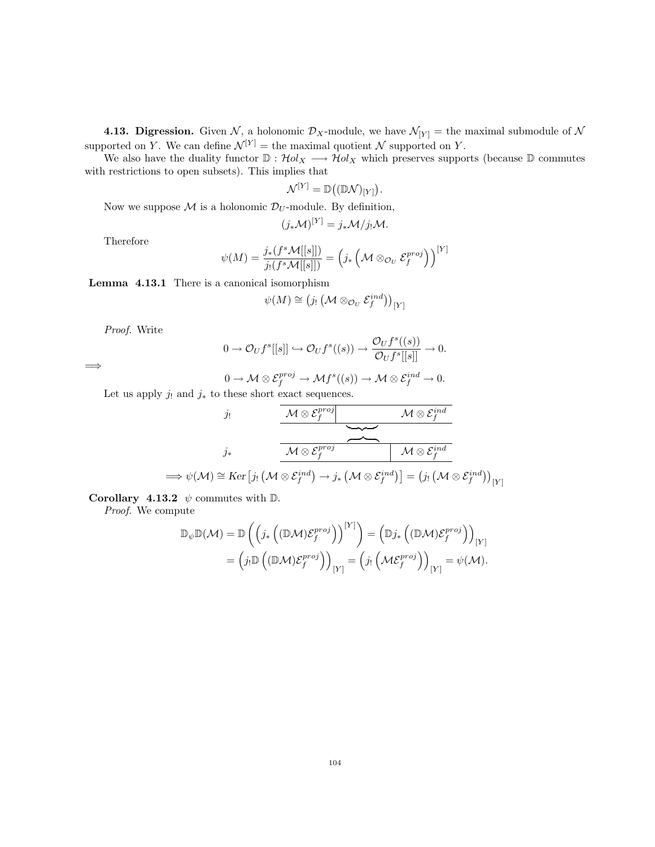**4.13. Digression.** Given N, a holonomic  $\mathcal{D}_X$ -module, we have  $\mathcal{N}_{[Y]}$  = the maximal submodule of N supported on Y. We can define  $\mathcal{N}^{[Y]} =$  the maximal quotient  $\mathcal N$  supported on Y.

We also have the duality functor  $\mathbb{D}: \mathcal{H}ol_X \longrightarrow \mathcal{H}ol_X$  which preserves supports (because  $\mathbb{D}$  commutes with restrictions to open subsets). This implies that

$$
\mathcal{N}^{[Y]} = \mathbb{D}((\mathbb{D} \mathcal{N})_{[Y]}).
$$

Now we suppose  $\mathcal M$  is a holonomic  $\mathcal D_U$ -module. By definition,

$$
(j_*\mathcal{M})^{[Y]} = j_*\mathcal{M}/j_!\mathcal{M}.
$$

Therefore

$$
\psi(M) = \frac{j_*(f^s \mathcal{M}[[s]])}{j_!(f^s \mathcal{M}[[s]])} = \left(j_* \left(\mathcal{M} \otimes_{\mathcal{O}_U} \mathcal{E}_f^{proj}\right)\right)^{[Y]}
$$

Lemma 4.13.1 There is a canonical isomorphism

$$
\psi(M) \cong (j_! \left(\mathcal{M} \otimes_{\mathcal{O}_U} \mathcal{E}_f^{ind}\right))_{[Y]}
$$

Proof. Write

=⇒

$$
0 \to \mathcal{O}_U f^s[[s]] \hookrightarrow \mathcal{O}_U f^s((s)) \to \frac{\mathcal{O}_U f^s((s))}{\mathcal{O}_U f^s[[s]]} \to 0.
$$

$$
0 \to \mathcal{M} \otimes \mathcal{E}_f^{proj} \to \mathcal{M}f^s((s)) \to \mathcal{M} \otimes \mathcal{E}_f^{ind} \to 0.
$$

Let us apply  $j_!$  and  $j_*$  to these short exact sequences.

$$
j_! \qquad \qquad \underbrace{\mathcal{M} \otimes \mathcal{E}_f^{proj} \qquad \qquad \mathcal{M} \otimes \mathcal{E}_f^{ind}}_{j_* \qquad \qquad \overbrace{\mathcal{M} \otimes \mathcal{E}_f^{proj} \qquad \qquad }^{\mathcal{M} \otimes \mathcal{E}_f^{proj} \qquad \qquad } \qquad \qquad \overbrace{\mathcal{M} \otimes \mathcal{E}_f^{ind}}^{\mathcal{M} \otimes \mathcal{E}_f^{ind}}_{\mathcal{M} \otimes \mathcal{E}_f^{ind}}^{\mathcal{M} \otimes \mathcal{E}_f^{ind}}_{[Y]} }
$$

Corollary 4.13.2  $\psi$  commutes with D.

Proof. We compute

$$
\mathbb{D}_{\psi}\mathbb{D}(\mathcal{M}) = \mathbb{D}\left(\left(j_* \left((\mathbb{D}\mathcal{M})\mathcal{E}_f^{proj}\right)\right)^{[Y]}\right) = \left(\mathbb{D}j_* \left((\mathbb{D}\mathcal{M})\mathcal{E}_f^{proj}\right)\right)_{[Y]} \n= \left(j_! \mathbb{D}\left((\mathbb{D}\mathcal{M})\mathcal{E}_f^{proj}\right)\right)_{[Y]} = \left(j_! \left(\mathcal{M}\mathcal{E}_f^{proj}\right)\right)_{[Y]} = \psi(\mathcal{M}).
$$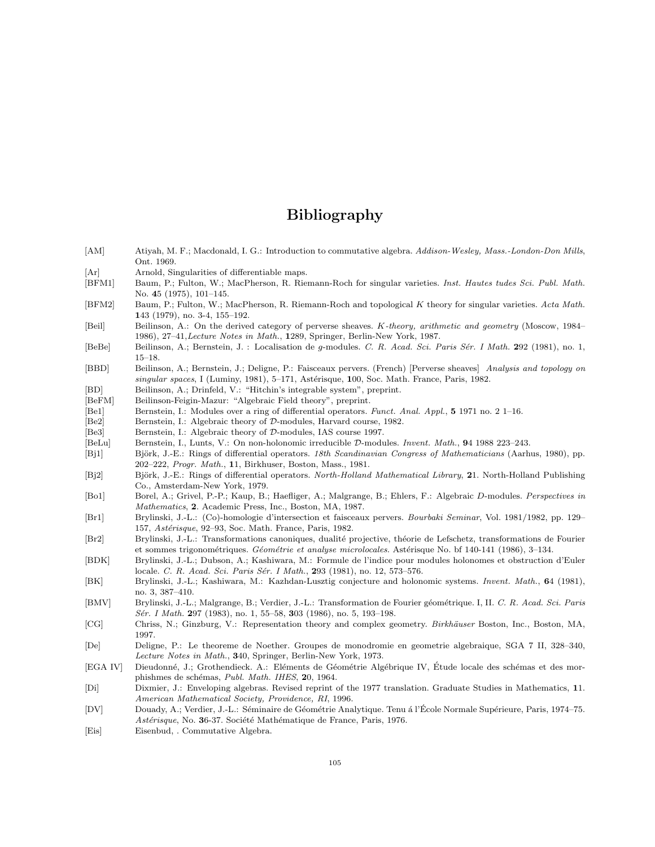# Bibliography

- [AM] Atiyah, M. F.; Macdonald, I. G.: Introduction to commutative algebra. Addison-Wesley, Mass.-London-Don Mills, Ont. 1969.
- [Ar] Arnold, Singularities of differentiable maps.
- [BFM1] Baum, P.; Fulton, W.; MacPherson, R. Riemann-Roch for singular varieties. Inst. Hautes tudes Sci. Publ. Math. No. 45 (1975), 101–145.
- [BFM2] Baum, P.; Fulton, W.; MacPherson, R. Riemann-Roch and topological K theory for singular varieties. Acta Math. 143 (1979), no. 3-4, 155–192.
- [Beil] Beilinson, A.: On the derived category of perverse sheaves. K-theory, arithmetic and geometry (Moscow, 1984– 1986), 27–41,Lecture Notes in Math., 1289, Springer, Berlin-New York, 1987.
- [BeBe] Beilinson, A.; Bernstein, J. : Localisation de g-modules. C. R. Acad. Sci. Paris Sér. I Math. 292 (1981), no. 1, 15–18.
- [BBD] Beilinson, A.; Bernstein, J.; Deligne, P.: Faisceaux pervers. (French) [Perverse sheaves] Analysis and topology on  $singular spaces, I (Luminy, 1981), 5–171, Astérisque, 100, Soc. Math. France, Paris, 1982.$
- [BD] Beilinson, A.; Drinfeld, V.: "Hitchin's integrable system", preprint.
- [BeFM] Beilinson-Feigin-Mazur: "Algebraic Field theory", preprint.
- [Be1] Bernstein, I.: Modules over a ring of differential operators. Funct. Anal. Appl., 5 1971 no. 2 1–16.
- [Be2] Bernstein, I.: Algebraic theory of D-modules, Harvard course, 1982.
- [Be3] Bernstein, I.: Algebraic theory of D-modules, IAS course 1997.
- [BeLu] Bernstein, I., Lunts, V.: On non-holonomic irreducible D-modules. Invent. Math., 94 1988 223–243.
- [Bj1] Björk, J.-E.: Rings of differential operators. 18th Scandinavian Congress of Mathematicians (Aarhus, 1980), pp. 202–222, Progr. Math., 11, Birkhuser, Boston, Mass., 1981.
- [Bj2] Björk, J.-E.: Rings of differential operators. North-Holland Mathematical Library, 21. North-Holland Publishing Co., Amsterdam-New York, 1979.
- [Bo1] Borel, A.; Grivel, P.-P.; Kaup, B.; Haefliger, A.; Malgrange, B.; Ehlers, F.: Algebraic D-modules. Perspectives in Mathematics, 2. Academic Press, Inc., Boston, MA, 1987.
- [Br1] Brylinski, J.-L.: (Co)-homologie d'intersection et faisceaux pervers. Bourbaki Seminar, Vol. 1981/1982, pp. 129– 157, Astérisque, 92-93, Soc. Math. France, Paris, 1982.
- [Br2] Brylinski, J.-L.: Transformations canoniques, dualité projective, théorie de Lefschetz, transformations de Fourier et sommes trigonométriques. Géométrie et analyse microlocales. Astérisque No. bf 140-141 (1986), 3-134.
- [BDK] Brylinski, J.-L.; Dubson, A.; Kashiwara, M.: Formule de l'indice pour modules holonomes et obstruction d'Euler locale. C. R. Acad. Sci. Paris Sér. I Math., 293 (1981), no. 12, 573-576.
- [BK] Brylinski, J.-L.; Kashiwara, M.: Kazhdan-Lusztig conjecture and holonomic systems. Invent. Math., 64 (1981), no. 3, 387–410.
- [BMV] Brylinski, J.-L.; Malgrange, B.; Verdier, J.-L.: Transformation de Fourier géométrique. I, II. C. R. Acad. Sci. Paris Sér. I Math. 297 (1983), no. 1, 55–58, 303 (1986), no. 5, 193–198.
- [CG] Chriss, N.; Ginzburg, V.: Representation theory and complex geometry. Birkhäuser Boston, Inc., Boston, MA, 1997.
- [De] Deligne, P.: Le theoreme de Noether. Groupes de monodromie en geometrie algebraique, SGA 7 II, 328–340, Lecture Notes in Math., 340, Springer, Berlin-New York, 1973.
- [EGA IV] Dieudonné, J.; Grothendieck. A.: Eléments de Géométrie Algébrique IV, Étude locale des schémas et des morphishmes de schémas, Publ. Math. IHES, 20, 1964.
- [Di] Dixmier, J.: Enveloping algebras. Revised reprint of the 1977 translation. Graduate Studies in Mathematics, 11. American Mathematical Society, Providence, RI, 1996.
- [DV] Douady, A.; Verdier, J.-L.: Séminaire de Géométrie Analytique. Tenu á l'École Normale Supérieure, Paris, 1974–75. Astérisque, No. 36-37. Société Mathématique de France, Paris, 1976.
- [Eis] Eisenbud, . Commutative Algebra.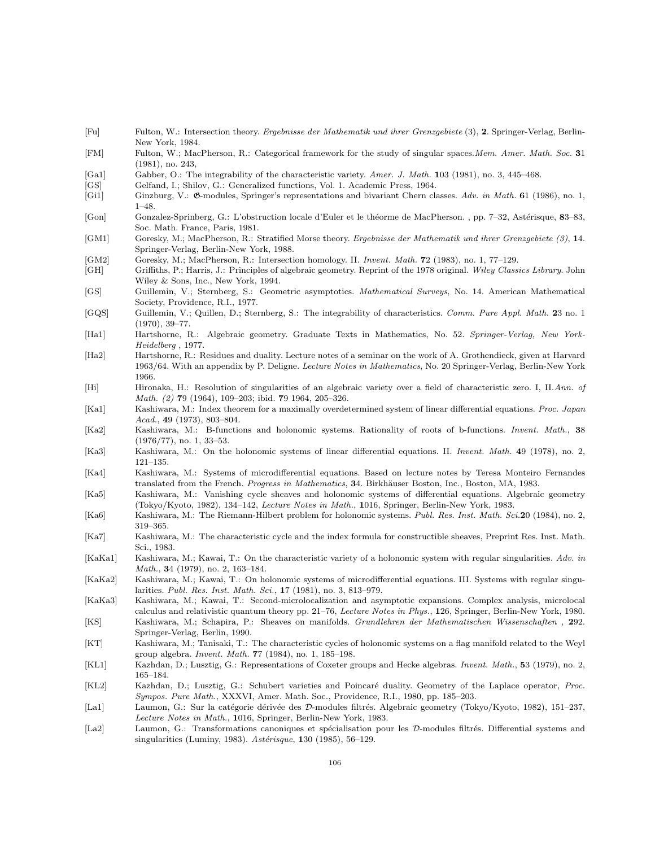- [Fu] Fulton, W.: Intersection theory. Ergebnisse der Mathematik und ihrer Grenzgebiete (3), 2. Springer-Verlag, Berlin-New York, 1984.
- [FM] Fulton, W.; MacPherson, R.: Categorical framework for the study of singular spaces.Mem. Amer. Math. Soc. 31 (1981), no. 243,
- [Ga1] Gabber, O.: The integrability of the characteristic variety. Amer. J. Math. 103 (1981), no. 3, 445–468.
- [GS] Gelfand, I.; Shilov, G.: Generalized functions, Vol. 1. Academic Press, 1964.
- [Gi1] Ginzburg, V.:  $\mathfrak{G}\text{-modules}$ , Springer's representations and bivariant Chern classes. Adv. in Math. 61 (1986), no. 1, 1–48.
- [Gon] Gonzalez-Sprinberg, G.: L'obstruction locale d'Euler et le théorme de MacPherson. , pp. 7–32, Astérisque, 83–83, Soc. Math. France, Paris, 1981.
- [GM1] Goresky, M.; MacPherson, R.: Stratified Morse theory. Ergebnisse der Mathematik und ihrer Grenzgebiete (3), 14. Springer-Verlag, Berlin-New York, 1988.
- [GM2] Goresky, M.; MacPherson, R.: Intersection homology. II. Invent. Math. 72 (1983), no. 1, 77–129.
- [GH] Griffiths, P.; Harris, J.: Principles of algebraic geometry. Reprint of the 1978 original. Wiley Classics Library. John Wiley & Sons, Inc., New York, 1994.
- [GS] Guillemin, V.; Sternberg, S.: Geometric asymptotics. Mathematical Surveys, No. 14. American Mathematical Society, Providence, R.I., 1977.
- [GQS] Guillemin, V.; Quillen, D.; Sternberg, S.: The integrability of characteristics. Comm. Pure Appl. Math. 23 no. 1 (1970), 39–77.
- [Ha1] Hartshorne, R.: Algebraic geometry. Graduate Texts in Mathematics, No. 52. Springer-Verlag, New York-Heidelberg , 1977.
- [Ha2] Hartshorne, R.: Residues and duality. Lecture notes of a seminar on the work of A. Grothendieck, given at Harvard 1963/64. With an appendix by P. Deligne. Lecture Notes in Mathematics, No. 20 Springer-Verlag, Berlin-New York 1966.
- [Hi] Hironaka, H.: Resolution of singularities of an algebraic variety over a field of characteristic zero. I, II.Ann. of Math. (2) 79 (1964), 109–203; ibid. 79 1964, 205–326.
- [Ka1] Kashiwara, M.: Index theorem for a maximally overdetermined system of linear differential equations. Proc. Japan Acad., 49 (1973), 803–804.
- [Ka2] Kashiwara, M.: B-functions and holonomic systems. Rationality of roots of b-functions. Invent. Math., 38 (1976/77), no. 1, 33–53.
- [Ka3] Kashiwara, M.: On the holonomic systems of linear differential equations. II. *Invent. Math.* 49 (1978), no. 2, 121–135.
- [Ka4] Kashiwara, M.: Systems of microdifferential equations. Based on lecture notes by Teresa Monteiro Fernandes translated from the French. Progress in Mathematics, 34. Birkhäuser Boston, Inc., Boston, MA, 1983.
- [Ka5] Kashiwara, M.: Vanishing cycle sheaves and holonomic systems of differential equations. Algebraic geometry (Tokyo/Kyoto, 1982), 134–142, Lecture Notes in Math., 1016, Springer, Berlin-New York, 1983.
- [Ka6] Kashiwara, M.: The Riemann-Hilbert problem for holonomic systems. Publ. Res. Inst. Math. Sci.20 (1984), no. 2, 319–365.
- [Ka7] Kashiwara, M.: The characteristic cycle and the index formula for constructible sheaves, Preprint Res. Inst. Math. Sci., 1983.
- [KaKa1] Kashiwara, M.; Kawai, T.: On the characteristic variety of a holonomic system with regular singularities. Adv. in Math., 34 (1979), no. 2, 163–184.
- [KaKa2] Kashiwara, M.; Kawai, T.: On holonomic systems of microdifferential equations. III. Systems with regular singularities. Publ. Res. Inst. Math. Sci., 17 (1981), no. 3, 813–979.
- [KaKa3] Kashiwara, M.; Kawai, T.: Second-microlocalization and asymptotic expansions. Complex analysis, microlocal calculus and relativistic quantum theory pp. 21–76, Lecture Notes in Phys., 126, Springer, Berlin-New York, 1980. [KS] Kashiwara, M.; Schapira, P.: Sheaves on manifolds. Grundlehren der Mathematischen Wissenschaften , 292.
- Springer-Verlag, Berlin, 1990. [KT] Kashiwara, M.; Tanisaki, T.: The characteristic cycles of holonomic systems on a flag manifold related to the Weyl
- group algebra. Invent. Math. 77 (1984), no. 1, 185–198.
- [KL1] Kazhdan, D.; Lusztig, G.: Representations of Coxeter groups and Hecke algebras. Invent. Math., 53 (1979), no. 2, 165–184.
- [KL2] Kazhdan, D.; Lusztig, G.: Schubert varieties and Poincaré duality. Geometry of the Laplace operator, Proc. Sympos. Pure Math., XXXVI, Amer. Math. Soc., Providence, R.I., 1980, pp. 185–203.
- [La1] Laumon, G.: Sur la catégorie dérivée des D-modules filtrés. Algebraic geometry (Tokyo/Kyoto, 1982), 151–237, Lecture Notes in Math., 1016, Springer, Berlin-New York, 1983.
- [La2] Laumon, G.: Transformations canoniques et spécialisation pour les D-modules filtrés. Differential systems and singularities (Luminy, 1983).  $Ast\acute{e}risque$ , 130 (1985), 56–129.